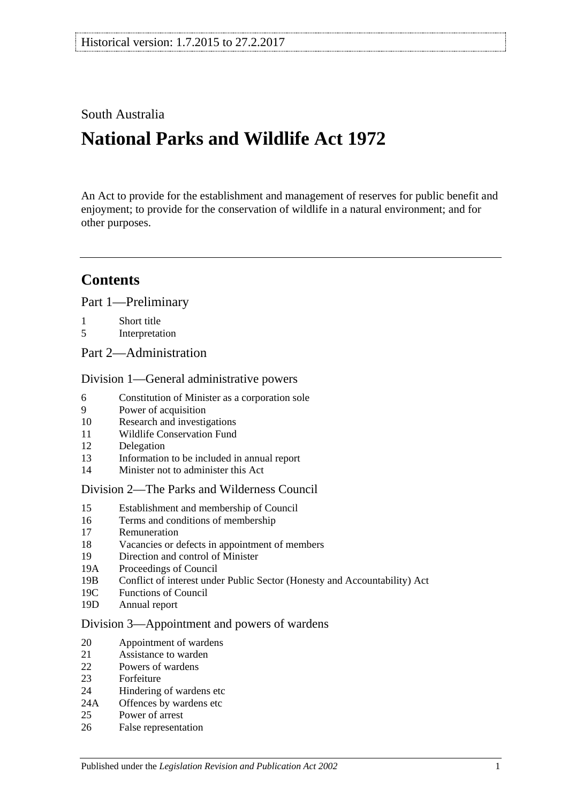# South Australia

# **National Parks and Wildlife Act 1972**

An Act to provide for the establishment and management of reserves for public benefit and enjoyment; to provide for the conservation of wildlife in a natural environment; and for other purposes.

# **Contents**

[Part 1—Preliminary](#page-6-0)

- 1 [Short title](#page-6-1)
- 5 [Interpretation](#page-6-2)
- [Part 2—Administration](#page-10-0)

### [Division 1—General administrative powers](#page-10-1)

- 6 [Constitution of Minister as a corporation sole](#page-10-2)
- 9 [Power of acquisition](#page-10-3)
- 10 [Research and investigations](#page-10-4)
- 11 [Wildlife Conservation Fund](#page-10-5)
- 12 [Delegation](#page-11-0)
- 13 [Information to be included in annual report](#page-11-1)
- 14 [Minister not to administer this Act](#page-12-0)

#### [Division 2—The Parks and Wilderness Council](#page-12-1)

- 15 [Establishment and membership of Council](#page-12-2)
- 16 [Terms and conditions of membership](#page-12-3)
- 17 [Remuneration](#page-13-0)
- 18 [Vacancies or defects in appointment of members](#page-13-1)
- 19 [Direction and control of Minister](#page-13-2)
- 19A [Proceedings of Council](#page-13-3)<br>19B Conflict of interest unde
- 19B [Conflict of interest under Public Sector \(Honesty and Accountability\) Act](#page-14-0)
- 19C [Functions of Council](#page-14-1)
- 19D [Annual report](#page-15-0)

#### [Division 3—Appointment and powers of wardens](#page-15-1)

- 20 [Appointment of wardens](#page-15-2)
- 21 [Assistance to warden](#page-15-3)
- 22 [Powers of wardens](#page-15-4)
- 23 [Forfeiture](#page-17-0)
- 24 [Hindering of wardens etc](#page-18-0)
- 24A [Offences by wardens etc](#page-19-0)
- 25 [Power of arrest](#page-19-1)
- 26 [False representation](#page-19-2)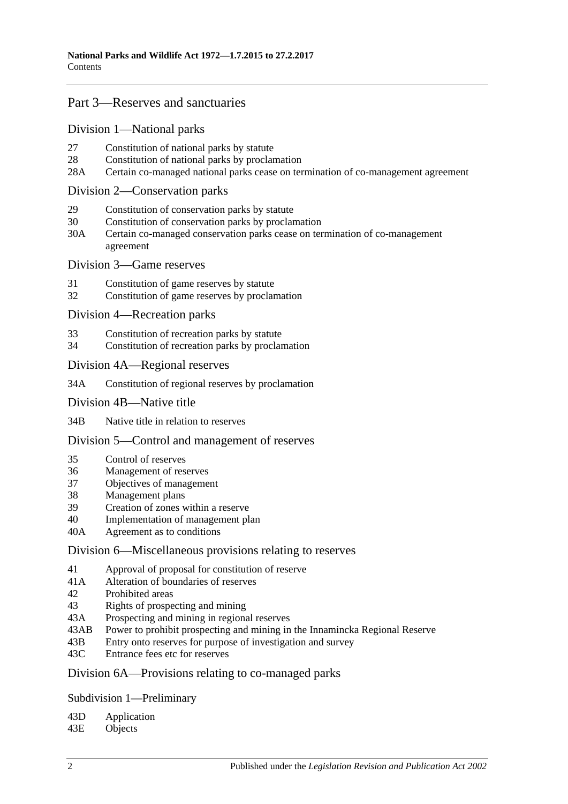# [Part 3—Reserves and sanctuaries](#page-20-0)

[Division 1—National parks](#page-20-1)

- 27 [Constitution of national parks by statute](#page-20-2)
- 28 [Constitution of national parks by proclamation](#page-20-3)
- 28A [Certain co-managed national parks cease on termination of co-management agreement](#page-21-0)

### [Division 2—Conservation parks](#page-21-1)

- 29 [Constitution of conservation parks by statute](#page-21-2)
- 30 [Constitution of conservation parks by proclamation](#page-21-3)
- 30A [Certain co-managed conservation parks cease on termination of co-management](#page-22-0)  [agreement](#page-22-0)

#### [Division 3—Game reserves](#page-22-1)

- 31 [Constitution of game reserves by statute](#page-22-2)
- 32 [Constitution of game reserves by proclamation](#page-23-0)

[Division 4—Recreation parks](#page-23-1)

- 33 [Constitution of recreation parks by statute](#page-23-2)
- 34 [Constitution of recreation parks by proclamation](#page-23-3)

#### [Division 4A—Regional reserves](#page-24-0)

34A [Constitution of regional reserves by proclamation](#page-24-1)

#### [Division 4B—Native title](#page-24-2)

34B [Native title in relation to reserves](#page-24-3)

#### [Division 5—Control and management of reserves](#page-25-0)

- 35 [Control of reserves](#page-25-1)
- 36 [Management of reserves](#page-26-0)
- 37 [Objectives of management](#page-26-1)
- 38 [Management plans](#page-27-0)
- 39 [Creation of zones within a reserve](#page-29-0)
- 40 [Implementation of management plan](#page-29-1)
- 40A [Agreement as to conditions](#page-29-2)

#### [Division 6—Miscellaneous provisions relating to reserves](#page-30-0)

- 41 [Approval of proposal for constitution of reserve](#page-30-1)
- 41A [Alteration of boundaries of reserves](#page-30-2)
- 42 [Prohibited areas](#page-31-0)
- 43 [Rights of prospecting and mining](#page-31-1)
- 43A [Prospecting and mining in regional reserves](#page-32-0)
- 43AB [Power to prohibit prospecting and mining in the Innamincka Regional Reserve](#page-32-1)<br>43B Entry onto reserves for purpose of investigation and survey
- [Entry onto reserves for purpose of investigation and survey](#page-33-0)
- 43C [Entrance fees etc for reserves](#page-33-1)

### [Division 6A—Provisions relating to co-managed parks](#page-34-0)

#### [Subdivision 1—Preliminary](#page-34-1)

# 43D [Application](#page-34-2)<br>43E Objects

**[Objects](#page-34-3)**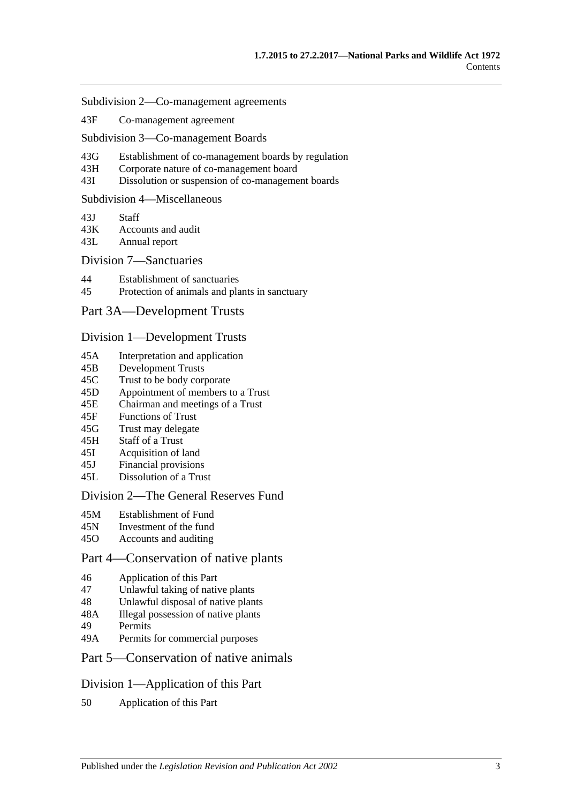- [Subdivision 2—Co-management agreements](#page-34-4)
- 43F [Co-management agreement](#page-34-5)

[Subdivision 3—Co-management Boards](#page-36-0)

- 43G [Establishment of co-management boards by regulation](#page-36-1)
- 43H [Corporate nature of co-management board](#page-36-2)
- 43I [Dissolution or suspension of co-management boards](#page-37-0)

#### [Subdivision 4—Miscellaneous](#page-37-1)

- 43J [Staff](#page-37-2)<br>43K Accou
- [Accounts and audit](#page-38-0)
- 43L [Annual report](#page-38-1)

#### [Division 7—Sanctuaries](#page-38-2)

- 44 [Establishment of sanctuaries](#page-38-3)
- 45 [Protection of animals and plants in sanctuary](#page-39-0)

### [Part 3A—Development Trusts](#page-40-0)

#### [Division 1—Development Trusts](#page-40-1)

- 45A [Interpretation and application](#page-40-2)
- 45B [Development Trusts](#page-40-3)
- 45C [Trust to be body corporate](#page-40-4)
- 45D [Appointment of members to a Trust](#page-41-0)
- 45E [Chairman and meetings of a Trust](#page-41-1)
- 45F [Functions of Trust](#page-41-2)
- 45G [Trust may delegate](#page-42-0)
- 45H [Staff of a Trust](#page-42-1)
- 45I [Acquisition of land](#page-43-0)
- 45J [Financial provisions](#page-43-1)
- 45L [Dissolution of a Trust](#page-43-2)

#### [Division 2—The General Reserves Fund](#page-43-3)

- 45M [Establishment of Fund](#page-43-4)
- 45N [Investment of the fund](#page-44-0)
- 45O [Accounts and auditing](#page-44-1)

### [Part 4—Conservation of native plants](#page-46-0)

- 46 [Application of this Part](#page-46-1)
- 47 [Unlawful taking of native plants](#page-46-2)
- 48 [Unlawful disposal of native plants](#page-47-0)
- 48A [Illegal possession of native plants](#page-47-1)
- 49 [Permits](#page-47-2)
- 49A [Permits for commercial purposes](#page-48-0)
- [Part 5—Conservation of native animals](#page-50-0)

#### [Division 1—Application of this Part](#page-50-1)

50 [Application of this Part](#page-50-2)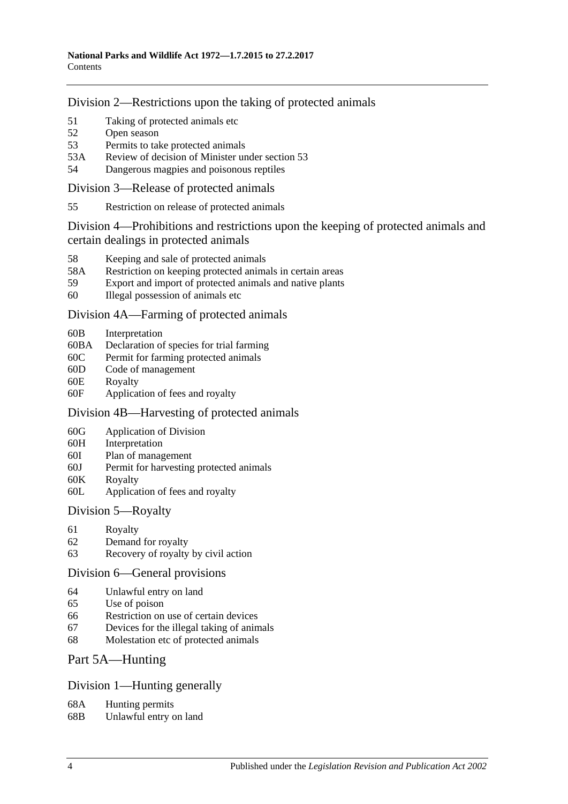[Division 2—Restrictions upon the taking of protected animals](#page-50-3)

- 51 [Taking of protected animals etc](#page-50-4)<br>52 Open season
- [Open season](#page-50-5)
- 53 [Permits to take protected animals](#page-51-0)
- 53A [Review of decision of Minister under section](#page-52-0) 53
- 54 [Dangerous magpies and poisonous reptiles](#page-52-1)

[Division 3—Release of protected animals](#page-52-2)

55 [Restriction on release of protected animals](#page-52-3)

[Division 4—Prohibitions and restrictions upon the keeping of protected animals and](#page-53-0)  [certain dealings in protected animals](#page-53-0)

- 58 [Keeping and sale of protected animals](#page-53-1)
- 58A [Restriction on keeping protected animals in certain areas](#page-54-0)
- 59 [Export and import of protected animals and native plants](#page-54-1)
- 60 [Illegal possession of animals etc](#page-54-2)

[Division 4A—Farming of protected animals](#page-55-0)

- 60B [Interpretation](#page-55-1)
- 60BA [Declaration of species for trial farming](#page-55-2)
- 60C [Permit for farming protected animals](#page-56-0)
- 60D [Code of management](#page-57-0)
- 60E [Royalty](#page-58-0)
- 60F [Application of fees and royalty](#page-58-1)

# [Division 4B—Harvesting of protected animals](#page-59-0)

- 60G [Application of Division](#page-59-1)
- 60H [Interpretation](#page-59-2)
- 60I [Plan of management](#page-59-3)
- 60J [Permit for harvesting protected animals](#page-60-0)
- 60K [Royalty](#page-61-0)
- 60L [Application of fees and royalty](#page-61-1)

# [Division 5—Royalty](#page-62-0)

- 61 [Royalty](#page-62-1)
- 62 [Demand for royalty](#page-62-2)
- 63 [Recovery of royalty by civil action](#page-62-3)

# [Division 6—General provisions](#page-63-0)

- 64 [Unlawful entry on land](#page-63-1)
- 65 [Use of poison](#page-63-2)
- 66 [Restriction on use of certain devices](#page-64-0)
- 67 [Devices for the illegal taking of animals](#page-64-1)
- 68 [Molestation etc of protected animals](#page-64-2)

# [Part 5A—Hunting](#page-66-0)

# [Division 1—Hunting generally](#page-66-1)

- 68A [Hunting permits](#page-66-2)
- 68B [Unlawful entry on land](#page-66-3)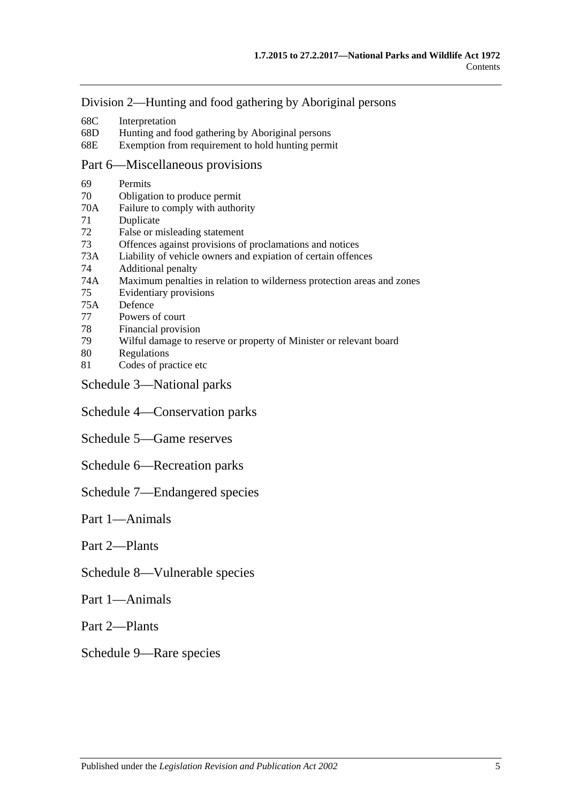### [Division 2—Hunting and food gathering by Aboriginal persons](#page-67-0)

- 68C [Interpretation](#page-67-1)
- 68D [Hunting and food gathering by Aboriginal persons](#page-67-2)
- 68E Exemption from [requirement to hold hunting permit](#page-68-0)

#### [Part 6—Miscellaneous provisions](#page-70-0)

- 69 [Permits](#page-70-1)
- 70 [Obligation to produce permit](#page-72-0)
- 70A [Failure to comply with authority](#page-72-1)
- 71 [Duplicate](#page-72-2)
- 72 [False or misleading statement](#page-73-0)
- 73 [Offences against provisions of proclamations and notices](#page-73-1)<br>73A Liability of vehicle owners and expiation of certain offend
- [Liability of vehicle owners and expiation of certain offences](#page-73-2)
- 74 [Additional penalty](#page-75-0)
- 74A [Maximum penalties in relation to wilderness protection areas and zones](#page-76-0)
- 75 [Evidentiary provisions](#page-76-1)
- 75A [Defence](#page-76-2)
- 77 [Powers of court](#page-77-0)
- 78 [Financial provision](#page-77-1)
- 79 [Wilful damage to reserve or property of Minister or relevant board](#page-77-2)
- 80 [Regulations](#page-77-3)
- 81 [Codes of practice etc](#page-79-0)
- [Schedule 3—National parks](#page-80-0)
- [Schedule 4—Conservation parks](#page-80-1)
- [Schedule 5—Game reserves](#page-85-0)
- [Schedule 6—Recreation parks](#page-86-0)
- [Schedule 7—Endangered species](#page-87-0)

#### Part 1—Animals

Part 2—Plants

#### [Schedule 8—Vulnerable species](#page-99-0)

Part 1—Animals

Part 2—Plants

[Schedule 9—Rare species](#page-112-0)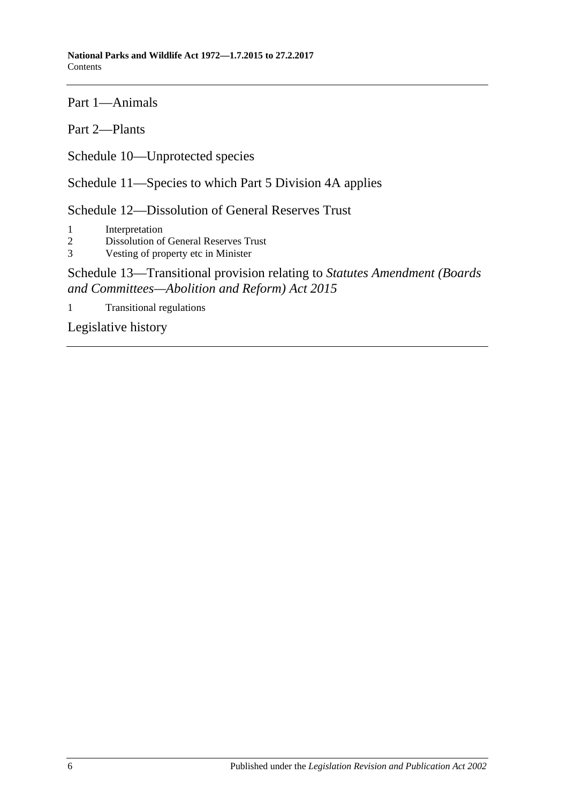Part 1—Animals

Part 2—Plants

[Schedule 10—Unprotected species](#page-135-0)

[Schedule 11—Species to which Part 5 Division 4A](#page-136-0) applies

[Schedule 12—Dissolution of General Reserves Trust](#page-136-1)

1 [Interpretation](#page-136-2)

2 [Dissolution of General Reserves Trust](#page-136-3)

3 [Vesting of property etc in Minister](#page-136-4)

# [Schedule 13—Transitional provision](#page-137-0) relating to *Statutes Amendment (Boards [and Committees—Abolition and Reform\) Act](#page-137-0) 2015*

1 [Transitional regulations](#page-137-1)

[Legislative history](#page-138-0)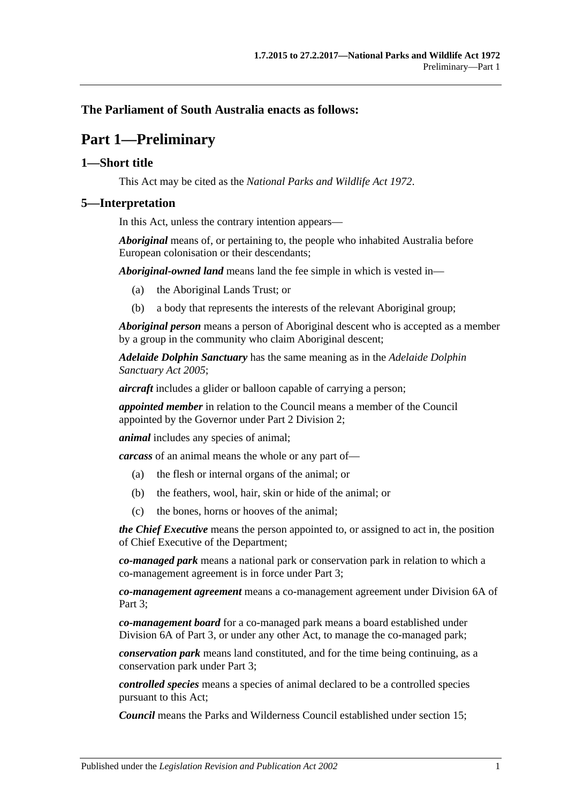# <span id="page-6-0"></span>**The Parliament of South Australia enacts as follows:**

# **Part 1—Preliminary**

# <span id="page-6-1"></span>**1—Short title**

This Act may be cited as the *National Parks and Wildlife Act 1972*.

### <span id="page-6-2"></span>**5—Interpretation**

In this Act, unless the contrary intention appears—

*Aboriginal* means of, or pertaining to, the people who inhabited Australia before European colonisation or their descendants;

*Aboriginal-owned land* means land the fee simple in which is vested in—

- (a) the Aboriginal Lands Trust; or
- (b) a body that represents the interests of the relevant Aboriginal group;

*Aboriginal person* means a person of Aboriginal descent who is accepted as a member by a group in the community who claim Aboriginal descent;

*Adelaide Dolphin Sanctuary* has the same meaning as in the *[Adelaide Dolphin](http://www.legislation.sa.gov.au/index.aspx?action=legref&type=act&legtitle=Adelaide%20Dolphin%20Sanctuary%20Act%202005)  [Sanctuary Act](http://www.legislation.sa.gov.au/index.aspx?action=legref&type=act&legtitle=Adelaide%20Dolphin%20Sanctuary%20Act%202005) 2005*;

*aircraft* includes a glider or balloon capable of carrying a person;

*appointed member* in relation to the Council means a member of the Council appointed by the Governor under Part 2 Division 2;

*animal* includes any species of animal;

*carcass* of an animal means the whole or any part of—

- (a) the flesh or internal organs of the animal; or
- (b) the feathers, wool, hair, skin or hide of the animal; or
- (c) the bones, horns or hooves of the animal;

*the Chief Executive* means the person appointed to, or assigned to act in, the position of Chief Executive of the Department;

*co-managed park* means a national park or conservation park in relation to which a co-management agreement is in force under [Part 3;](#page-20-0)

*co-management agreement* means a co-management agreement under [Division 6A](#page-34-0) of Part 3:

*co-management board* for a co-managed park means a board established under [Division 6A](#page-34-0) of [Part 3,](#page-20-0) or under any other Act, to manage the co-managed park;

*conservation park* means land constituted, and for the time being continuing, as a conservation park under [Part 3;](#page-20-0)

*controlled species* means a species of animal declared to be a controlled species pursuant to this Act;

*Council* means the Parks and Wilderness Council established under [section](#page-12-2) 15;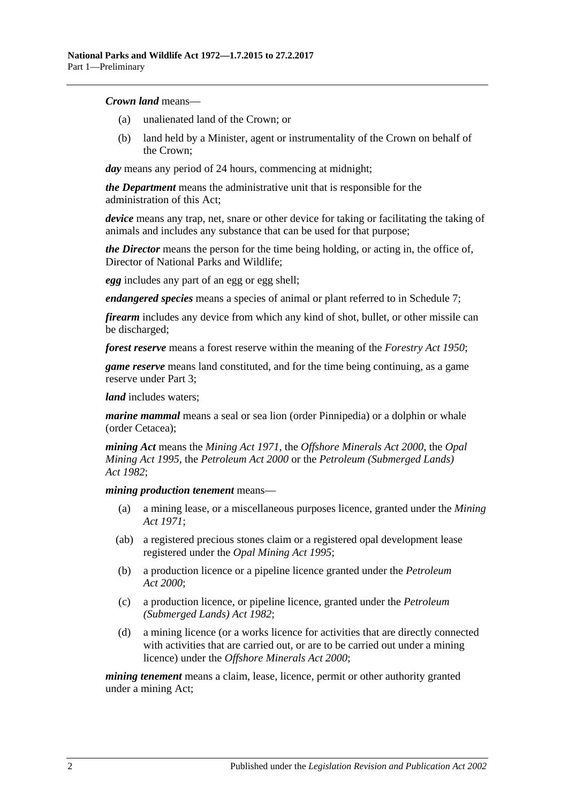#### *Crown land* means—

- (a) unalienated land of the Crown; or
- (b) land held by a Minister, agent or instrumentality of the Crown on behalf of the Crown;

*day* means any period of 24 hours, commencing at midnight;

*the Department* means the administrative unit that is responsible for the administration of this Act;

*device* means any trap, net, snare or other device for taking or facilitating the taking of animals and includes any substance that can be used for that purpose;

*the Director* means the person for the time being holding, or acting in, the office of, Director of National Parks and Wildlife;

*egg* includes any part of an egg or egg shell;

*endangered species* means a species of animal or plant referred to in [Schedule 7;](#page-87-0)

*firearm* includes any device from which any kind of shot, bullet, or other missile can be discharged;

*forest reserve* means a forest reserve within the meaning of the *[Forestry Act](http://www.legislation.sa.gov.au/index.aspx?action=legref&type=act&legtitle=Forestry%20Act%201950) 1950*;

*game reserve* means land constituted, and for the time being continuing, as a game reserve under [Part 3;](#page-20-0)

*land* includes waters;

*marine mammal* means a seal or sea lion (order Pinnipedia) or a dolphin or whale (order Cetacea);

*mining Act* means the *[Mining Act](http://www.legislation.sa.gov.au/index.aspx?action=legref&type=act&legtitle=Mining%20Act%201971) 1971*, the *[Offshore Minerals Act](http://www.legislation.sa.gov.au/index.aspx?action=legref&type=act&legtitle=Offshore%20Minerals%20Act%202000) 2000*, the *[Opal](http://www.legislation.sa.gov.au/index.aspx?action=legref&type=act&legtitle=Opal%20Mining%20Act%201995)  [Mining Act](http://www.legislation.sa.gov.au/index.aspx?action=legref&type=act&legtitle=Opal%20Mining%20Act%201995) 1995*, the *[Petroleum Act](http://www.legislation.sa.gov.au/index.aspx?action=legref&type=act&legtitle=Petroleum%20Act%202000) 2000* or the *[Petroleum \(Submerged Lands\)](http://www.legislation.sa.gov.au/index.aspx?action=legref&type=act&legtitle=Petroleum%20(Submerged%20Lands)%20Act%201982)  Act [1982](http://www.legislation.sa.gov.au/index.aspx?action=legref&type=act&legtitle=Petroleum%20(Submerged%20Lands)%20Act%201982)*;

#### *mining production tenement* means—

- (a) a mining lease, or a miscellaneous purposes licence, granted under the *[Mining](http://www.legislation.sa.gov.au/index.aspx?action=legref&type=act&legtitle=Mining%20Act%201971)  Act [1971](http://www.legislation.sa.gov.au/index.aspx?action=legref&type=act&legtitle=Mining%20Act%201971)*;
- (ab) a registered precious stones claim or a registered opal development lease registered under the *[Opal Mining Act](http://www.legislation.sa.gov.au/index.aspx?action=legref&type=act&legtitle=Opal%20Mining%20Act%201995) 1995*;
- (b) a production licence or a pipeline licence granted under the *[Petroleum](http://www.legislation.sa.gov.au/index.aspx?action=legref&type=act&legtitle=Petroleum%20Act%202000)  Act [2000](http://www.legislation.sa.gov.au/index.aspx?action=legref&type=act&legtitle=Petroleum%20Act%202000)*;
- (c) a production licence, or pipeline licence, granted under the *[Petroleum](http://www.legislation.sa.gov.au/index.aspx?action=legref&type=act&legtitle=Petroleum%20(Submerged%20Lands)%20Act%201982)  [\(Submerged Lands\) Act](http://www.legislation.sa.gov.au/index.aspx?action=legref&type=act&legtitle=Petroleum%20(Submerged%20Lands)%20Act%201982) 1982*;
- (d) a mining licence (or a works licence for activities that are directly connected with activities that are carried out, or are to be carried out under a mining licence) under the *[Offshore Minerals Act](http://www.legislation.sa.gov.au/index.aspx?action=legref&type=act&legtitle=Offshore%20Minerals%20Act%202000) 2000*;

*mining tenement* means a claim, lease, licence, permit or other authority granted under a mining Act;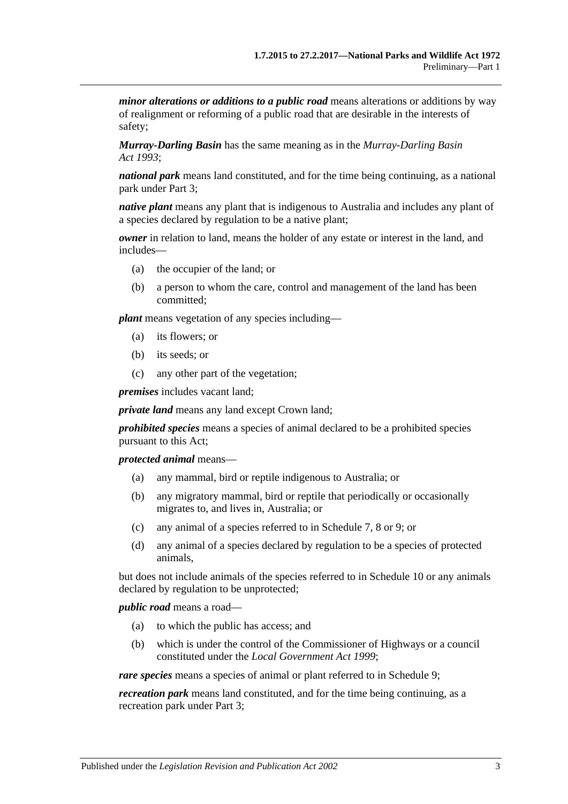*minor alterations or additions to a public road* means alterations or additions by way of realignment or reforming of a public road that are desirable in the interests of safety;

*Murray-Darling Basin* has the same meaning as in the *[Murray-Darling Basin](http://www.legislation.sa.gov.au/index.aspx?action=legref&type=act&legtitle=Murray-Darling%20Basin%20Act%201993)  Act [1993](http://www.legislation.sa.gov.au/index.aspx?action=legref&type=act&legtitle=Murray-Darling%20Basin%20Act%201993)*;

*national park* means land constituted, and for the time being continuing, as a national park under [Part 3;](#page-20-0)

*native plant* means any plant that is indigenous to Australia and includes any plant of a species declared by regulation to be a native plant;

*owner* in relation to land, means the holder of any estate or interest in the land, and includes—

- (a) the occupier of the land; or
- (b) a person to whom the care, control and management of the land has been committed;

*plant* means vegetation of any species including—

- (a) its flowers; or
- (b) its seeds; or
- (c) any other part of the vegetation;

*premises* includes vacant land;

*private land* means any land except Crown land;

*prohibited species* means a species of animal declared to be a prohibited species pursuant to this Act;

*protected animal* means—

- (a) any mammal, bird or reptile indigenous to Australia; or
- (b) any migratory mammal, bird or reptile that periodically or occasionally migrates to, and lives in, Australia; or
- (c) any animal of a species referred to in [Schedule 7,](#page-87-0) [8](#page-99-0) or [9;](#page-112-0) or
- (d) any animal of a species declared by regulation to be a species of protected animals,

but does not include animals of the species referred to in [Schedule 10](#page-135-0) or any animals declared by regulation to be unprotected;

*public road* means a road—

- (a) to which the public has access; and
- (b) which is under the control of the Commissioner of Highways or a council constituted under the *[Local Government Act](http://www.legislation.sa.gov.au/index.aspx?action=legref&type=act&legtitle=Local%20Government%20Act%201999) 1999*;

*rare species* means a species of animal or plant referred to in [Schedule 9;](#page-112-0)

*recreation park* means land constituted, and for the time being continuing, as a recreation park under [Part 3;](#page-20-0)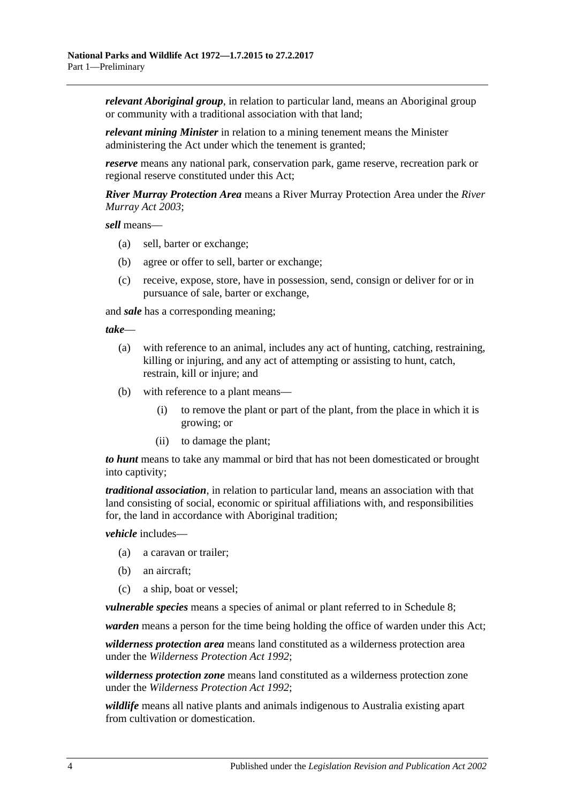*relevant Aboriginal group*, in relation to particular land, means an Aboriginal group or community with a traditional association with that land;

*relevant mining Minister* in relation to a mining tenement means the Minister administering the Act under which the tenement is granted;

*reserve* means any national park, conservation park, game reserve, recreation park or regional reserve constituted under this Act;

*River Murray Protection Area* means a River Murray Protection Area under the *[River](http://www.legislation.sa.gov.au/index.aspx?action=legref&type=act&legtitle=River%20Murray%20Act%202003)  [Murray Act](http://www.legislation.sa.gov.au/index.aspx?action=legref&type=act&legtitle=River%20Murray%20Act%202003) 2003*;

*sell* means—

- (a) sell, barter or exchange;
- (b) agree or offer to sell, barter or exchange;
- (c) receive, expose, store, have in possession, send, consign or deliver for or in pursuance of sale, barter or exchange,

and *sale* has a corresponding meaning;

*take*—

- (a) with reference to an animal, includes any act of hunting, catching, restraining, killing or injuring, and any act of attempting or assisting to hunt, catch, restrain, kill or injure; and
- (b) with reference to a plant means—
	- (i) to remove the plant or part of the plant, from the place in which it is growing; or
	- (ii) to damage the plant;

*to hunt* means to take any mammal or bird that has not been domesticated or brought into captivity;

*traditional association*, in relation to particular land, means an association with that land consisting of social, economic or spiritual affiliations with, and responsibilities for, the land in accordance with Aboriginal tradition;

*vehicle* includes—

- (a) a caravan or trailer;
- (b) an aircraft;
- (c) a ship, boat or vessel;

*vulnerable species* means a species of animal or plant referred to in [Schedule 8;](#page-99-0)

*warden* means a person for the time being holding the office of warden under this Act;

*wilderness protection area* means land constituted as a wilderness protection area under the *[Wilderness Protection Act](http://www.legislation.sa.gov.au/index.aspx?action=legref&type=act&legtitle=Wilderness%20Protection%20Act%201992) 1992*;

*wilderness protection zone* means land constituted as a wilderness protection zone under the *[Wilderness Protection Act](http://www.legislation.sa.gov.au/index.aspx?action=legref&type=act&legtitle=Wilderness%20Protection%20Act%201992) 1992*;

*wildlife* means all native plants and animals indigenous to Australia existing apart from cultivation or domestication.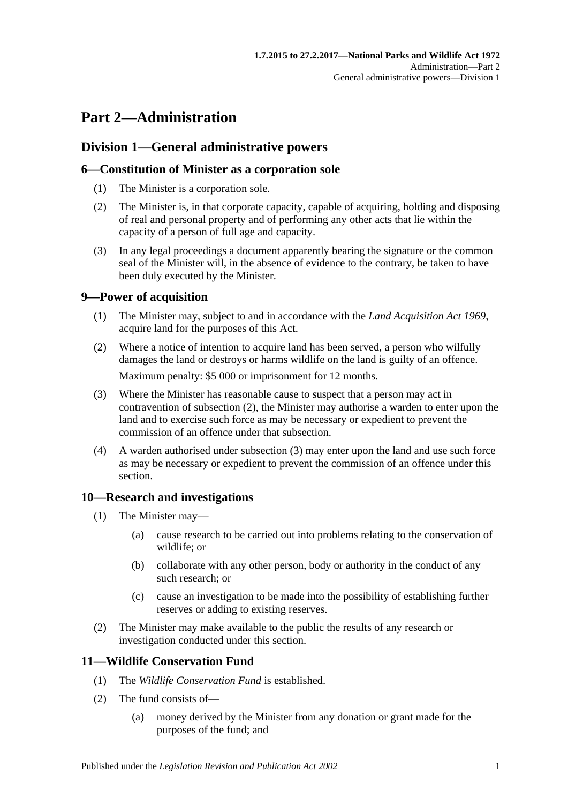# <span id="page-10-0"></span>**Part 2—Administration**

# <span id="page-10-1"></span>**Division 1—General administrative powers**

# <span id="page-10-2"></span>**6—Constitution of Minister as a corporation sole**

- (1) The Minister is a corporation sole.
- (2) The Minister is, in that corporate capacity, capable of acquiring, holding and disposing of real and personal property and of performing any other acts that lie within the capacity of a person of full age and capacity.
- (3) In any legal proceedings a document apparently bearing the signature or the common seal of the Minister will, in the absence of evidence to the contrary, be taken to have been duly executed by the Minister.

# <span id="page-10-3"></span>**9—Power of acquisition**

- (1) The Minister may, subject to and in accordance with the *[Land Acquisition Act](http://www.legislation.sa.gov.au/index.aspx?action=legref&type=act&legtitle=Land%20Acquisition%20Act%201969) 1969*, acquire land for the purposes of this Act.
- <span id="page-10-6"></span>(2) Where a notice of intention to acquire land has been served, a person who wilfully damages the land or destroys or harms wildlife on the land is guilty of an offence. Maximum penalty: \$5 000 or imprisonment for 12 months.
- <span id="page-10-7"></span>(3) Where the Minister has reasonable cause to suspect that a person may act in contravention of [subsection](#page-10-6) (2), the Minister may authorise a warden to enter upon the land and to exercise such force as may be necessary or expedient to prevent the commission of an offence under that subsection.
- (4) A warden authorised under [subsection](#page-10-7) (3) may enter upon the land and use such force as may be necessary or expedient to prevent the commission of an offence under this section.

# <span id="page-10-4"></span>**10—Research and investigations**

- (1) The Minister may—
	- (a) cause research to be carried out into problems relating to the conservation of wildlife; or
	- (b) collaborate with any other person, body or authority in the conduct of any such research; or
	- (c) cause an investigation to be made into the possibility of establishing further reserves or adding to existing reserves.
- (2) The Minister may make available to the public the results of any research or investigation conducted under this section.

# <span id="page-10-5"></span>**11—Wildlife Conservation Fund**

- (1) The *Wildlife Conservation Fund* is established.
- (2) The fund consists of—
	- (a) money derived by the Minister from any donation or grant made for the purposes of the fund; and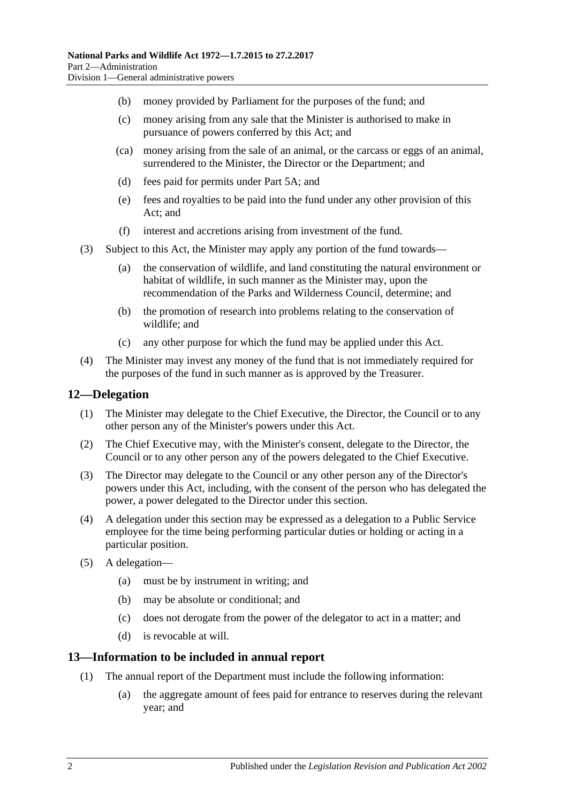- (b) money provided by Parliament for the purposes of the fund; and
- (c) money arising from any sale that the Minister is authorised to make in pursuance of powers conferred by this Act; and
- (ca) money arising from the sale of an animal, or the carcass or eggs of an animal, surrendered to the Minister, the Director or the Department; and
- (d) fees paid for permits under [Part 5A;](#page-66-0) and
- (e) fees and royalties to be paid into the fund under any other provision of this Act; and
- (f) interest and accretions arising from investment of the fund.
- (3) Subject to this Act, the Minister may apply any portion of the fund towards—
	- (a) the conservation of wildlife, and land constituting the natural environment or habitat of wildlife, in such manner as the Minister may, upon the recommendation of the Parks and Wilderness Council, determine; and
	- (b) the promotion of research into problems relating to the conservation of wildlife; and
	- (c) any other purpose for which the fund may be applied under this Act.
- (4) The Minister may invest any money of the fund that is not immediately required for the purposes of the fund in such manner as is approved by the Treasurer.

#### <span id="page-11-0"></span>**12—Delegation**

- (1) The Minister may delegate to the Chief Executive, the Director, the Council or to any other person any of the Minister's powers under this Act.
- (2) The Chief Executive may, with the Minister's consent, delegate to the Director, the Council or to any other person any of the powers delegated to the Chief Executive.
- (3) The Director may delegate to the Council or any other person any of the Director's powers under this Act, including, with the consent of the person who has delegated the power, a power delegated to the Director under this section.
- (4) A delegation under this section may be expressed as a delegation to a Public Service employee for the time being performing particular duties or holding or acting in a particular position.
- (5) A delegation—
	- (a) must be by instrument in writing; and
	- (b) may be absolute or conditional; and
	- (c) does not derogate from the power of the delegator to act in a matter; and
	- (d) is revocable at will.

#### <span id="page-11-2"></span><span id="page-11-1"></span>**13—Information to be included in annual report**

- (1) The annual report of the Department must include the following information:
	- (a) the aggregate amount of fees paid for entrance to reserves during the relevant year; and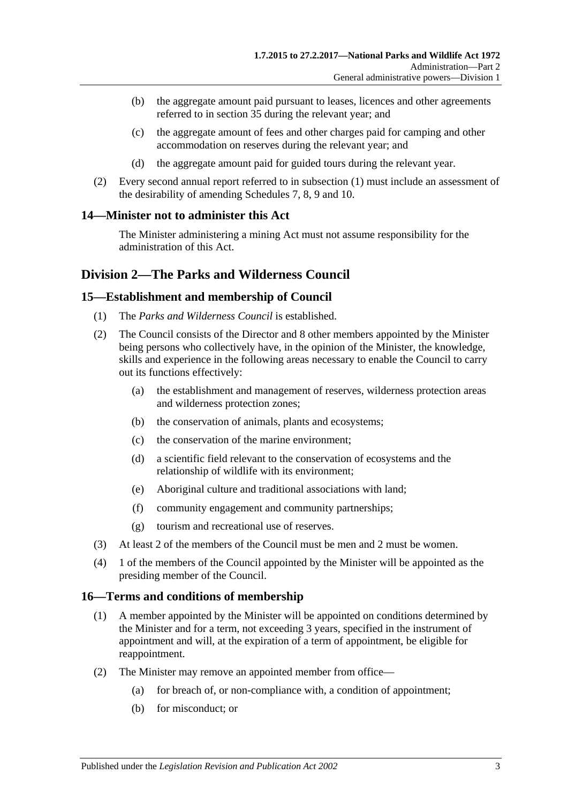- (b) the aggregate amount paid pursuant to leases, licences and other agreements referred to in [section](#page-25-1) 35 during the relevant year; and
- (c) the aggregate amount of fees and other charges paid for camping and other accommodation on reserves during the relevant year; and
- (d) the aggregate amount paid for guided tours during the relevant year.
- (2) Every second annual report referred to in [subsection](#page-11-2) (1) must include an assessment of the desirability of amending [Schedules 7,](#page-87-0) [8,](#page-99-0) [9](#page-112-0) and [10.](#page-135-0)

# <span id="page-12-0"></span>**14—Minister not to administer this Act**

The Minister administering a mining Act must not assume responsibility for the administration of this Act.

# <span id="page-12-1"></span>**Division 2—The Parks and Wilderness Council**

### <span id="page-12-2"></span>**15—Establishment and membership of Council**

- (1) The *Parks and Wilderness Council* is established.
- (2) The Council consists of the Director and 8 other members appointed by the Minister being persons who collectively have, in the opinion of the Minister, the knowledge, skills and experience in the following areas necessary to enable the Council to carry out its functions effectively:
	- (a) the establishment and management of reserves, wilderness protection areas and wilderness protection zones;
	- (b) the conservation of animals, plants and ecosystems;
	- (c) the conservation of the marine environment;
	- (d) a scientific field relevant to the conservation of ecosystems and the relationship of wildlife with its environment;
	- (e) Aboriginal culture and traditional associations with land;
	- (f) community engagement and community partnerships;
	- (g) tourism and recreational use of reserves.
- (3) At least 2 of the members of the Council must be men and 2 must be women.
- (4) 1 of the members of the Council appointed by the Minister will be appointed as the presiding member of the Council.

# <span id="page-12-3"></span>**16—Terms and conditions of membership**

- (1) A member appointed by the Minister will be appointed on conditions determined by the Minister and for a term, not exceeding 3 years, specified in the instrument of appointment and will, at the expiration of a term of appointment, be eligible for reappointment.
- <span id="page-12-4"></span>(2) The Minister may remove an appointed member from office—
	- (a) for breach of, or non-compliance with, a condition of appointment;
	- (b) for misconduct; or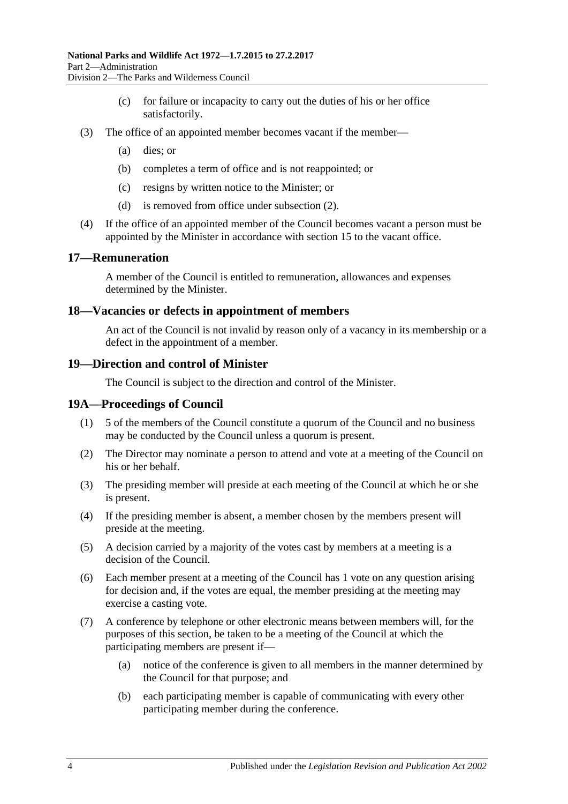- (c) for failure or incapacity to carry out the duties of his or her office satisfactorily.
- (3) The office of an appointed member becomes vacant if the member—
	- (a) dies; or
	- (b) completes a term of office and is not reappointed; or
	- (c) resigns by written notice to the Minister; or
	- (d) is removed from office under [subsection](#page-12-4) (2).
- (4) If the office of an appointed member of the Council becomes vacant a person must be appointed by the Minister in accordance with [section](#page-12-2) 15 to the vacant office.

#### <span id="page-13-0"></span>**17—Remuneration**

A member of the Council is entitled to remuneration, allowances and expenses determined by the Minister.

#### <span id="page-13-1"></span>**18—Vacancies or defects in appointment of members**

An act of the Council is not invalid by reason only of a vacancy in its membership or a defect in the appointment of a member.

#### <span id="page-13-2"></span>**19—Direction and control of Minister**

The Council is subject to the direction and control of the Minister.

#### <span id="page-13-3"></span>**19A—Proceedings of Council**

- (1) 5 of the members of the Council constitute a quorum of the Council and no business may be conducted by the Council unless a quorum is present.
- (2) The Director may nominate a person to attend and vote at a meeting of the Council on his or her behalf.
- (3) The presiding member will preside at each meeting of the Council at which he or she is present.
- (4) If the presiding member is absent, a member chosen by the members present will preside at the meeting.
- (5) A decision carried by a majority of the votes cast by members at a meeting is a decision of the Council.
- (6) Each member present at a meeting of the Council has 1 vote on any question arising for decision and, if the votes are equal, the member presiding at the meeting may exercise a casting vote.
- (7) A conference by telephone or other electronic means between members will, for the purposes of this section, be taken to be a meeting of the Council at which the participating members are present if—
	- (a) notice of the conference is given to all members in the manner determined by the Council for that purpose; and
	- (b) each participating member is capable of communicating with every other participating member during the conference.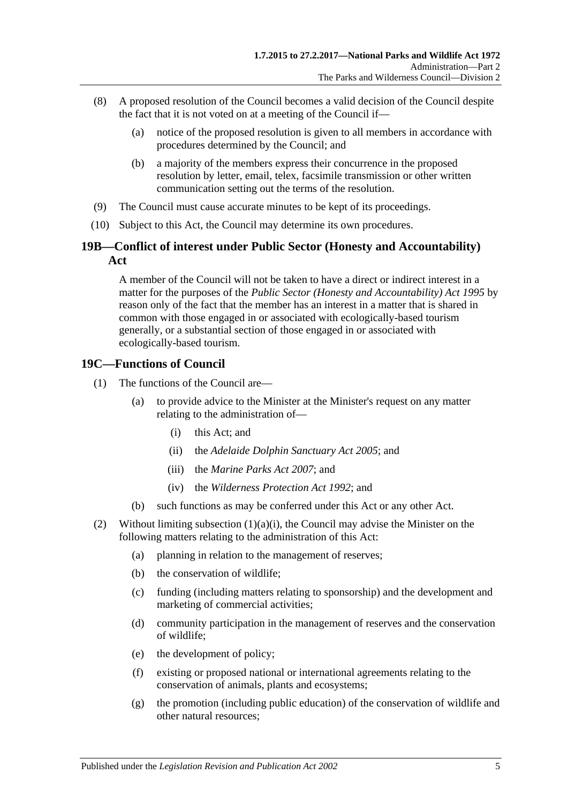- (8) A proposed resolution of the Council becomes a valid decision of the Council despite the fact that it is not voted on at a meeting of the Council if—
	- (a) notice of the proposed resolution is given to all members in accordance with procedures determined by the Council; and
	- (b) a majority of the members express their concurrence in the proposed resolution by letter, email, telex, facsimile transmission or other written communication setting out the terms of the resolution.
- (9) The Council must cause accurate minutes to be kept of its proceedings.
- (10) Subject to this Act, the Council may determine its own procedures.

# <span id="page-14-0"></span>**19B—Conflict of interest under Public Sector (Honesty and Accountability) Act**

A member of the Council will not be taken to have a direct or indirect interest in a matter for the purposes of the *[Public Sector \(Honesty and Accountability\) Act](http://www.legislation.sa.gov.au/index.aspx?action=legref&type=act&legtitle=Public%20Sector%20(Honesty%20and%20Accountability)%20Act%201995) 1995* by reason only of the fact that the member has an interest in a matter that is shared in common with those engaged in or associated with ecologically-based tourism generally, or a substantial section of those engaged in or associated with ecologically-based tourism.

# <span id="page-14-1"></span>**19C—Functions of Council**

- <span id="page-14-3"></span><span id="page-14-2"></span>(1) The functions of the Council are—
	- (a) to provide advice to the Minister at the Minister's request on any matter relating to the administration of—
		- (i) this Act; and
		- (ii) the *[Adelaide Dolphin](http://www.legislation.sa.gov.au/index.aspx?action=legref&type=act&legtitle=Adelaide%20Dolphin%20Sanctuary%20Act%202005) Sanctuary Act 2005*; and
		- (iii) the *[Marine Parks Act](http://www.legislation.sa.gov.au/index.aspx?action=legref&type=act&legtitle=Marine%20Parks%20Act%202007) 2007*; and
		- (iv) the *[Wilderness Protection Act](http://www.legislation.sa.gov.au/index.aspx?action=legref&type=act&legtitle=Wilderness%20Protection%20Act%201992) 1992*; and
	- (b) such functions as may be conferred under this Act or any other Act.
- (2) Without limiting [subsection](#page-14-2)  $(1)(a)(i)$ , the Council may advise the Minister on the following matters relating to the administration of this Act:
	- (a) planning in relation to the management of reserves;
	- (b) the conservation of wildlife;
	- (c) funding (including matters relating to sponsorship) and the development and marketing of commercial activities;
	- (d) community participation in the management of reserves and the conservation of wildlife;
	- (e) the development of policy;
	- (f) existing or proposed national or international agreements relating to the conservation of animals, plants and ecosystems;
	- (g) the promotion (including public education) of the conservation of wildlife and other natural resources;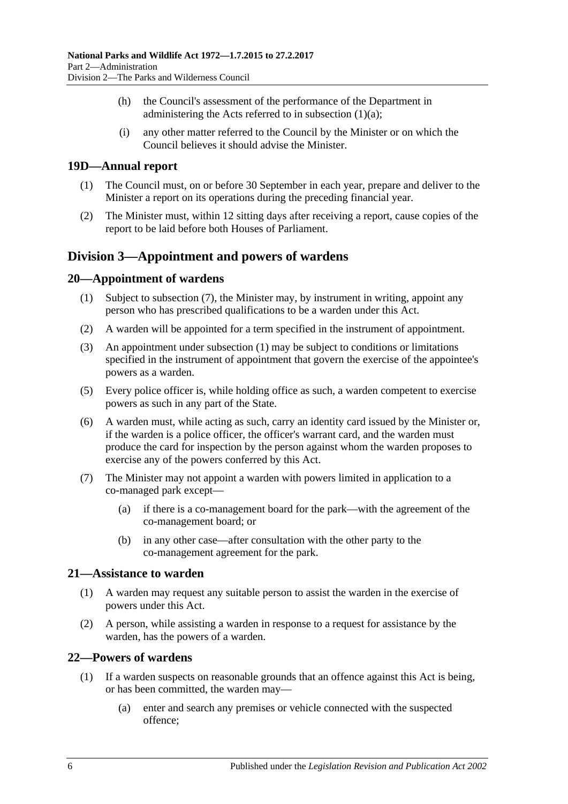- (h) the Council's assessment of the performance of the Department in administering the Acts referred to in [subsection](#page-14-3)  $(1)(a)$ ;
- (i) any other matter referred to the Council by the Minister or on which the Council believes it should advise the Minister.

# <span id="page-15-0"></span>**19D—Annual report**

- (1) The Council must, on or before 30 September in each year, prepare and deliver to the Minister a report on its operations during the preceding financial year.
- (2) The Minister must, within 12 sitting days after receiving a report, cause copies of the report to be laid before both Houses of Parliament.

# <span id="page-15-1"></span>**Division 3—Appointment and powers of wardens**

# <span id="page-15-6"></span><span id="page-15-2"></span>**20—Appointment of wardens**

- (1) Subject to [subsection](#page-15-5) (7), the Minister may, by instrument in writing, appoint any person who has prescribed qualifications to be a warden under this Act.
- (2) A warden will be appointed for a term specified in the instrument of appointment.
- (3) An appointment under [subsection](#page-15-6) (1) may be subject to conditions or limitations specified in the instrument of appointment that govern the exercise of the appointee's powers as a warden.
- (5) Every police officer is, while holding office as such, a warden competent to exercise powers as such in any part of the State.
- (6) A warden must, while acting as such, carry an identity card issued by the Minister or, if the warden is a police officer, the officer's warrant card, and the warden must produce the card for inspection by the person against whom the warden proposes to exercise any of the powers conferred by this Act.
- <span id="page-15-5"></span>(7) The Minister may not appoint a warden with powers limited in application to a co-managed park except—
	- (a) if there is a co-management board for the park—with the agreement of the co-management board; or
	- (b) in any other case—after consultation with the other party to the co-management agreement for the park.

#### <span id="page-15-3"></span>**21—Assistance to warden**

- (1) A warden may request any suitable person to assist the warden in the exercise of powers under this Act.
- (2) A person, while assisting a warden in response to a request for assistance by the warden, has the powers of a warden.

# <span id="page-15-4"></span>**22—Powers of wardens**

- (1) If a warden suspects on reasonable grounds that an offence against this Act is being, or has been committed, the warden may—
	- (a) enter and search any premises or vehicle connected with the suspected offence;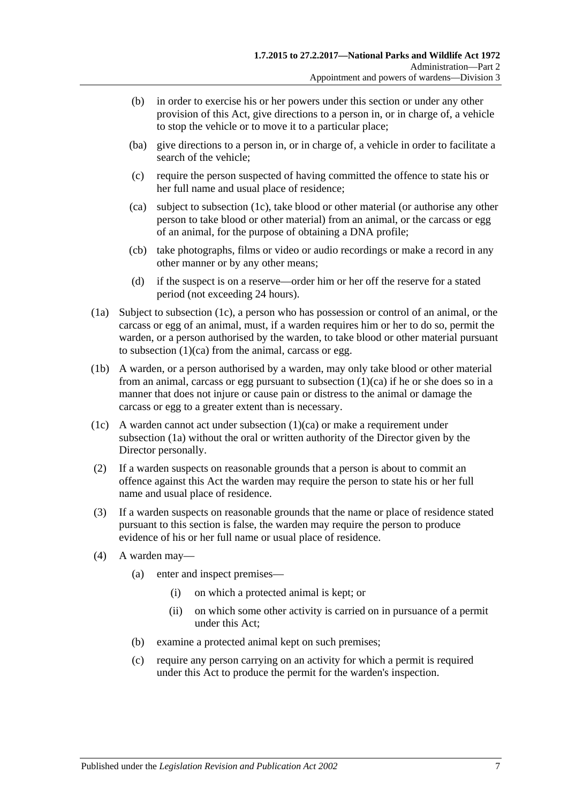- (b) in order to exercise his or her powers under this section or under any other provision of this Act, give directions to a person in, or in charge of, a vehicle to stop the vehicle or to move it to a particular place;
- (ba) give directions to a person in, or in charge of, a vehicle in order to facilitate a search of the vehicle;
- (c) require the person suspected of having committed the offence to state his or her full name and usual place of residence;
- <span id="page-16-1"></span>(ca) subject to [subsection](#page-16-0) (1c), take blood or other material (or authorise any other person to take blood or other material) from an animal, or the carcass or egg of an animal, for the purpose of obtaining a DNA profile;
- (cb) take photographs, films or video or audio recordings or make a record in any other manner or by any other means;
- (d) if the suspect is on a reserve—order him or her off the reserve for a stated period (not exceeding 24 hours).
- <span id="page-16-2"></span>(1a) Subject to [subsection](#page-16-0) (1c), a person who has possession or control of an animal, or the carcass or egg of an animal, must, if a warden requires him or her to do so, permit the warden, or a person authorised by the warden, to take blood or other material pursuant to [subsection](#page-16-1) (1)(ca) from the animal, carcass or egg.
- (1b) A warden, or a person authorised by a warden, may only take blood or other material from an animal, carcass or egg pursuant to [subsection](#page-16-1) (1)(ca) if he or she does so in a manner that does not injure or cause pain or distress to the animal or damage the carcass or egg to a greater extent than is necessary.
- <span id="page-16-0"></span>(1c) A warden cannot act under [subsection](#page-16-1) (1)(ca) or make a requirement under [subsection](#page-16-2) (1a) without the oral or written authority of the Director given by the Director personally.
- (2) If a warden suspects on reasonable grounds that a person is about to commit an offence against this Act the warden may require the person to state his or her full name and usual place of residence.
- (3) If a warden suspects on reasonable grounds that the name or place of residence stated pursuant to this section is false, the warden may require the person to produce evidence of his or her full name or usual place of residence.
- (4) A warden may—
	- (a) enter and inspect premises—
		- (i) on which a protected animal is kept; or
		- (ii) on which some other activity is carried on in pursuance of a permit under this Act;
	- (b) examine a protected animal kept on such premises;
	- (c) require any person carrying on an activity for which a permit is required under this Act to produce the permit for the warden's inspection.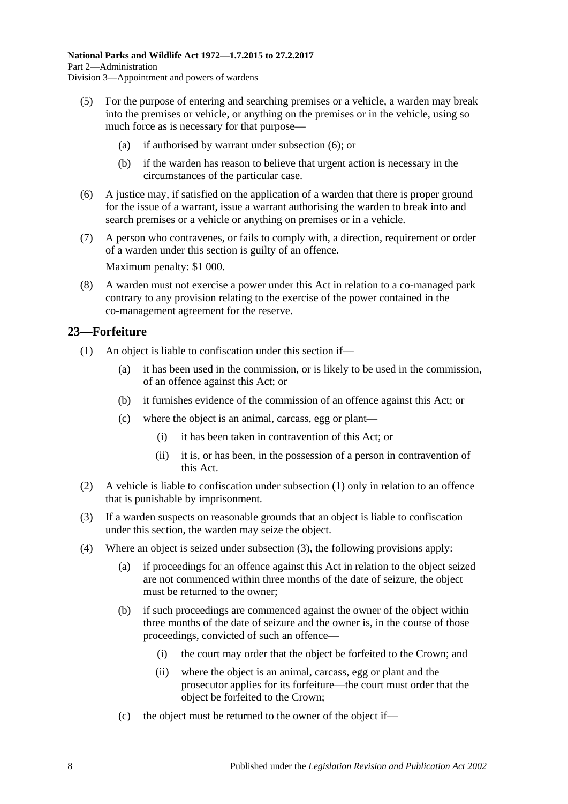- (5) For the purpose of entering and searching premises or a vehicle, a warden may break into the premises or vehicle, or anything on the premises or in the vehicle, using so much force as is necessary for that purpose—
	- (a) if authorised by warrant under [subsection](#page-17-1) (6); or
	- (b) if the warden has reason to believe that urgent action is necessary in the circumstances of the particular case.
- <span id="page-17-1"></span>(6) A justice may, if satisfied on the application of a warden that there is proper ground for the issue of a warrant, issue a warrant authorising the warden to break into and search premises or a vehicle or anything on premises or in a vehicle.
- (7) A person who contravenes, or fails to comply with, a direction, requirement or order of a warden under this section is guilty of an offence.

Maximum penalty: \$1 000.

(8) A warden must not exercise a power under this Act in relation to a co-managed park contrary to any provision relating to the exercise of the power contained in the co-management agreement for the reserve.

# <span id="page-17-2"></span><span id="page-17-0"></span>**23—Forfeiture**

- <span id="page-17-6"></span>(1) An object is liable to confiscation under this section if—
	- (a) it has been used in the commission, or is likely to be used in the commission, of an offence against this Act; or
	- (b) it furnishes evidence of the commission of an offence against this Act; or
	- (c) where the object is an animal, carcass, egg or plant—
		- (i) it has been taken in contravention of this Act; or
		- (ii) it is, or has been, in the possession of a person in contravention of this Act.
- (2) A vehicle is liable to confiscation under [subsection](#page-17-2) (1) only in relation to an offence that is punishable by imprisonment.
- <span id="page-17-3"></span>(3) If a warden suspects on reasonable grounds that an object is liable to confiscation under this section, the warden may seize the object.
- <span id="page-17-5"></span><span id="page-17-4"></span>(4) Where an object is seized under [subsection](#page-17-3) (3), the following provisions apply:
	- (a) if proceedings for an offence against this Act in relation to the object seized are not commenced within three months of the date of seizure, the object must be returned to the owner;
	- (b) if such proceedings are commenced against the owner of the object within three months of the date of seizure and the owner is, in the course of those proceedings, convicted of such an offence—
		- (i) the court may order that the object be forfeited to the Crown; and
		- (ii) where the object is an animal, carcass, egg or plant and the prosecutor applies for its forfeiture—the court must order that the object be forfeited to the Crown;
	- (c) the object must be returned to the owner of the object if—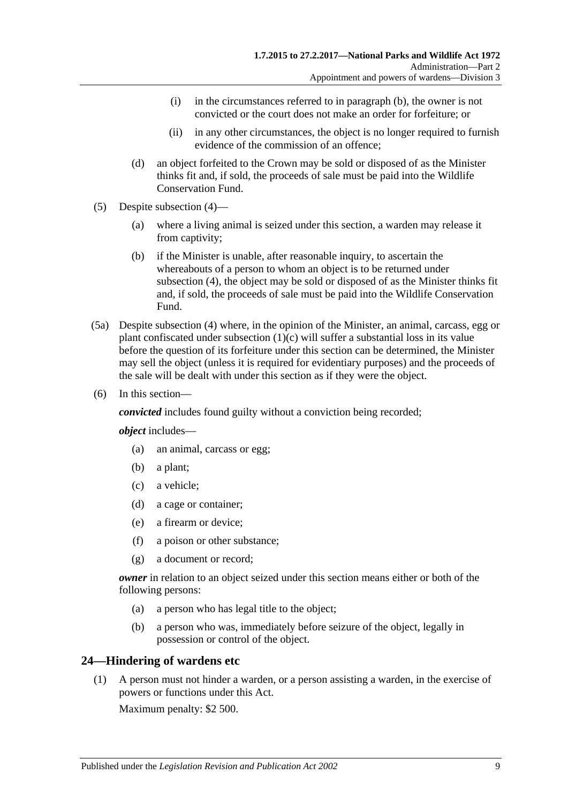- (i) in the circumstances referred to in [paragraph](#page-17-4) (b), the owner is not convicted or the court does not make an order for forfeiture; or
- (ii) in any other circumstances, the object is no longer required to furnish evidence of the commission of an offence;
- (d) an object forfeited to the Crown may be sold or disposed of as the Minister thinks fit and, if sold, the proceeds of sale must be paid into the Wildlife Conservation Fund.
- (5) Despite [subsection](#page-17-5) (4)—
	- (a) where a living animal is seized under this section, a warden may release it from captivity;
	- (b) if the Minister is unable, after reasonable inquiry, to ascertain the whereabouts of a person to whom an object is to be returned under [subsection](#page-17-5) (4), the object may be sold or disposed of as the Minister thinks fit and, if sold, the proceeds of sale must be paid into the Wildlife Conservation Fund.
- (5a) Despite [subsection](#page-17-5) (4) where, in the opinion of the Minister, an animal, carcass, egg or plant confiscated under [subsection](#page-17-6) (1)(c) will suffer a substantial loss in its value before the question of its forfeiture under this section can be determined, the Minister may sell the object (unless it is required for evidentiary purposes) and the proceeds of the sale will be dealt with under this section as if they were the object.
- (6) In this section—

*convicted* includes found guilty without a conviction being recorded;

*object* includes—

- (a) an animal, carcass or egg;
- (b) a plant;
- (c) a vehicle;
- (d) a cage or container;
- (e) a firearm or device;
- (f) a poison or other substance;
- (g) a document or record;

*owner* in relation to an object seized under this section means either or both of the following persons:

- (a) a person who has legal title to the object;
- (b) a person who was, immediately before seizure of the object, legally in possession or control of the object.

# <span id="page-18-0"></span>**24—Hindering of wardens etc**

(1) A person must not hinder a warden, or a person assisting a warden, in the exercise of powers or functions under this Act.

Maximum penalty: \$2 500.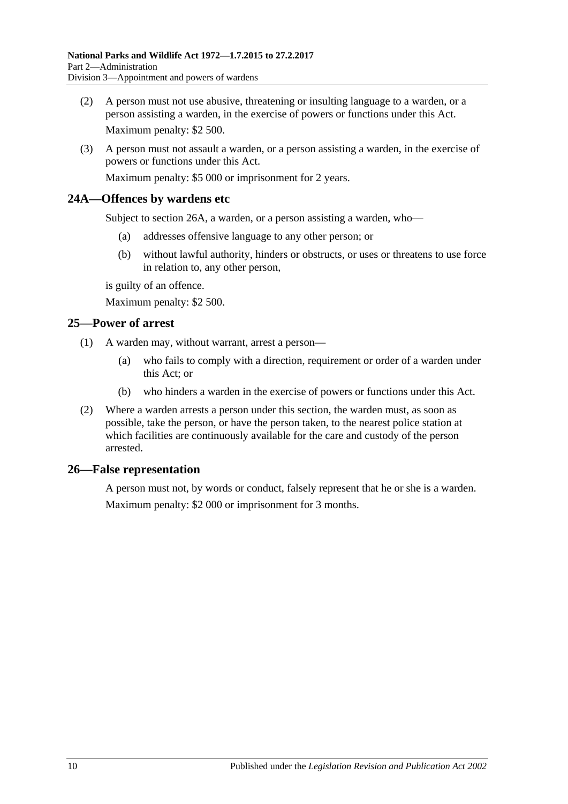- (2) A person must not use abusive, threatening or insulting language to a warden, or a person assisting a warden, in the exercise of powers or functions under this Act. Maximum penalty: \$2 500.
- (3) A person must not assault a warden, or a person assisting a warden, in the exercise of powers or functions under this Act. Maximum penalty: \$5 000 or imprisonment for 2 years.

# <span id="page-19-0"></span>**24A—Offences by wardens etc**

Subject to section 26A, a warden, or a person assisting a warden, who—

- (a) addresses offensive language to any other person; or
- (b) without lawful authority, hinders or obstructs, or uses or threatens to use force in relation to, any other person,

is guilty of an offence.

Maximum penalty: \$2 500.

### <span id="page-19-1"></span>**25—Power of arrest**

- (1) A warden may, without warrant, arrest a person—
	- (a) who fails to comply with a direction, requirement or order of a warden under this Act; or
	- (b) who hinders a warden in the exercise of powers or functions under this Act.
- (2) Where a warden arrests a person under this section, the warden must, as soon as possible, take the person, or have the person taken, to the nearest police station at which facilities are continuously available for the care and custody of the person arrested.

#### <span id="page-19-2"></span>**26—False representation**

A person must not, by words or conduct, falsely represent that he or she is a warden. Maximum penalty: \$2 000 or imprisonment for 3 months.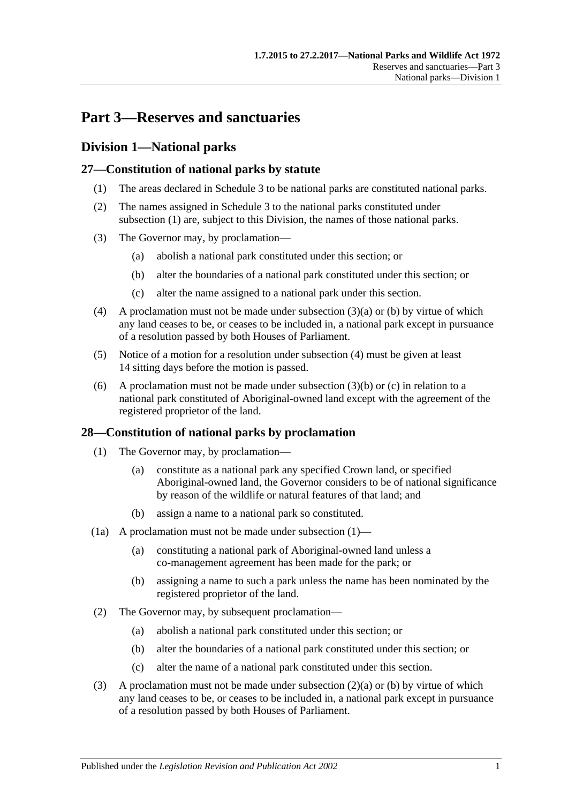# <span id="page-20-0"></span>**Part 3—Reserves and sanctuaries**

# <span id="page-20-1"></span>**Division 1—National parks**

# <span id="page-20-4"></span><span id="page-20-2"></span>**27—Constitution of national parks by statute**

- (1) The areas declared in [Schedule 3](#page-80-0) to be national parks are constituted national parks.
- (2) The names assigned in [Schedule 3](#page-80-0) to the national parks constituted under [subsection](#page-20-4) (1) are, subject to this Division, the names of those national parks.
- <span id="page-20-6"></span><span id="page-20-5"></span>(3) The Governor may, by proclamation—
	- (a) abolish a national park constituted under this section; or
	- (b) alter the boundaries of a national park constituted under this section; or
	- (c) alter the name assigned to a national park under this section.
- <span id="page-20-8"></span><span id="page-20-7"></span>(4) A proclamation must not be made under [subsection](#page-20-5)  $(3)(a)$  or [\(b\)](#page-20-6) by virtue of which any land ceases to be, or ceases to be included in, a national park except in pursuance of a resolution passed by both Houses of Parliament.
- (5) Notice of a motion for a resolution under [subsection](#page-20-7) (4) must be given at least 14 sitting days before the motion is passed.
- (6) A proclamation must not be made under [subsection](#page-20-6)  $(3)(b)$  or  $(c)$  in relation to a national park constituted of Aboriginal-owned land except with the agreement of the registered proprietor of the land.

# <span id="page-20-9"></span><span id="page-20-3"></span>**28—Constitution of national parks by proclamation**

- (1) The Governor may, by proclamation—
	- (a) constitute as a national park any specified Crown land, or specified Aboriginal-owned land, the Governor considers to be of national significance by reason of the wildlife or natural features of that land; and
	- (b) assign a name to a national park so constituted.
- (1a) A proclamation must not be made under [subsection](#page-20-9)  $(1)$ 
	- (a) constituting a national park of Aboriginal-owned land unless a co-management agreement has been made for the park; or
	- (b) assigning a name to such a park unless the name has been nominated by the registered proprietor of the land.
- <span id="page-20-11"></span><span id="page-20-10"></span>(2) The Governor may, by subsequent proclamation—
	- (a) abolish a national park constituted under this section; or
	- (b) alter the boundaries of a national park constituted under this section; or
	- (c) alter the name of a national park constituted under this section.
- <span id="page-20-13"></span><span id="page-20-12"></span>(3) A proclamation must not be made under [subsection](#page-20-10)  $(2)(a)$  or [\(b\)](#page-20-11) by virtue of which any land ceases to be, or ceases to be included in, a national park except in pursuance of a resolution passed by both Houses of Parliament.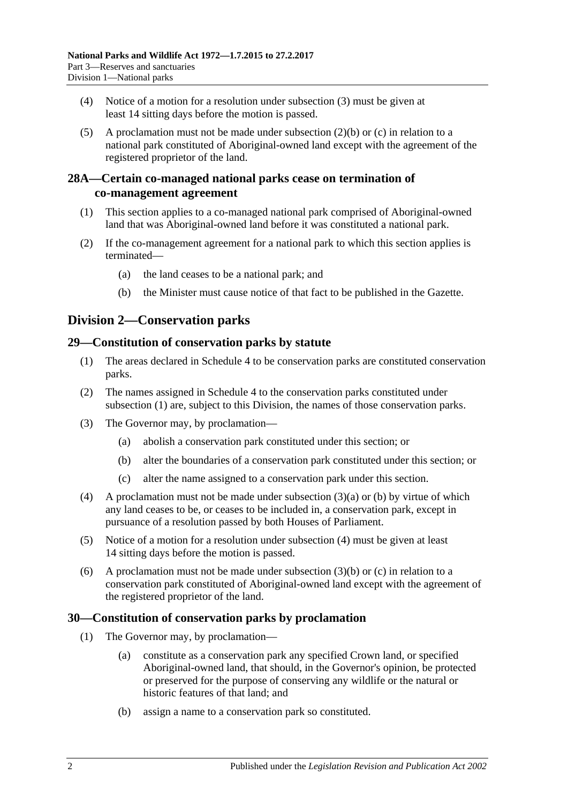- (4) Notice of a motion for a resolution under [subsection](#page-20-12) (3) must be given at least 14 sitting days before the motion is passed.
- (5) A proclamation must not be made under [subsection](#page-20-11) (2)(b) or [\(c\)](#page-20-13) in relation to a national park constituted of Aboriginal-owned land except with the agreement of the registered proprietor of the land.

# <span id="page-21-0"></span>**28A—Certain co-managed national parks cease on termination of co-management agreement**

- (1) This section applies to a co-managed national park comprised of Aboriginal-owned land that was Aboriginal-owned land before it was constituted a national park.
- (2) If the co-management agreement for a national park to which this section applies is terminated—
	- (a) the land ceases to be a national park; and
	- (b) the Minister must cause notice of that fact to be published in the Gazette.

# <span id="page-21-1"></span>**Division 2—Conservation parks**

# <span id="page-21-4"></span><span id="page-21-2"></span>**29—Constitution of conservation parks by statute**

- (1) The areas declared in [Schedule 4](#page-80-1) to be conservation parks are constituted conservation parks.
- (2) The names assigned in [Schedule 4](#page-80-1) to the conservation parks constituted under [subsection](#page-21-4) (1) are, subject to this Division, the names of those conservation parks.
- <span id="page-21-6"></span><span id="page-21-5"></span>(3) The Governor may, by proclamation—
	- (a) abolish a conservation park constituted under this section; or
	- (b) alter the boundaries of a conservation park constituted under this section; or
	- (c) alter the name assigned to a conservation park under this section.
- <span id="page-21-8"></span><span id="page-21-7"></span>(4) A proclamation must not be made under [subsection](#page-21-5) (3)(a) or [\(b\)](#page-21-6) by virtue of which any land ceases to be, or ceases to be included in, a conservation park, except in pursuance of a resolution passed by both Houses of Parliament.
- (5) Notice of a motion for a resolution under [subsection](#page-21-7) (4) must be given at least 14 sitting days before the motion is passed.
- (6) A proclamation must not be made under [subsection](#page-21-6)  $(3)(b)$  or [\(c\)](#page-21-8) in relation to a conservation park constituted of Aboriginal-owned land except with the agreement of the registered proprietor of the land.

# <span id="page-21-9"></span><span id="page-21-3"></span>**30—Constitution of conservation parks by proclamation**

- (1) The Governor may, by proclamation—
	- (a) constitute as a conservation park any specified Crown land, or specified Aboriginal-owned land, that should, in the Governor's opinion, be protected or preserved for the purpose of conserving any wildlife or the natural or historic features of that land; and
	- (b) assign a name to a conservation park so constituted.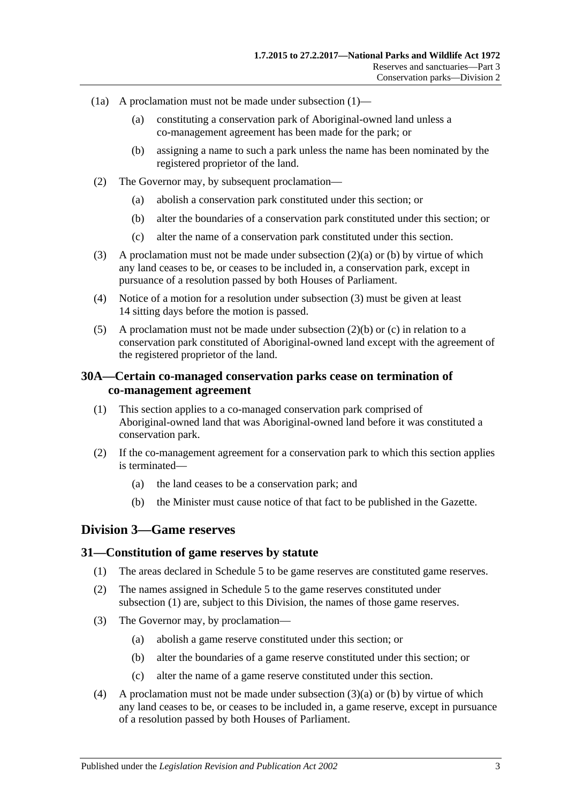- (1a) A proclamation must not be made under [subsection](#page-21-9)  $(1)$ 
	- (a) constituting a conservation park of Aboriginal-owned land unless a co-management agreement has been made for the park; or
	- (b) assigning a name to such a park unless the name has been nominated by the registered proprietor of the land.
- <span id="page-22-4"></span><span id="page-22-3"></span>(2) The Governor may, by subsequent proclamation—
	- (a) abolish a conservation park constituted under this section; or
	- (b) alter the boundaries of a conservation park constituted under this section; or
	- (c) alter the name of a conservation park constituted under this section.
- <span id="page-22-6"></span><span id="page-22-5"></span>(3) A proclamation must not be made under [subsection](#page-22-3) (2)(a) or [\(b\)](#page-22-4) by virtue of which any land ceases to be, or ceases to be included in, a conservation park, except in pursuance of a resolution passed by both Houses of Parliament.
- (4) Notice of a motion for a resolution under [subsection](#page-22-5) (3) must be given at least 14 sitting days before the motion is passed.
- (5) A proclamation must not be made under [subsection](#page-22-4)  $(2)(b)$  or [\(c\)](#page-22-6) in relation to a conservation park constituted of Aboriginal-owned land except with the agreement of the registered proprietor of the land.

# <span id="page-22-0"></span>**30A—Certain co-managed conservation parks cease on termination of co-management agreement**

- (1) This section applies to a co-managed conservation park comprised of Aboriginal-owned land that was Aboriginal-owned land before it was constituted a conservation park.
- (2) If the co-management agreement for a conservation park to which this section applies is terminated—
	- (a) the land ceases to be a conservation park; and
	- (b) the Minister must cause notice of that fact to be published in the Gazette.

# <span id="page-22-1"></span>**Division 3—Game reserves**

#### <span id="page-22-7"></span><span id="page-22-2"></span>**31—Constitution of game reserves by statute**

- (1) The areas declared in [Schedule 5](#page-85-0) to be game reserves are constituted game reserves.
- (2) The names assigned in [Schedule 5](#page-85-0) to the game reserves constituted under [subsection](#page-22-7) (1) are, subject to this Division, the names of those game reserves.
- <span id="page-22-9"></span><span id="page-22-8"></span>(3) The Governor may, by proclamation—
	- (a) abolish a game reserve constituted under this section; or
	- (b) alter the boundaries of a game reserve constituted under this section; or
	- (c) alter the name of a game reserve constituted under this section.
- <span id="page-22-10"></span>(4) A proclamation must not be made under [subsection](#page-22-8) (3)(a) or [\(b\)](#page-22-9) by virtue of which any land ceases to be, or ceases to be included in, a game reserve, except in pursuance of a resolution passed by both Houses of Parliament.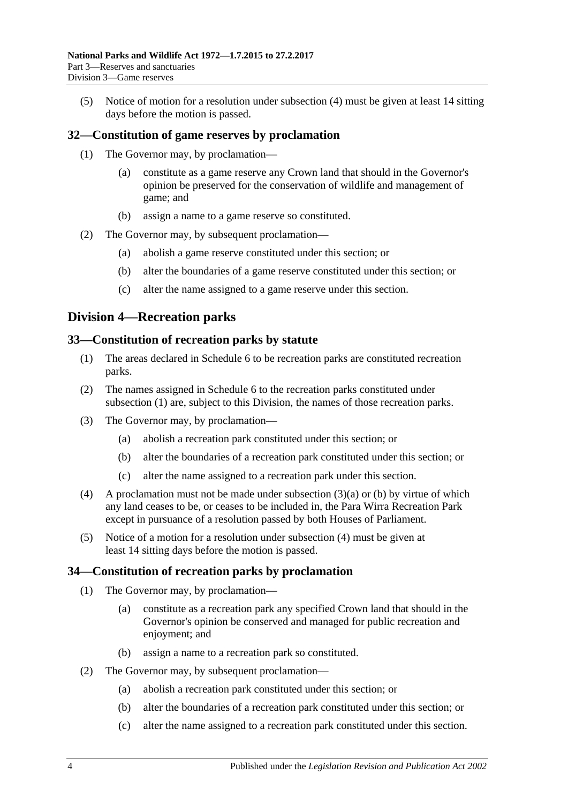(5) Notice of motion for a resolution under [subsection](#page-22-10) (4) must be given at least 14 sitting days before the motion is passed.

# <span id="page-23-0"></span>**32—Constitution of game reserves by proclamation**

- (1) The Governor may, by proclamation—
	- (a) constitute as a game reserve any Crown land that should in the Governor's opinion be preserved for the conservation of wildlife and management of game; and
	- (b) assign a name to a game reserve so constituted.
- (2) The Governor may, by subsequent proclamation—
	- (a) abolish a game reserve constituted under this section; or
	- (b) alter the boundaries of a game reserve constituted under this section; or
	- (c) alter the name assigned to a game reserve under this section.

# <span id="page-23-1"></span>**Division 4—Recreation parks**

### <span id="page-23-4"></span><span id="page-23-2"></span>**33—Constitution of recreation parks by statute**

- (1) The areas declared in [Schedule 6](#page-86-0) to be recreation parks are constituted recreation parks.
- (2) The names assigned in [Schedule 6](#page-86-0) to the recreation parks constituted under [subsection](#page-23-4) (1) are, subject to this Division, the names of those recreation parks.
- <span id="page-23-6"></span><span id="page-23-5"></span>(3) The Governor may, by proclamation—
	- (a) abolish a recreation park constituted under this section; or
	- (b) alter the boundaries of a recreation park constituted under this section; or
	- (c) alter the name assigned to a recreation park under this section.
- <span id="page-23-7"></span>(4) A proclamation must not be made under [subsection](#page-23-5) (3)(a) or [\(b\)](#page-23-6) by virtue of which any land ceases to be, or ceases to be included in, the Para Wirra Recreation Park except in pursuance of a resolution passed by both Houses of Parliament.
- (5) Notice of a motion for a resolution under [subsection](#page-23-7) (4) must be given at least 14 sitting days before the motion is passed.

#### <span id="page-23-3"></span>**34—Constitution of recreation parks by proclamation**

- (1) The Governor may, by proclamation—
	- (a) constitute as a recreation park any specified Crown land that should in the Governor's opinion be conserved and managed for public recreation and enjoyment; and
	- (b) assign a name to a recreation park so constituted.
- (2) The Governor may, by subsequent proclamation—
	- (a) abolish a recreation park constituted under this section; or
	- (b) alter the boundaries of a recreation park constituted under this section; or
	- (c) alter the name assigned to a recreation park constituted under this section.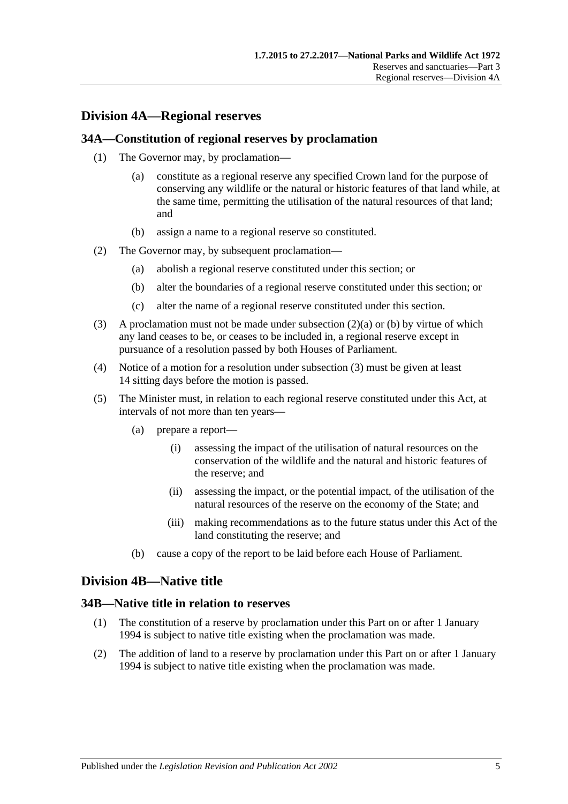# <span id="page-24-0"></span>**Division 4A—Regional reserves**

### <span id="page-24-1"></span>**34A—Constitution of regional reserves by proclamation**

- (1) The Governor may, by proclamation—
	- (a) constitute as a regional reserve any specified Crown land for the purpose of conserving any wildlife or the natural or historic features of that land while, at the same time, permitting the utilisation of the natural resources of that land; and
	- (b) assign a name to a regional reserve so constituted.
- <span id="page-24-5"></span><span id="page-24-4"></span>(2) The Governor may, by subsequent proclamation—
	- (a) abolish a regional reserve constituted under this section; or
	- (b) alter the boundaries of a regional reserve constituted under this section; or
	- (c) alter the name of a regional reserve constituted under this section.
- <span id="page-24-6"></span>(3) A proclamation must not be made under [subsection](#page-24-4)  $(2)(a)$  or [\(b\)](#page-24-5) by virtue of which any land ceases to be, or ceases to be included in, a regional reserve except in pursuance of a resolution passed by both Houses of Parliament.
- (4) Notice of a motion for a resolution under [subsection](#page-24-6) (3) must be given at least 14 sitting days before the motion is passed.
- (5) The Minister must, in relation to each regional reserve constituted under this Act, at intervals of not more than ten years—
	- (a) prepare a report—
		- (i) assessing the impact of the utilisation of natural resources on the conservation of the wildlife and the natural and historic features of the reserve; and
		- (ii) assessing the impact, or the potential impact, of the utilisation of the natural resources of the reserve on the economy of the State; and
		- (iii) making recommendations as to the future status under this Act of the land constituting the reserve; and
	- (b) cause a copy of the report to be laid before each House of Parliament.

# <span id="page-24-2"></span>**Division 4B—Native title**

#### <span id="page-24-3"></span>**34B—Native title in relation to reserves**

- (1) The constitution of a reserve by proclamation under this Part on or after 1 January 1994 is subject to native title existing when the proclamation was made.
- (2) The addition of land to a reserve by proclamation under this Part on or after 1 January 1994 is subject to native title existing when the proclamation was made.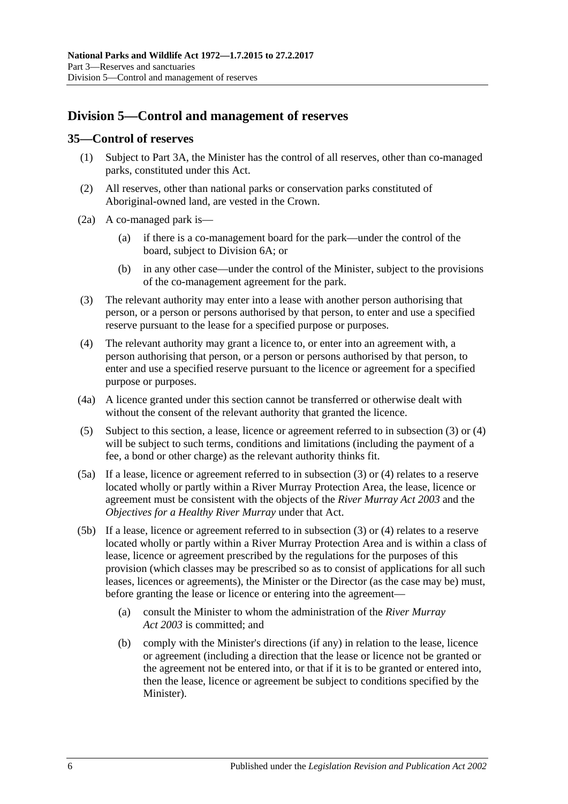# <span id="page-25-0"></span>**Division 5—Control and management of reserves**

### <span id="page-25-1"></span>**35—Control of reserves**

- (1) Subject to [Part 3A,](#page-40-0) the Minister has the control of all reserves, other than co-managed parks, constituted under this Act.
- (2) All reserves, other than national parks or conservation parks constituted of Aboriginal-owned land, are vested in the Crown.
- (2a) A co-managed park is—
	- (a) if there is a co-management board for the park—under the control of the board, subject to [Division 6A;](#page-34-0) or
	- (b) in any other case—under the control of the Minister, subject to the provisions of the co-management agreement for the park.
- <span id="page-25-2"></span>(3) The relevant authority may enter into a lease with another person authorising that person, or a person or persons authorised by that person, to enter and use a specified reserve pursuant to the lease for a specified purpose or purposes.
- <span id="page-25-3"></span>(4) The relevant authority may grant a licence to, or enter into an agreement with, a person authorising that person, or a person or persons authorised by that person, to enter and use a specified reserve pursuant to the licence or agreement for a specified purpose or purposes.
- (4a) A licence granted under this section cannot be transferred or otherwise dealt with without the consent of the relevant authority that granted the licence.
- <span id="page-25-4"></span>(5) Subject to this section, a lease, licence or agreement referred to in [subsection](#page-25-2) (3) or [\(4\)](#page-25-3) will be subject to such terms, conditions and limitations (including the payment of a fee, a bond or other charge) as the relevant authority thinks fit.
- (5a) If a lease, licence or agreement referred to in [subsection](#page-25-2) (3) or [\(4\)](#page-25-3) relates to a reserve located wholly or partly within a River Murray Protection Area, the lease, licence or agreement must be consistent with the objects of the *[River Murray Act](http://www.legislation.sa.gov.au/index.aspx?action=legref&type=act&legtitle=River%20Murray%20Act%202003) 2003* and the *Objectives for a Healthy River Murray* under that Act.
- (5b) If a lease, licence or agreement referred to in [subsection](#page-25-2) (3) or [\(4\)](#page-25-3) relates to a reserve located wholly or partly within a River Murray Protection Area and is within a class of lease, licence or agreement prescribed by the regulations for the purposes of this provision (which classes may be prescribed so as to consist of applications for all such leases, licences or agreements), the Minister or the Director (as the case may be) must, before granting the lease or licence or entering into the agreement—
	- (a) consult the Minister to whom the administration of the *[River Murray](http://www.legislation.sa.gov.au/index.aspx?action=legref&type=act&legtitle=River%20Murray%20Act%202003)  Act [2003](http://www.legislation.sa.gov.au/index.aspx?action=legref&type=act&legtitle=River%20Murray%20Act%202003)* is committed; and
	- (b) comply with the Minister's directions (if any) in relation to the lease, licence or agreement (including a direction that the lease or licence not be granted or the agreement not be entered into, or that if it is to be granted or entered into, then the lease, licence or agreement be subject to conditions specified by the Minister).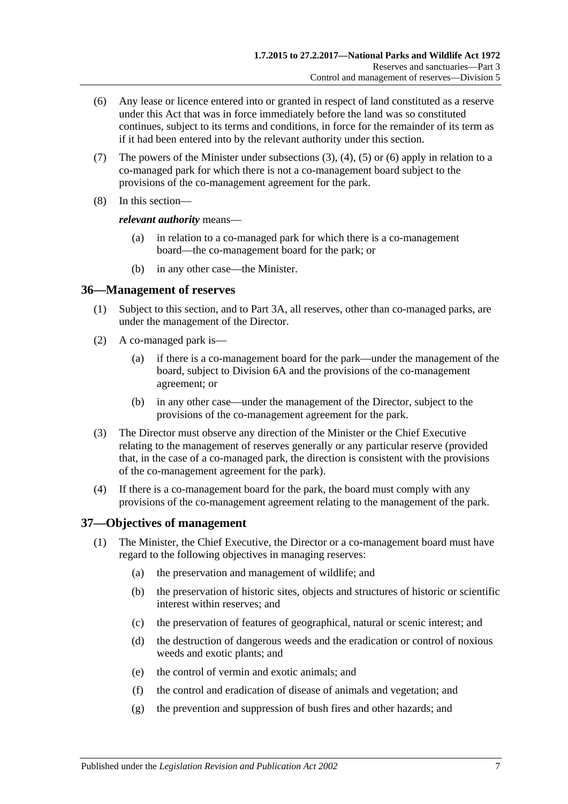- <span id="page-26-2"></span>(6) Any lease or licence entered into or granted in respect of land constituted as a reserve under this Act that was in force immediately before the land was so constituted continues, subject to its terms and conditions, in force for the remainder of its term as if it had been entered into by the relevant authority under this section.
- (7) The powers of the Minister under [subsections](#page-25-2)  $(3)$ ,  $(4)$ ,  $(5)$  or  $(6)$  apply in relation to a co-managed park for which there is not a co-management board subject to the provisions of the co-management agreement for the park.
- (8) In this section—

#### *relevant authority* means—

- (a) in relation to a co-managed park for which there is a co-management board—the co-management board for the park; or
- (b) in any other case—the Minister.

### <span id="page-26-0"></span>**36—Management of reserves**

- (1) Subject to this section, and to [Part 3A,](#page-40-0) all reserves, other than co-managed parks, are under the management of the Director.
- (2) A co-managed park is—
	- (a) if there is a co-management board for the park—under the management of the board, subject to [Division 6A](#page-34-0) and the provisions of the co-management agreement; or
	- (b) in any other case—under the management of the Director, subject to the provisions of the co-management agreement for the park.
- (3) The Director must observe any direction of the Minister or the Chief Executive relating to the management of reserves generally or any particular reserve (provided that, in the case of a co-managed park, the direction is consistent with the provisions of the co-management agreement for the park).
- (4) If there is a co-management board for the park, the board must comply with any provisions of the co-management agreement relating to the management of the park.

# <span id="page-26-1"></span>**37—Objectives of management**

- (1) The Minister, the Chief Executive, the Director or a co-management board must have regard to the following objectives in managing reserves:
	- (a) the preservation and management of wildlife; and
	- (b) the preservation of historic sites, objects and structures of historic or scientific interest within reserves; and
	- (c) the preservation of features of geographical, natural or scenic interest; and
	- (d) the destruction of dangerous weeds and the eradication or control of noxious weeds and exotic plants; and
	- (e) the control of vermin and exotic animals; and
	- (f) the control and eradication of disease of animals and vegetation; and
	- (g) the prevention and suppression of bush fires and other hazards; and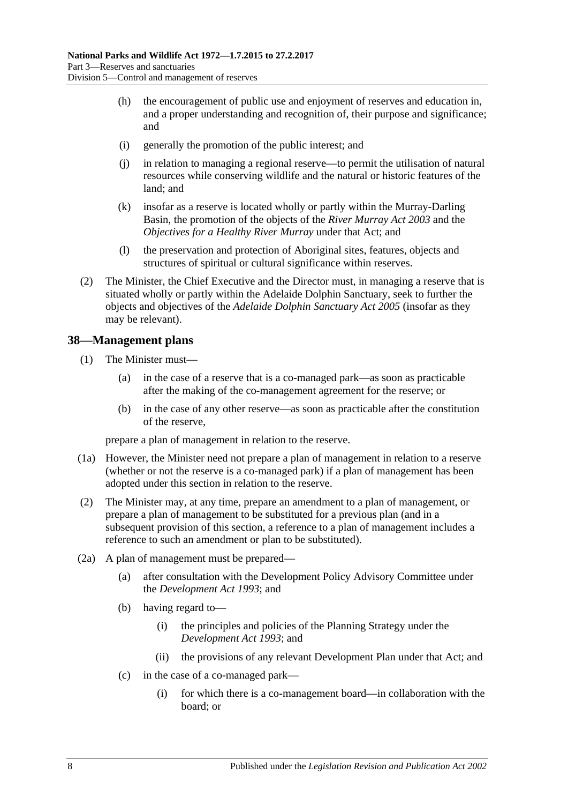- (h) the encouragement of public use and enjoyment of reserves and education in, and a proper understanding and recognition of, their purpose and significance; and
- (i) generally the promotion of the public interest; and
- (j) in relation to managing a regional reserve—to permit the utilisation of natural resources while conserving wildlife and the natural or historic features of the land; and
- (k) insofar as a reserve is located wholly or partly within the Murray-Darling Basin, the promotion of the objects of the *[River Murray Act](http://www.legislation.sa.gov.au/index.aspx?action=legref&type=act&legtitle=River%20Murray%20Act%202003) 2003* and the *Objectives for a Healthy River Murray* under that Act; and
- (l) the preservation and protection of Aboriginal sites, features, objects and structures of spiritual or cultural significance within reserves.
- (2) The Minister, the Chief Executive and the Director must, in managing a reserve that is situated wholly or partly within the Adelaide Dolphin Sanctuary, seek to further the objects and objectives of the *[Adelaide Dolphin Sanctuary Act](http://www.legislation.sa.gov.au/index.aspx?action=legref&type=act&legtitle=Adelaide%20Dolphin%20Sanctuary%20Act%202005) 2005* (insofar as they may be relevant).

### <span id="page-27-0"></span>**38—Management plans**

- (1) The Minister must—
	- (a) in the case of a reserve that is a co-managed park—as soon as practicable after the making of the co-management agreement for the reserve; or
	- (b) in the case of any other reserve—as soon as practicable after the constitution of the reserve,

prepare a plan of management in relation to the reserve.

- (1a) However, the Minister need not prepare a plan of management in relation to a reserve (whether or not the reserve is a co-managed park) if a plan of management has been adopted under this section in relation to the reserve.
- (2) The Minister may, at any time, prepare an amendment to a plan of management, or prepare a plan of management to be substituted for a previous plan (and in a subsequent provision of this section, a reference to a plan of management includes a reference to such an amendment or plan to be substituted).
- (2a) A plan of management must be prepared—
	- (a) after consultation with the Development Policy Advisory Committee under the *[Development Act](http://www.legislation.sa.gov.au/index.aspx?action=legref&type=act&legtitle=Development%20Act%201993) 1993*; and
	- (b) having regard to—
		- (i) the principles and policies of the Planning Strategy under the *[Development Act](http://www.legislation.sa.gov.au/index.aspx?action=legref&type=act&legtitle=Development%20Act%201993) 1993*; and
		- (ii) the provisions of any relevant Development Plan under that Act; and
	- (c) in the case of a co-managed park—
		- (i) for which there is a co-management board—in collaboration with the board; or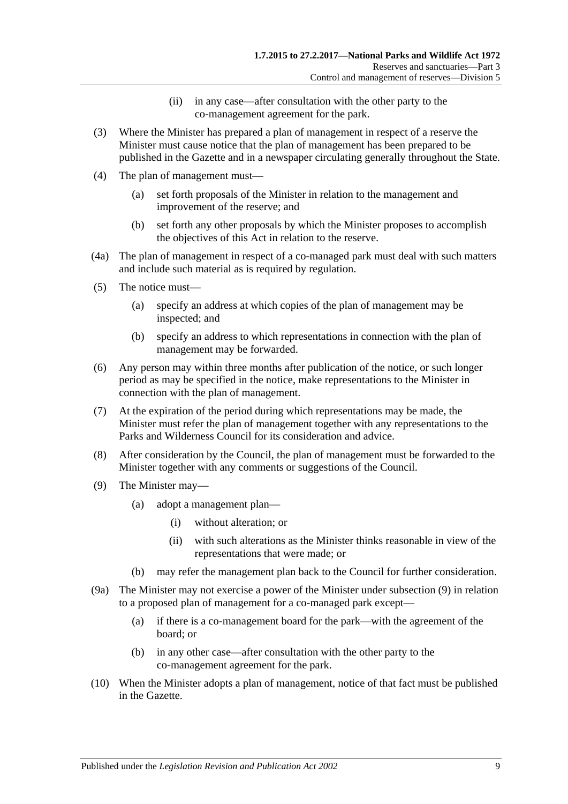- (ii) in any case—after consultation with the other party to the co-management agreement for the park.
- (3) Where the Minister has prepared a plan of management in respect of a reserve the Minister must cause notice that the plan of management has been prepared to be published in the Gazette and in a newspaper circulating generally throughout the State.
- (4) The plan of management must—
	- (a) set forth proposals of the Minister in relation to the management and improvement of the reserve; and
	- (b) set forth any other proposals by which the Minister proposes to accomplish the objectives of this Act in relation to the reserve.
- (4a) The plan of management in respect of a co-managed park must deal with such matters and include such material as is required by regulation.
- (5) The notice must—
	- (a) specify an address at which copies of the plan of management may be inspected; and
	- (b) specify an address to which representations in connection with the plan of management may be forwarded.
- (6) Any person may within three months after publication of the notice, or such longer period as may be specified in the notice, make representations to the Minister in connection with the plan of management.
- (7) At the expiration of the period during which representations may be made, the Minister must refer the plan of management together with any representations to the Parks and Wilderness Council for its consideration and advice.
- (8) After consideration by the Council, the plan of management must be forwarded to the Minister together with any comments or suggestions of the Council.
- <span id="page-28-0"></span>(9) The Minister may—
	- (a) adopt a management plan—
		- (i) without alteration; or
		- (ii) with such alterations as the Minister thinks reasonable in view of the representations that were made; or
	- (b) may refer the management plan back to the Council for further consideration.
- (9a) The Minister may not exercise a power of the Minister under [subsection](#page-28-0) (9) in relation to a proposed plan of management for a co-managed park except—
	- (a) if there is a co-management board for the park—with the agreement of the board; or
	- (b) in any other case—after consultation with the other party to the co-management agreement for the park.
- (10) When the Minister adopts a plan of management, notice of that fact must be published in the Gazette.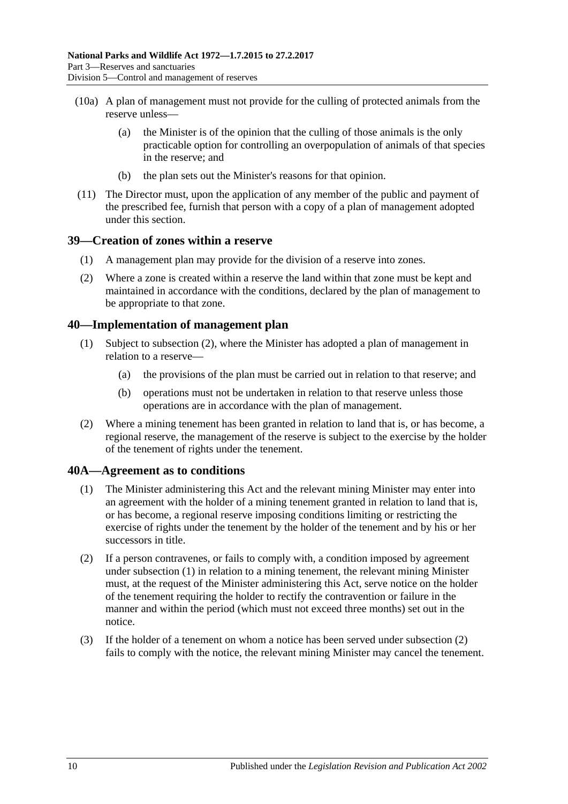- (10a) A plan of management must not provide for the culling of protected animals from the reserve unless—
	- (a) the Minister is of the opinion that the culling of those animals is the only practicable option for controlling an overpopulation of animals of that species in the reserve; and
	- (b) the plan sets out the Minister's reasons for that opinion.
- (11) The Director must, upon the application of any member of the public and payment of the prescribed fee, furnish that person with a copy of a plan of management adopted under this section.

### <span id="page-29-0"></span>**39—Creation of zones within a reserve**

- (1) A management plan may provide for the division of a reserve into zones.
- (2) Where a zone is created within a reserve the land within that zone must be kept and maintained in accordance with the conditions, declared by the plan of management to be appropriate to that zone.

### <span id="page-29-1"></span>**40—Implementation of management plan**

- (1) Subject to [subsection](#page-29-3) (2), where the Minister has adopted a plan of management in relation to a reserve—
	- (a) the provisions of the plan must be carried out in relation to that reserve; and
	- (b) operations must not be undertaken in relation to that reserve unless those operations are in accordance with the plan of management.
- <span id="page-29-3"></span>(2) Where a mining tenement has been granted in relation to land that is, or has become, a regional reserve, the management of the reserve is subject to the exercise by the holder of the tenement of rights under the tenement.

#### <span id="page-29-4"></span><span id="page-29-2"></span>**40A—Agreement as to conditions**

- (1) The Minister administering this Act and the relevant mining Minister may enter into an agreement with the holder of a mining tenement granted in relation to land that is, or has become, a regional reserve imposing conditions limiting or restricting the exercise of rights under the tenement by the holder of the tenement and by his or her successors in title.
- <span id="page-29-5"></span>(2) If a person contravenes, or fails to comply with, a condition imposed by agreement under [subsection](#page-29-4) (1) in relation to a mining tenement, the relevant mining Minister must, at the request of the Minister administering this Act, serve notice on the holder of the tenement requiring the holder to rectify the contravention or failure in the manner and within the period (which must not exceed three months) set out in the notice.
- (3) If the holder of a tenement on whom a notice has been served under [subsection](#page-29-5) (2) fails to comply with the notice, the relevant mining Minister may cancel the tenement.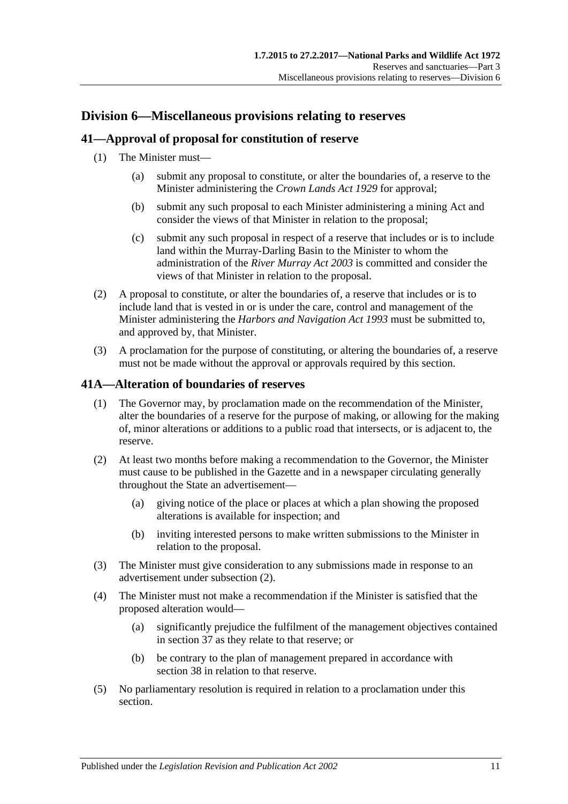# <span id="page-30-0"></span>**Division 6—Miscellaneous provisions relating to reserves**

# <span id="page-30-1"></span>**41—Approval of proposal for constitution of reserve**

- (1) The Minister must—
	- (a) submit any proposal to constitute, or alter the boundaries of, a reserve to the Minister administering the *[Crown Lands Act](http://www.legislation.sa.gov.au/index.aspx?action=legref&type=act&legtitle=Crown%20Lands%20Act%201929) 1929* for approval;
	- (b) submit any such proposal to each Minister administering a mining Act and consider the views of that Minister in relation to the proposal;
	- (c) submit any such proposal in respect of a reserve that includes or is to include land within the Murray-Darling Basin to the Minister to whom the administration of the *[River Murray Act](http://www.legislation.sa.gov.au/index.aspx?action=legref&type=act&legtitle=River%20Murray%20Act%202003) 2003* is committed and consider the views of that Minister in relation to the proposal.
- (2) A proposal to constitute, or alter the boundaries of, a reserve that includes or is to include land that is vested in or is under the care, control and management of the Minister administering the *[Harbors and Navigation Act](http://www.legislation.sa.gov.au/index.aspx?action=legref&type=act&legtitle=Harbors%20and%20Navigation%20Act%201993) 1993* must be submitted to, and approved by, that Minister.
- (3) A proclamation for the purpose of constituting, or altering the boundaries of, a reserve must not be made without the approval or approvals required by this section.

# <span id="page-30-4"></span><span id="page-30-2"></span>**41A—Alteration of boundaries of reserves**

- (1) The Governor may, by proclamation made on the recommendation of the Minister, alter the boundaries of a reserve for the purpose of making, or allowing for the making of, minor alterations or additions to a public road that intersects, or is adjacent to, the reserve.
- <span id="page-30-3"></span>(2) At least two months before making a recommendation to the Governor, the Minister must cause to be published in the Gazette and in a newspaper circulating generally throughout the State an advertisement—
	- (a) giving notice of the place or places at which a plan showing the proposed alterations is available for inspection; and
	- (b) inviting interested persons to make written submissions to the Minister in relation to the proposal.
- (3) The Minister must give consideration to any submissions made in response to an advertisement under [subsection](#page-30-3) (2).
- (4) The Minister must not make a recommendation if the Minister is satisfied that the proposed alteration would—
	- (a) significantly prejudice the fulfilment of the management objectives contained in [section](#page-26-1) 37 as they relate to that reserve; or
	- (b) be contrary to the plan of management prepared in accordance with [section](#page-27-0) 38 in relation to that reserve.
- (5) No parliamentary resolution is required in relation to a proclamation under this section.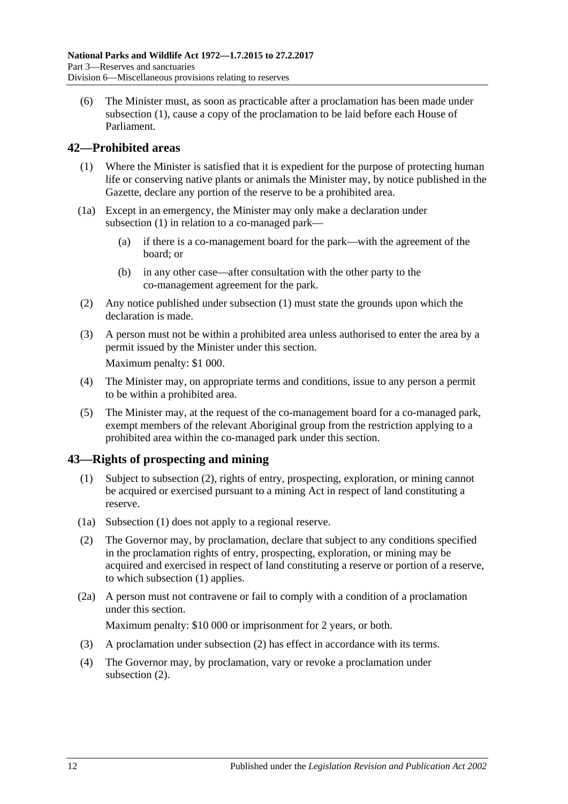(6) The Minister must, as soon as practicable after a proclamation has been made under [subsection](#page-30-4) (1), cause a copy of the proclamation to be laid before each House of Parliament.

# <span id="page-31-2"></span><span id="page-31-0"></span>**42—Prohibited areas**

- (1) Where the Minister is satisfied that it is expedient for the purpose of protecting human life or conserving native plants or animals the Minister may, by notice published in the Gazette, declare any portion of the reserve to be a prohibited area.
- (1a) Except in an emergency, the Minister may only make a declaration under [subsection](#page-31-2) (1) in relation to a co-managed park—
	- (a) if there is a co-management board for the park—with the agreement of the board; or
	- (b) in any other case—after consultation with the other party to the co-management agreement for the park.
- (2) Any notice published under [subsection](#page-31-2) (1) must state the grounds upon which the declaration is made.
- (3) A person must not be within a prohibited area unless authorised to enter the area by a permit issued by the Minister under this section. Maximum penalty: \$1 000.
- (4) The Minister may, on appropriate terms and conditions, issue to any person a permit to be within a prohibited area.
- (5) The Minister may, at the request of the co-management board for a co-managed park, exempt members of the relevant Aboriginal group from the restriction applying to a prohibited area within the co-managed park under this section.

# <span id="page-31-4"></span><span id="page-31-1"></span>**43—Rights of prospecting and mining**

- (1) Subject to [subsection](#page-31-3) (2), rights of entry, prospecting, exploration, or mining cannot be acquired or exercised pursuant to a mining Act in respect of land constituting a reserve.
- (1a) [Subsection](#page-31-4) (1) does not apply to a regional reserve.
- <span id="page-31-3"></span>(2) The Governor may, by proclamation, declare that subject to any conditions specified in the proclamation rights of entry, prospecting, exploration, or mining may be acquired and exercised in respect of land constituting a reserve or portion of a reserve, to which [subsection](#page-31-4) (1) applies.
- (2a) A person must not contravene or fail to comply with a condition of a proclamation under this section.

Maximum penalty: \$10 000 or imprisonment for 2 years, or both.

- (3) A proclamation under [subsection](#page-31-3) (2) has effect in accordance with its terms.
- (4) The Governor may, by proclamation, vary or revoke a proclamation under [subsection](#page-31-3)  $(2)$ .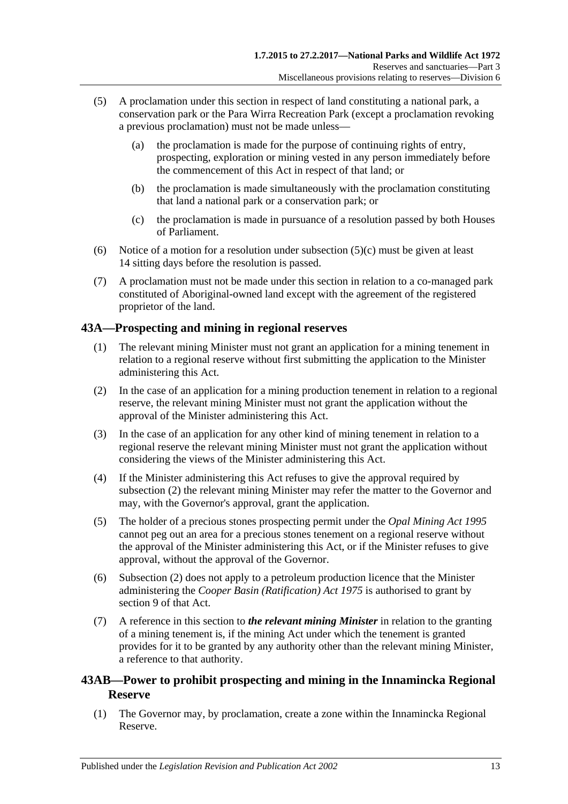- (5) A proclamation under this section in respect of land constituting a national park, a conservation park or the Para Wirra Recreation Park (except a proclamation revoking a previous proclamation) must not be made unless—
	- (a) the proclamation is made for the purpose of continuing rights of entry, prospecting, exploration or mining vested in any person immediately before the commencement of this Act in respect of that land; or
	- (b) the proclamation is made simultaneously with the proclamation constituting that land a national park or a conservation park; or
	- (c) the proclamation is made in pursuance of a resolution passed by both Houses of Parliament.
- <span id="page-32-2"></span>(6) Notice of a motion for a resolution under [subsection](#page-32-2)  $(5)(c)$  must be given at least 14 sitting days before the resolution is passed.
- (7) A proclamation must not be made under this section in relation to a co-managed park constituted of Aboriginal-owned land except with the agreement of the registered proprietor of the land.

# <span id="page-32-0"></span>**43A—Prospecting and mining in regional reserves**

- (1) The relevant mining Minister must not grant an application for a mining tenement in relation to a regional reserve without first submitting the application to the Minister administering this Act.
- <span id="page-32-3"></span>(2) In the case of an application for a mining production tenement in relation to a regional reserve, the relevant mining Minister must not grant the application without the approval of the Minister administering this Act.
- (3) In the case of an application for any other kind of mining tenement in relation to a regional reserve the relevant mining Minister must not grant the application without considering the views of the Minister administering this Act.
- (4) If the Minister administering this Act refuses to give the approval required by [subsection](#page-32-3) (2) the relevant mining Minister may refer the matter to the Governor and may, with the Governor's approval, grant the application.
- (5) The holder of a precious stones prospecting permit under the *[Opal Mining Act](http://www.legislation.sa.gov.au/index.aspx?action=legref&type=act&legtitle=Opal%20Mining%20Act%201995) 1995* cannot peg out an area for a precious stones tenement on a regional reserve without the approval of the Minister administering this Act, or if the Minister refuses to give approval, without the approval of the Governor.
- (6) [Subsection](#page-32-3) (2) does not apply to a petroleum production licence that the Minister administering the *[Cooper Basin \(Ratification\) Act](http://www.legislation.sa.gov.au/index.aspx?action=legref&type=act&legtitle=Cooper%20Basin%20(Ratification)%20Act%201975) 1975* is authorised to grant by section 9 of that Act.
- (7) A reference in this section to *the relevant mining Minister* in relation to the granting of a mining tenement is, if the mining Act under which the tenement is granted provides for it to be granted by any authority other than the relevant mining Minister, a reference to that authority.

# <span id="page-32-1"></span>**43AB—Power to prohibit prospecting and mining in the Innamincka Regional Reserve**

<span id="page-32-4"></span>(1) The Governor may, by proclamation, create a zone within the Innamincka Regional Reserve.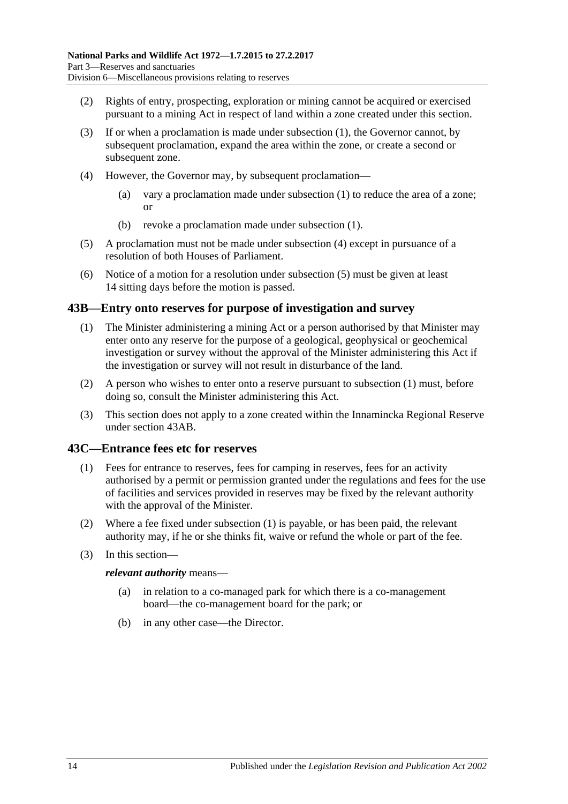- (2) Rights of entry, prospecting, exploration or mining cannot be acquired or exercised pursuant to a mining Act in respect of land within a zone created under this section.
- (3) If or when a proclamation is made under [subsection](#page-32-4) (1), the Governor cannot, by subsequent proclamation, expand the area within the zone, or create a second or subsequent zone.
- <span id="page-33-2"></span>(4) However, the Governor may, by subsequent proclamation—
	- (a) vary a proclamation made under [subsection](#page-32-4) (1) to reduce the area of a zone; or
	- (b) revoke a proclamation made under [subsection](#page-32-4) (1).
- <span id="page-33-3"></span>(5) A proclamation must not be made under [subsection](#page-33-2) (4) except in pursuance of a resolution of both Houses of Parliament.
- (6) Notice of a motion for a resolution under [subsection](#page-33-3) (5) must be given at least 14 sitting days before the motion is passed.

### <span id="page-33-4"></span><span id="page-33-0"></span>**43B—Entry onto reserves for purpose of investigation and survey**

- (1) The Minister administering a mining Act or a person authorised by that Minister may enter onto any reserve for the purpose of a geological, geophysical or geochemical investigation or survey without the approval of the Minister administering this Act if the investigation or survey will not result in disturbance of the land.
- (2) A person who wishes to enter onto a reserve pursuant to [subsection](#page-33-4) (1) must, before doing so, consult the Minister administering this Act.
- (3) This section does not apply to a zone created within the Innamincka Regional Reserve under [section](#page-32-1) 43AB.

#### <span id="page-33-5"></span><span id="page-33-1"></span>**43C—Entrance fees etc for reserves**

- (1) Fees for entrance to reserves, fees for camping in reserves, fees for an activity authorised by a permit or permission granted under the regulations and fees for the use of facilities and services provided in reserves may be fixed by the relevant authority with the approval of the Minister.
- (2) Where a fee fixed under [subsection](#page-33-5) (1) is payable, or has been paid, the relevant authority may, if he or she thinks fit, waive or refund the whole or part of the fee.
- (3) In this section—

#### *relevant authority* means—

- (a) in relation to a co-managed park for which there is a co-management board—the co-management board for the park; or
- (b) in any other case—the Director.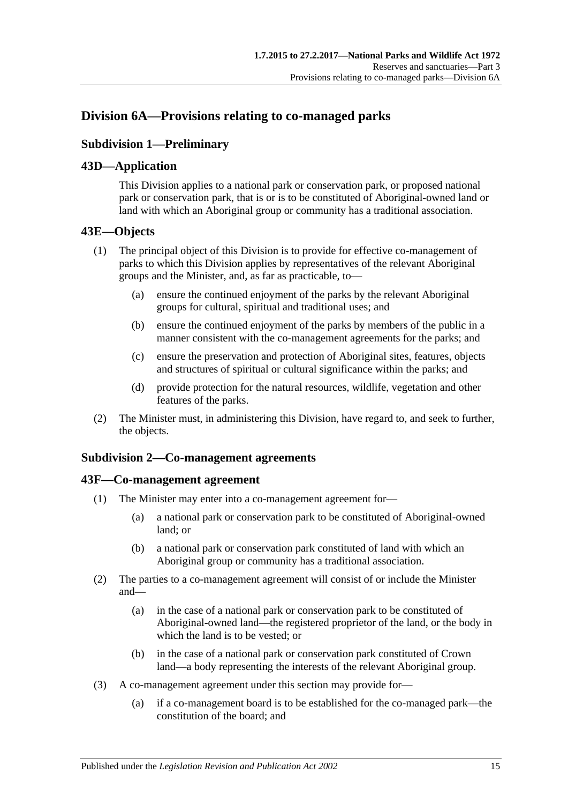# <span id="page-34-1"></span><span id="page-34-0"></span>**Division 6A—Provisions relating to co-managed parks**

# **Subdivision 1—Preliminary**

# <span id="page-34-2"></span>**43D—Application**

This Division applies to a national park or conservation park, or proposed national park or conservation park, that is or is to be constituted of Aboriginal-owned land or land with which an Aboriginal group or community has a traditional association.

# <span id="page-34-3"></span>**43E—Objects**

- (1) The principal object of this Division is to provide for effective co-management of parks to which this Division applies by representatives of the relevant Aboriginal groups and the Minister, and, as far as practicable, to—
	- (a) ensure the continued enjoyment of the parks by the relevant Aboriginal groups for cultural, spiritual and traditional uses; and
	- (b) ensure the continued enjoyment of the parks by members of the public in a manner consistent with the co-management agreements for the parks; and
	- (c) ensure the preservation and protection of Aboriginal sites, features, objects and structures of spiritual or cultural significance within the parks; and
	- (d) provide protection for the natural resources, wildlife, vegetation and other features of the parks.
- (2) The Minister must, in administering this Division, have regard to, and seek to further, the objects.

# <span id="page-34-4"></span>**Subdivision 2—Co-management agreements**

#### <span id="page-34-5"></span>**43F—Co-management agreement**

- (1) The Minister may enter into a co-management agreement for—
	- (a) a national park or conservation park to be constituted of Aboriginal-owned land; or
	- (b) a national park or conservation park constituted of land with which an Aboriginal group or community has a traditional association.
- (2) The parties to a co-management agreement will consist of or include the Minister and—
	- (a) in the case of a national park or conservation park to be constituted of Aboriginal-owned land—the registered proprietor of the land, or the body in which the land is to be vested; or
	- (b) in the case of a national park or conservation park constituted of Crown land—a body representing the interests of the relevant Aboriginal group.
- (3) A co-management agreement under this section may provide for—
	- (a) if a co-management board is to be established for the co-managed park—the constitution of the board; and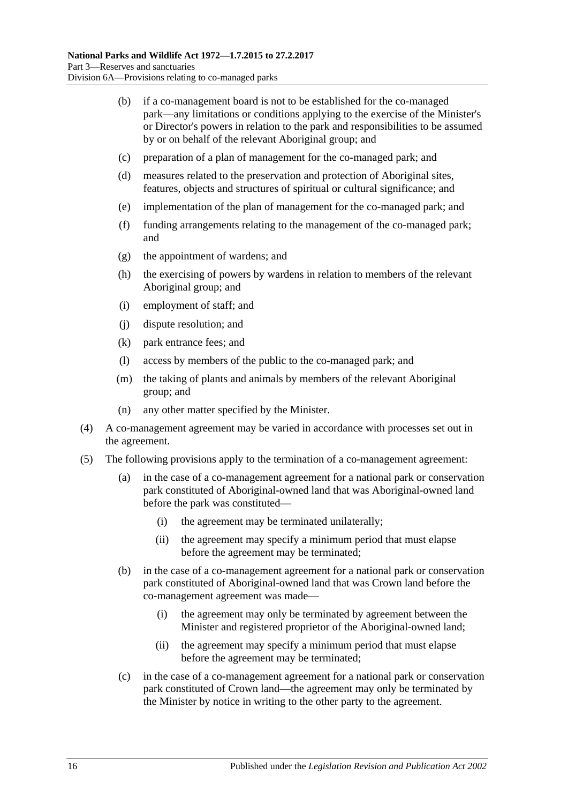- (b) if a co-management board is not to be established for the co-managed park—any limitations or conditions applying to the exercise of the Minister's or Director's powers in relation to the park and responsibilities to be assumed by or on behalf of the relevant Aboriginal group; and
- (c) preparation of a plan of management for the co-managed park; and
- (d) measures related to the preservation and protection of Aboriginal sites, features, objects and structures of spiritual or cultural significance; and
- (e) implementation of the plan of management for the co-managed park; and
- (f) funding arrangements relating to the management of the co-managed park; and
- (g) the appointment of wardens; and
- (h) the exercising of powers by wardens in relation to members of the relevant Aboriginal group; and
- (i) employment of staff; and
- (j) dispute resolution; and
- (k) park entrance fees; and
- (l) access by members of the public to the co-managed park; and
- (m) the taking of plants and animals by members of the relevant Aboriginal group; and
- (n) any other matter specified by the Minister.
- (4) A co-management agreement may be varied in accordance with processes set out in the agreement.
- (5) The following provisions apply to the termination of a co-management agreement:
	- (a) in the case of a co-management agreement for a national park or conservation park constituted of Aboriginal-owned land that was Aboriginal-owned land before the park was constituted—
		- (i) the agreement may be terminated unilaterally;
		- (ii) the agreement may specify a minimum period that must elapse before the agreement may be terminated;
	- (b) in the case of a co-management agreement for a national park or conservation park constituted of Aboriginal-owned land that was Crown land before the co-management agreement was made—
		- (i) the agreement may only be terminated by agreement between the Minister and registered proprietor of the Aboriginal-owned land;
		- (ii) the agreement may specify a minimum period that must elapse before the agreement may be terminated;
	- (c) in the case of a co-management agreement for a national park or conservation park constituted of Crown land—the agreement may only be terminated by the Minister by notice in writing to the other party to the agreement.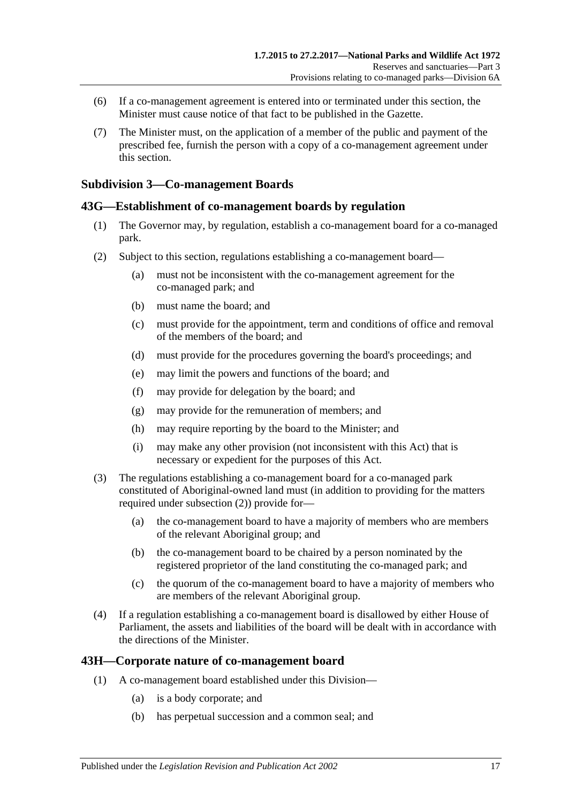- (6) If a co-management agreement is entered into or terminated under this section, the Minister must cause notice of that fact to be published in the Gazette.
- (7) The Minister must, on the application of a member of the public and payment of the prescribed fee, furnish the person with a copy of a co-management agreement under this section.

### **Subdivision 3—Co-management Boards**

### **43G—Establishment of co-management boards by regulation**

- (1) The Governor may, by regulation, establish a co-management board for a co-managed park.
- <span id="page-36-0"></span>(2) Subject to this section, regulations establishing a co-management board—
	- (a) must not be inconsistent with the co-management agreement for the co-managed park; and
	- (b) must name the board; and
	- (c) must provide for the appointment, term and conditions of office and removal of the members of the board; and
	- (d) must provide for the procedures governing the board's proceedings; and
	- (e) may limit the powers and functions of the board; and
	- (f) may provide for delegation by the board; and
	- (g) may provide for the remuneration of members; and
	- (h) may require reporting by the board to the Minister; and
	- (i) may make any other provision (not inconsistent with this Act) that is necessary or expedient for the purposes of this Act.
- (3) The regulations establishing a co-management board for a co-managed park constituted of Aboriginal-owned land must (in addition to providing for the matters required under [subsection](#page-36-0) (2)) provide for—
	- (a) the co-management board to have a majority of members who are members of the relevant Aboriginal group; and
	- (b) the co-management board to be chaired by a person nominated by the registered proprietor of the land constituting the co-managed park; and
	- (c) the quorum of the co-management board to have a majority of members who are members of the relevant Aboriginal group.
- (4) If a regulation establishing a co-management board is disallowed by either House of Parliament, the assets and liabilities of the board will be dealt with in accordance with the directions of the Minister.

#### **43H—Corporate nature of co-management board**

- (1) A co-management board established under this Division—
	- (a) is a body corporate; and
	- (b) has perpetual succession and a common seal; and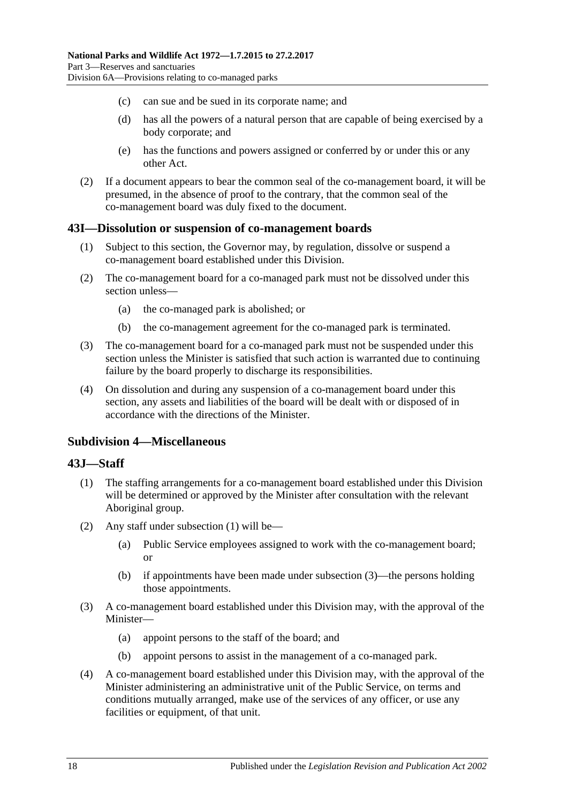- (c) can sue and be sued in its corporate name; and
- (d) has all the powers of a natural person that are capable of being exercised by a body corporate; and
- (e) has the functions and powers assigned or conferred by or under this or any other Act.
- (2) If a document appears to bear the common seal of the co-management board, it will be presumed, in the absence of proof to the contrary, that the common seal of the co-management board was duly fixed to the document.

### **43I—Dissolution or suspension of co-management boards**

- (1) Subject to this section, the Governor may, by regulation, dissolve or suspend a co-management board established under this Division.
- (2) The co-management board for a co-managed park must not be dissolved under this section unless—
	- (a) the co-managed park is abolished; or
	- (b) the co-management agreement for the co-managed park is terminated.
- (3) The co-management board for a co-managed park must not be suspended under this section unless the Minister is satisfied that such action is warranted due to continuing failure by the board properly to discharge its responsibilities.
- (4) On dissolution and during any suspension of a co-management board under this section, any assets and liabilities of the board will be dealt with or disposed of in accordance with the directions of the Minister.

#### **Subdivision 4—Miscellaneous**

#### <span id="page-37-0"></span>**43J—Staff**

- (1) The staffing arrangements for a co-management board established under this Division will be determined or approved by the Minister after consultation with the relevant Aboriginal group.
- (2) Any staff under [subsection](#page-37-0) (1) will be—
	- (a) Public Service employees assigned to work with the co-management board; or
	- (b) if appointments have been made under [subsection](#page-37-1) (3)—the persons holding those appointments.
- <span id="page-37-1"></span>(3) A co-management board established under this Division may, with the approval of the Minister—
	- (a) appoint persons to the staff of the board; and
	- (b) appoint persons to assist in the management of a co-managed park.
- (4) A co-management board established under this Division may, with the approval of the Minister administering an administrative unit of the Public Service, on terms and conditions mutually arranged, make use of the services of any officer, or use any facilities or equipment, of that unit.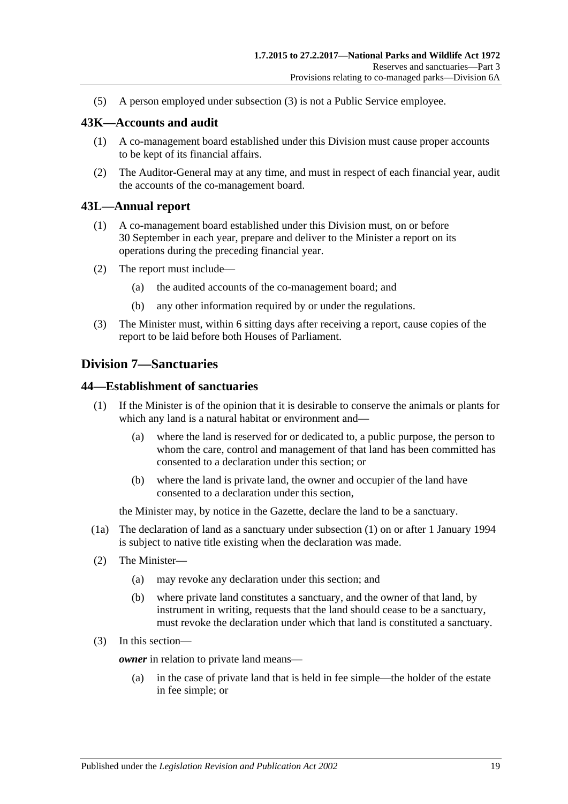(5) A person employed under [subsection](#page-37-1) (3) is not a Public Service employee.

### **43K—Accounts and audit**

- (1) A co-management board established under this Division must cause proper accounts to be kept of its financial affairs.
- (2) The Auditor-General may at any time, and must in respect of each financial year, audit the accounts of the co-management board.

#### **43L—Annual report**

- (1) A co-management board established under this Division must, on or before 30 September in each year, prepare and deliver to the Minister a report on its operations during the preceding financial year.
- (2) The report must include—
	- (a) the audited accounts of the co-management board; and
	- (b) any other information required by or under the regulations.
- (3) The Minister must, within 6 sitting days after receiving a report, cause copies of the report to be laid before both Houses of Parliament.

### **Division 7—Sanctuaries**

#### <span id="page-38-0"></span>**44—Establishment of sanctuaries**

- (1) If the Minister is of the opinion that it is desirable to conserve the animals or plants for which any land is a natural habitat or environment and—
	- (a) where the land is reserved for or dedicated to, a public purpose, the person to whom the care, control and management of that land has been committed has consented to a declaration under this section; or
	- (b) where the land is private land, the owner and occupier of the land have consented to a declaration under this section,

the Minister may, by notice in the Gazette, declare the land to be a sanctuary.

- (1a) The declaration of land as a sanctuary under [subsection](#page-38-0) (1) on or after 1 January 1994 is subject to native title existing when the declaration was made.
- (2) The Minister—
	- (a) may revoke any declaration under this section; and
	- (b) where private land constitutes a sanctuary, and the owner of that land, by instrument in writing, requests that the land should cease to be a sanctuary, must revoke the declaration under which that land is constituted a sanctuary.
- <span id="page-38-1"></span>(3) In this section—

*owner* in relation to private land means—

(a) in the case of private land that is held in fee simple—the holder of the estate in fee simple; or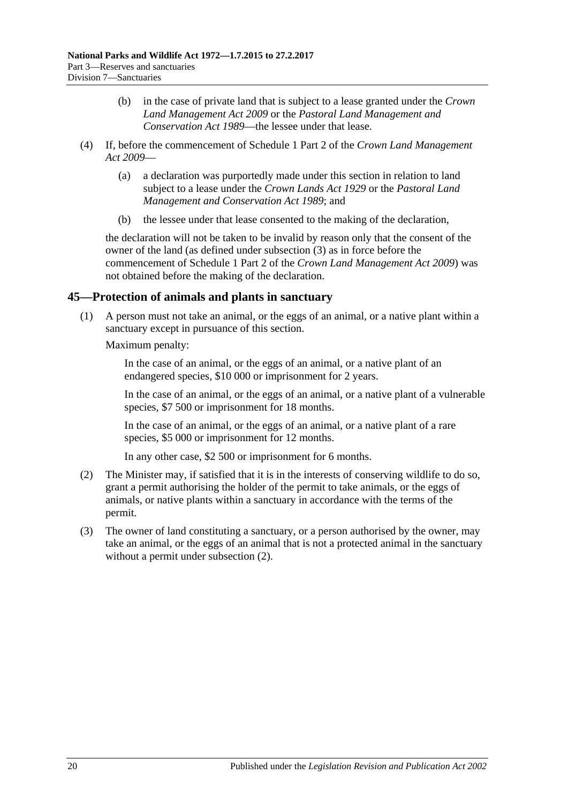- (b) in the case of private land that is subject to a lease granted under the *[Crown](http://www.legislation.sa.gov.au/index.aspx?action=legref&type=act&legtitle=Crown%20Land%20Management%20Act%202009)  [Land Management Act](http://www.legislation.sa.gov.au/index.aspx?action=legref&type=act&legtitle=Crown%20Land%20Management%20Act%202009) 2009* or the *[Pastoral Land Management and](http://www.legislation.sa.gov.au/index.aspx?action=legref&type=act&legtitle=Pastoral%20Land%20Management%20and%20Conservation%20Act%201989)  [Conservation Act](http://www.legislation.sa.gov.au/index.aspx?action=legref&type=act&legtitle=Pastoral%20Land%20Management%20and%20Conservation%20Act%201989) 1989*—the lessee under that lease.
- (4) If, before the commencement of Schedule 1 Part 2 of the *[Crown Land Management](http://www.legislation.sa.gov.au/index.aspx?action=legref&type=act&legtitle=Crown%20Land%20Management%20Act%202009)  Act [2009](http://www.legislation.sa.gov.au/index.aspx?action=legref&type=act&legtitle=Crown%20Land%20Management%20Act%202009)*—
	- (a) a declaration was purportedly made under this section in relation to land subject to a lease under the *[Crown Lands Act](http://www.legislation.sa.gov.au/index.aspx?action=legref&type=act&legtitle=Crown%20Lands%20Act%201929) 1929* or the *[Pastoral Land](http://www.legislation.sa.gov.au/index.aspx?action=legref&type=act&legtitle=Pastoral%20Land%20Management%20and%20Conservation%20Act%201989)  [Management and Conservation Act](http://www.legislation.sa.gov.au/index.aspx?action=legref&type=act&legtitle=Pastoral%20Land%20Management%20and%20Conservation%20Act%201989) 1989*; and
	- (b) the lessee under that lease consented to the making of the declaration,

the declaration will not be taken to be invalid by reason only that the consent of the owner of the land (as defined under [subsection](#page-38-1) (3) as in force before the commencement of Schedule 1 Part 2 of the *[Crown Land Management Act](http://www.legislation.sa.gov.au/index.aspx?action=legref&type=act&legtitle=Crown%20Land%20Management%20Act%202009) 2009*) was not obtained before the making of the declaration.

# **45—Protection of animals and plants in sanctuary**

(1) A person must not take an animal, or the eggs of an animal, or a native plant within a sanctuary except in pursuance of this section.

Maximum penalty:

In the case of an animal, or the eggs of an animal, or a native plant of an endangered species, \$10 000 or imprisonment for 2 years.

In the case of an animal, or the eggs of an animal, or a native plant of a vulnerable species, \$7 500 or imprisonment for 18 months.

In the case of an animal, or the eggs of an animal, or a native plant of a rare species, \$5 000 or imprisonment for 12 months.

In any other case, \$2 500 or imprisonment for 6 months.

- <span id="page-39-0"></span>(2) The Minister may, if satisfied that it is in the interests of conserving wildlife to do so, grant a permit authorising the holder of the permit to take animals, or the eggs of animals, or native plants within a sanctuary in accordance with the terms of the permit.
- (3) The owner of land constituting a sanctuary, or a person authorised by the owner, may take an animal, or the eggs of an animal that is not a protected animal in the sanctuary without a permit under [subsection](#page-39-0) (2).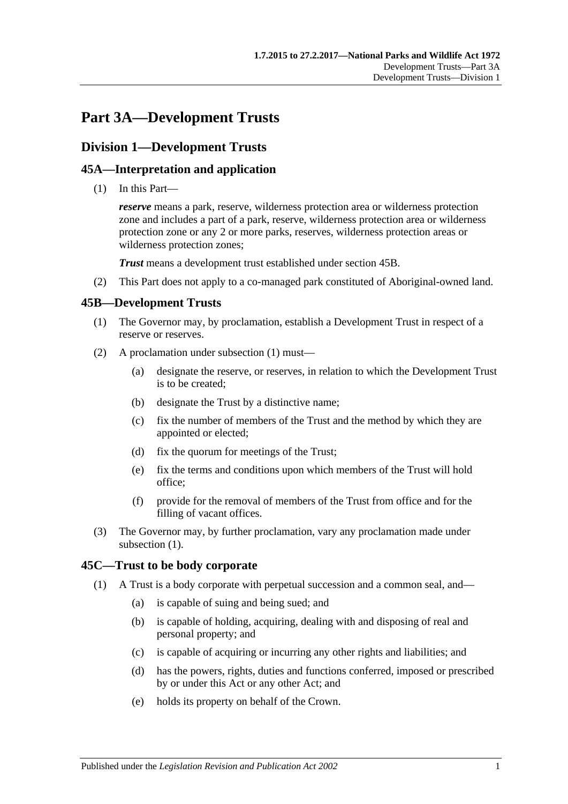# **Part 3A—Development Trusts**

# **Division 1—Development Trusts**

## **45A—Interpretation and application**

(1) In this Part—

*reserve* means a park, reserve, wilderness protection area or wilderness protection zone and includes a part of a park, reserve, wilderness protection area or wilderness protection zone or any 2 or more parks, reserves, wilderness protection areas or wilderness protection zones;

*Trust* means a development trust established under [section](#page-40-0) 45B.

(2) This Part does not apply to a co-managed park constituted of Aboriginal-owned land.

### <span id="page-40-1"></span><span id="page-40-0"></span>**45B—Development Trusts**

- (1) The Governor may, by proclamation, establish a Development Trust in respect of a reserve or reserves.
- (2) A proclamation under [subsection](#page-40-1) (1) must—
	- (a) designate the reserve, or reserves, in relation to which the Development Trust is to be created;
	- (b) designate the Trust by a distinctive name;
	- (c) fix the number of members of the Trust and the method by which they are appointed or elected;
	- (d) fix the quorum for meetings of the Trust;
	- (e) fix the terms and conditions upon which members of the Trust will hold office;
	- (f) provide for the removal of members of the Trust from office and for the filling of vacant offices.
- (3) The Governor may, by further proclamation, vary any proclamation made under [subsection](#page-40-1)  $(1)$ .

### **45C—Trust to be body corporate**

- (1) A Trust is a body corporate with perpetual succession and a common seal, and—
	- (a) is capable of suing and being sued; and
	- (b) is capable of holding, acquiring, dealing with and disposing of real and personal property; and
	- (c) is capable of acquiring or incurring any other rights and liabilities; and
	- (d) has the powers, rights, duties and functions conferred, imposed or prescribed by or under this Act or any other Act; and
	- (e) holds its property on behalf of the Crown.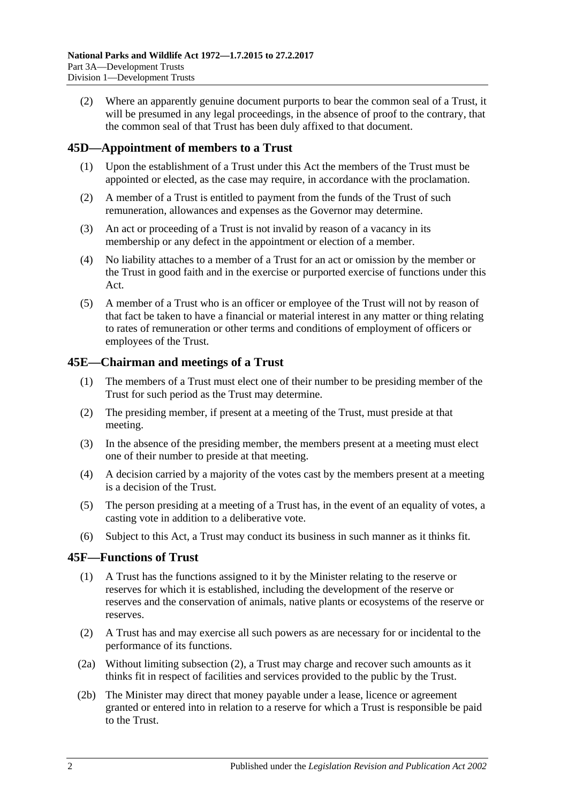(2) Where an apparently genuine document purports to bear the common seal of a Trust, it will be presumed in any legal proceedings, in the absence of proof to the contrary, that the common seal of that Trust has been duly affixed to that document.

## **45D—Appointment of members to a Trust**

- (1) Upon the establishment of a Trust under this Act the members of the Trust must be appointed or elected, as the case may require, in accordance with the proclamation.
- (2) A member of a Trust is entitled to payment from the funds of the Trust of such remuneration, allowances and expenses as the Governor may determine.
- (3) An act or proceeding of a Trust is not invalid by reason of a vacancy in its membership or any defect in the appointment or election of a member.
- (4) No liability attaches to a member of a Trust for an act or omission by the member or the Trust in good faith and in the exercise or purported exercise of functions under this Act.
- (5) A member of a Trust who is an officer or employee of the Trust will not by reason of that fact be taken to have a financial or material interest in any matter or thing relating to rates of remuneration or other terms and conditions of employment of officers or employees of the Trust.

### **45E—Chairman and meetings of a Trust**

- (1) The members of a Trust must elect one of their number to be presiding member of the Trust for such period as the Trust may determine.
- (2) The presiding member, if present at a meeting of the Trust, must preside at that meeting.
- (3) In the absence of the presiding member, the members present at a meeting must elect one of their number to preside at that meeting.
- (4) A decision carried by a majority of the votes cast by the members present at a meeting is a decision of the Trust.
- (5) The person presiding at a meeting of a Trust has, in the event of an equality of votes, a casting vote in addition to a deliberative vote.
- (6) Subject to this Act, a Trust may conduct its business in such manner as it thinks fit.

### **45F—Functions of Trust**

- (1) A Trust has the functions assigned to it by the Minister relating to the reserve or reserves for which it is established, including the development of the reserve or reserves and the conservation of animals, native plants or ecosystems of the reserve or reserves.
- <span id="page-41-0"></span>(2) A Trust has and may exercise all such powers as are necessary for or incidental to the performance of its functions.
- <span id="page-41-1"></span>(2a) Without limiting [subsection](#page-41-0) (2), a Trust may charge and recover such amounts as it thinks fit in respect of facilities and services provided to the public by the Trust.
- <span id="page-41-2"></span>(2b) The Minister may direct that money payable under a lease, licence or agreement granted or entered into in relation to a reserve for which a Trust is responsible be paid to the Trust.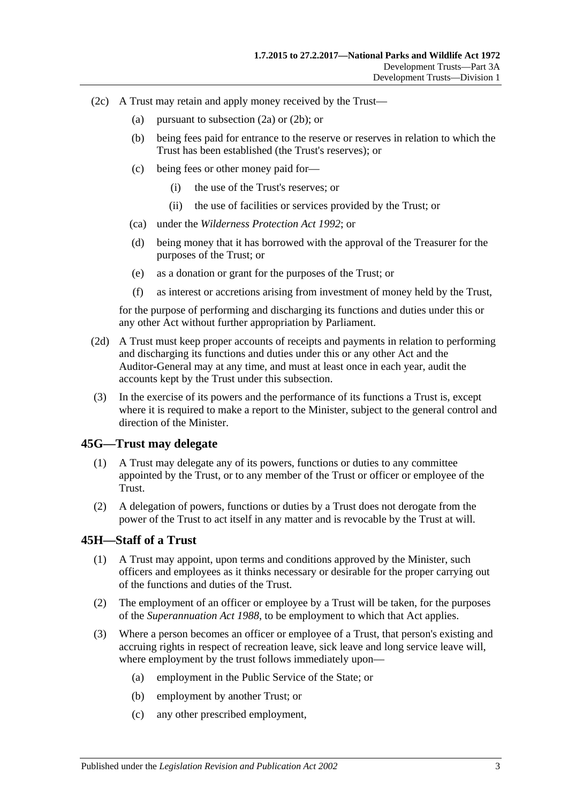- (2c) A Trust may retain and apply money received by the Trust—
	- (a) pursuant to [subsection](#page-41-1) (2a) or [\(2b\);](#page-41-2) or
	- (b) being fees paid for entrance to the reserve or reserves in relation to which the Trust has been established (the Trust's reserves); or
	- (c) being fees or other money paid for—
		- (i) the use of the Trust's reserves; or
		- (ii) the use of facilities or services provided by the Trust; or
	- (ca) under the *[Wilderness Protection Act](http://www.legislation.sa.gov.au/index.aspx?action=legref&type=act&legtitle=Wilderness%20Protection%20Act%201992) 1992*; or
	- (d) being money that it has borrowed with the approval of the Treasurer for the purposes of the Trust; or
	- (e) as a donation or grant for the purposes of the Trust; or
	- (f) as interest or accretions arising from investment of money held by the Trust,

for the purpose of performing and discharging its functions and duties under this or any other Act without further appropriation by Parliament.

- (2d) A Trust must keep proper accounts of receipts and payments in relation to performing and discharging its functions and duties under this or any other Act and the Auditor-General may at any time, and must at least once in each year, audit the accounts kept by the Trust under this subsection.
- (3) In the exercise of its powers and the performance of its functions a Trust is, except where it is required to make a report to the Minister, subject to the general control and direction of the Minister.

#### **45G—Trust may delegate**

- (1) A Trust may delegate any of its powers, functions or duties to any committee appointed by the Trust, or to any member of the Trust or officer or employee of the Trust.
- (2) A delegation of powers, functions or duties by a Trust does not derogate from the power of the Trust to act itself in any matter and is revocable by the Trust at will.

### **45H—Staff of a Trust**

- (1) A Trust may appoint, upon terms and conditions approved by the Minister, such officers and employees as it thinks necessary or desirable for the proper carrying out of the functions and duties of the Trust.
- (2) The employment of an officer or employee by a Trust will be taken, for the purposes of the *[Superannuation Act](http://www.legislation.sa.gov.au/index.aspx?action=legref&type=act&legtitle=Superannuation%20Act%201988) 1988*, to be employment to which that Act applies.
- (3) Where a person becomes an officer or employee of a Trust, that person's existing and accruing rights in respect of recreation leave, sick leave and long service leave will, where employment by the trust follows immediately upon—
	- (a) employment in the Public Service of the State; or
	- (b) employment by another Trust; or
	- (c) any other prescribed employment,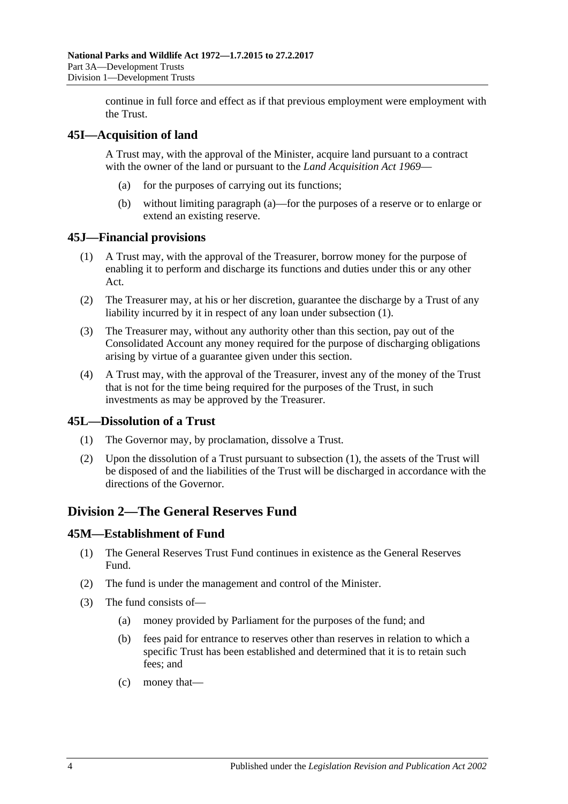continue in full force and effect as if that previous employment were employment with the Trust.

### <span id="page-43-0"></span>**45I—Acquisition of land**

A Trust may, with the approval of the Minister, acquire land pursuant to a contract with the owner of the land or pursuant to the *[Land Acquisition Act](http://www.legislation.sa.gov.au/index.aspx?action=legref&type=act&legtitle=Land%20Acquisition%20Act%201969) 1969*—

- (a) for the purposes of carrying out its functions;
- (b) without limiting [paragraph](#page-43-0) (a)—for the purposes of a reserve or to enlarge or extend an existing reserve.

### <span id="page-43-1"></span>**45J—Financial provisions**

- (1) A Trust may, with the approval of the Treasurer, borrow money for the purpose of enabling it to perform and discharge its functions and duties under this or any other Act.
- (2) The Treasurer may, at his or her discretion, guarantee the discharge by a Trust of any liability incurred by it in respect of any loan under [subsection](#page-43-1) (1).
- (3) The Treasurer may, without any authority other than this section, pay out of the Consolidated Account any money required for the purpose of discharging obligations arising by virtue of a guarantee given under this section.
- (4) A Trust may, with the approval of the Treasurer, invest any of the money of the Trust that is not for the time being required for the purposes of the Trust, in such investments as may be approved by the Treasurer.

### <span id="page-43-2"></span>**45L—Dissolution of a Trust**

- (1) The Governor may, by proclamation, dissolve a Trust.
- (2) Upon the dissolution of a Trust pursuant to [subsection](#page-43-2) (1), the assets of the Trust will be disposed of and the liabilities of the Trust will be discharged in accordance with the directions of the Governor.

# **Division 2—The General Reserves Fund**

### **45M—Establishment of Fund**

- (1) The General Reserves Trust Fund continues in existence as the General Reserves Fund.
- (2) The fund is under the management and control of the Minister.
- (3) The fund consists of—
	- (a) money provided by Parliament for the purposes of the fund; and
	- (b) fees paid for entrance to reserves other than reserves in relation to which a specific Trust has been established and determined that it is to retain such fees; and
	- (c) money that—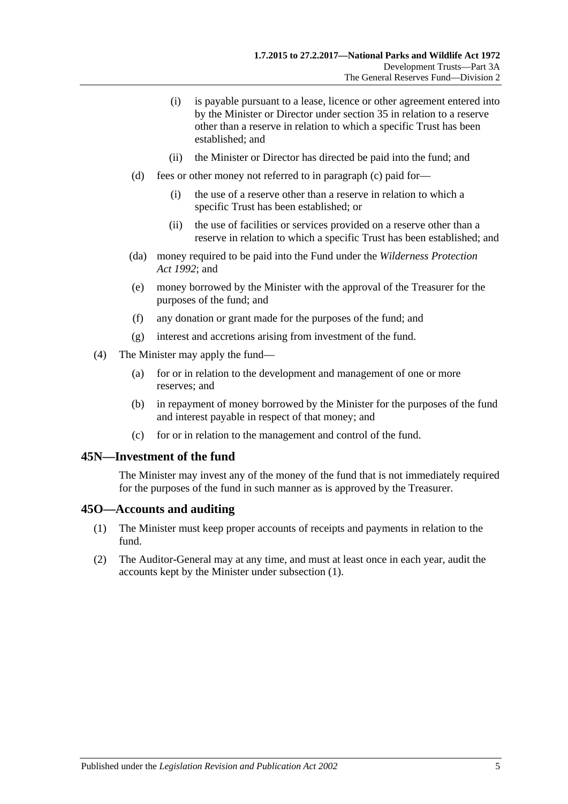- (i) is payable pursuant to a lease, licence or other agreement entered into by the Minister or Director under [section](#page-25-0) 35 in relation to a reserve other than a reserve in relation to which a specific Trust has been established; and
- (ii) the Minister or Director has directed be paid into the fund; and
- (d) fees or other money not referred to in paragraph (c) paid for—
	- (i) the use of a reserve other than a reserve in relation to which a specific Trust has been established; or
	- (ii) the use of facilities or services provided on a reserve other than a reserve in relation to which a specific Trust has been established; and
- (da) money required to be paid into the Fund under the *[Wilderness Protection](http://www.legislation.sa.gov.au/index.aspx?action=legref&type=act&legtitle=Wilderness%20Protection%20Act%201992)  Act [1992](http://www.legislation.sa.gov.au/index.aspx?action=legref&type=act&legtitle=Wilderness%20Protection%20Act%201992)*; and
- (e) money borrowed by the Minister with the approval of the Treasurer for the purposes of the fund; and
- (f) any donation or grant made for the purposes of the fund; and
- (g) interest and accretions arising from investment of the fund.
- (4) The Minister may apply the fund—
	- (a) for or in relation to the development and management of one or more reserves; and
	- (b) in repayment of money borrowed by the Minister for the purposes of the fund and interest payable in respect of that money; and
	- (c) for or in relation to the management and control of the fund.

#### **45N—Investment of the fund**

The Minister may invest any of the money of the fund that is not immediately required for the purposes of the fund in such manner as is approved by the Treasurer.

#### <span id="page-44-0"></span>**45O—Accounts and auditing**

- (1) The Minister must keep proper accounts of receipts and payments in relation to the fund.
- (2) The Auditor-General may at any time, and must at least once in each year, audit the accounts kept by the Minister under [subsection](#page-44-0) (1).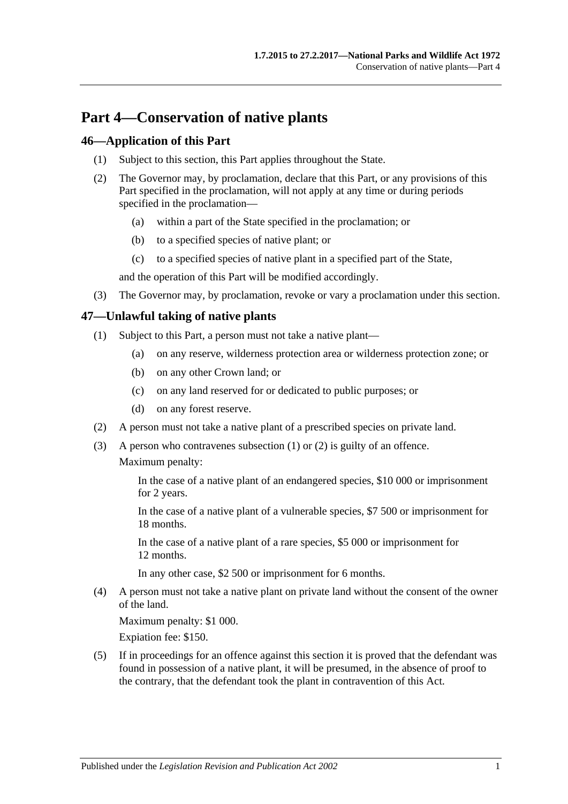# **Part 4—Conservation of native plants**

### **46—Application of this Part**

- (1) Subject to this section, this Part applies throughout the State.
- (2) The Governor may, by proclamation, declare that this Part, or any provisions of this Part specified in the proclamation, will not apply at any time or during periods specified in the proclamation—
	- (a) within a part of the State specified in the proclamation; or
	- (b) to a specified species of native plant; or
	- (c) to a specified species of native plant in a specified part of the State,

and the operation of this Part will be modified accordingly.

(3) The Governor may, by proclamation, revoke or vary a proclamation under this section.

### <span id="page-46-0"></span>**47—Unlawful taking of native plants**

- (1) Subject to this Part, a person must not take a native plant—
	- (a) on any reserve, wilderness protection area or wilderness protection zone; or
	- (b) on any other Crown land; or
	- (c) on any land reserved for or dedicated to public purposes; or
	- (d) on any forest reserve.
- <span id="page-46-1"></span>(2) A person must not take a native plant of a prescribed species on private land.
- (3) A person who contravenes [subsection](#page-46-0) (1) or [\(2\)](#page-46-1) is guilty of an offence. Maximum penalty:

In the case of a native plant of an endangered species, \$10 000 or imprisonment for 2 years.

In the case of a native plant of a vulnerable species, \$7 500 or imprisonment for 18 months.

In the case of a native plant of a rare species, \$5 000 or imprisonment for 12 months.

In any other case, \$2 500 or imprisonment for 6 months.

(4) A person must not take a native plant on private land without the consent of the owner of the land.

Maximum penalty: \$1 000.

Expiation fee: \$150.

(5) If in proceedings for an offence against this section it is proved that the defendant was found in possession of a native plant, it will be presumed, in the absence of proof to the contrary, that the defendant took the plant in contravention of this Act.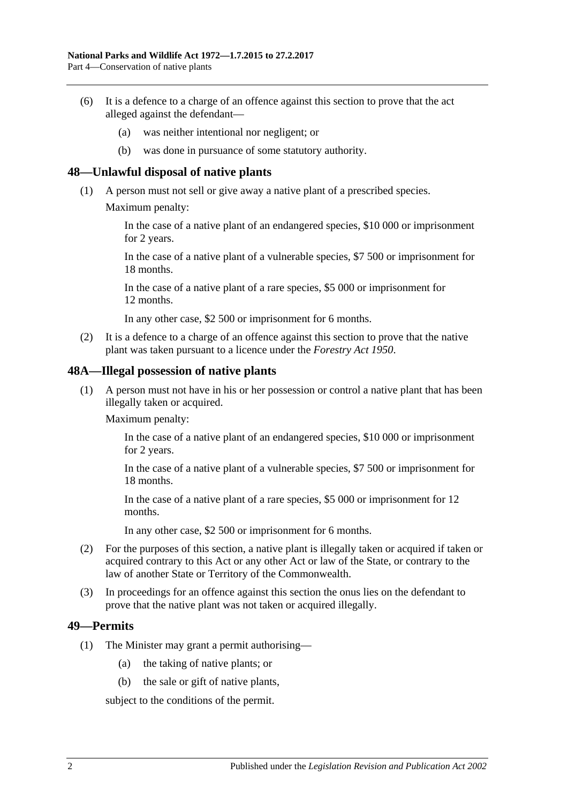- (6) It is a defence to a charge of an offence against this section to prove that the act alleged against the defendant—
	- (a) was neither intentional nor negligent; or
	- (b) was done in pursuance of some statutory authority.

### **48—Unlawful disposal of native plants**

- (1) A person must not sell or give away a native plant of a prescribed species.
	- Maximum penalty:

In the case of a native plant of an endangered species, \$10 000 or imprisonment for 2 years.

In the case of a native plant of a vulnerable species, \$7 500 or imprisonment for 18 months.

In the case of a native plant of a rare species, \$5 000 or imprisonment for 12 months.

In any other case, \$2 500 or imprisonment for 6 months.

(2) It is a defence to a charge of an offence against this section to prove that the native plant was taken pursuant to a licence under the *[Forestry Act](http://www.legislation.sa.gov.au/index.aspx?action=legref&type=act&legtitle=Forestry%20Act%201950) 1950*.

#### **48A—Illegal possession of native plants**

(1) A person must not have in his or her possession or control a native plant that has been illegally taken or acquired.

Maximum penalty:

In the case of a native plant of an endangered species, \$10 000 or imprisonment for 2 years.

In the case of a native plant of a vulnerable species, \$7 500 or imprisonment for 18 months.

In the case of a native plant of a rare species, \$5 000 or imprisonment for 12 months.

In any other case, \$2 500 or imprisonment for 6 months.

- (2) For the purposes of this section, a native plant is illegally taken or acquired if taken or acquired contrary to this Act or any other Act or law of the State, or contrary to the law of another State or Territory of the Commonwealth.
- (3) In proceedings for an offence against this section the onus lies on the defendant to prove that the native plant was not taken or acquired illegally.

#### <span id="page-47-0"></span>**49—Permits**

- (1) The Minister may grant a permit authorising—
	- (a) the taking of native plants; or
	- (b) the sale or gift of native plants,

subject to the conditions of the permit.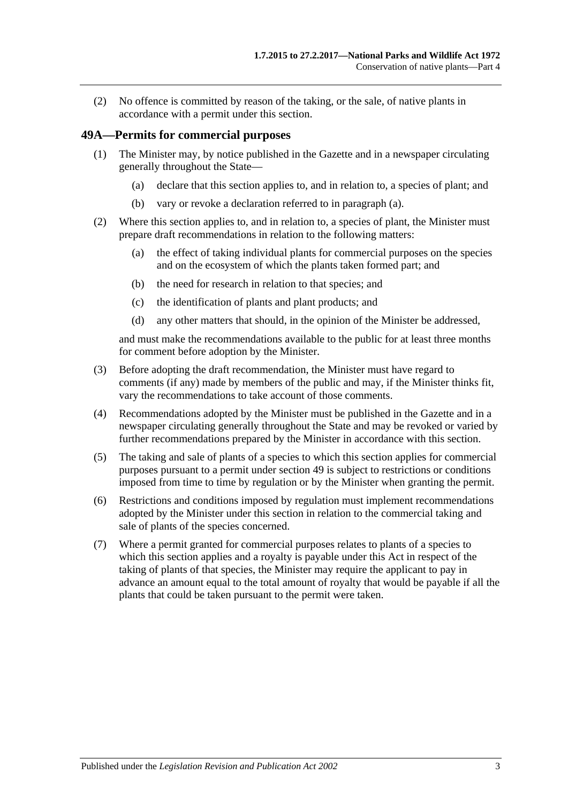(2) No offence is committed by reason of the taking, or the sale, of native plants in accordance with a permit under this section.

### **49A—Permits for commercial purposes**

- <span id="page-48-0"></span>(1) The Minister may, by notice published in the Gazette and in a newspaper circulating generally throughout the State—
	- (a) declare that this section applies to, and in relation to, a species of plant; and
	- (b) vary or revoke a declaration referred to in [paragraph](#page-48-0) (a).
- (2) Where this section applies to, and in relation to, a species of plant, the Minister must prepare draft recommendations in relation to the following matters:
	- (a) the effect of taking individual plants for commercial purposes on the species and on the ecosystem of which the plants taken formed part; and
	- (b) the need for research in relation to that species; and
	- (c) the identification of plants and plant products; and
	- (d) any other matters that should, in the opinion of the Minister be addressed,

and must make the recommendations available to the public for at least three months for comment before adoption by the Minister.

- (3) Before adopting the draft recommendation, the Minister must have regard to comments (if any) made by members of the public and may, if the Minister thinks fit, vary the recommendations to take account of those comments.
- (4) Recommendations adopted by the Minister must be published in the Gazette and in a newspaper circulating generally throughout the State and may be revoked or varied by further recommendations prepared by the Minister in accordance with this section.
- (5) The taking and sale of plants of a species to which this section applies for commercial purposes pursuant to a permit under [section](#page-47-0) 49 is subject to restrictions or conditions imposed from time to time by regulation or by the Minister when granting the permit.
- (6) Restrictions and conditions imposed by regulation must implement recommendations adopted by the Minister under this section in relation to the commercial taking and sale of plants of the species concerned.
- (7) Where a permit granted for commercial purposes relates to plants of a species to which this section applies and a royalty is payable under this Act in respect of the taking of plants of that species, the Minister may require the applicant to pay in advance an amount equal to the total amount of royalty that would be payable if all the plants that could be taken pursuant to the permit were taken.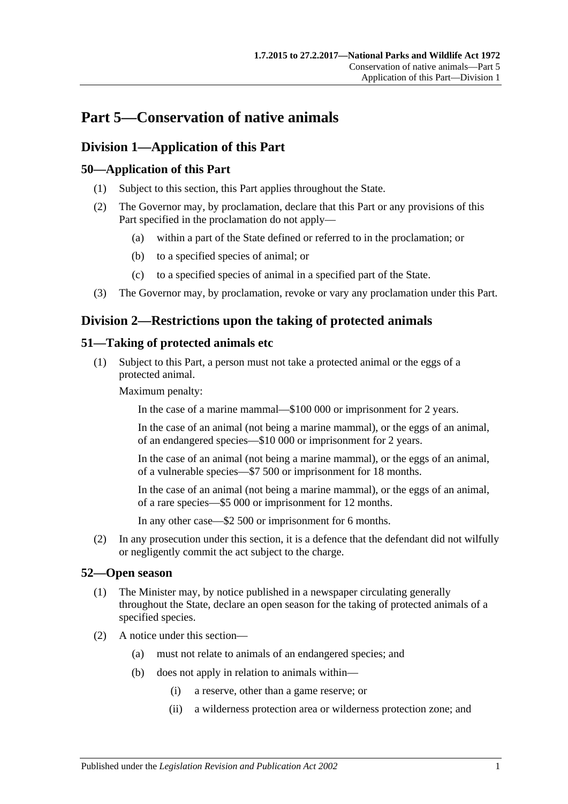# **Part 5—Conservation of native animals**

# **Division 1—Application of this Part**

# **50—Application of this Part**

- (1) Subject to this section, this Part applies throughout the State.
- (2) The Governor may, by proclamation, declare that this Part or any provisions of this Part specified in the proclamation do not apply—
	- (a) within a part of the State defined or referred to in the proclamation; or
	- (b) to a specified species of animal; or
	- (c) to a specified species of animal in a specified part of the State.
- (3) The Governor may, by proclamation, revoke or vary any proclamation under this Part.

# **Division 2—Restrictions upon the taking of protected animals**

## <span id="page-50-0"></span>**51—Taking of protected animals etc**

(1) Subject to this Part, a person must not take a protected animal or the eggs of a protected animal.

Maximum penalty:

In the case of a marine mammal—\$100 000 or imprisonment for 2 years.

In the case of an animal (not being a marine mammal), or the eggs of an animal, of an endangered species—\$10 000 or imprisonment for 2 years.

In the case of an animal (not being a marine mammal), or the eggs of an animal, of a vulnerable species—\$7 500 or imprisonment for 18 months.

In the case of an animal (not being a marine mammal), or the eggs of an animal, of a rare species—\$5 000 or imprisonment for 12 months.

In any other case—\$2 500 or imprisonment for 6 months.

(2) In any prosecution under this section, it is a defence that the defendant did not wilfully or negligently commit the act subject to the charge.

### <span id="page-50-1"></span>**52—Open season**

- (1) The Minister may, by notice published in a newspaper circulating generally throughout the State, declare an open season for the taking of protected animals of a specified species.
- (2) A notice under this section—
	- (a) must not relate to animals of an endangered species; and
	- (b) does not apply in relation to animals within—
		- (i) a reserve, other than a game reserve; or
		- (ii) a wilderness protection area or wilderness protection zone; and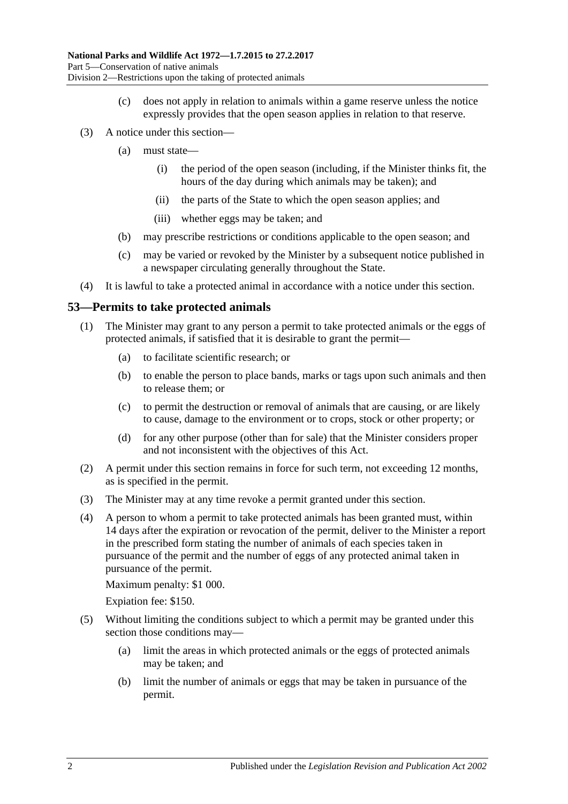- (c) does not apply in relation to animals within a game reserve unless the notice expressly provides that the open season applies in relation to that reserve.
- (3) A notice under this section—
	- (a) must state—
		- (i) the period of the open season (including, if the Minister thinks fit, the hours of the day during which animals may be taken); and
		- (ii) the parts of the State to which the open season applies; and
		- (iii) whether eggs may be taken; and
	- (b) may prescribe restrictions or conditions applicable to the open season; and
	- (c) may be varied or revoked by the Minister by a subsequent notice published in a newspaper circulating generally throughout the State.
- (4) It is lawful to take a protected animal in accordance with a notice under this section.

### <span id="page-51-0"></span>**53—Permits to take protected animals**

- (1) The Minister may grant to any person a permit to take protected animals or the eggs of protected animals, if satisfied that it is desirable to grant the permit—
	- (a) to facilitate scientific research; or
	- (b) to enable the person to place bands, marks or tags upon such animals and then to release them; or
	- (c) to permit the destruction or removal of animals that are causing, or are likely to cause, damage to the environment or to crops, stock or other property; or
	- (d) for any other purpose (other than for sale) that the Minister considers proper and not inconsistent with the objectives of this Act.
- (2) A permit under this section remains in force for such term, not exceeding 12 months, as is specified in the permit.
- (3) The Minister may at any time revoke a permit granted under this section.
- (4) A person to whom a permit to take protected animals has been granted must, within 14 days after the expiration or revocation of the permit, deliver to the Minister a report in the prescribed form stating the number of animals of each species taken in pursuance of the permit and the number of eggs of any protected animal taken in pursuance of the permit.

Maximum penalty: \$1 000.

Expiation fee: \$150.

- (5) Without limiting the conditions subject to which a permit may be granted under this section those conditions may—
	- (a) limit the areas in which protected animals or the eggs of protected animals may be taken; and
	- (b) limit the number of animals or eggs that may be taken in pursuance of the permit.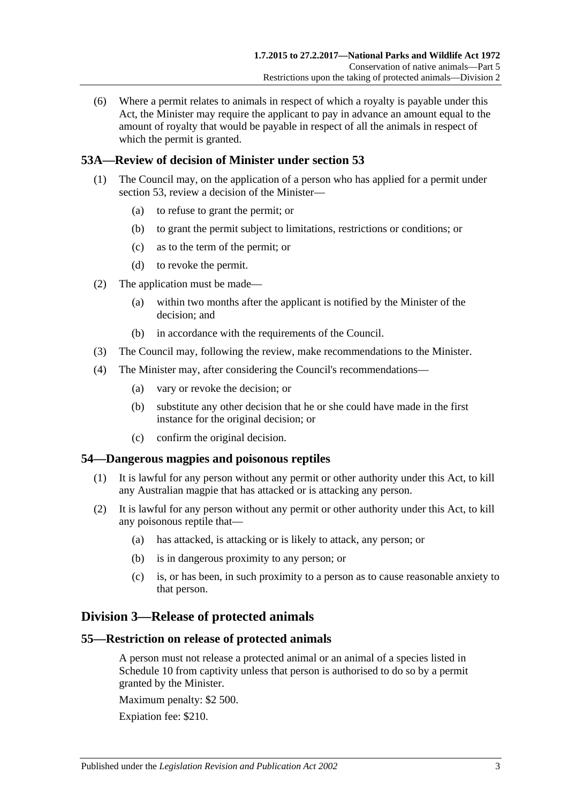(6) Where a permit relates to animals in respect of which a royalty is payable under this Act, the Minister may require the applicant to pay in advance an amount equal to the amount of royalty that would be payable in respect of all the animals in respect of which the permit is granted.

# **53A—Review of decision of Minister under [section](#page-51-0) 53**

- (1) The Council may, on the application of a person who has applied for a permit under [section](#page-51-0) 53, review a decision of the Minister—
	- (a) to refuse to grant the permit; or
	- (b) to grant the permit subject to limitations, restrictions or conditions; or
	- (c) as to the term of the permit; or
	- (d) to revoke the permit.
- (2) The application must be made—
	- (a) within two months after the applicant is notified by the Minister of the decision; and
	- (b) in accordance with the requirements of the Council.
- (3) The Council may, following the review, make recommendations to the Minister.
- (4) The Minister may, after considering the Council's recommendations—
	- (a) vary or revoke the decision; or
	- (b) substitute any other decision that he or she could have made in the first instance for the original decision; or
	- (c) confirm the original decision.

#### **54—Dangerous magpies and poisonous reptiles**

- (1) It is lawful for any person without any permit or other authority under this Act, to kill any Australian magpie that has attacked or is attacking any person.
- (2) It is lawful for any person without any permit or other authority under this Act, to kill any poisonous reptile that—
	- (a) has attacked, is attacking or is likely to attack, any person; or
	- (b) is in dangerous proximity to any person; or
	- (c) is, or has been, in such proximity to a person as to cause reasonable anxiety to that person.

### **Division 3—Release of protected animals**

#### **55—Restriction on release of protected animals**

A person must not release a protected animal or an animal of a species listed in [Schedule 10](#page-135-0) from captivity unless that person is authorised to do so by a permit granted by the Minister.

Maximum penalty: \$2 500.

Expiation fee: \$210.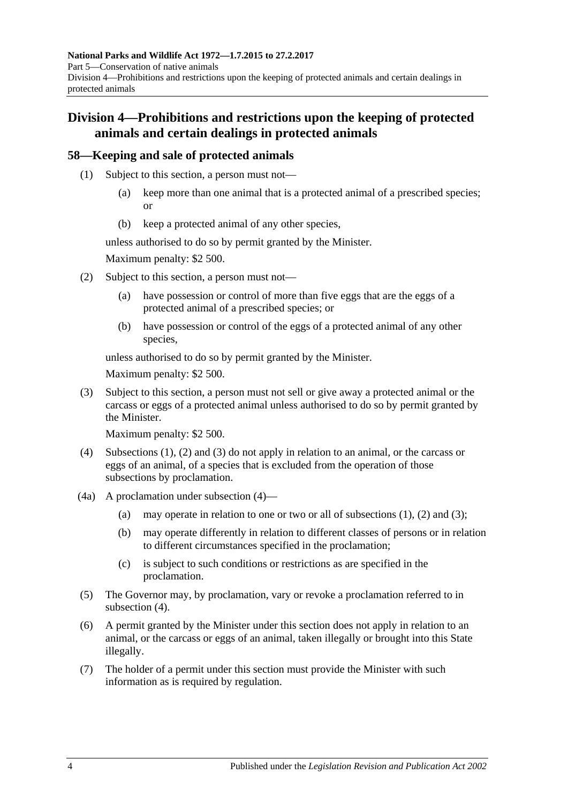# **Division 4—Prohibitions and restrictions upon the keeping of protected animals and certain dealings in protected animals**

# <span id="page-53-0"></span>**58—Keeping and sale of protected animals**

- (1) Subject to this section, a person must not—
	- (a) keep more than one animal that is a protected animal of a prescribed species; or
	- (b) keep a protected animal of any other species,

unless authorised to do so by permit granted by the Minister.

Maximum penalty: \$2 500.

- <span id="page-53-1"></span>(2) Subject to this section, a person must not—
	- (a) have possession or control of more than five eggs that are the eggs of a protected animal of a prescribed species; or
	- (b) have possession or control of the eggs of a protected animal of any other species,

unless authorised to do so by permit granted by the Minister.

Maximum penalty: \$2 500.

<span id="page-53-2"></span>(3) Subject to this section, a person must not sell or give away a protected animal or the carcass or eggs of a protected animal unless authorised to do so by permit granted by the Minister.

Maximum penalty: \$2 500.

- <span id="page-53-3"></span>(4) [Subsections](#page-53-0) (1), [\(2\)](#page-53-1) and [\(3\)](#page-53-2) do not apply in relation to an animal, or the carcass or eggs of an animal, of a species that is excluded from the operation of those subsections by proclamation.
- (4a) A proclamation under [subsection](#page-53-3) (4)
	- (a) may operate in relation to one or two or all of [subsections](#page-53-0)  $(1)$ ,  $(2)$  and  $(3)$ ;
	- (b) may operate differently in relation to different classes of persons or in relation to different circumstances specified in the proclamation;
	- (c) is subject to such conditions or restrictions as are specified in the proclamation.
- (5) The Governor may, by proclamation, vary or revoke a proclamation referred to in [subsection](#page-53-3) (4).
- (6) A permit granted by the Minister under this section does not apply in relation to an animal, or the carcass or eggs of an animal, taken illegally or brought into this State illegally.
- (7) The holder of a permit under this section must provide the Minister with such information as is required by regulation.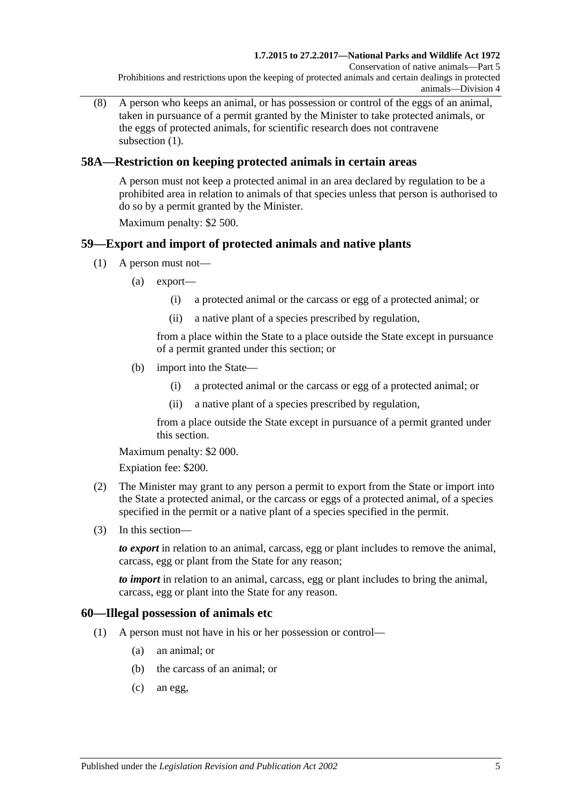(8) A person who keeps an animal, or has possession or control of the eggs of an animal, taken in pursuance of a permit granted by the Minister to take protected animals, or the eggs of protected animals, for scientific research does not contravene [subsection](#page-53-0)  $(1)$ .

# **58A—Restriction on keeping protected animals in certain areas**

A person must not keep a protected animal in an area declared by regulation to be a prohibited area in relation to animals of that species unless that person is authorised to do so by a permit granted by the Minister.

Maximum penalty: \$2 500.

# **59—Export and import of protected animals and native plants**

- (1) A person must not—
	- (a) export—
		- (i) a protected animal or the carcass or egg of a protected animal; or
		- (ii) a native plant of a species prescribed by regulation,

from a place within the State to a place outside the State except in pursuance of a permit granted under this section; or

- (b) import into the State—
	- (i) a protected animal or the carcass or egg of a protected animal; or
	- (ii) a native plant of a species prescribed by regulation,

from a place outside the State except in pursuance of a permit granted under this section.

Maximum penalty: \$2 000.

Expiation fee: \$200.

- (2) The Minister may grant to any person a permit to export from the State or import into the State a protected animal, or the carcass or eggs of a protected animal, of a species specified in the permit or a native plant of a species specified in the permit.
- (3) In this section—

*to export* in relation to an animal, carcass, egg or plant includes to remove the animal, carcass, egg or plant from the State for any reason;

*to import* in relation to an animal, carcass, egg or plant includes to bring the animal, carcass, egg or plant into the State for any reason.

### **60—Illegal possession of animals etc**

- (1) A person must not have in his or her possession or control—
	- (a) an animal; or
	- (b) the carcass of an animal; or
	- (c) an egg,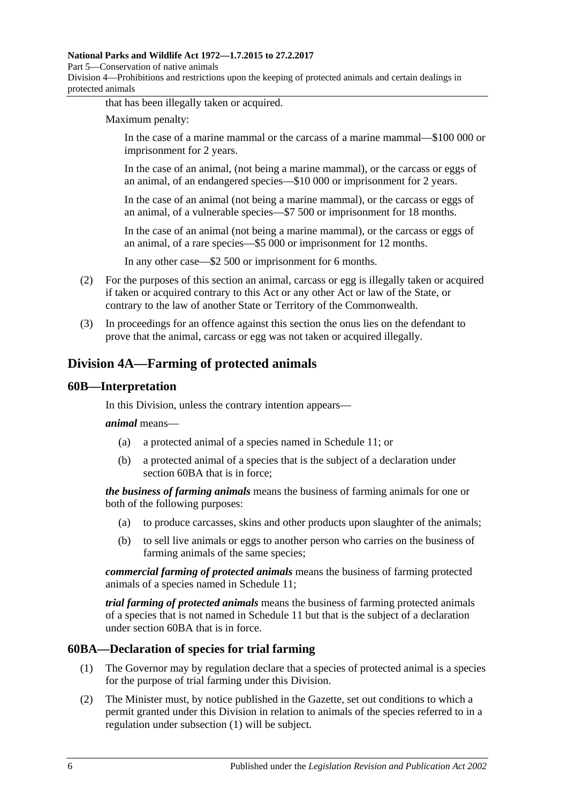#### **National Parks and Wildlife Act 1972—1.7.2015 to 27.2.2017**

Part 5—Conservation of native animals

Division 4—Prohibitions and restrictions upon the keeping of protected animals and certain dealings in protected animals

that has been illegally taken or acquired.

Maximum penalty:

In the case of a marine mammal or the carcass of a marine mammal—\$100 000 or imprisonment for 2 years.

In the case of an animal, (not being a marine mammal), or the carcass or eggs of an animal, of an endangered species—\$10 000 or imprisonment for 2 years.

In the case of an animal (not being a marine mammal), or the carcass or eggs of an animal, of a vulnerable species—\$7 500 or imprisonment for 18 months.

In the case of an animal (not being a marine mammal), or the carcass or eggs of an animal, of a rare species—\$5 000 or imprisonment for 12 months.

In any other case—\$2 500 or imprisonment for 6 months.

- (2) For the purposes of this section an animal, carcass or egg is illegally taken or acquired if taken or acquired contrary to this Act or any other Act or law of the State, or contrary to the law of another State or Territory of the Commonwealth.
- (3) In proceedings for an offence against this section the onus lies on the defendant to prove that the animal, carcass or egg was not taken or acquired illegally.

# **Division 4A—Farming of protected animals**

### **60B—Interpretation**

In this Division, unless the contrary intention appears—

*animal* means—

- (a) a protected animal of a species named in [Schedule 11;](#page-136-0) or
- (b) a protected animal of a species that is the subject of a declaration under [section](#page-55-0) 60BA that is in force;

*the business of farming animals* means the business of farming animals for one or both of the following purposes:

- (a) to produce carcasses, skins and other products upon slaughter of the animals;
- (b) to sell live animals or eggs to another person who carries on the business of farming animals of the same species;

*commercial farming of protected animals* means the business of farming protected animals of a species named in [Schedule 11;](#page-136-0)

*trial farming of protected animals* means the business of farming protected animals of a species that is not named in [Schedule 11](#page-136-0) but that is the subject of a declaration under [section](#page-55-0) 60BA that is in force.

### <span id="page-55-1"></span><span id="page-55-0"></span>**60BA—Declaration of species for trial farming**

- (1) The Governor may by regulation declare that a species of protected animal is a species for the purpose of trial farming under this Division.
- <span id="page-55-2"></span>(2) The Minister must, by notice published in the Gazette, set out conditions to which a permit granted under this Division in relation to animals of the species referred to in a regulation under [subsection](#page-55-1) (1) will be subject.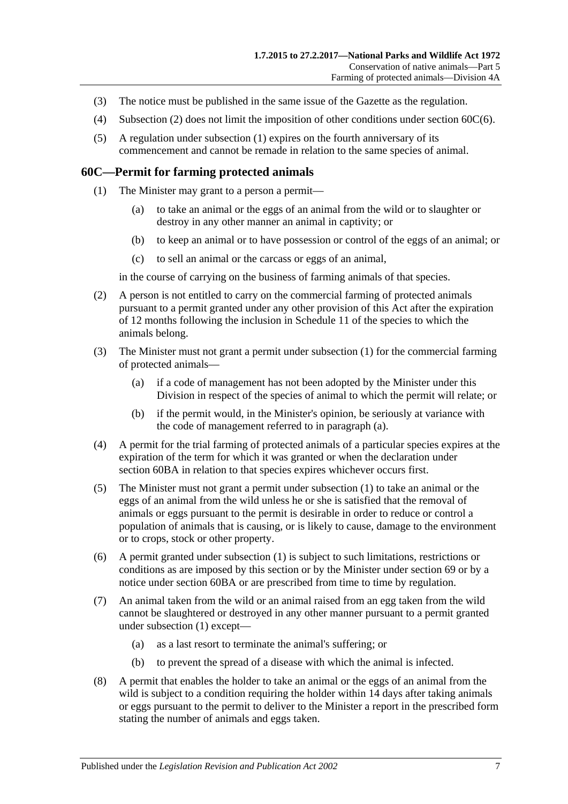- (3) The notice must be published in the same issue of the Gazette as the regulation.
- (4) [Subsection](#page-55-2) (2) does not limit the imposition of other conditions under section [60C\(6\).](#page-56-0)
- (5) A regulation under [subsection](#page-55-1) (1) expires on the fourth anniversary of its commencement and cannot be remade in relation to the same species of animal.

#### <span id="page-56-1"></span>**60C—Permit for farming protected animals**

- (1) The Minister may grant to a person a permit—
	- (a) to take an animal or the eggs of an animal from the wild or to slaughter or destroy in any other manner an animal in captivity; or
	- (b) to keep an animal or to have possession or control of the eggs of an animal; or
	- (c) to sell an animal or the carcass or eggs of an animal,

in the course of carrying on the business of farming animals of that species.

- (2) A person is not entitled to carry on the commercial farming of protected animals pursuant to a permit granted under any other provision of this Act after the expiration of 12 months following the inclusion in [Schedule 11](#page-136-0) of the species to which the animals belong.
- <span id="page-56-2"></span>(3) The Minister must not grant a permit under [subsection](#page-56-1) (1) for the commercial farming of protected animals—
	- (a) if a code of management has not been adopted by the Minister under this Division in respect of the species of animal to which the permit will relate; or
	- (b) if the permit would, in the Minister's opinion, be seriously at variance with the code of management referred to in [paragraph](#page-56-2) (a).
- (4) A permit for the trial farming of protected animals of a particular species expires at the expiration of the term for which it was granted or when the declaration under [section](#page-55-0) 60BA in relation to that species expires whichever occurs first.
- (5) The Minister must not grant a permit under [subsection](#page-56-1) (1) to take an animal or the eggs of an animal from the wild unless he or she is satisfied that the removal of animals or eggs pursuant to the permit is desirable in order to reduce or control a population of animals that is causing, or is likely to cause, damage to the environment or to crops, stock or other property.
- <span id="page-56-0"></span>(6) A permit granted under [subsection](#page-56-1) (1) is subject to such limitations, restrictions or conditions as are imposed by this section or by the Minister under [section](#page-70-0) 69 or by a notice under [section](#page-55-0) 60BA or are prescribed from time to time by regulation.
- (7) An animal taken from the wild or an animal raised from an egg taken from the wild cannot be slaughtered or destroyed in any other manner pursuant to a permit granted under [subsection](#page-56-1) (1) except—
	- (a) as a last resort to terminate the animal's suffering; or
	- (b) to prevent the spread of a disease with which the animal is infected.
- (8) A permit that enables the holder to take an animal or the eggs of an animal from the wild is subject to a condition requiring the holder within 14 days after taking animals or eggs pursuant to the permit to deliver to the Minister a report in the prescribed form stating the number of animals and eggs taken.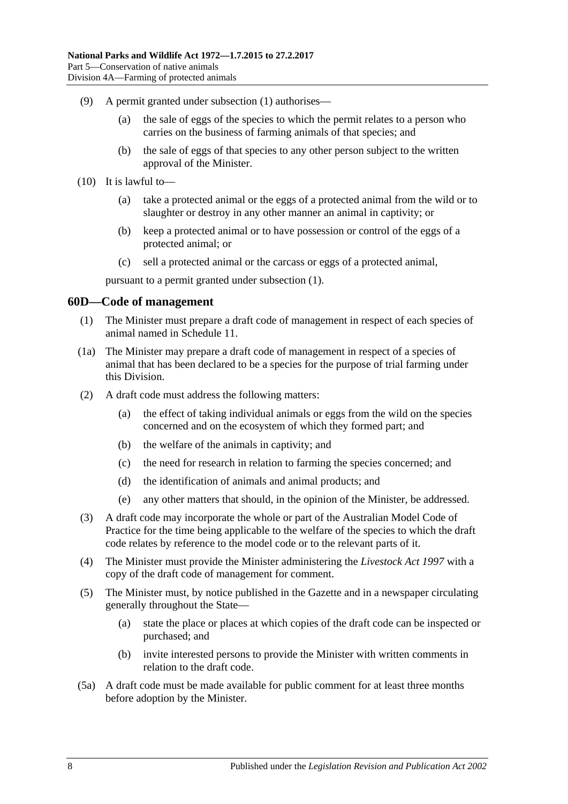- (9) A permit granted under [subsection](#page-56-1) (1) authorises—
	- (a) the sale of eggs of the species to which the permit relates to a person who carries on the business of farming animals of that species; and
	- (b) the sale of eggs of that species to any other person subject to the written approval of the Minister.
- (10) It is lawful to—
	- (a) take a protected animal or the eggs of a protected animal from the wild or to slaughter or destroy in any other manner an animal in captivity; or
	- (b) keep a protected animal or to have possession or control of the eggs of a protected animal; or
	- (c) sell a protected animal or the carcass or eggs of a protected animal,

pursuant to a permit granted under [subsection](#page-56-1) (1).

### **60D—Code of management**

- (1) The Minister must prepare a draft code of management in respect of each species of animal named in [Schedule 11.](#page-136-0)
- <span id="page-57-0"></span>(1a) The Minister may prepare a draft code of management in respect of a species of animal that has been declared to be a species for the purpose of trial farming under this Division.
- (2) A draft code must address the following matters:
	- (a) the effect of taking individual animals or eggs from the wild on the species concerned and on the ecosystem of which they formed part; and
	- (b) the welfare of the animals in captivity; and
	- (c) the need for research in relation to farming the species concerned; and
	- (d) the identification of animals and animal products; and
	- (e) any other matters that should, in the opinion of the Minister, be addressed.
- (3) A draft code may incorporate the whole or part of the Australian Model Code of Practice for the time being applicable to the welfare of the species to which the draft code relates by reference to the model code or to the relevant parts of it.
- (4) The Minister must provide the Minister administering the *[Livestock Act](http://www.legislation.sa.gov.au/index.aspx?action=legref&type=act&legtitle=Livestock%20Act%201997) 1997* with a copy of the draft code of management for comment.
- (5) The Minister must, by notice published in the Gazette and in a newspaper circulating generally throughout the State—
	- (a) state the place or places at which copies of the draft code can be inspected or purchased; and
	- (b) invite interested persons to provide the Minister with written comments in relation to the draft code.
- (5a) A draft code must be made available for public comment for at least three months before adoption by the Minister.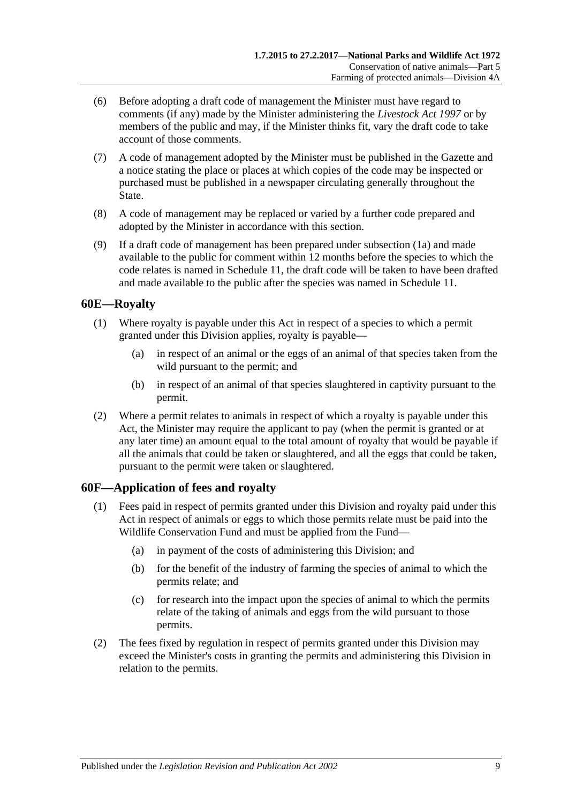- (6) Before adopting a draft code of management the Minister must have regard to comments (if any) made by the Minister administering the *[Livestock Act](http://www.legislation.sa.gov.au/index.aspx?action=legref&type=act&legtitle=Livestock%20Act%201997) 1997* or by members of the public and may, if the Minister thinks fit, vary the draft code to take account of those comments.
- (7) A code of management adopted by the Minister must be published in the Gazette and a notice stating the place or places at which copies of the code may be inspected or purchased must be published in a newspaper circulating generally throughout the State.
- (8) A code of management may be replaced or varied by a further code prepared and adopted by the Minister in accordance with this section.
- (9) If a draft code of management has been prepared under [subsection](#page-57-0) (1a) and made available to the public for comment within 12 months before the species to which the code relates is named in [Schedule 11,](#page-136-0) the draft code will be taken to have been drafted and made available to the public after the species was named in [Schedule 11.](#page-136-0)

### **60E—Royalty**

- (1) Where royalty is payable under this Act in respect of a species to which a permit granted under this Division applies, royalty is payable—
	- (a) in respect of an animal or the eggs of an animal of that species taken from the wild pursuant to the permit; and
	- (b) in respect of an animal of that species slaughtered in captivity pursuant to the permit.
- (2) Where a permit relates to animals in respect of which a royalty is payable under this Act, the Minister may require the applicant to pay (when the permit is granted or at any later time) an amount equal to the total amount of royalty that would be payable if all the animals that could be taken or slaughtered, and all the eggs that could be taken, pursuant to the permit were taken or slaughtered.

### **60F—Application of fees and royalty**

- (1) Fees paid in respect of permits granted under this Division and royalty paid under this Act in respect of animals or eggs to which those permits relate must be paid into the Wildlife Conservation Fund and must be applied from the Fund—
	- (a) in payment of the costs of administering this Division; and
	- (b) for the benefit of the industry of farming the species of animal to which the permits relate; and
	- (c) for research into the impact upon the species of animal to which the permits relate of the taking of animals and eggs from the wild pursuant to those permits.
- (2) The fees fixed by regulation in respect of permits granted under this Division may exceed the Minister's costs in granting the permits and administering this Division in relation to the permits.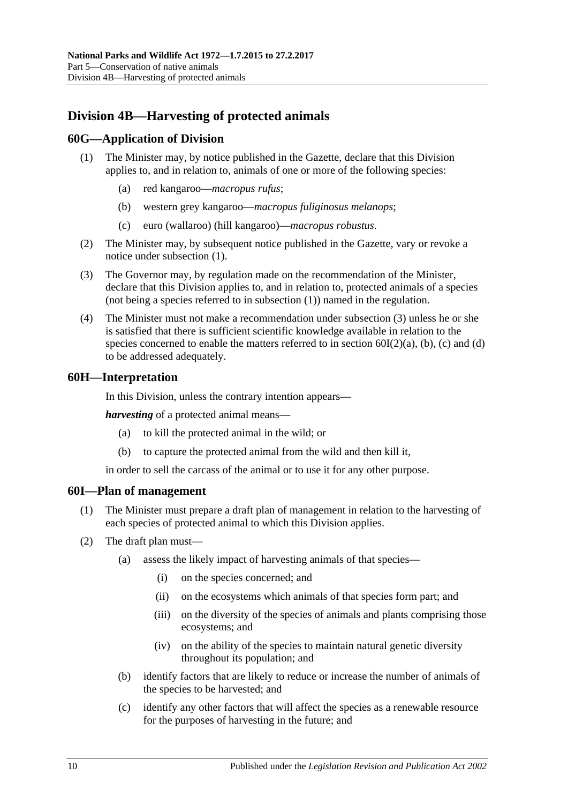# **Division 4B—Harvesting of protected animals**

### <span id="page-59-0"></span>**60G—Application of Division**

- (1) The Minister may, by notice published in the Gazette, declare that this Division applies to, and in relation to, animals of one or more of the following species:
	- (a) red kangaroo—*macropus rufus*;
	- (b) western grey kangaroo—*macropus fuliginosus melanops*;
	- (c) euro (wallaroo) (hill kangaroo)—*macropus robustus*.
- (2) The Minister may, by subsequent notice published in the Gazette, vary or revoke a notice under [subsection](#page-59-0) (1).
- <span id="page-59-1"></span>(3) The Governor may, by regulation made on the recommendation of the Minister, declare that this Division applies to, and in relation to, protected animals of a species (not being a species referred to in [subsection](#page-59-0) (1)) named in the regulation.
- (4) The Minister must not make a recommendation under [subsection](#page-59-1) (3) unless he or she is satisfied that there is sufficient scientific knowledge available in relation to the species concerned to enable the matters referred to in section  $60I(2)(a)$ , [\(b\),](#page-59-3) [\(c\)](#page-59-4) and [\(d\)](#page-60-0) to be addressed adequately.

### **60H—Interpretation**

In this Division, unless the contrary intention appears—

*harvesting* of a protected animal means—

- (a) to kill the protected animal in the wild; or
- (b) to capture the protected animal from the wild and then kill it,

in order to sell the carcass of the animal or to use it for any other purpose.

#### **60I—Plan of management**

- (1) The Minister must prepare a draft plan of management in relation to the harvesting of each species of protected animal to which this Division applies.
- <span id="page-59-4"></span><span id="page-59-3"></span><span id="page-59-2"></span>(2) The draft plan must—
	- (a) assess the likely impact of harvesting animals of that species—
		- (i) on the species concerned; and
		- (ii) on the ecosystems which animals of that species form part; and
		- (iii) on the diversity of the species of animals and plants comprising those ecosystems; and
		- (iv) on the ability of the species to maintain natural genetic diversity throughout its population; and
	- (b) identify factors that are likely to reduce or increase the number of animals of the species to be harvested; and
	- (c) identify any other factors that will affect the species as a renewable resource for the purposes of harvesting in the future; and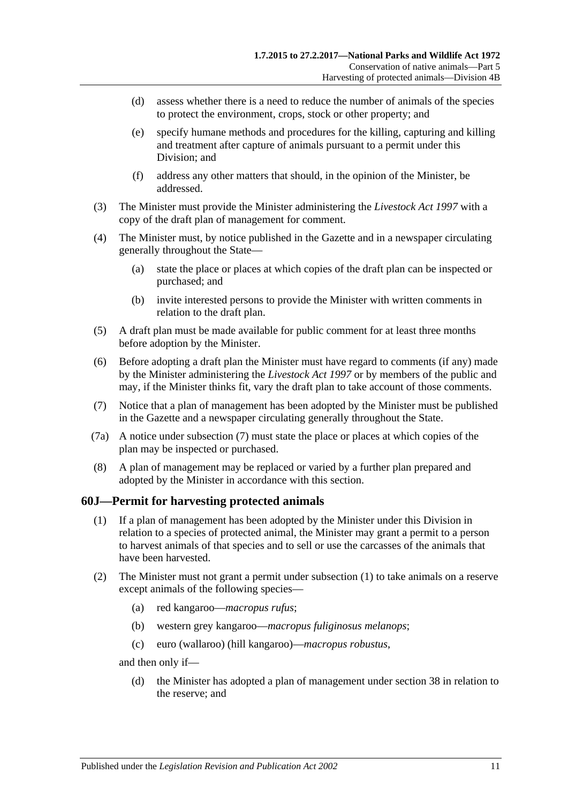- <span id="page-60-0"></span>(d) assess whether there is a need to reduce the number of animals of the species to protect the environment, crops, stock or other property; and
- (e) specify humane methods and procedures for the killing, capturing and killing and treatment after capture of animals pursuant to a permit under this Division; and
- (f) address any other matters that should, in the opinion of the Minister, be addressed.
- (3) The Minister must provide the Minister administering the *[Livestock Act](http://www.legislation.sa.gov.au/index.aspx?action=legref&type=act&legtitle=Livestock%20Act%201997) 1997* with a copy of the draft plan of management for comment.
- (4) The Minister must, by notice published in the Gazette and in a newspaper circulating generally throughout the State—
	- (a) state the place or places at which copies of the draft plan can be inspected or purchased; and
	- (b) invite interested persons to provide the Minister with written comments in relation to the draft plan.
- (5) A draft plan must be made available for public comment for at least three months before adoption by the Minister.
- (6) Before adopting a draft plan the Minister must have regard to comments (if any) made by the Minister administering the *[Livestock Act](http://www.legislation.sa.gov.au/index.aspx?action=legref&type=act&legtitle=Livestock%20Act%201997) 1997* or by members of the public and may, if the Minister thinks fit, vary the draft plan to take account of those comments.
- <span id="page-60-1"></span>(7) Notice that a plan of management has been adopted by the Minister must be published in the Gazette and a newspaper circulating generally throughout the State.
- (7a) A notice under [subsection](#page-60-1) (7) must state the place or places at which copies of the plan may be inspected or purchased.
- (8) A plan of management may be replaced or varied by a further plan prepared and adopted by the Minister in accordance with this section.

### <span id="page-60-2"></span>**60J—Permit for harvesting protected animals**

- (1) If a plan of management has been adopted by the Minister under this Division in relation to a species of protected animal, the Minister may grant a permit to a person to harvest animals of that species and to sell or use the carcasses of the animals that have been harvested.
- (2) The Minister must not grant a permit under [subsection](#page-60-2) (1) to take animals on a reserve except animals of the following species—
	- (a) red kangaroo—*macropus rufus*;
	- (b) western grey kangaroo—*macropus fuliginosus melanops*;
	- (c) euro (wallaroo) (hill kangaroo)—*macropus robustus*,

and then only if—

(d) the Minister has adopted a plan of management under [section](#page-27-0) 38 in relation to the reserve; and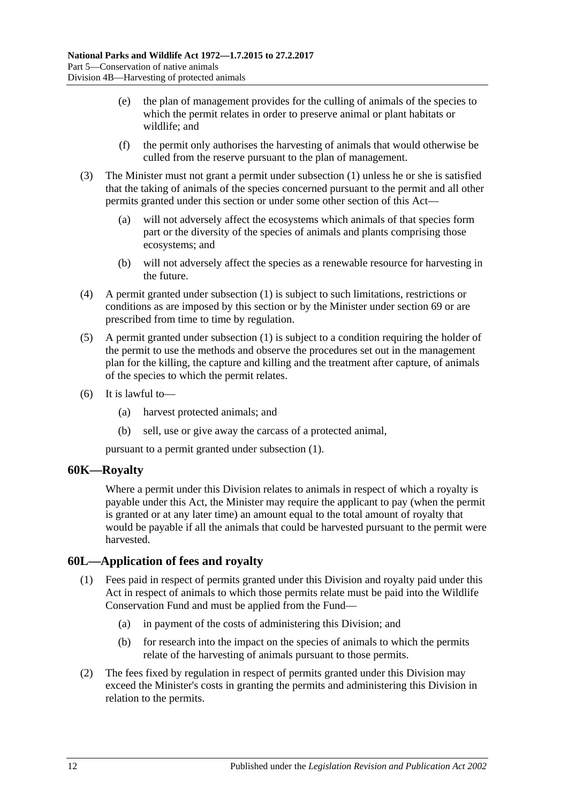- (e) the plan of management provides for the culling of animals of the species to which the permit relates in order to preserve animal or plant habitats or wildlife; and
- (f) the permit only authorises the harvesting of animals that would otherwise be culled from the reserve pursuant to the plan of management.
- (3) The Minister must not grant a permit under [subsection](#page-60-2) (1) unless he or she is satisfied that the taking of animals of the species concerned pursuant to the permit and all other permits granted under this section or under some other section of this Act—
	- (a) will not adversely affect the ecosystems which animals of that species form part or the diversity of the species of animals and plants comprising those ecosystems; and
	- (b) will not adversely affect the species as a renewable resource for harvesting in the future.
- (4) A permit granted under [subsection](#page-60-2) (1) is subject to such limitations, restrictions or conditions as are imposed by this section or by the Minister under [section](#page-70-0) 69 or are prescribed from time to time by regulation.
- (5) A permit granted under [subsection](#page-60-2) (1) is subject to a condition requiring the holder of the permit to use the methods and observe the procedures set out in the management plan for the killing, the capture and killing and the treatment after capture, of animals of the species to which the permit relates.
- (6) It is lawful to—
	- (a) harvest protected animals; and
	- (b) sell, use or give away the carcass of a protected animal,

pursuant to a permit granted under [subsection](#page-60-2) (1).

### **60K—Royalty**

Where a permit under this Division relates to animals in respect of which a royalty is payable under this Act, the Minister may require the applicant to pay (when the permit is granted or at any later time) an amount equal to the total amount of royalty that would be payable if all the animals that could be harvested pursuant to the permit were harvested.

### **60L—Application of fees and royalty**

- (1) Fees paid in respect of permits granted under this Division and royalty paid under this Act in respect of animals to which those permits relate must be paid into the Wildlife Conservation Fund and must be applied from the Fund—
	- (a) in payment of the costs of administering this Division; and
	- (b) for research into the impact on the species of animals to which the permits relate of the harvesting of animals pursuant to those permits.
- (2) The fees fixed by regulation in respect of permits granted under this Division may exceed the Minister's costs in granting the permits and administering this Division in relation to the permits.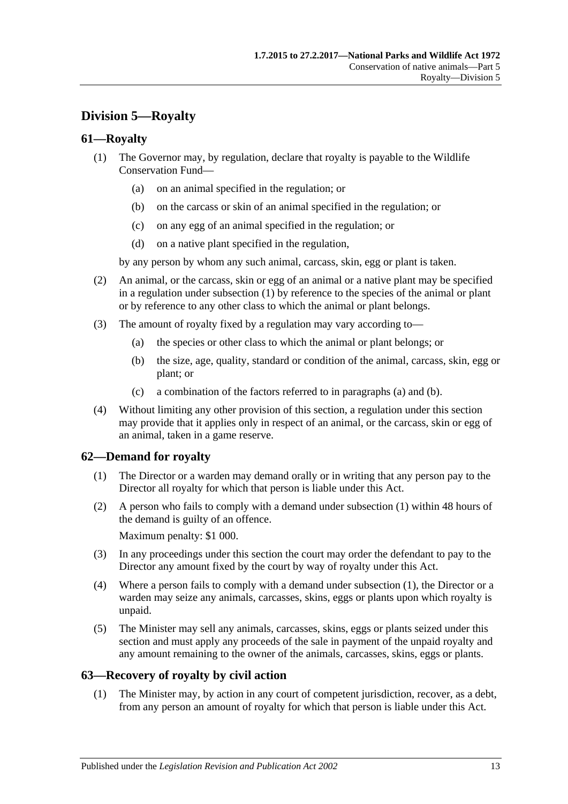# **Division 5—Royalty**

## <span id="page-62-0"></span>**61—Royalty**

- (1) The Governor may, by regulation, declare that royalty is payable to the Wildlife Conservation Fund—
	- (a) on an animal specified in the regulation; or
	- (b) on the carcass or skin of an animal specified in the regulation; or
	- (c) on any egg of an animal specified in the regulation; or
	- (d) on a native plant specified in the regulation,

by any person by whom any such animal, carcass, skin, egg or plant is taken.

- (2) An animal, or the carcass, skin or egg of an animal or a native plant may be specified in a regulation under [subsection](#page-62-0) (1) by reference to the species of the animal or plant or by reference to any other class to which the animal or plant belongs.
- <span id="page-62-2"></span><span id="page-62-1"></span>(3) The amount of royalty fixed by a regulation may vary according to—
	- (a) the species or other class to which the animal or plant belongs; or
	- (b) the size, age, quality, standard or condition of the animal, carcass, skin, egg or plant; or
	- (c) a combination of the factors referred to in [paragraphs](#page-62-1) (a) and [\(b\).](#page-62-2)
- (4) Without limiting any other provision of this section, a regulation under this section may provide that it applies only in respect of an animal, or the carcass, skin or egg of an animal, taken in a game reserve.

# <span id="page-62-3"></span>**62—Demand for royalty**

- (1) The Director or a warden may demand orally or in writing that any person pay to the Director all royalty for which that person is liable under this Act.
- (2) A person who fails to comply with a demand under [subsection](#page-62-3) (1) within 48 hours of the demand is guilty of an offence.

Maximum penalty: \$1 000.

- (3) In any proceedings under this section the court may order the defendant to pay to the Director any amount fixed by the court by way of royalty under this Act.
- (4) Where a person fails to comply with a demand under [subsection](#page-62-3) (1), the Director or a warden may seize any animals, carcasses, skins, eggs or plants upon which royalty is unpaid.
- (5) The Minister may sell any animals, carcasses, skins, eggs or plants seized under this section and must apply any proceeds of the sale in payment of the unpaid royalty and any amount remaining to the owner of the animals, carcasses, skins, eggs or plants.

### **63—Recovery of royalty by civil action**

(1) The Minister may, by action in any court of competent jurisdiction, recover, as a debt, from any person an amount of royalty for which that person is liable under this Act.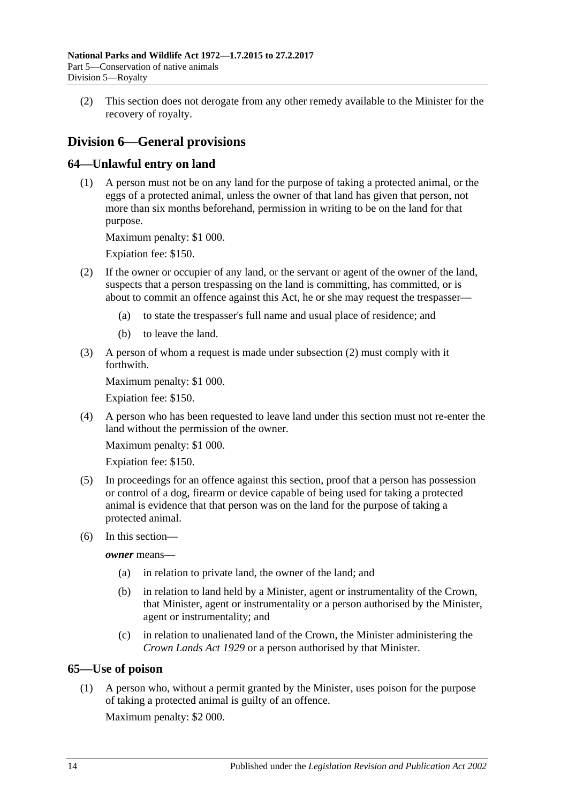(2) This section does not derogate from any other remedy available to the Minister for the recovery of royalty.

# **Division 6—General provisions**

# **64—Unlawful entry on land**

(1) A person must not be on any land for the purpose of taking a protected animal, or the eggs of a protected animal, unless the owner of that land has given that person, not more than six months beforehand, permission in writing to be on the land for that purpose.

Maximum penalty: \$1 000.

Expiation fee: \$150.

- <span id="page-63-0"></span>(2) If the owner or occupier of any land, or the servant or agent of the owner of the land, suspects that a person trespassing on the land is committing, has committed, or is about to commit an offence against this Act, he or she may request the trespasser—
	- (a) to state the trespasser's full name and usual place of residence; and
	- (b) to leave the land.
- (3) A person of whom a request is made under [subsection](#page-63-0) (2) must comply with it forthwith.

Maximum penalty: \$1 000.

Expiation fee: \$150.

(4) A person who has been requested to leave land under this section must not re-enter the land without the permission of the owner.

Maximum penalty: \$1 000.

Expiation fee: \$150.

- (5) In proceedings for an offence against this section, proof that a person has possession or control of a dog, firearm or device capable of being used for taking a protected animal is evidence that that person was on the land for the purpose of taking a protected animal.
- (6) In this section—

*owner* means—

- (a) in relation to private land, the owner of the land; and
- (b) in relation to land held by a Minister, agent or instrumentality of the Crown, that Minister, agent or instrumentality or a person authorised by the Minister, agent or instrumentality; and
- (c) in relation to unalienated land of the Crown, the Minister administering the *[Crown Lands Act](http://www.legislation.sa.gov.au/index.aspx?action=legref&type=act&legtitle=Crown%20Lands%20Act%201929) 1929* or a person authorised by that Minister.

# **65—Use of poison**

(1) A person who, without a permit granted by the Minister, uses poison for the purpose of taking a protected animal is guilty of an offence.

Maximum penalty: \$2 000.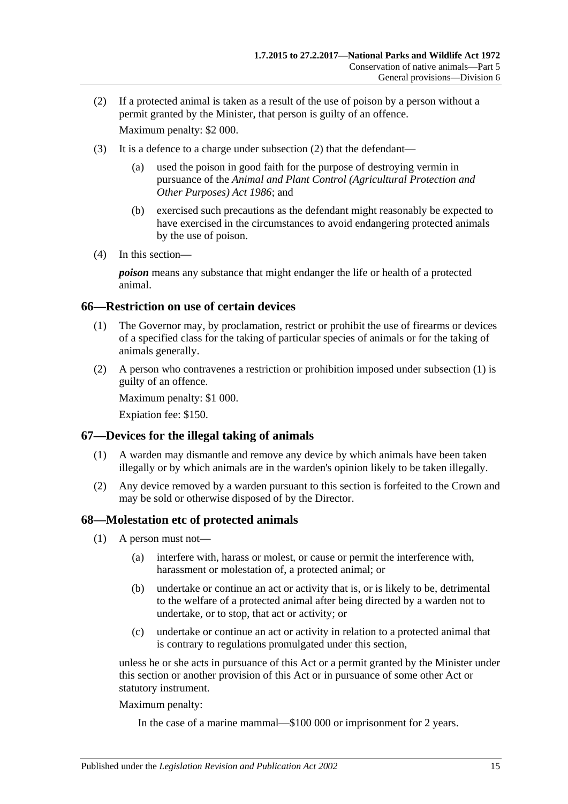- <span id="page-64-0"></span>(2) If a protected animal is taken as a result of the use of poison by a person without a permit granted by the Minister, that person is guilty of an offence. Maximum penalty: \$2 000.
- (3) It is a defence to a charge under [subsection](#page-64-0) (2) that the defendant—
	- (a) used the poison in good faith for the purpose of destroying vermin in pursuance of the *[Animal and Plant Control \(Agricultural Protection and](http://www.legislation.sa.gov.au/index.aspx?action=legref&type=act&legtitle=Animal%20and%20Plant%20Control%20(Agricultural%20Protection%20and%20Other%20Purposes)%20Act%201986)  [Other Purposes\) Act](http://www.legislation.sa.gov.au/index.aspx?action=legref&type=act&legtitle=Animal%20and%20Plant%20Control%20(Agricultural%20Protection%20and%20Other%20Purposes)%20Act%201986) 1986*; and
	- (b) exercised such precautions as the defendant might reasonably be expected to have exercised in the circumstances to avoid endangering protected animals by the use of poison.
- (4) In this section—

*poison* means any substance that might endanger the life or health of a protected animal.

### <span id="page-64-1"></span>**66—Restriction on use of certain devices**

- (1) The Governor may, by proclamation, restrict or prohibit the use of firearms or devices of a specified class for the taking of particular species of animals or for the taking of animals generally.
- (2) A person who contravenes a restriction or prohibition imposed under [subsection](#page-64-1) (1) is guilty of an offence.

Maximum penalty: \$1 000.

Expiation fee: \$150.

### **67—Devices for the illegal taking of animals**

- (1) A warden may dismantle and remove any device by which animals have been taken illegally or by which animals are in the warden's opinion likely to be taken illegally.
- (2) Any device removed by a warden pursuant to this section is forfeited to the Crown and may be sold or otherwise disposed of by the Director.

#### <span id="page-64-5"></span>**68—Molestation etc of protected animals**

- <span id="page-64-3"></span><span id="page-64-2"></span>(1) A person must not—
	- (a) interfere with, harass or molest, or cause or permit the interference with, harassment or molestation of, a protected animal; or
	- (b) undertake or continue an act or activity that is, or is likely to be, detrimental to the welfare of a protected animal after being directed by a warden not to undertake, or to stop, that act or activity; or
	- (c) undertake or continue an act or activity in relation to a protected animal that is contrary to regulations promulgated under this section,

<span id="page-64-4"></span>unless he or she acts in pursuance of this Act or a permit granted by the Minister under this section or another provision of this Act or in pursuance of some other Act or statutory instrument.

Maximum penalty:

In the case of a marine mammal—\$100 000 or imprisonment for 2 years.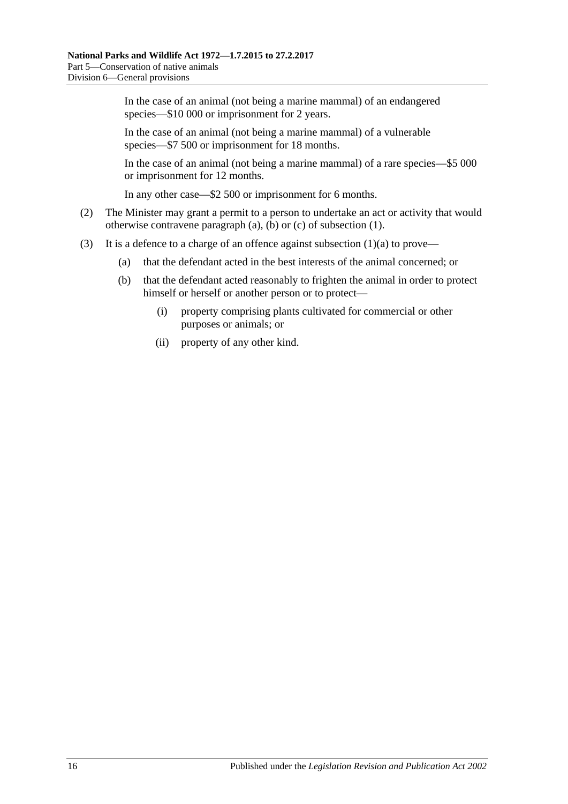In the case of an animal (not being a marine mammal) of an endangered species—\$10 000 or imprisonment for 2 years.

In the case of an animal (not being a marine mammal) of a vulnerable species—\$7 500 or imprisonment for 18 months.

In the case of an animal (not being a marine mammal) of a rare species—\$5 000 or imprisonment for 12 months.

In any other case—\$2 500 or imprisonment for 6 months.

- (2) The Minister may grant a permit to a person to undertake an act or activity that would otherwise contravene [paragraph](#page-64-2) (a), [\(b\)](#page-64-3) or [\(c\)](#page-64-4) of [subsection](#page-64-5) (1).
- (3) It is a defence to a charge of an offence against [subsection](#page-64-2)  $(1)(a)$  to prove—
	- (a) that the defendant acted in the best interests of the animal concerned; or
	- (b) that the defendant acted reasonably to frighten the animal in order to protect himself or herself or another person or to protect—
		- (i) property comprising plants cultivated for commercial or other purposes or animals; or
		- (ii) property of any other kind.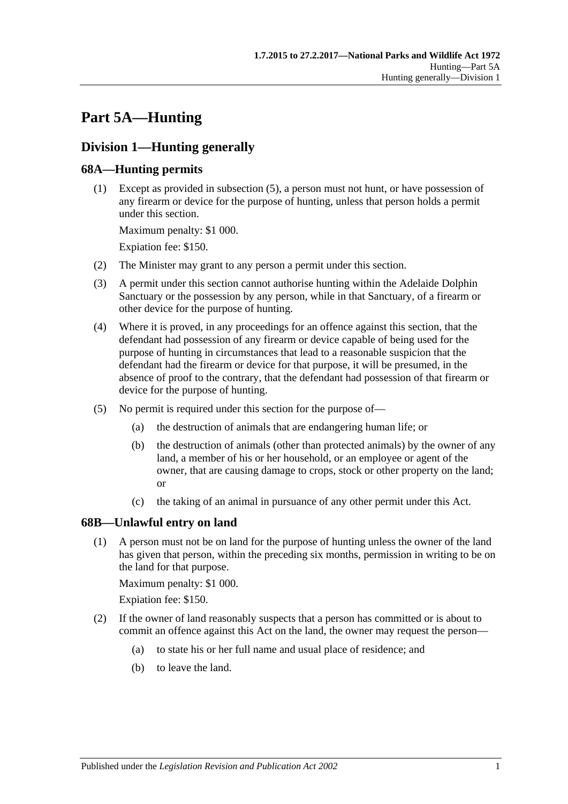# **Part 5A—Hunting**

# **Division 1—Hunting generally**

# <span id="page-66-3"></span>**68A—Hunting permits**

(1) Except as provided in [subsection](#page-66-0) (5), a person must not hunt, or have possession of any firearm or device for the purpose of hunting, unless that person holds a permit under this section.

Maximum penalty: \$1 000.

Expiation fee: \$150.

- (2) The Minister may grant to any person a permit under this section.
- (3) A permit under this section cannot authorise hunting within the Adelaide Dolphin Sanctuary or the possession by any person, while in that Sanctuary, of a firearm or other device for the purpose of hunting.
- (4) Where it is proved, in any proceedings for an offence against this section, that the defendant had possession of any firearm or device capable of being used for the purpose of hunting in circumstances that lead to a reasonable suspicion that the defendant had the firearm or device for that purpose, it will be presumed, in the absence of proof to the contrary, that the defendant had possession of that firearm or device for the purpose of hunting.
- <span id="page-66-0"></span>(5) No permit is required under this section for the purpose of—
	- (a) the destruction of animals that are endangering human life; or
	- (b) the destruction of animals (other than protected animals) by the owner of any land, a member of his or her household, or an employee or agent of the owner, that are causing damage to crops, stock or other property on the land; or
	- (c) the taking of an animal in pursuance of any other permit under this Act.

# <span id="page-66-2"></span>**68B—Unlawful entry on land**

(1) A person must not be on land for the purpose of hunting unless the owner of the land has given that person, within the preceding six months, permission in writing to be on the land for that purpose.

Maximum penalty: \$1 000.

Expiation fee: \$150.

- <span id="page-66-1"></span>(2) If the owner of land reasonably suspects that a person has committed or is about to commit an offence against this Act on the land, the owner may request the person—
	- (a) to state his or her full name and usual place of residence; and
	- (b) to leave the land.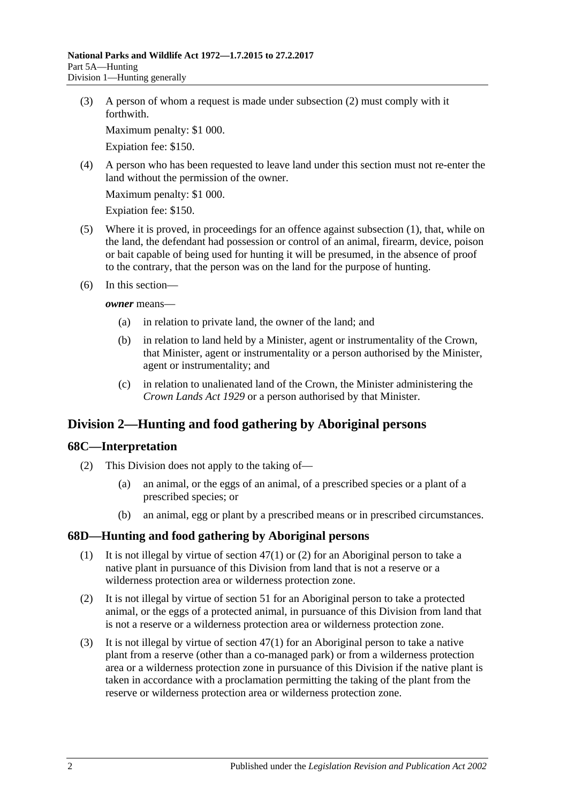(3) A person of whom a request is made under [subsection](#page-66-1) (2) must comply with it forthwith.

Maximum penalty: \$1 000.

Expiation fee: \$150.

(4) A person who has been requested to leave land under this section must not re-enter the land without the permission of the owner.

Maximum penalty: \$1 000.

Expiation fee: \$150.

- (5) Where it is proved, in proceedings for an offence against [subsection](#page-66-2) (1), that, while on the land, the defendant had possession or control of an animal, firearm, device, poison or bait capable of being used for hunting it will be presumed, in the absence of proof to the contrary, that the person was on the land for the purpose of hunting.
- (6) In this section—

*owner* means—

- (a) in relation to private land, the owner of the land; and
- (b) in relation to land held by a Minister, agent or instrumentality of the Crown, that Minister, agent or instrumentality or a person authorised by the Minister, agent or instrumentality; and
- (c) in relation to unalienated land of the Crown, the Minister administering the *[Crown Lands Act](http://www.legislation.sa.gov.au/index.aspx?action=legref&type=act&legtitle=Crown%20Lands%20Act%201929) 1929* or a person authorised by that Minister.

# **Division 2—Hunting and food gathering by Aboriginal persons**

### **68C—Interpretation**

- (2) This Division does not apply to the taking of—
	- (a) an animal, or the eggs of an animal, of a prescribed species or a plant of a prescribed species; or
	- (b) an animal, egg or plant by a prescribed means or in prescribed circumstances.

### **68D—Hunting and food gathering by Aboriginal persons**

- (1) It is not illegal by virtue of [section](#page-46-0) 47(1) or [\(2\)](#page-46-1) for an Aboriginal person to take a native plant in pursuance of this Division from land that is not a reserve or a wilderness protection area or wilderness protection zone.
- (2) It is not illegal by virtue of [section](#page-50-0) 51 for an Aboriginal person to take a protected animal, or the eggs of a protected animal, in pursuance of this Division from land that is not a reserve or a wilderness protection area or wilderness protection zone.
- <span id="page-67-0"></span>(3) It is not illegal by virtue of [section](#page-46-0) 47(1) for an Aboriginal person to take a native plant from a reserve (other than a co-managed park) or from a wilderness protection area or a wilderness protection zone in pursuance of this Division if the native plant is taken in accordance with a proclamation permitting the taking of the plant from the reserve or wilderness protection area or wilderness protection zone.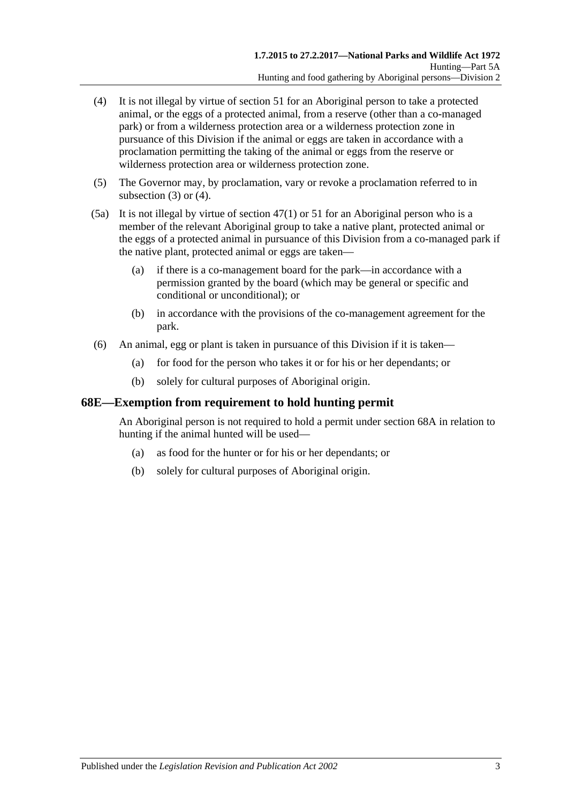- <span id="page-68-0"></span>(4) It is not illegal by virtue of [section](#page-50-0) 51 for an Aboriginal person to take a protected animal, or the eggs of a protected animal, from a reserve (other than a co-managed park) or from a wilderness protection area or a wilderness protection zone in pursuance of this Division if the animal or eggs are taken in accordance with a proclamation permitting the taking of the animal or eggs from the reserve or wilderness protection area or wilderness protection zone.
- (5) The Governor may, by proclamation, vary or revoke a proclamation referred to in [subsection](#page-67-0) (3) or [\(4\).](#page-68-0)
- (5a) It is not illegal by virtue of [section](#page-46-0) 47(1) or [51](#page-50-0) for an Aboriginal person who is a member of the relevant Aboriginal group to take a native plant, protected animal or the eggs of a protected animal in pursuance of this Division from a co-managed park if the native plant, protected animal or eggs are taken—
	- (a) if there is a co-management board for the park—in accordance with a permission granted by the board (which may be general or specific and conditional or unconditional); or
	- (b) in accordance with the provisions of the co-management agreement for the park.
- (6) An animal, egg or plant is taken in pursuance of this Division if it is taken—
	- (a) for food for the person who takes it or for his or her dependants; or
	- (b) solely for cultural purposes of Aboriginal origin.

### **68E—Exemption from requirement to hold hunting permit**

An Aboriginal person is not required to hold a permit under [section](#page-66-3) 68A in relation to hunting if the animal hunted will be used—

- (a) as food for the hunter or for his or her dependants; or
- (b) solely for cultural purposes of Aboriginal origin.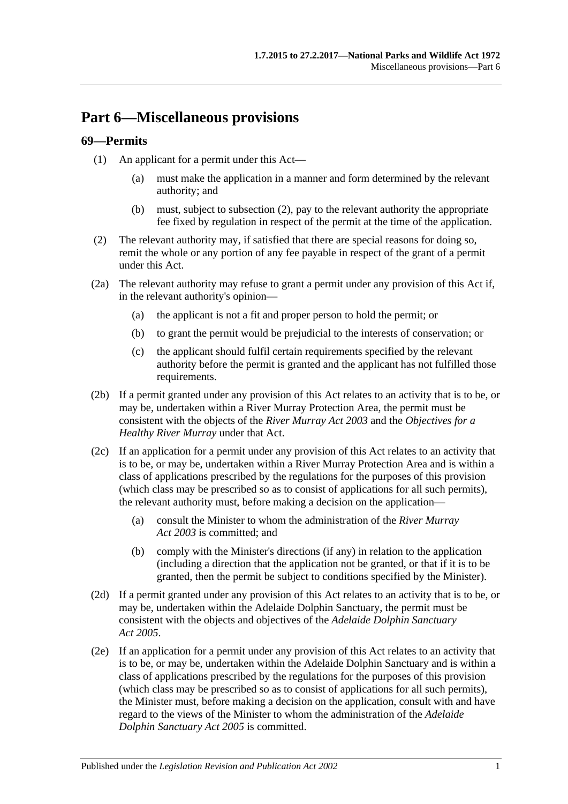# **Part 6—Miscellaneous provisions**

### <span id="page-70-0"></span>**69—Permits**

- (1) An applicant for a permit under this Act—
	- (a) must make the application in a manner and form determined by the relevant authority; and
	- (b) must, subject to [subsection](#page-70-1) (2), pay to the relevant authority the appropriate fee fixed by regulation in respect of the permit at the time of the application.
- <span id="page-70-1"></span>(2) The relevant authority may, if satisfied that there are special reasons for doing so, remit the whole or any portion of any fee payable in respect of the grant of a permit under this Act.
- (2a) The relevant authority may refuse to grant a permit under any provision of this Act if, in the relevant authority's opinion—
	- (a) the applicant is not a fit and proper person to hold the permit; or
	- (b) to grant the permit would be prejudicial to the interests of conservation; or
	- (c) the applicant should fulfil certain requirements specified by the relevant authority before the permit is granted and the applicant has not fulfilled those requirements.
- (2b) If a permit granted under any provision of this Act relates to an activity that is to be, or may be, undertaken within a River Murray Protection Area, the permit must be consistent with the objects of the *[River Murray Act](http://www.legislation.sa.gov.au/index.aspx?action=legref&type=act&legtitle=River%20Murray%20Act%202003) 2003* and the *Objectives for a Healthy River Murray* under that Act.
- (2c) If an application for a permit under any provision of this Act relates to an activity that is to be, or may be, undertaken within a River Murray Protection Area and is within a class of applications prescribed by the regulations for the purposes of this provision (which class may be prescribed so as to consist of applications for all such permits), the relevant authority must, before making a decision on the application—
	- (a) consult the Minister to whom the administration of the *[River Murray](http://www.legislation.sa.gov.au/index.aspx?action=legref&type=act&legtitle=River%20Murray%20Act%202003)  Act [2003](http://www.legislation.sa.gov.au/index.aspx?action=legref&type=act&legtitle=River%20Murray%20Act%202003)* is committed; and
	- (b) comply with the Minister's directions (if any) in relation to the application (including a direction that the application not be granted, or that if it is to be granted, then the permit be subject to conditions specified by the Minister).
- (2d) If a permit granted under any provision of this Act relates to an activity that is to be, or may be, undertaken within the Adelaide Dolphin Sanctuary, the permit must be consistent with the objects and objectives of the *[Adelaide Dolphin Sanctuary](http://www.legislation.sa.gov.au/index.aspx?action=legref&type=act&legtitle=Adelaide%20Dolphin%20Sanctuary%20Act%202005)  Act [2005](http://www.legislation.sa.gov.au/index.aspx?action=legref&type=act&legtitle=Adelaide%20Dolphin%20Sanctuary%20Act%202005)*.
- (2e) If an application for a permit under any provision of this Act relates to an activity that is to be, or may be, undertaken within the Adelaide Dolphin Sanctuary and is within a class of applications prescribed by the regulations for the purposes of this provision (which class may be prescribed so as to consist of applications for all such permits), the Minister must, before making a decision on the application, consult with and have regard to the views of the Minister to whom the administration of the *[Adelaide](http://www.legislation.sa.gov.au/index.aspx?action=legref&type=act&legtitle=Adelaide%20Dolphin%20Sanctuary%20Act%202005)  [Dolphin Sanctuary Act](http://www.legislation.sa.gov.au/index.aspx?action=legref&type=act&legtitle=Adelaide%20Dolphin%20Sanctuary%20Act%202005) 2005* is committed.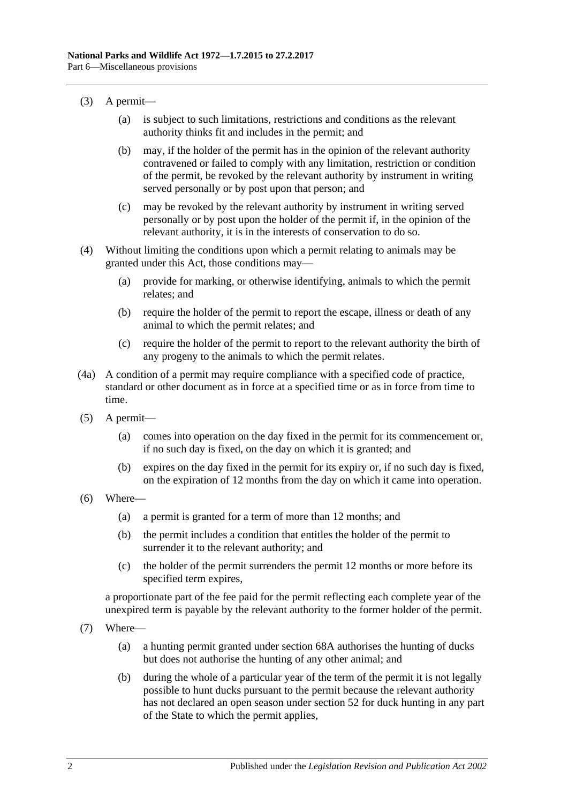- (3) A permit—
	- (a) is subject to such limitations, restrictions and conditions as the relevant authority thinks fit and includes in the permit; and
	- (b) may, if the holder of the permit has in the opinion of the relevant authority contravened or failed to comply with any limitation, restriction or condition of the permit, be revoked by the relevant authority by instrument in writing served personally or by post upon that person; and
	- (c) may be revoked by the relevant authority by instrument in writing served personally or by post upon the holder of the permit if, in the opinion of the relevant authority, it is in the interests of conservation to do so.
- (4) Without limiting the conditions upon which a permit relating to animals may be granted under this Act, those conditions may—
	- (a) provide for marking, or otherwise identifying, animals to which the permit relates; and
	- (b) require the holder of the permit to report the escape, illness or death of any animal to which the permit relates; and
	- (c) require the holder of the permit to report to the relevant authority the birth of any progeny to the animals to which the permit relates.
- (4a) A condition of a permit may require compliance with a specified code of practice, standard or other document as in force at a specified time or as in force from time to time.
- (5) A permit—
	- (a) comes into operation on the day fixed in the permit for its commencement or, if no such day is fixed, on the day on which it is granted; and
	- (b) expires on the day fixed in the permit for its expiry or, if no such day is fixed, on the expiration of 12 months from the day on which it came into operation.
- (6) Where—
	- (a) a permit is granted for a term of more than 12 months; and
	- (b) the permit includes a condition that entitles the holder of the permit to surrender it to the relevant authority; and
	- (c) the holder of the permit surrenders the permit 12 months or more before its specified term expires,

a proportionate part of the fee paid for the permit reflecting each complete year of the unexpired term is payable by the relevant authority to the former holder of the permit.

- (7) Where—
	- (a) a hunting permit granted under [section](#page-66-3) 68A authorises the hunting of ducks but does not authorise the hunting of any other animal; and
	- (b) during the whole of a particular year of the term of the permit it is not legally possible to hunt ducks pursuant to the permit because the relevant authority has not declared an open season under [section](#page-50-1) 52 for duck hunting in any part of the State to which the permit applies,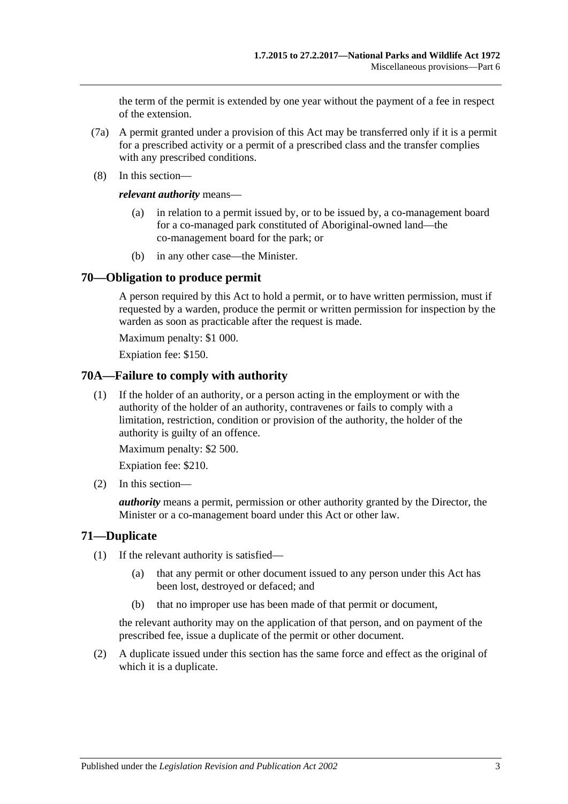the term of the permit is extended by one year without the payment of a fee in respect of the extension.

- (7a) A permit granted under a provision of this Act may be transferred only if it is a permit for a prescribed activity or a permit of a prescribed class and the transfer complies with any prescribed conditions.
- (8) In this section—

*relevant authority* means—

- (a) in relation to a permit issued by, or to be issued by, a co-management board for a co-managed park constituted of Aboriginal-owned land—the co-management board for the park; or
- (b) in any other case—the Minister.

# **70—Obligation to produce permit**

A person required by this Act to hold a permit, or to have written permission, must if requested by a warden, produce the permit or written permission for inspection by the warden as soon as practicable after the request is made.

Maximum penalty: \$1 000.

Expiation fee: \$150.

### **70A—Failure to comply with authority**

(1) If the holder of an authority, or a person acting in the employment or with the authority of the holder of an authority, contravenes or fails to comply with a limitation, restriction, condition or provision of the authority, the holder of the authority is guilty of an offence.

Maximum penalty: \$2 500.

Expiation fee: \$210.

(2) In this section—

*authority* means a permit, permission or other authority granted by the Director, the Minister or a co-management board under this Act or other law.

# **71—Duplicate**

- (1) If the relevant authority is satisfied—
	- (a) that any permit or other document issued to any person under this Act has been lost, destroyed or defaced; and
	- (b) that no improper use has been made of that permit or document,

the relevant authority may on the application of that person, and on payment of the prescribed fee, issue a duplicate of the permit or other document.

(2) A duplicate issued under this section has the same force and effect as the original of which it is a duplicate.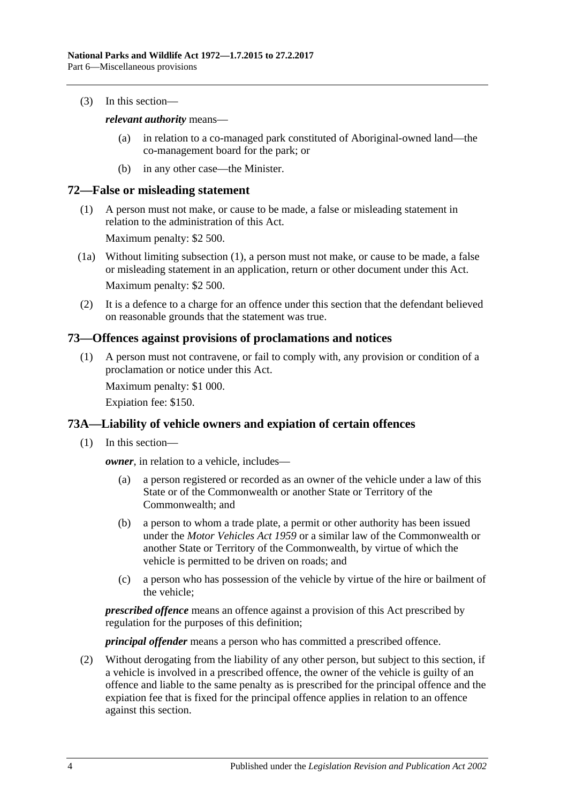(3) In this section—

### *relevant authority* means—

- (a) in relation to a co-managed park constituted of Aboriginal-owned land—the co-management board for the park; or
- (b) in any other case—the Minister.

# <span id="page-73-0"></span>**72—False or misleading statement**

(1) A person must not make, or cause to be made, a false or misleading statement in relation to the administration of this Act.

Maximum penalty: \$2 500.

- (1a) Without limiting [subsection](#page-73-0) (1), a person must not make, or cause to be made, a false or misleading statement in an application, return or other document under this Act. Maximum penalty: \$2 500.
- (2) It is a defence to a charge for an offence under this section that the defendant believed on reasonable grounds that the statement was true.

# **73—Offences against provisions of proclamations and notices**

(1) A person must not contravene, or fail to comply with, any provision or condition of a proclamation or notice under this Act.

Maximum penalty: \$1 000.

Expiation fee: \$150.

# **73A—Liability of vehicle owners and expiation of certain offences**

(1) In this section—

*owner*, in relation to a vehicle, includes—

- (a) a person registered or recorded as an owner of the vehicle under a law of this State or of the Commonwealth or another State or Territory of the Commonwealth; and
- (b) a person to whom a trade plate, a permit or other authority has been issued under the *[Motor Vehicles Act](http://www.legislation.sa.gov.au/index.aspx?action=legref&type=act&legtitle=Motor%20Vehicles%20Act%201959) 1959* or a similar law of the Commonwealth or another State or Territory of the Commonwealth, by virtue of which the vehicle is permitted to be driven on roads; and
- (c) a person who has possession of the vehicle by virtue of the hire or bailment of the vehicle;

*prescribed offence* means an offence against a provision of this Act prescribed by regulation for the purposes of this definition;

*principal offender* means a person who has committed a prescribed offence.

<span id="page-73-1"></span>(2) Without derogating from the liability of any other person, but subject to this section, if a vehicle is involved in a prescribed offence, the owner of the vehicle is guilty of an offence and liable to the same penalty as is prescribed for the principal offence and the expiation fee that is fixed for the principal offence applies in relation to an offence against this section.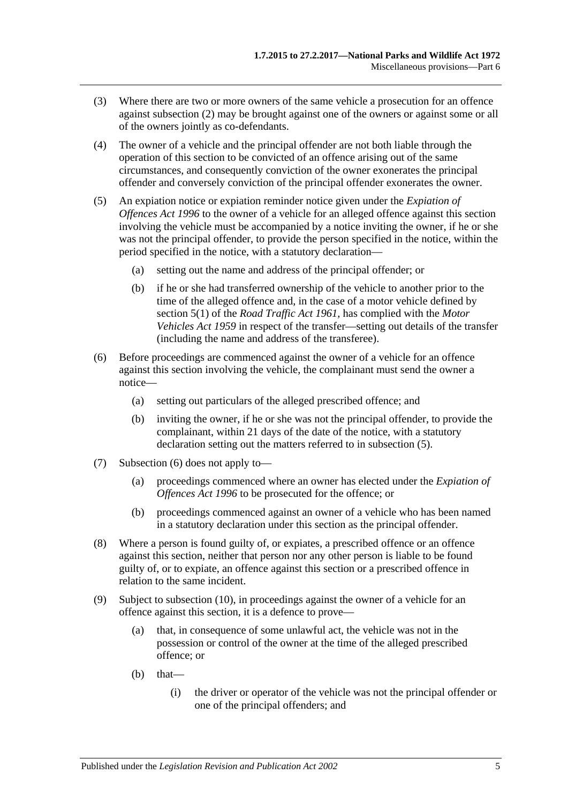- (3) Where there are two or more owners of the same vehicle a prosecution for an offence against [subsection](#page-73-1) (2) may be brought against one of the owners or against some or all of the owners jointly as co-defendants.
- (4) The owner of a vehicle and the principal offender are not both liable through the operation of this section to be convicted of an offence arising out of the same circumstances, and consequently conviction of the owner exonerates the principal offender and conversely conviction of the principal offender exonerates the owner.
- <span id="page-74-0"></span>(5) An expiation notice or expiation reminder notice given under the *[Expiation of](http://www.legislation.sa.gov.au/index.aspx?action=legref&type=act&legtitle=Expiation%20of%20Offences%20Act%201996)  [Offences Act](http://www.legislation.sa.gov.au/index.aspx?action=legref&type=act&legtitle=Expiation%20of%20Offences%20Act%201996) 1996* to the owner of a vehicle for an alleged offence against this section involving the vehicle must be accompanied by a notice inviting the owner, if he or she was not the principal offender, to provide the person specified in the notice, within the period specified in the notice, with a statutory declaration—
	- (a) setting out the name and address of the principal offender; or
	- (b) if he or she had transferred ownership of the vehicle to another prior to the time of the alleged offence and, in the case of a motor vehicle defined by section 5(1) of the *[Road Traffic Act](http://www.legislation.sa.gov.au/index.aspx?action=legref&type=act&legtitle=Road%20Traffic%20Act%201961) 1961*, has complied with the *[Motor](http://www.legislation.sa.gov.au/index.aspx?action=legref&type=act&legtitle=Motor%20Vehicles%20Act%201959)  [Vehicles Act](http://www.legislation.sa.gov.au/index.aspx?action=legref&type=act&legtitle=Motor%20Vehicles%20Act%201959) 1959* in respect of the transfer—setting out details of the transfer (including the name and address of the transferee).
- <span id="page-74-1"></span>(6) Before proceedings are commenced against the owner of a vehicle for an offence against this section involving the vehicle, the complainant must send the owner a notice—
	- (a) setting out particulars of the alleged prescribed offence; and
	- (b) inviting the owner, if he or she was not the principal offender, to provide the complainant, within 21 days of the date of the notice, with a statutory declaration setting out the matters referred to in [subsection](#page-74-0) (5).
- (7) [Subsection](#page-74-1) (6) does not apply to—
	- (a) proceedings commenced where an owner has elected under the *[Expiation of](http://www.legislation.sa.gov.au/index.aspx?action=legref&type=act&legtitle=Expiation%20of%20Offences%20Act%201996)  [Offences Act](http://www.legislation.sa.gov.au/index.aspx?action=legref&type=act&legtitle=Expiation%20of%20Offences%20Act%201996) 1996* to be prosecuted for the offence; or
	- (b) proceedings commenced against an owner of a vehicle who has been named in a statutory declaration under this section as the principal offender.
- (8) Where a person is found guilty of, or expiates, a prescribed offence or an offence against this section, neither that person nor any other person is liable to be found guilty of, or to expiate, an offence against this section or a prescribed offence in relation to the same incident.
- (9) Subject to [subsection](#page-75-0) (10), in proceedings against the owner of a vehicle for an offence against this section, it is a defence to prove—
	- (a) that, in consequence of some unlawful act, the vehicle was not in the possession or control of the owner at the time of the alleged prescribed offence; or
	- $(b)$  that—
		- (i) the driver or operator of the vehicle was not the principal offender or one of the principal offenders; and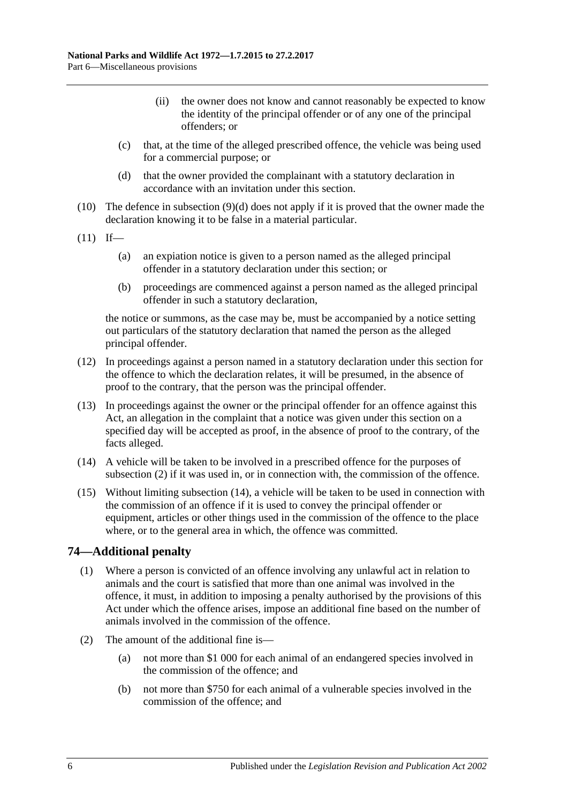- (ii) the owner does not know and cannot reasonably be expected to know the identity of the principal offender or of any one of the principal offenders; or
- (c) that, at the time of the alleged prescribed offence, the vehicle was being used for a commercial purpose; or
- (d) that the owner provided the complainant with a statutory declaration in accordance with an invitation under this section.
- <span id="page-75-1"></span><span id="page-75-0"></span>(10) The defence in [subsection](#page-75-1) (9)(d) does not apply if it is proved that the owner made the declaration knowing it to be false in a material particular.
- $(11)$  If—
	- (a) an expiation notice is given to a person named as the alleged principal offender in a statutory declaration under this section; or
	- (b) proceedings are commenced against a person named as the alleged principal offender in such a statutory declaration,

the notice or summons, as the case may be, must be accompanied by a notice setting out particulars of the statutory declaration that named the person as the alleged principal offender.

- (12) In proceedings against a person named in a statutory declaration under this section for the offence to which the declaration relates, it will be presumed, in the absence of proof to the contrary, that the person was the principal offender.
- (13) In proceedings against the owner or the principal offender for an offence against this Act, an allegation in the complaint that a notice was given under this section on a specified day will be accepted as proof, in the absence of proof to the contrary, of the facts alleged.
- <span id="page-75-2"></span>(14) A vehicle will be taken to be involved in a prescribed offence for the purposes of [subsection](#page-73-1) (2) if it was used in, or in connection with, the commission of the offence.
- (15) Without limiting [subsection](#page-75-2) (14), a vehicle will be taken to be used in connection with the commission of an offence if it is used to convey the principal offender or equipment, articles or other things used in the commission of the offence to the place where, or to the general area in which, the offence was committed.

# **74—Additional penalty**

- (1) Where a person is convicted of an offence involving any unlawful act in relation to animals and the court is satisfied that more than one animal was involved in the offence, it must, in addition to imposing a penalty authorised by the provisions of this Act under which the offence arises, impose an additional fine based on the number of animals involved in the commission of the offence.
- <span id="page-75-4"></span><span id="page-75-3"></span>(2) The amount of the additional fine is—
	- (a) not more than \$1 000 for each animal of an endangered species involved in the commission of the offence; and
	- (b) not more than \$750 for each animal of a vulnerable species involved in the commission of the offence; and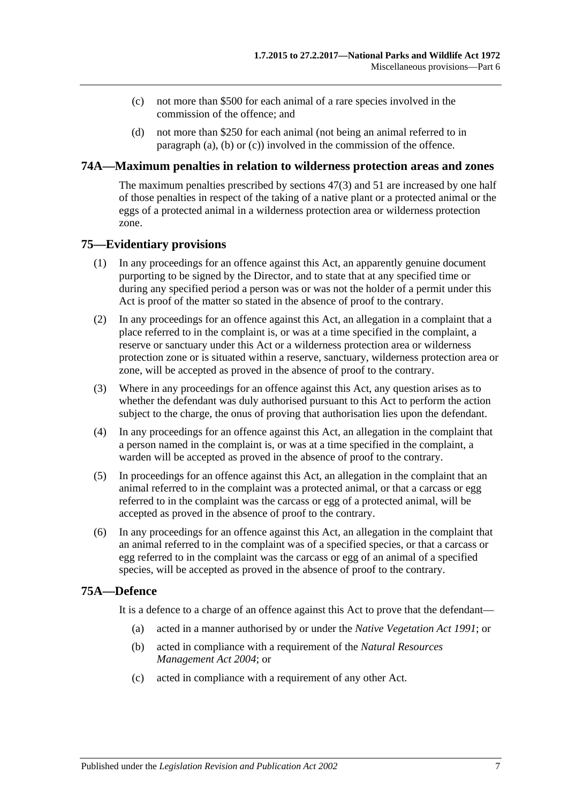- <span id="page-76-0"></span>(c) not more than \$500 for each animal of a rare species involved in the commission of the offence; and
- (d) not more than \$250 for each animal (not being an animal referred to in [paragraph](#page-75-3) (a), [\(b\)](#page-75-4) or [\(c\)\)](#page-76-0) involved in the commission of the offence.

### **74A—Maximum penalties in relation to wilderness protection areas and zones**

The maximum penalties prescribed by [sections](#page-46-0) 47(3) and [51](#page-50-0) are increased by one half of those penalties in respect of the taking of a native plant or a protected animal or the eggs of a protected animal in a wilderness protection area or wilderness protection zone.

# **75—Evidentiary provisions**

- (1) In any proceedings for an offence against this Act, an apparently genuine document purporting to be signed by the Director, and to state that at any specified time or during any specified period a person was or was not the holder of a permit under this Act is proof of the matter so stated in the absence of proof to the contrary.
- (2) In any proceedings for an offence against this Act, an allegation in a complaint that a place referred to in the complaint is, or was at a time specified in the complaint, a reserve or sanctuary under this Act or a wilderness protection area or wilderness protection zone or is situated within a reserve, sanctuary, wilderness protection area or zone, will be accepted as proved in the absence of proof to the contrary.
- (3) Where in any proceedings for an offence against this Act, any question arises as to whether the defendant was duly authorised pursuant to this Act to perform the action subject to the charge, the onus of proving that authorisation lies upon the defendant.
- (4) In any proceedings for an offence against this Act, an allegation in the complaint that a person named in the complaint is, or was at a time specified in the complaint, a warden will be accepted as proved in the absence of proof to the contrary.
- (5) In proceedings for an offence against this Act, an allegation in the complaint that an animal referred to in the complaint was a protected animal, or that a carcass or egg referred to in the complaint was the carcass or egg of a protected animal, will be accepted as proved in the absence of proof to the contrary.
- (6) In any proceedings for an offence against this Act, an allegation in the complaint that an animal referred to in the complaint was of a specified species, or that a carcass or egg referred to in the complaint was the carcass or egg of an animal of a specified species, will be accepted as proved in the absence of proof to the contrary.

# **75A—Defence**

It is a defence to a charge of an offence against this Act to prove that the defendant—

- (a) acted in a manner authorised by or under the *[Native Vegetation Act](http://www.legislation.sa.gov.au/index.aspx?action=legref&type=act&legtitle=Native%20Vegetation%20Act%201991) 1991*; or
- (b) acted in compliance with a requirement of the *[Natural Resources](http://www.legislation.sa.gov.au/index.aspx?action=legref&type=act&legtitle=Natural%20Resources%20Management%20Act%202004)  [Management Act](http://www.legislation.sa.gov.au/index.aspx?action=legref&type=act&legtitle=Natural%20Resources%20Management%20Act%202004) 2004*; or
- (c) acted in compliance with a requirement of any other Act.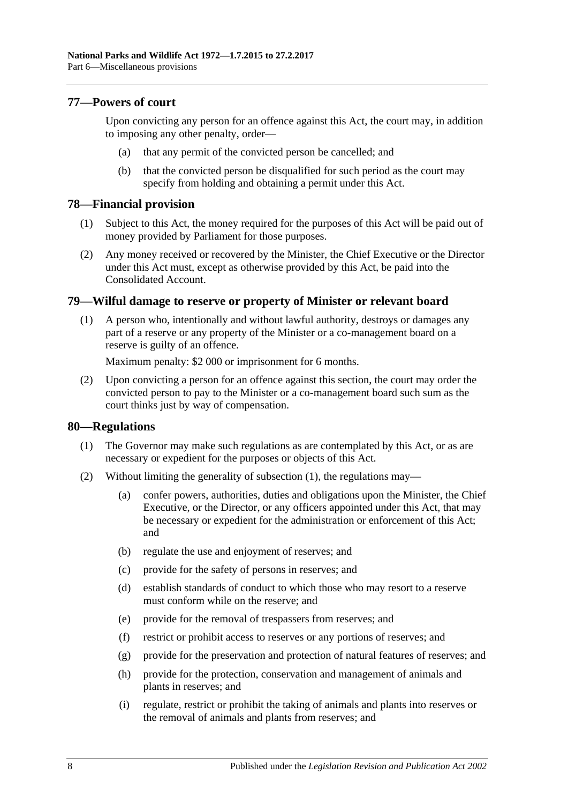# **77—Powers of court**

Upon convicting any person for an offence against this Act, the court may, in addition to imposing any other penalty, order—

- (a) that any permit of the convicted person be cancelled; and
- (b) that the convicted person be disqualified for such period as the court may specify from holding and obtaining a permit under this Act.

# **78—Financial provision**

- (1) Subject to this Act, the money required for the purposes of this Act will be paid out of money provided by Parliament for those purposes.
- (2) Any money received or recovered by the Minister, the Chief Executive or the Director under this Act must, except as otherwise provided by this Act, be paid into the Consolidated Account.

# **79—Wilful damage to reserve or property of Minister or relevant board**

(1) A person who, intentionally and without lawful authority, destroys or damages any part of a reserve or any property of the Minister or a co-management board on a reserve is guilty of an offence.

Maximum penalty: \$2 000 or imprisonment for 6 months.

(2) Upon convicting a person for an offence against this section, the court may order the convicted person to pay to the Minister or a co-management board such sum as the court thinks just by way of compensation.

### <span id="page-77-0"></span>**80—Regulations**

- (1) The Governor may make such regulations as are contemplated by this Act, or as are necessary or expedient for the purposes or objects of this Act.
- (2) Without limiting the generality of [subsection](#page-77-0) (1), the regulations may—
	- (a) confer powers, authorities, duties and obligations upon the Minister, the Chief Executive, or the Director, or any officers appointed under this Act, that may be necessary or expedient for the administration or enforcement of this Act; and
	- (b) regulate the use and enjoyment of reserves; and
	- (c) provide for the safety of persons in reserves; and
	- (d) establish standards of conduct to which those who may resort to a reserve must conform while on the reserve; and
	- (e) provide for the removal of trespassers from reserves; and
	- (f) restrict or prohibit access to reserves or any portions of reserves; and
	- (g) provide for the preservation and protection of natural features of reserves; and
	- (h) provide for the protection, conservation and management of animals and plants in reserves; and
	- (i) regulate, restrict or prohibit the taking of animals and plants into reserves or the removal of animals and plants from reserves; and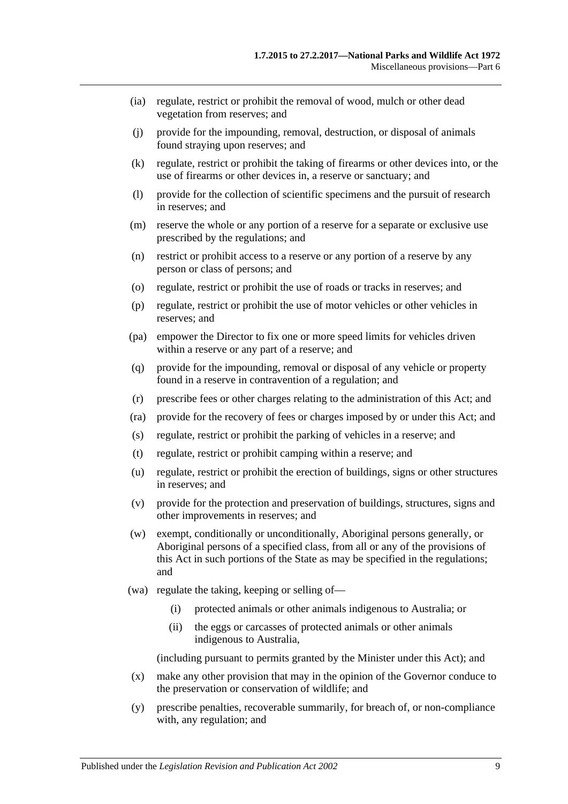- (ia) regulate, restrict or prohibit the removal of wood, mulch or other dead vegetation from reserves; and
- (j) provide for the impounding, removal, destruction, or disposal of animals found straying upon reserves; and
- (k) regulate, restrict or prohibit the taking of firearms or other devices into, or the use of firearms or other devices in, a reserve or sanctuary; and
- (l) provide for the collection of scientific specimens and the pursuit of research in reserves; and
- (m) reserve the whole or any portion of a reserve for a separate or exclusive use prescribed by the regulations; and
- (n) restrict or prohibit access to a reserve or any portion of a reserve by any person or class of persons; and
- (o) regulate, restrict or prohibit the use of roads or tracks in reserves; and
- (p) regulate, restrict or prohibit the use of motor vehicles or other vehicles in reserves; and
- (pa) empower the Director to fix one or more speed limits for vehicles driven within a reserve or any part of a reserve; and
- (q) provide for the impounding, removal or disposal of any vehicle or property found in a reserve in contravention of a regulation; and
- (r) prescribe fees or other charges relating to the administration of this Act; and
- (ra) provide for the recovery of fees or charges imposed by or under this Act; and
- (s) regulate, restrict or prohibit the parking of vehicles in a reserve; and
- (t) regulate, restrict or prohibit camping within a reserve; and
- (u) regulate, restrict or prohibit the erection of buildings, signs or other structures in reserves; and
- (v) provide for the protection and preservation of buildings, structures, signs and other improvements in reserves; and
- (w) exempt, conditionally or unconditionally, Aboriginal persons generally, or Aboriginal persons of a specified class, from all or any of the provisions of this Act in such portions of the State as may be specified in the regulations; and
- (wa) regulate the taking, keeping or selling of—
	- (i) protected animals or other animals indigenous to Australia; or
	- (ii) the eggs or carcasses of protected animals or other animals indigenous to Australia,

(including pursuant to permits granted by the Minister under this Act); and

- (x) make any other provision that may in the opinion of the Governor conduce to the preservation or conservation of wildlife; and
- (y) prescribe penalties, recoverable summarily, for breach of, or non-compliance with, any regulation; and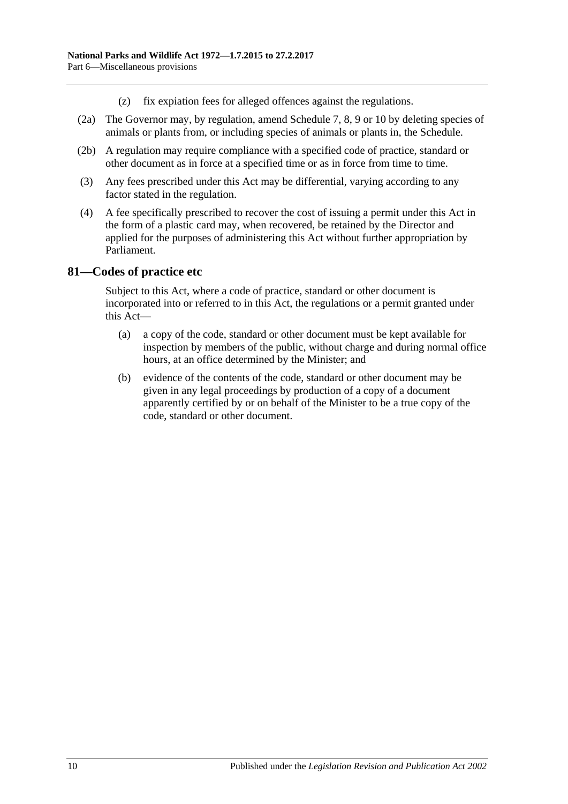- (z) fix expiation fees for alleged offences against the regulations.
- (2a) The Governor may, by regulation, amend [Schedule 7,](#page-87-0) [8,](#page-99-0) [9](#page-112-0) or [10](#page-135-0) by deleting species of animals or plants from, or including species of animals or plants in, the Schedule.
- (2b) A regulation may require compliance with a specified code of practice, standard or other document as in force at a specified time or as in force from time to time.
- (3) Any fees prescribed under this Act may be differential, varying according to any factor stated in the regulation.
- (4) A fee specifically prescribed to recover the cost of issuing a permit under this Act in the form of a plastic card may, when recovered, be retained by the Director and applied for the purposes of administering this Act without further appropriation by Parliament.

# **81—Codes of practice etc**

Subject to this Act, where a code of practice, standard or other document is incorporated into or referred to in this Act, the regulations or a permit granted under this Act—

- (a) a copy of the code, standard or other document must be kept available for inspection by members of the public, without charge and during normal office hours, at an office determined by the Minister; and
- (b) evidence of the contents of the code, standard or other document may be given in any legal proceedings by production of a copy of a document apparently certified by or on behalf of the Minister to be a true copy of the code, standard or other document.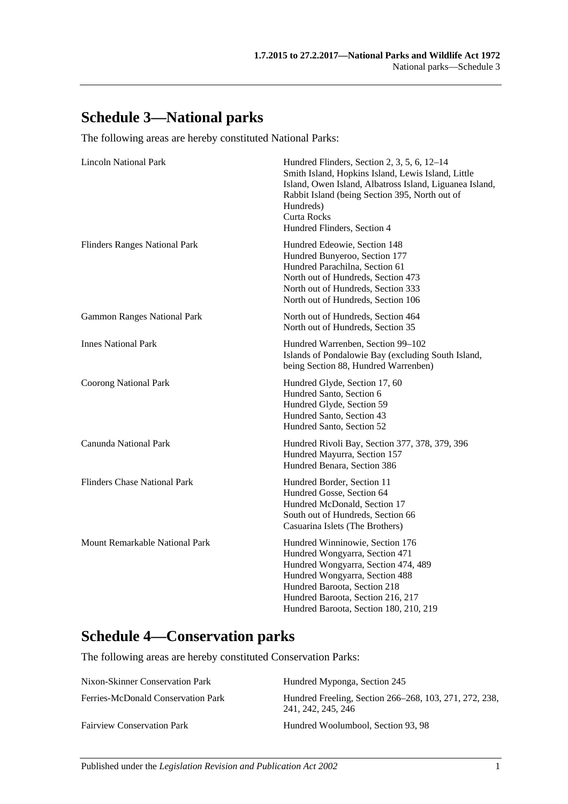# **Schedule 3—National parks**

The following areas are hereby constituted National Parks:

| <b>Lincoln National Park</b>         | Hundred Flinders, Section 2, 3, 5, 6, 12–14<br>Smith Island, Hopkins Island, Lewis Island, Little<br>Island, Owen Island, Albatross Island, Liguanea Island,<br>Rabbit Island (being Section 395, North out of<br>Hundreds)<br>Curta Rocks<br>Hundred Flinders, Section 4 |
|--------------------------------------|---------------------------------------------------------------------------------------------------------------------------------------------------------------------------------------------------------------------------------------------------------------------------|
| <b>Flinders Ranges National Park</b> | Hundred Edeowie, Section 148<br>Hundred Bunyeroo, Section 177<br>Hundred Parachilna, Section 61<br>North out of Hundreds, Section 473<br>North out of Hundreds, Section 333<br>North out of Hundreds, Section 106                                                         |
| <b>Gammon Ranges National Park</b>   | North out of Hundreds, Section 464<br>North out of Hundreds, Section 35                                                                                                                                                                                                   |
| <b>Innes National Park</b>           | Hundred Warrenben, Section 99-102<br>Islands of Pondalowie Bay (excluding South Island,<br>being Section 88, Hundred Warrenben)                                                                                                                                           |
| <b>Coorong National Park</b>         | Hundred Glyde, Section 17, 60<br>Hundred Santo, Section 6<br>Hundred Glyde, Section 59<br>Hundred Santo, Section 43<br>Hundred Santo, Section 52                                                                                                                          |
| <b>Canunda National Park</b>         | Hundred Rivoli Bay, Section 377, 378, 379, 396<br>Hundred Mayurra, Section 157<br>Hundred Benara, Section 386                                                                                                                                                             |
| <b>Flinders Chase National Park</b>  | Hundred Border, Section 11<br>Hundred Gosse, Section 64<br>Hundred McDonald, Section 17<br>South out of Hundreds, Section 66<br>Casuarina Islets (The Brothers)                                                                                                           |
| Mount Remarkable National Park       | Hundred Winninowie, Section 176<br>Hundred Wongyarra, Section 471<br>Hundred Wongyarra, Section 474, 489<br>Hundred Wongyarra, Section 488<br>Hundred Baroota, Section 218<br>Hundred Baroota, Section 216, 217<br>Hundred Baroota, Section 180, 210, 219                 |

# **Schedule 4—Conservation parks**

The following areas are hereby constituted Conservation Parks:

| Nixon-Skinner Conservation Park    | Hundred Myponga, Section 245                                                 |
|------------------------------------|------------------------------------------------------------------------------|
| Ferries-McDonald Conservation Park | Hundred Freeling, Section 266–268, 103, 271, 272, 238,<br>241, 242, 245, 246 |
| <b>Fairview Conservation Park</b>  | Hundred Woolumbool, Section 93, 98                                           |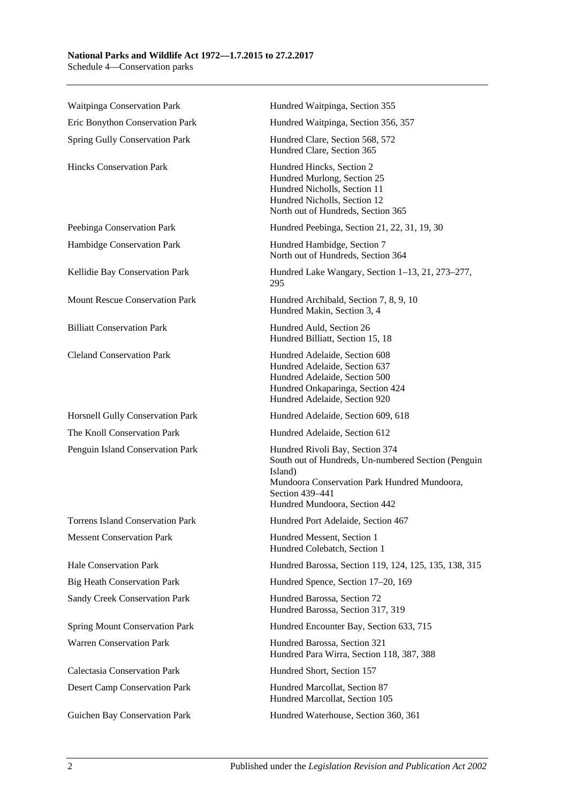#### **National Parks and Wildlife Act 1972—1.7.2015 to 27.2.2017** Schedule 4—Conservation parks

Waitpinga Conservation Park **Hundred Waitpinga, Section 355** Eric Bonython Conservation Park Hundred Waitpinga, Section 356, 357 Spring Gully Conservation Park Hundred Clare, Section 568, 572 Hundred Clare, Section 365 Hincks Conservation Park Hundred Hincks, Section 2 Hundred Murlong, Section 25 Hundred Nicholls, Section 11 Hundred Nicholls, Section 12 North out of Hundreds, Section 365 Peebinga Conservation Park Hundred Peebinga, Section 21, 22, 31, 19, 30 Hambidge Conservation Park Hundred Hambidge, Section 7 North out of Hundreds, Section 364 Kellidie Bay Conservation Park Hundred Lake Wangary, Section 1–13, 21, 273–277, 295 Mount Rescue Conservation Park Hundred Archibald, Section 7, 8, 9, 10 Hundred Makin, Section 3, 4 Billiatt Conservation Park Hundred Auld, Section 26 Hundred Billiatt, Section 15, 18 Cleland Conservation Park Hundred Adelaide, Section 608 Hundred Adelaide, Section 637 Hundred Adelaide, Section 500 Hundred Onkaparinga, Section 424 Hundred Adelaide, Section 920 Horsnell Gully Conservation Park Hundred Adelaide, Section 609, 618 The Knoll Conservation Park Hundred Adelaide, Section 612 Penguin Island Conservation Park Hundred Rivoli Bay, Section 374 South out of Hundreds, Un-numbered Section (Penguin Island) Mundoora Conservation Park Hundred Mundoora, Section 439–441 Hundred Mundoora, Section 442 Torrens Island Conservation Park Hundred Port Adelaide, Section 467 Messent Conservation Park Hundred Messent, Section 1 Hundred Colebatch, Section 1 Hale Conservation Park Hundred Barossa, Section 119, 124, 125, 135, 138, 315 Big Heath Conservation Park Hundred Spence, Section 17–20, 169 Sandy Creek Conservation Park Hundred Barossa, Section 72 Hundred Barossa, Section 317, 319 Spring Mount Conservation Park Hundred Encounter Bay, Section 633, 715 Warren Conservation Park Hundred Barossa, Section 321 Hundred Para Wirra, Section 118, 387, 388 Calectasia Conservation Park Hundred Short, Section 157 Desert Camp Conservation Park Hundred Marcollat, Section 87 Hundred Marcollat, Section 105 Guichen Bay Conservation Park Hundred Waterhouse, Section 360, 361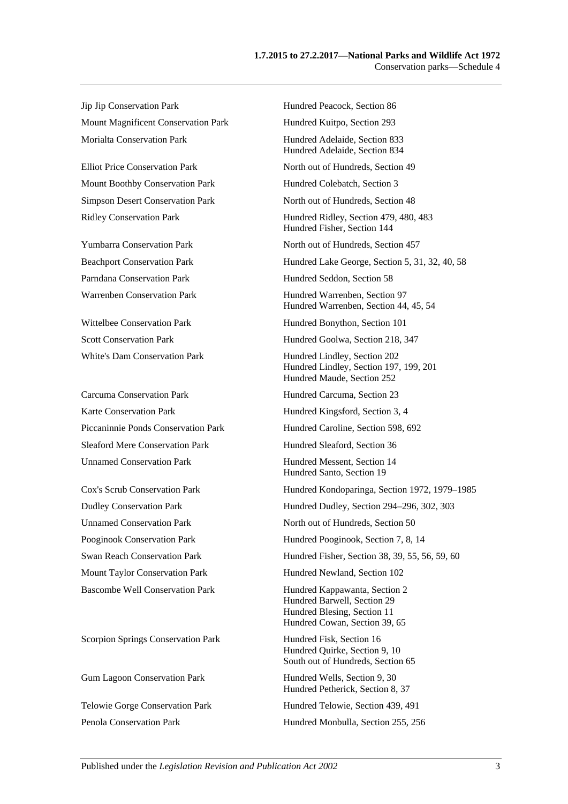Jip Jip Conservation Park Hundred Peacock, Section 86 Mount Magnificent Conservation Park Hundred Kuitpo, Section 293 Morialta Conservation Park Hundred Adelaide, Section 833

Mount Boothby Conservation Park Hundred Colebatch, Section 3

Carcuma Conservation Park Hundred Carcuma, Section 23 Karte Conservation Park Hundred Kingsford, Section 3, 4 Sleaford Mere Conservation Park Hundred Sleaford, Section 36 Unnamed Conservation Park Hundred Messent, Section 14

Scorpion Springs Conservation Park Hundred Fisk, Section 16

Hundred Adelaide, Section 834 Elliot Price Conservation Park North out of Hundreds, Section 49 Simpson Desert Conservation Park North out of Hundreds, Section 48 Ridley Conservation Park Hundred Ridley, Section 479, 480, 483 Hundred Fisher, Section 144 Yumbarra Conservation Park North out of Hundreds, Section 457 Beachport Conservation Park Hundred Lake George, Section 5, 31, 32, 40, 58 Parndana Conservation Park Hundred Seddon, Section 58 Warrenben Conservation Park Hundred Warrenben, Section 97 Hundred Warrenben, Section 44, 45, 54 Wittelbee Conservation Park Hundred Bonython, Section 101 Scott Conservation Park Hundred Goolwa, Section 218, 347 White's Dam Conservation Park Hundred Lindley, Section 202 Hundred Lindley, Section 197, 199, 201 Hundred Maude, Section 252 Piccaninnie Ponds Conservation Park Hundred Caroline, Section 598, 692 Hundred Santo, Section 19 Cox's Scrub Conservation Park Hundred Kondoparinga, Section 1972, 1979–1985 Dudley Conservation Park Hundred Dudley, Section 294–296, 302, 303 Unnamed Conservation Park North out of Hundreds, Section 50 Pooginook Conservation Park Hundred Pooginook, Section 7, 8, 14 Swan Reach Conservation Park Hundred Fisher, Section 38, 39, 55, 56, 59, 60 Mount Taylor Conservation Park Hundred Newland, Section 102 Bascombe Well Conservation Park Hundred Kappawanta, Section 2 Hundred Barwell, Section 29 Hundred Blesing, Section 11 Hundred Cowan, Section 39, 65 Hundred Quirke, Section 9, 10 South out of Hundreds, Section 65 Gum Lagoon Conservation Park Hundred Wells, Section 9, 30 Hundred Petherick, Section 8, 37 Telowie Gorge Conservation Park Hundred Telowie, Section 439, 491 Penola Conservation Park Hundred Monbulla, Section 255, 256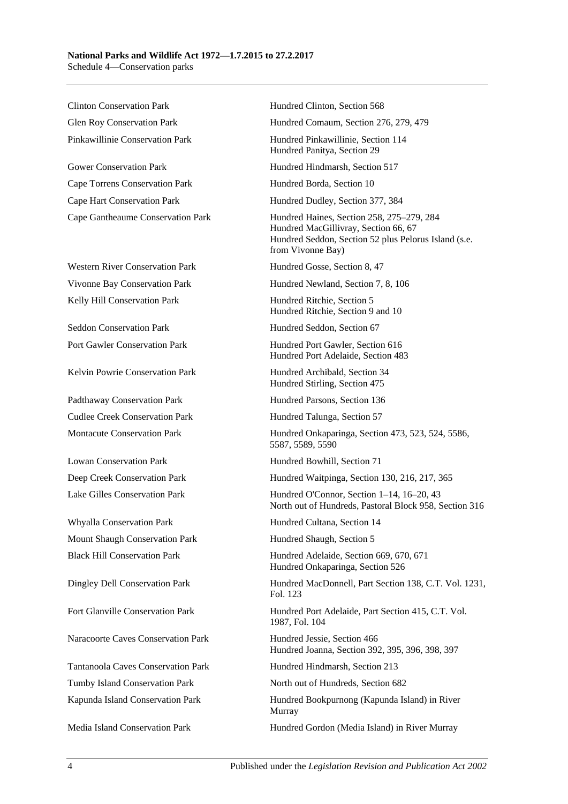Clinton Conservation Park Hundred Clinton, Section 568

Gower Conservation Park Hundred Hindmarsh, Section 517 Cape Torrens Conservation Park Hundred Borda, Section 10 Cape Hart Conservation Park Hundred Dudley, Section 377, 384

Western River Conservation Park Hundred Gosse, Section 8, 47 Kelly Hill Conservation Park **Hundred Ritchie, Section 5** 

Seddon Conservation Park Hundred Seddon, Section 67

Kelvin Powrie Conservation Park Hundred Archibald, Section 34

Padthaway Conservation Park Hundred Parsons, Section 136 Cudlee Creek Conservation Park Hundred Talunga, Section 57

Whyalla Conservation Park Hundred Cultana, Section 14 Mount Shaugh Conservation Park Hundred Shaugh, Section 5

Naracoorte Caves Conservation Park Hundred Jessie, Section 466

Tumby Island Conservation Park North out of Hundreds, Section 682

Glen Roy Conservation Park Hundred Comaum, Section 276, 279, 479

Pinkawillinie Conservation Park Hundred Pinkawillinie, Section 114 Hundred Panitya, Section 29

Cape Gantheaume Conservation Park Hundred Haines, Section 258, 275–279, 284 Hundred MacGillivray, Section 66, 67 Hundred Seddon, Section 52 plus Pelorus Island (s.e. from Vivonne Bay)

Vivonne Bay Conservation Park Hundred Newland, Section 7, 8, 106

Hundred Ritchie, Section 9 and 10

Port Gawler Conservation Park Hundred Port Gawler, Section 616 Hundred Port Adelaide, Section 483

Hundred Stirling, Section 475

Montacute Conservation Park Hundred Onkaparinga, Section 473, 523, 524, 5586, 5587, 5589, 5590

Lowan Conservation Park Hundred Bowhill, Section 71

Deep Creek Conservation Park Hundred Waitpinga, Section 130, 216, 217, 365

Lake Gilles Conservation Park Hundred O'Connor, Section 1–14, 16–20, 43 North out of Hundreds, Pastoral Block 958, Section 316

Black Hill Conservation Park Hundred Adelaide, Section 669, 670, 671 Hundred Onkaparinga, Section 526

Dingley Dell Conservation Park Hundred MacDonnell, Part Section 138, C.T. Vol. 1231, Fol. 123

Fort Glanville Conservation Park Hundred Port Adelaide, Part Section 415, C.T. Vol. 1987, Fol. 104

Hundred Joanna, Section 392, 395, 396, 398, 397

Tantanoola Caves Conservation Park Hundred Hindmarsh, Section 213

Kapunda Island Conservation Park Hundred Bookpurnong (Kapunda Island) in River Murray

Media Island Conservation Park Hundred Gordon (Media Island) in River Murray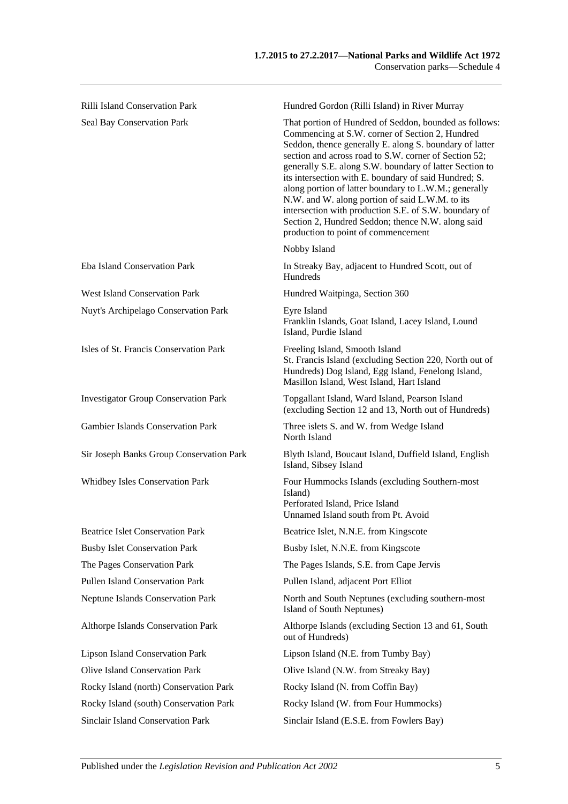| <b>Rilli Island Conservation Park</b>       | Hundred Gordon (Rilli Island) in River Murray                                                                                                                                                                                                                                                                                                                                                                                                                                                                                                                                                                      |
|---------------------------------------------|--------------------------------------------------------------------------------------------------------------------------------------------------------------------------------------------------------------------------------------------------------------------------------------------------------------------------------------------------------------------------------------------------------------------------------------------------------------------------------------------------------------------------------------------------------------------------------------------------------------------|
| Seal Bay Conservation Park                  | That portion of Hundred of Seddon, bounded as follows:<br>Commencing at S.W. corner of Section 2, Hundred<br>Seddon, thence generally E. along S. boundary of latter<br>section and across road to S.W. corner of Section 52;<br>generally S.E. along S.W. boundary of latter Section to<br>its intersection with E. boundary of said Hundred; S.<br>along portion of latter boundary to L.W.M.; generally<br>N.W. and W. along portion of said L.W.M. to its<br>intersection with production S.E. of S.W. boundary of<br>Section 2, Hundred Seddon; thence N.W. along said<br>production to point of commencement |
|                                             | Nobby Island                                                                                                                                                                                                                                                                                                                                                                                                                                                                                                                                                                                                       |
| Eba Island Conservation Park                | In Streaky Bay, adjacent to Hundred Scott, out of<br>Hundreds                                                                                                                                                                                                                                                                                                                                                                                                                                                                                                                                                      |
| <b>West Island Conservation Park</b>        | Hundred Waitpinga, Section 360                                                                                                                                                                                                                                                                                                                                                                                                                                                                                                                                                                                     |
| Nuyt's Archipelago Conservation Park        | Eyre Island<br>Franklin Islands, Goat Island, Lacey Island, Lound<br>Island, Purdie Island                                                                                                                                                                                                                                                                                                                                                                                                                                                                                                                         |
| Isles of St. Francis Conservation Park      | Freeling Island, Smooth Island<br>St. Francis Island (excluding Section 220, North out of<br>Hundreds) Dog Island, Egg Island, Fenelong Island,<br>Masillon Island, West Island, Hart Island                                                                                                                                                                                                                                                                                                                                                                                                                       |
| <b>Investigator Group Conservation Park</b> | Topgallant Island, Ward Island, Pearson Island<br>(excluding Section 12 and 13, North out of Hundreds)                                                                                                                                                                                                                                                                                                                                                                                                                                                                                                             |
| <b>Gambier Islands Conservation Park</b>    | Three islets S. and W. from Wedge Island<br>North Island                                                                                                                                                                                                                                                                                                                                                                                                                                                                                                                                                           |
| Sir Joseph Banks Group Conservation Park    | Blyth Island, Boucaut Island, Duffield Island, English<br>Island, Sibsey Island                                                                                                                                                                                                                                                                                                                                                                                                                                                                                                                                    |
| Whidbey Isles Conservation Park             | Four Hummocks Islands (excluding Southern-most<br>Island)<br>Perforated Island, Price Island<br>Unnamed Island south from Pt. Avoid                                                                                                                                                                                                                                                                                                                                                                                                                                                                                |
| <b>Beatrice Islet Conservation Park</b>     | Beatrice Islet, N.N.E. from Kingscote                                                                                                                                                                                                                                                                                                                                                                                                                                                                                                                                                                              |
| <b>Busby Islet Conservation Park</b>        | Busby Islet, N.N.E. from Kingscote                                                                                                                                                                                                                                                                                                                                                                                                                                                                                                                                                                                 |
| The Pages Conservation Park                 | The Pages Islands, S.E. from Cape Jervis                                                                                                                                                                                                                                                                                                                                                                                                                                                                                                                                                                           |
| <b>Pullen Island Conservation Park</b>      | Pullen Island, adjacent Port Elliot                                                                                                                                                                                                                                                                                                                                                                                                                                                                                                                                                                                |
| <b>Neptune Islands Conservation Park</b>    | North and South Neptunes (excluding southern-most<br>Island of South Neptunes)                                                                                                                                                                                                                                                                                                                                                                                                                                                                                                                                     |
| Althorpe Islands Conservation Park          | Althorpe Islands (excluding Section 13 and 61, South<br>out of Hundreds)                                                                                                                                                                                                                                                                                                                                                                                                                                                                                                                                           |
| <b>Lipson Island Conservation Park</b>      | Lipson Island (N.E. from Tumby Bay)                                                                                                                                                                                                                                                                                                                                                                                                                                                                                                                                                                                |
| <b>Olive Island Conservation Park</b>       | Olive Island (N.W. from Streaky Bay)                                                                                                                                                                                                                                                                                                                                                                                                                                                                                                                                                                               |
| Rocky Island (north) Conservation Park      | Rocky Island (N. from Coffin Bay)                                                                                                                                                                                                                                                                                                                                                                                                                                                                                                                                                                                  |
| Rocky Island (south) Conservation Park      | Rocky Island (W. from Four Hummocks)                                                                                                                                                                                                                                                                                                                                                                                                                                                                                                                                                                               |

Sinclair Island Conservation Park Sinclair Island (E.S.E. from Fowlers Bay)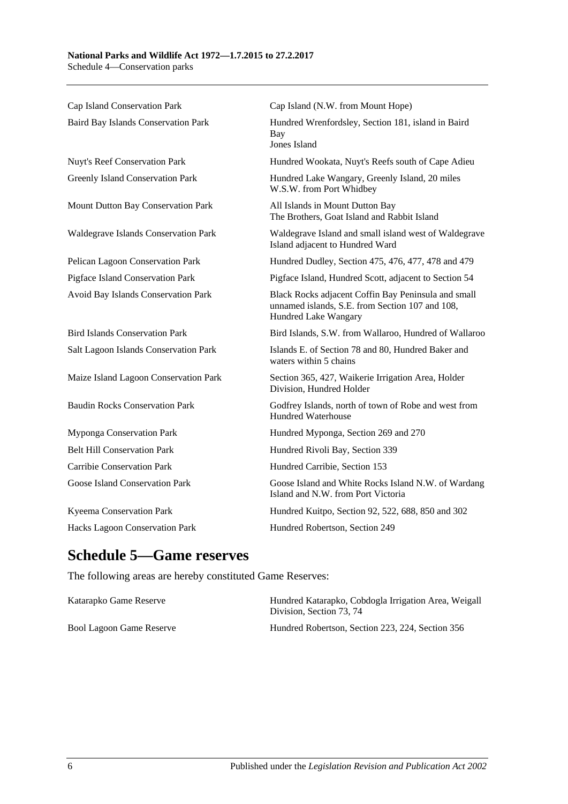| Cap Island Conservation Park          | Cap Island (N.W. from Mount Hope)                                                                                              |
|---------------------------------------|--------------------------------------------------------------------------------------------------------------------------------|
| Baird Bay Islands Conservation Park   | Hundred Wrenfordsley, Section 181, island in Baird<br>Bay<br>Jones Island                                                      |
| Nuyt's Reef Conservation Park         | Hundred Wookata, Nuyt's Reefs south of Cape Adieu                                                                              |
| Greenly Island Conservation Park      | Hundred Lake Wangary, Greenly Island, 20 miles<br>W.S.W. from Port Whidbey                                                     |
| Mount Dutton Bay Conservation Park    | All Islands in Mount Dutton Bay<br>The Brothers, Goat Island and Rabbit Island                                                 |
| Waldegrave Islands Conservation Park  | Waldegrave Island and small island west of Waldegrave<br>Island adjacent to Hundred Ward                                       |
| Pelican Lagoon Conservation Park      | Hundred Dudley, Section 475, 476, 477, 478 and 479                                                                             |
| Pigface Island Conservation Park      | Pigface Island, Hundred Scott, adjacent to Section 54                                                                          |
| Avoid Bay Islands Conservation Park   | Black Rocks adjacent Coffin Bay Peninsula and small<br>unnamed islands, S.E. from Section 107 and 108,<br>Hundred Lake Wangary |
| <b>Bird Islands Conservation Park</b> | Bird Islands, S.W. from Wallaroo, Hundred of Wallaroo                                                                          |
| Salt Lagoon Islands Conservation Park | Islands E. of Section 78 and 80, Hundred Baker and<br>waters within 5 chains                                                   |
| Maize Island Lagoon Conservation Park | Section 365, 427, Waikerie Irrigation Area, Holder<br>Division, Hundred Holder                                                 |
| <b>Baudin Rocks Conservation Park</b> | Godfrey Islands, north of town of Robe and west from<br>Hundred Waterhouse                                                     |
| Myponga Conservation Park             | Hundred Myponga, Section 269 and 270                                                                                           |
| <b>Belt Hill Conservation Park</b>    | Hundred Rivoli Bay, Section 339                                                                                                |
| <b>Carribie Conservation Park</b>     | Hundred Carribie, Section 153                                                                                                  |
| Goose Island Conservation Park        | Goose Island and White Rocks Island N.W. of Wardang<br>Island and N.W. from Port Victoria                                      |
| Kyeema Conservation Park              | Hundred Kuitpo, Section 92, 522, 688, 850 and 302                                                                              |
| Hacks Lagoon Conservation Park        | Hundred Robertson, Section 249                                                                                                 |

# **Schedule 5—Game reserves**

The following areas are hereby constituted Game Reserves:

| Katarapko Game Reserve   | Hundred Katarapko, Cobdogla Irrigation Area, Weigall<br>Division. Section 73, 74 |
|--------------------------|----------------------------------------------------------------------------------|
| Bool Lagoon Game Reserve | Hundred Robertson, Section 223, 224, Section 356                                 |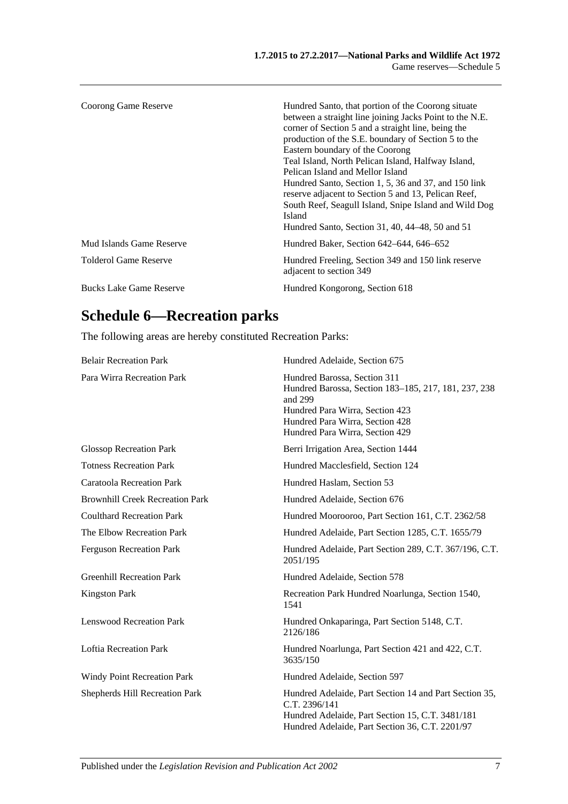| Coorong Game Reserve           | Hundred Santo, that portion of the Coorong situate<br>between a straight line joining Jacks Point to the N.E.<br>corner of Section 5 and a straight line, being the<br>production of the S.E. boundary of Section 5 to the<br>Eastern boundary of the Coorong<br>Teal Island, North Pelican Island, Halfway Island,<br>Pelican Island and Mellor Island<br>Hundred Santo, Section 1, 5, 36 and 37, and 150 link<br>reserve adjacent to Section 5 and 13, Pelican Reef,<br>South Reef, Seagull Island, Snipe Island and Wild Dog<br>Island<br>Hundred Santo, Section 31, 40, 44–48, 50 and 51 |
|--------------------------------|----------------------------------------------------------------------------------------------------------------------------------------------------------------------------------------------------------------------------------------------------------------------------------------------------------------------------------------------------------------------------------------------------------------------------------------------------------------------------------------------------------------------------------------------------------------------------------------------|
| Mud Islands Game Reserve       | Hundred Baker, Section 642–644, 646–652                                                                                                                                                                                                                                                                                                                                                                                                                                                                                                                                                      |
| <b>Tolderol Game Reserve</b>   | Hundred Freeling, Section 349 and 150 link reserve<br>adjacent to section 349                                                                                                                                                                                                                                                                                                                                                                                                                                                                                                                |
| <b>Bucks Lake Game Reserve</b> | Hundred Kongorong, Section 618                                                                                                                                                                                                                                                                                                                                                                                                                                                                                                                                                               |

# **Schedule 6—Recreation parks**

The following areas are hereby constituted Recreation Parks:

| <b>Belair Recreation Park</b>          | Hundred Adelaide, Section 675                                                                                                                                                                            |
|----------------------------------------|----------------------------------------------------------------------------------------------------------------------------------------------------------------------------------------------------------|
| Para Wirra Recreation Park             | Hundred Barossa, Section 311<br>Hundred Barossa, Section 183-185, 217, 181, 237, 238<br>and 299<br>Hundred Para Wirra, Section 423<br>Hundred Para Wirra, Section 428<br>Hundred Para Wirra, Section 429 |
| <b>Glossop Recreation Park</b>         | Berri Irrigation Area, Section 1444                                                                                                                                                                      |
| <b>Totness Recreation Park</b>         | Hundred Macclesfield, Section 124                                                                                                                                                                        |
| <b>Caratoola Recreation Park</b>       | Hundred Haslam, Section 53                                                                                                                                                                               |
| <b>Brownhill Creek Recreation Park</b> | Hundred Adelaide, Section 676                                                                                                                                                                            |
| <b>Coulthard Recreation Park</b>       | Hundred Moorooroo, Part Section 161, C.T. 2362/58                                                                                                                                                        |
| The Elbow Recreation Park              | Hundred Adelaide, Part Section 1285, C.T. 1655/79                                                                                                                                                        |
| <b>Ferguson Recreation Park</b>        | Hundred Adelaide, Part Section 289, C.T. 367/196, C.T.<br>2051/195                                                                                                                                       |
| <b>Greenhill Recreation Park</b>       | Hundred Adelaide, Section 578                                                                                                                                                                            |
| <b>Kingston Park</b>                   | Recreation Park Hundred Noarlunga, Section 1540,<br>1541                                                                                                                                                 |
| <b>Lenswood Recreation Park</b>        | Hundred Onkaparinga, Part Section 5148, C.T.<br>2126/186                                                                                                                                                 |
| <b>Loftia Recreation Park</b>          | Hundred Noarlunga, Part Section 421 and 422, C.T.<br>3635/150                                                                                                                                            |
| Windy Point Recreation Park            | Hundred Adelaide, Section 597                                                                                                                                                                            |
| <b>Shepherds Hill Recreation Park</b>  | Hundred Adelaide, Part Section 14 and Part Section 35,<br>C.T. 2396/141<br>Hundred Adelaide, Part Section 15, C.T. 3481/181<br>Hundred Adelaide, Part Section 36, C.T. 2201/97                           |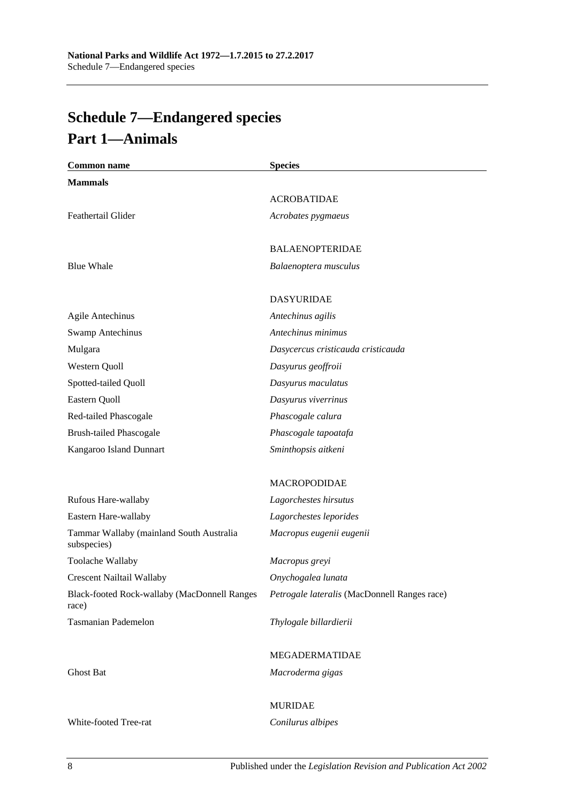# <span id="page-87-0"></span>**Schedule 7—Endangered species Part 1—Animals**

| <b>Common name</b>                                      | <b>Species</b>                               |
|---------------------------------------------------------|----------------------------------------------|
| <b>Mammals</b>                                          |                                              |
|                                                         | <b>ACROBATIDAE</b>                           |
| Feathertail Glider                                      | Acrobates pygmaeus                           |
|                                                         | <b>BALAENOPTERIDAE</b>                       |
| <b>Blue Whale</b>                                       | Balaenoptera musculus                        |
|                                                         | <b>DASYURIDAE</b>                            |
| <b>Agile Antechinus</b>                                 | Antechinus agilis                            |
| <b>Swamp Antechinus</b>                                 | Antechinus minimus                           |
| Mulgara                                                 | Dasycercus cristicauda cristicauda           |
| Western Quoll                                           | Dasyurus geoffroii                           |
| Spotted-tailed Quoll                                    | Dasyurus maculatus                           |
| Eastern Quoll                                           | Dasyurus viverrinus                          |
| Red-tailed Phascogale                                   | Phascogale calura                            |
| <b>Brush-tailed Phascogale</b>                          | Phascogale tapoatafa                         |
| Kangaroo Island Dunnart                                 | Sminthopsis aitkeni                          |
|                                                         | <b>MACROPODIDAE</b>                          |
| Rufous Hare-wallaby                                     | Lagorchestes hirsutus                        |
| Eastern Hare-wallaby                                    | Lagorchestes leporides                       |
| Tammar Wallaby (mainland South Australia<br>subspecies) | Macropus eugenii eugenii                     |
| Toolache Wallaby                                        | Macropus greyi                               |
| <b>Crescent Nailtail Wallaby</b>                        | Onychogalea lunata                           |
| Black-footed Rock-wallaby (MacDonnell Ranges<br>race)   | Petrogale lateralis (MacDonnell Ranges race) |
| <b>Tasmanian Pademelon</b>                              | Thylogale billardierii                       |
|                                                         | MEGADERMATIDAE                               |
| <b>Ghost Bat</b>                                        | Macroderma gigas                             |
|                                                         | <b>MURIDAE</b>                               |
| White-footed Tree-rat                                   | Conilurus albipes                            |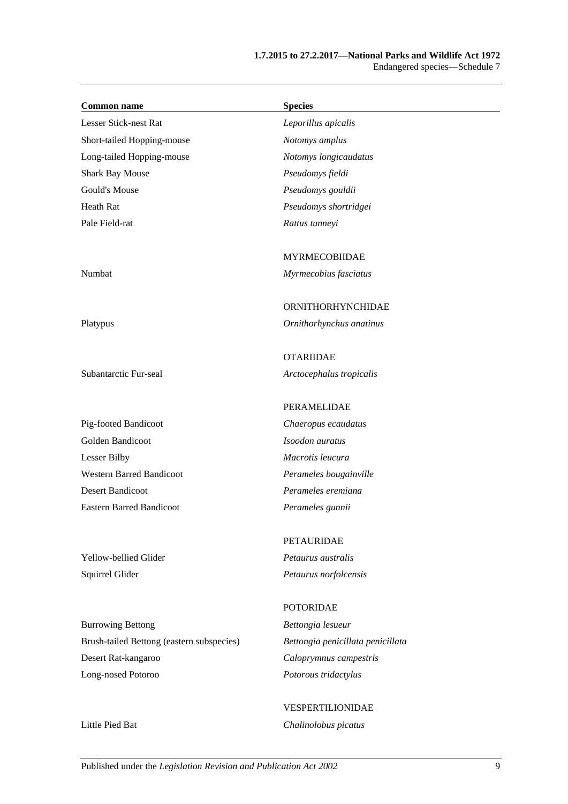#### **1.7.2015 to 27.2.2017—National Parks and Wildlife Act 1972** Endangered species—Schedule 7

| <b>Common name</b>                        | <b>Species</b>                    |
|-------------------------------------------|-----------------------------------|
| Lesser Stick-nest Rat                     | Leporillus apicalis               |
| Short-tailed Hopping-mouse                | Notomys amplus                    |
| Long-tailed Hopping-mouse                 | Notomys longicaudatus             |
| <b>Shark Bay Mouse</b>                    | Pseudomys fieldi                  |
| Gould's Mouse                             | Pseudomys gouldii                 |
| <b>Heath Rat</b>                          | Pseudomys shortridgei             |
| Pale Field-rat                            | Rattus tunneyi                    |
|                                           | <b>MYRMECOBIIDAE</b>              |
| Numbat                                    | Myrmecobius fasciatus             |
|                                           | ORNITHORHYNCHIDAE                 |
| Platypus                                  | Ornithorhynchus anatinus          |
|                                           | <b>OTARIIDAE</b>                  |
| Subantarctic Fur-seal                     | Arctocephalus tropicalis          |
|                                           | PERAMELIDAE                       |
| Pig-footed Bandicoot                      | Chaeropus ecaudatus               |
| Golden Bandicoot                          | Isoodon auratus                   |
| <b>Lesser Bilby</b>                       | Macrotis leucura                  |
| <b>Western Barred Bandicoot</b>           | Perameles bougainville            |
| <b>Desert Bandicoot</b>                   | Perameles eremiana                |
| <b>Eastern Barred Bandicoot</b>           | Perameles gunnii                  |
|                                           | <b>PETAURIDAE</b>                 |
| Yellow-bellied Glider                     | Petaurus australis                |
| Squirrel Glider                           | Petaurus norfolcensis             |
|                                           | <b>POTORIDAE</b>                  |
| <b>Burrowing Bettong</b>                  | Bettongia lesueur                 |
| Brush-tailed Bettong (eastern subspecies) | Bettongia penicillata penicillata |
| Desert Rat-kangaroo                       | Caloprymnus campestris            |
| Long-nosed Potoroo                        | Potorous tridactylus              |

VESPERTILIONIDAE Little Pied Bat *Chalinolobus picatus*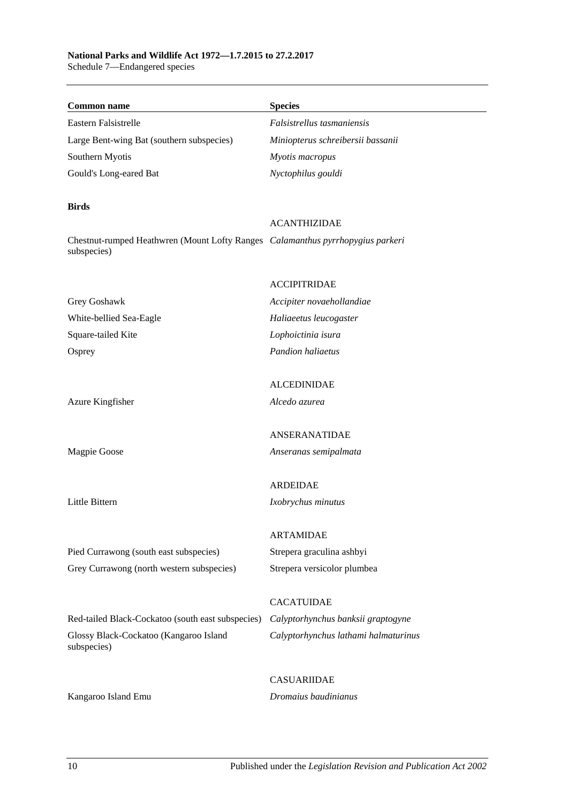# **National Parks and Wildlife Act 1972—1.7.2015 to 27.2.2017**

Schedule 7—Endangered species

| <b>Common name</b>                                                                            | <b>Species</b>                       |
|-----------------------------------------------------------------------------------------------|--------------------------------------|
| Eastern Falsistrelle                                                                          | Falsistrellus tasmaniensis           |
| Large Bent-wing Bat (southern subspecies)                                                     | Miniopterus schreibersii bassanii    |
| Southern Myotis                                                                               | Myotis macropus                      |
| Gould's Long-eared Bat                                                                        | Nyctophilus gouldi                   |
| <b>Birds</b>                                                                                  |                                      |
|                                                                                               | <b>ACANTHIZIDAE</b>                  |
| Chestnut-rumped Heathwren (Mount Lofty Ranges Calamanthus pyrrhopygius parkeri<br>subspecies) |                                      |
|                                                                                               | <b>ACCIPITRIDAE</b>                  |
| Grey Goshawk                                                                                  | Accipiter novaehollandiae            |
| White-bellied Sea-Eagle                                                                       | Haliaeetus leucogaster               |
| Square-tailed Kite                                                                            | Lophoictinia isura                   |
| Osprey                                                                                        | Pandion haliaetus                    |
|                                                                                               | <b>ALCEDINIDAE</b>                   |
| Azure Kingfisher                                                                              | Alcedo azurea                        |
|                                                                                               |                                      |
|                                                                                               | ANSERANATIDAE                        |
| Magpie Goose                                                                                  | Anseranas semipalmata                |
|                                                                                               | <b>ARDEIDAE</b>                      |
| Little Bittern                                                                                | Ixobrychus minutus                   |
|                                                                                               |                                      |
|                                                                                               | <b>ARTAMIDAE</b>                     |
| Pied Currawong (south east subspecies)                                                        | Strepera graculina ashbyi            |
| Grey Currawong (north western subspecies)                                                     | Strepera versicolor plumbea          |
|                                                                                               | <b>CACATUIDAE</b>                    |
| Red-tailed Black-Cockatoo (south east subspecies)                                             | Calyptorhynchus banksii graptogyne   |
| Glossy Black-Cockatoo (Kangaroo Island<br>subspecies)                                         | Calyptorhynchus lathami halmaturinus |
|                                                                                               | <b>CASUARIIDAE</b>                   |
| Kangaroo Island Emu                                                                           | Dromaius baudinianus                 |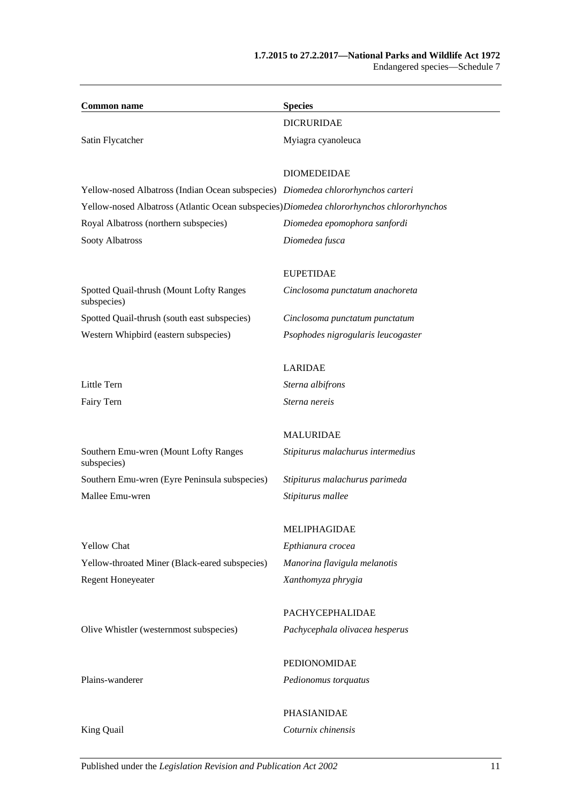| <b>Common name</b>                                                                        | <b>Species</b>                     |
|-------------------------------------------------------------------------------------------|------------------------------------|
|                                                                                           | <b>DICRURIDAE</b>                  |
| Satin Flycatcher                                                                          | Myiagra cyanoleuca                 |
|                                                                                           |                                    |
|                                                                                           | <b>DIOMEDEIDAE</b>                 |
| Yellow-nosed Albatross (Indian Ocean subspecies) Diomedea chlororhynchos carteri          |                                    |
| Yellow-nosed Albatross (Atlantic Ocean subspecies) Diomedea chlororhynchos chlororhynchos |                                    |
| Royal Albatross (northern subspecies)                                                     | Diomedea epomophora sanfordi       |
| Sooty Albatross                                                                           | Diomedea fusca                     |
|                                                                                           | <b>EUPETIDAE</b>                   |
| Spotted Quail-thrush (Mount Lofty Ranges<br>subspecies)                                   | Cinclosoma punctatum anachoreta    |
| Spotted Quail-thrush (south east subspecies)                                              | Cinclosoma punctatum punctatum     |
| Western Whipbird (eastern subspecies)                                                     | Psophodes nigrogularis leucogaster |
|                                                                                           | <b>LARIDAE</b>                     |
| Little Tern                                                                               | Sterna albifrons                   |
| Fairy Tern                                                                                | Sterna nereis                      |
|                                                                                           |                                    |
|                                                                                           | <b>MALURIDAE</b>                   |
| Southern Emu-wren (Mount Lofty Ranges<br>subspecies)                                      | Stipiturus malachurus intermedius  |
| Southern Emu-wren (Eyre Peninsula subspecies)                                             | Stipiturus malachurus parimeda     |
| Mallee Emu-wren                                                                           | Stipiturus mallee                  |
|                                                                                           | MELIPHAGIDAE                       |
| <b>Yellow Chat</b>                                                                        | Epthianura crocea                  |
| Yellow-throated Miner (Black-eared subspecies)                                            | Manorina flavigula melanotis       |
| <b>Regent Honeyeater</b>                                                                  | Xanthomyza phrygia                 |
|                                                                                           |                                    |
|                                                                                           | PACHYCEPHALIDAE                    |
| Olive Whistler (westernmost subspecies)                                                   | Pachycephala olivacea hesperus     |
|                                                                                           | PEDIONOMIDAE                       |
| Plains-wanderer                                                                           | Pedionomus torquatus               |
|                                                                                           |                                    |

King Quail *Coturnix chinensis*

PHASIANIDAE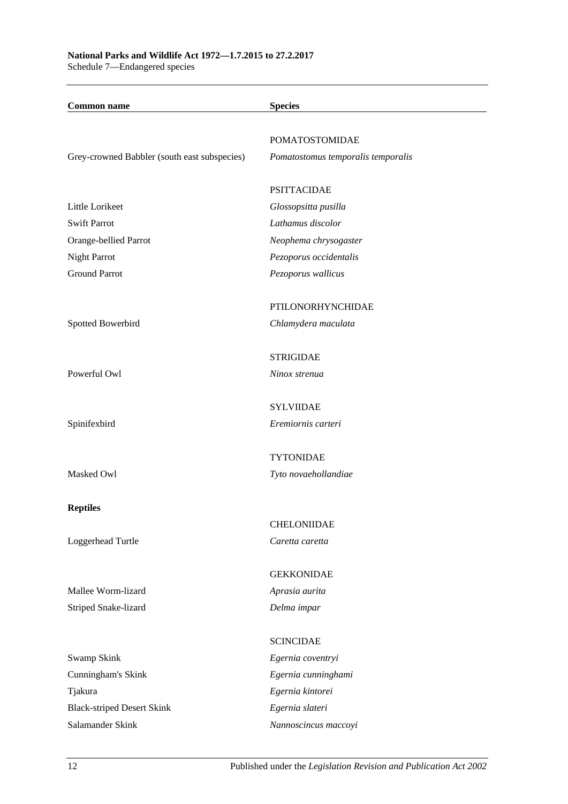**Common name Species** POMATOSTOMIDAE Grey-crowned Babbler (south east subspecies) *Pomatostomus temporalis temporalis* PSITTACIDAE Little Lorikeet *Glossopsitta pusilla* Swift Parrot *Lathamus discolor* Orange-bellied Parrot *Neophema chrysogaster* Night Parrot *Pezoporus occidentalis* Ground Parrot *Pezoporus wallicus* PTILONORHYNCHIDAE Spotted Bowerbird *Chlamydera maculata* **STRIGIDAE** Powerful Owl *Ninox strenua* SYLVIIDAE Spinifexbird *Eremiornis carteri* TYTONIDAE Masked Owl *Tyto novaehollandiae* **Reptiles** CHELONIIDAE Loggerhead Turtle *Caretta caretta* GEKKONIDAE Mallee Worm-lizard *Aprasia aurita* Striped Snake-lizard *Delma impar* SCINCIDAE Swamp Skink *Egernia coventryi* Cunningham's Skink *Egernia cunninghami* Tjakura *Egernia kintorei* Black-striped Desert Skink *Egernia slateri* Salamander Skink *Nannoscincus maccoyi*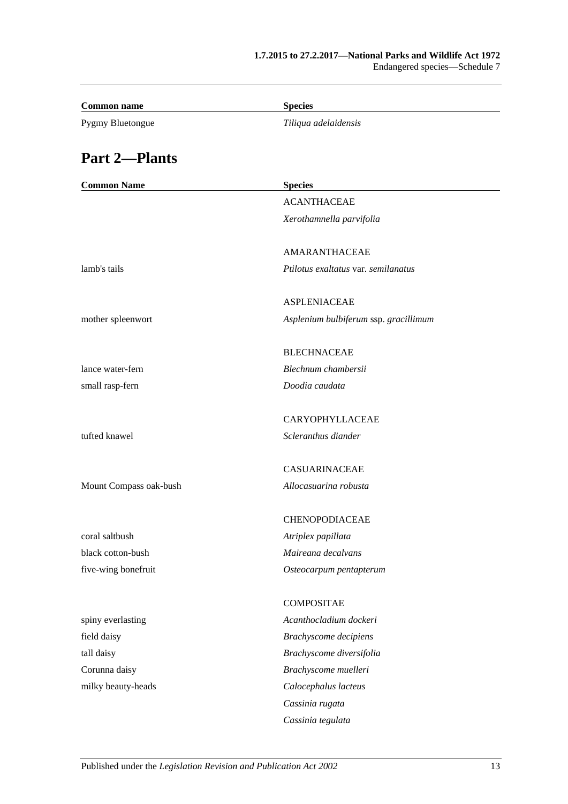| <b>Common name</b>     | <b>Species</b>                        |
|------------------------|---------------------------------------|
| Pygmy Bluetongue       | Tiliqua adelaidensis                  |
| <b>Part 2-Plants</b>   |                                       |
| <b>Common Name</b>     | <b>Species</b>                        |
|                        | <b>ACANTHACEAE</b>                    |
|                        | Xerothamnella parvifolia              |
|                        | AMARANTHACEAE                         |
| lamb's tails           | Ptilotus exaltatus var. semilanatus   |
|                        | <b>ASPLENIACEAE</b>                   |
| mother spleenwort      | Asplenium bulbiferum ssp. gracillimum |
|                        | <b>BLECHNACEAE</b>                    |
| lance water-fern       | Blechnum chambersii                   |
| small rasp-fern        | Doodia caudata                        |
|                        | CARYOPHYLLACEAE                       |
| tufted knawel          | Scleranthus diander                   |
|                        | <b>CASUARINACEAE</b>                  |
| Mount Compass oak-bush | Allocasuarina robusta                 |
|                        | <b>CHENOPODIACEAE</b>                 |
| coral saltbush         | Atriplex papillata                    |
| black cotton-bush      | Maireana decalvans                    |
| five-wing bonefruit    | Osteocarpum pentapterum               |
|                        | <b>COMPOSITAE</b>                     |
| spiny everlasting      | Acanthocladium dockeri                |
| field daisy            | <b>Brachyscome decipiens</b>          |
| tall daisy             | Brachyscome diversifolia              |
| Corunna daisy          | Brachyscome muelleri                  |
| milky beauty-heads     | Calocephalus lacteus                  |
|                        | Cassinia rugata                       |
|                        | Cassinia tegulata                     |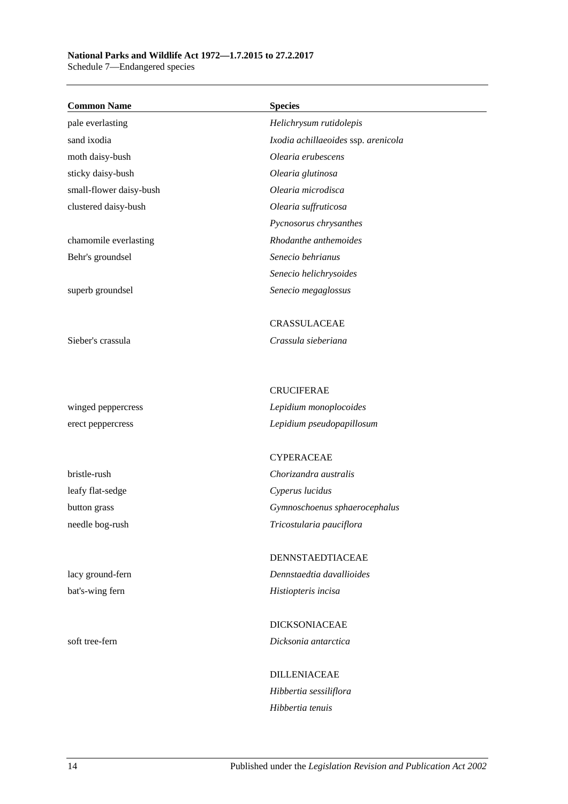# **National Parks and Wildlife Act 1972—1.7.2015 to 27.2.2017**

Schedule 7—Endangered species

| <b>Common Name</b>      | <b>Species</b>                                      |
|-------------------------|-----------------------------------------------------|
| pale everlasting        | Helichrysum rutidolepis                             |
| sand ixodia             | Ixodia achillaeoides ssp. arenicola                 |
| moth daisy-bush         | Olearia erubescens                                  |
| sticky daisy-bush       | Olearia glutinosa                                   |
| small-flower daisy-bush | Olearia microdisca                                  |
| clustered daisy-bush    | Olearia suffruticosa                                |
|                         | Pycnosorus chrysanthes                              |
| chamomile everlasting   | Rhodanthe anthemoides                               |
| Behr's groundsel        | Senecio behrianus                                   |
|                         | Senecio helichrysoides                              |
| superb groundsel        | Senecio megaglossus                                 |
|                         | <b>CRASSULACEAE</b>                                 |
| Sieber's crassula       | Crassula sieberiana                                 |
|                         |                                                     |
|                         | <b>CRUCIFERAE</b>                                   |
| winged peppercress      | Lepidium monoplocoides<br>Lepidium pseudopapillosum |
| erect peppercress       |                                                     |
|                         | <b>CYPERACEAE</b>                                   |
| bristle-rush            | Chorizandra australis                               |
| leafy flat-sedge        | Cyperus lucidus                                     |
| button grass            | Gymnoschoenus sphaerocephalus                       |
| needle bog-rush         | Tricostularia pauciflora                            |
|                         | <b>DENNSTAEDTIACEAE</b>                             |
| lacy ground-fern        | Dennstaedtia davallioides                           |
| bat's-wing fern         | Histiopteris incisa                                 |
|                         | <b>DICKSONIACEAE</b>                                |
| soft tree-fern          | Dicksonia antarctica                                |
|                         | <b>DILLENIACEAE</b>                                 |
|                         | Hibbertia sessiliflora                              |
|                         | Hibbertia tenuis                                    |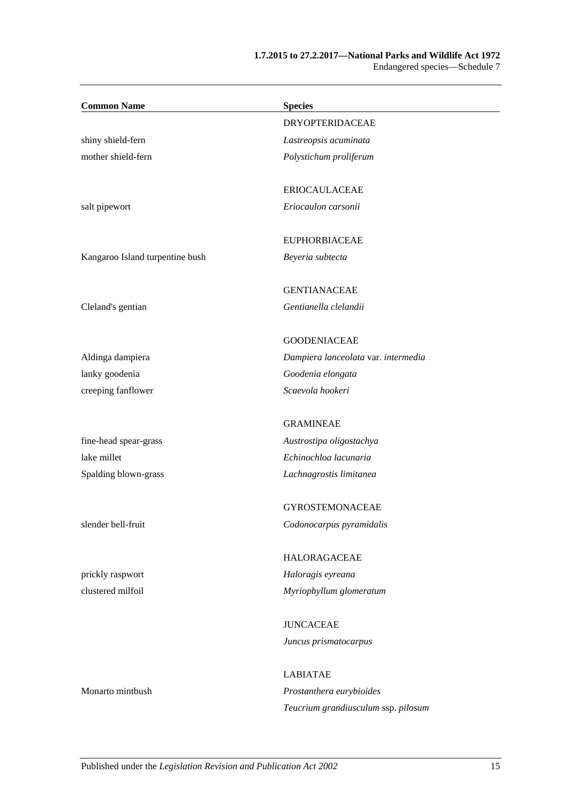#### **1.7.2015 to 27.2.2017—National Parks and Wildlife Act 1972** Endangered species—Schedule 7

| <b>Common Name</b>              | <b>Species</b>                      |
|---------------------------------|-------------------------------------|
|                                 | <b>DRYOPTERIDACEAE</b>              |
| shiny shield-fern               | Lastreopsis acuminata               |
| mother shield-fern              | Polystichum proliferum              |
|                                 | <b>ERIOCAULACEAE</b>                |
| salt pipewort                   | Eriocaulon carsonii                 |
|                                 | <b>EUPHORBIACEAE</b>                |
| Kangaroo Island turpentine bush | Beyeria subtecta                    |
|                                 | <b>GENTIANACEAE</b>                 |
| Cleland's gentian               | Gentianella clelandii               |
|                                 | <b>GOODENIACEAE</b>                 |
| Aldinga dampiera                | Dampiera lanceolata var. intermedia |
| lanky goodenia                  | Goodenia elongata                   |
| creeping fanflower              | Scaevola hookeri                    |
|                                 | <b>GRAMINEAE</b>                    |
| fine-head spear-grass           | Austrostipa oligostachya            |
| lake millet                     | Echinochloa lacunaria               |
| Spalding blown-grass            | Lachnagrostis limitanea             |
|                                 | <b>GYROSTEMONACEAE</b>              |
| slender bell-fruit              | Codonocarpus pyramidalis            |
|                                 | HALORAGACEAE                        |
| prickly raspwort                | Haloragis eyreana                   |
| clustered milfoil               | Myriophyllum glomeratum             |
|                                 | <b>JUNCACEAE</b>                    |
|                                 | Juncus prismatocarpus               |
|                                 | <b>LABIATAE</b>                     |
| Monarto mintbush                | Prostanthera eurybioides            |
|                                 | Teucrium grandiusculum ssp. pilosum |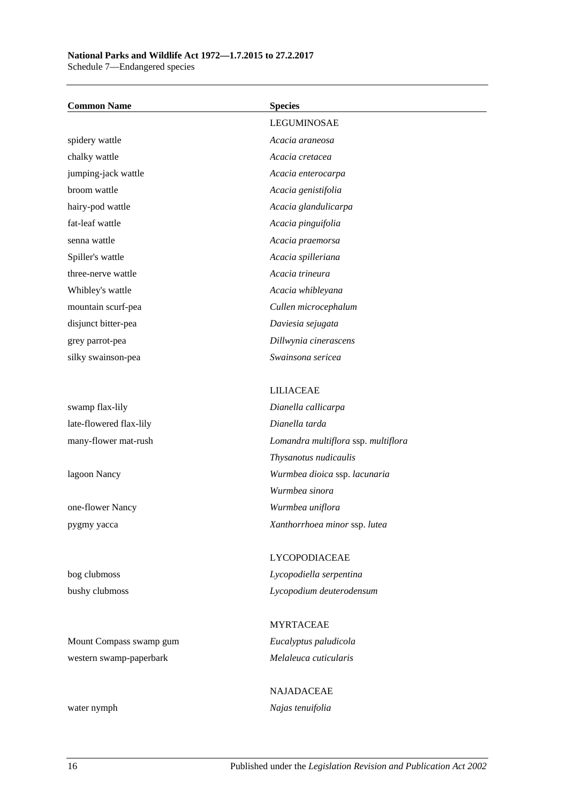### **National Parks and Wildlife Act 1972—1.7.2015 to 27.2.2017**

Schedule 7—Endangered species

NAJADACEAE water nymph *Najas tenuifolia*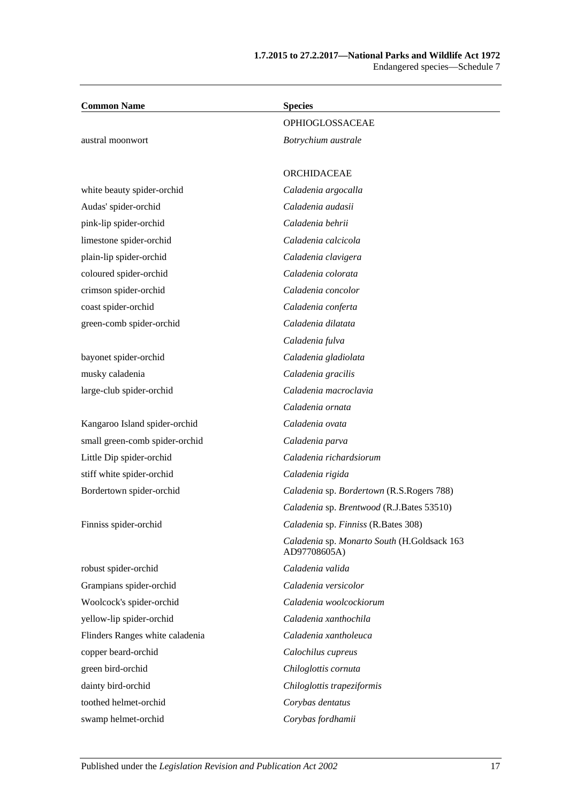| <b>Common Name</b>              | <b>Species</b>                                              |
|---------------------------------|-------------------------------------------------------------|
|                                 | OPHIOGLOSSACEAE                                             |
| austral moonwort                | Botrychium australe                                         |
|                                 | <b>ORCHIDACEAE</b>                                          |
| white beauty spider-orchid      | Caladenia argocalla                                         |
| Audas' spider-orchid            | Caladenia audasii                                           |
| pink-lip spider-orchid          | Caladenia behrii                                            |
| limestone spider-orchid         | Caladenia calcicola                                         |
| plain-lip spider-orchid         | Caladenia clavigera                                         |
| coloured spider-orchid          | Caladenia colorata                                          |
| crimson spider-orchid           | Caladenia concolor                                          |
| coast spider-orchid             | Caladenia conferta                                          |
| green-comb spider-orchid        | Caladenia dilatata                                          |
|                                 | Caladenia fulva                                             |
| bayonet spider-orchid           | Caladenia gladiolata                                        |
| musky caladenia                 | Caladenia gracilis                                          |
| large-club spider-orchid        | Caladenia macroclavia                                       |
|                                 | Caladenia ornata                                            |
| Kangaroo Island spider-orchid   | Caladenia ovata                                             |
| small green-comb spider-orchid  | Caladenia parva                                             |
| Little Dip spider-orchid        | Caladenia richardsiorum                                     |
| stiff white spider-orchid       | Caladenia rigida                                            |
| Bordertown spider-orchid        | Caladenia sp. Bordertown (R.S.Rogers 788)                   |
|                                 | Caladenia sp. Brentwood (R.J.Bates 53510)                   |
| Finniss spider-orchid           | Caladenia sp. Finniss (R.Bates 308)                         |
|                                 | Caladenia sp. Monarto South (H.Goldsack 163<br>AD97708605A) |
| robust spider-orchid            | Caladenia valida                                            |
| Grampians spider-orchid         | Caladenia versicolor                                        |
| Woolcock's spider-orchid        | Caladenia woolcockiorum                                     |
| yellow-lip spider-orchid        | Caladenia xanthochila                                       |
| Flinders Ranges white caladenia | Caladenia xantholeuca                                       |
| copper beard-orchid             | Calochilus cupreus                                          |
| green bird-orchid               | Chiloglottis cornuta                                        |
| dainty bird-orchid              | Chiloglottis trapeziformis                                  |
| toothed helmet-orchid           | Corybas dentatus                                            |
| swamp helmet-orchid             | Corybas fordhamii                                           |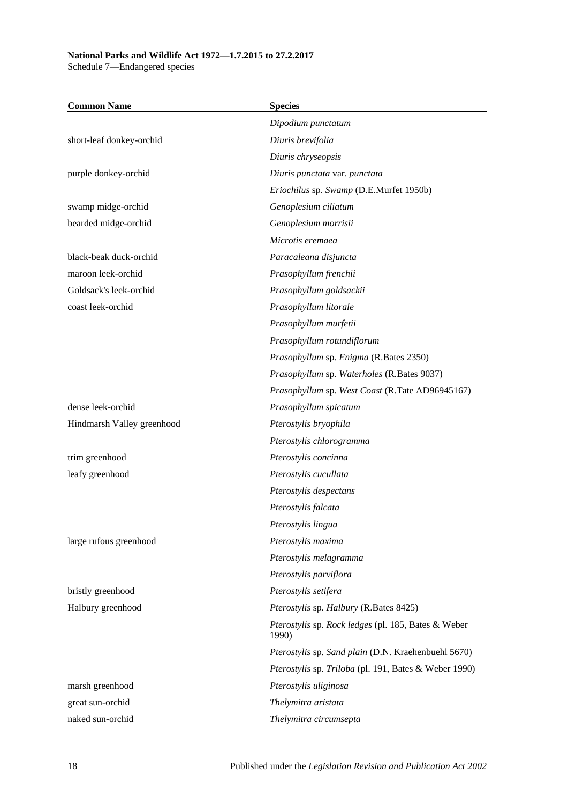### **National Parks and Wildlife Act 1972—1.7.2015 to 27.2.2017**

Schedule 7—Endangered species

| <b>Common Name</b>         | <b>Species</b>                                               |
|----------------------------|--------------------------------------------------------------|
|                            | Dipodium punctatum                                           |
| short-leaf donkey-orchid   | Diuris brevifolia                                            |
|                            | Diuris chryseopsis                                           |
| purple donkey-orchid       | Diuris punctata var. punctata                                |
|                            | Eriochilus sp. Swamp (D.E.Murfet 1950b)                      |
| swamp midge-orchid         | Genoplesium ciliatum                                         |
| bearded midge-orchid       | Genoplesium morrisii                                         |
|                            | Microtis eremaea                                             |
| black-beak duck-orchid     | Paracaleana disjuncta                                        |
| maroon leek-orchid         | Prasophyllum frenchii                                        |
| Goldsack's leek-orchid     | Prasophyllum goldsackii                                      |
| coast leek-orchid          | Prasophyllum litorale                                        |
|                            | Prasophyllum murfetii                                        |
|                            | Prasophyllum rotundiflorum                                   |
|                            | Prasophyllum sp. Enigma (R.Bates 2350)                       |
|                            | Prasophyllum sp. Waterholes (R.Bates 9037)                   |
|                            | Prasophyllum sp. West Coast (R.Tate AD96945167)              |
| dense leek-orchid          | Prasophyllum spicatum                                        |
| Hindmarsh Valley greenhood | Pterostylis bryophila                                        |
|                            | Pterostylis chlorogramma                                     |
| trim greenhood             | Pterostylis concinna                                         |
| leafy greenhood            | Pterostylis cucullata                                        |
|                            | Pterostylis despectans                                       |
|                            | Pterostylis falcata                                          |
|                            | Pterostylis lingua                                           |
| large rufous greenhood     | Pterostylis maxima                                           |
|                            | Pterostylis melagramma                                       |
|                            | Pterostylis parviflora                                       |
| bristly greenhood          | Pterostylis setifera                                         |
| Halbury greenhood          | Pterostylis sp. Halbury (R.Bates 8425)                       |
|                            | Pterostylis sp. Rock ledges (pl. 185, Bates & Weber<br>1990) |
|                            | Pterostylis sp. Sand plain (D.N. Kraehenbuehl 5670)          |
|                            | Pterostylis sp. Triloba (pl. 191, Bates & Weber 1990)        |
| marsh greenhood            | Pterostylis uliginosa                                        |
| great sun-orchid           | Thelymitra aristata                                          |
| naked sun-orchid           | Thelymitra circumsepta                                       |
|                            |                                                              |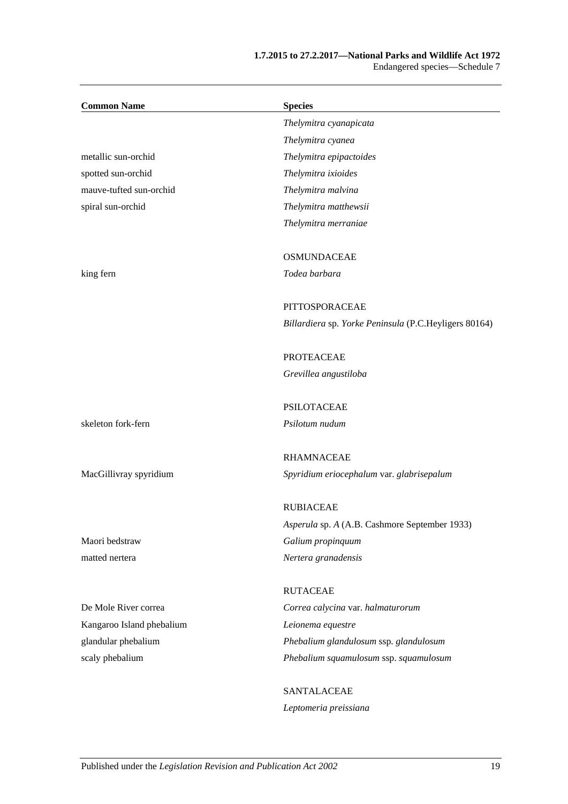#### **1.7.2015 to 27.2.2017—National Parks and Wildlife Act 1972** Endangered species—Schedule 7

| <b>Common Name</b>        | <b>Species</b>                                        |
|---------------------------|-------------------------------------------------------|
|                           | Thelymitra cyanapicata                                |
|                           | Thelymitra cyanea                                     |
| metallic sun-orchid       | Thelymitra epipactoides                               |
| spotted sun-orchid        | Thelymitra ixioides                                   |
| mauve-tufted sun-orchid   | Thelymitra malvina                                    |
| spiral sun-orchid         | Thelymitra matthewsii                                 |
|                           | Thelymitra merraniae                                  |
|                           | <b>OSMUNDACEAE</b>                                    |
| king fern                 | Todea barbara                                         |
|                           | PITTOSPORACEAE                                        |
|                           | Billardiera sp. Yorke Peninsula (P.C.Heyligers 80164) |
|                           | <b>PROTEACEAE</b>                                     |
|                           | Grevillea angustiloba                                 |
|                           | <b>PSILOTACEAE</b>                                    |
| skeleton fork-fern        | Psilotum nudum                                        |
|                           | <b>RHAMNACEAE</b>                                     |
| MacGillivray spyridium    | Spyridium eriocephalum var. glabrisepalum             |
|                           | <b>RUBIACEAE</b>                                      |
|                           | Asperula sp. A (A.B. Cashmore September 1933)         |
| Maori bedstraw            | Galium propinquum                                     |
| matted nertera            | Nertera granadensis                                   |
|                           | <b>RUTACEAE</b>                                       |
| De Mole River correa      | Correa calycina var. halmaturorum                     |
| Kangaroo Island phebalium | Leionema equestre                                     |
| glandular phebalium       | Phebalium glandulosum ssp. glandulosum                |
| scaly phebalium           | Phebalium squamulosum ssp. squamulosum                |
|                           | SANTALACEAE                                           |
|                           | Leptomeria preissiana                                 |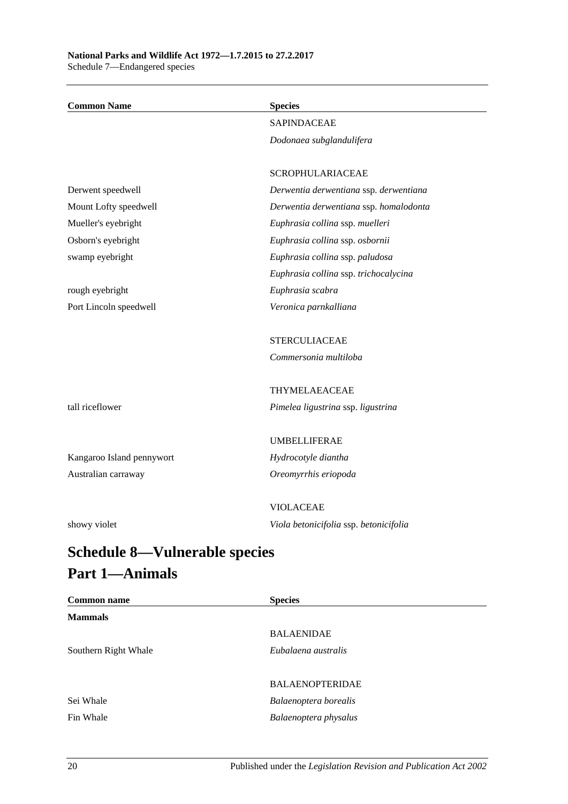| <b>Common Name</b>                       | <b>Species</b>                         |
|------------------------------------------|----------------------------------------|
|                                          | <b>SAPINDACEAE</b>                     |
|                                          | Dodonaea subglandulifera               |
|                                          |                                        |
|                                          | <b>SCROPHULARIACEAE</b>                |
| Derwent speedwell                        | Derwentia derwentiana ssp. derwentiana |
| Mount Lofty speedwell                    | Derwentia derwentiana ssp. homalodonta |
| Mueller's eyebright                      | Euphrasia collina ssp. muelleri        |
| Osborn's eyebright                       | Euphrasia collina ssp. osbornii        |
| swamp eyebright                          | Euphrasia collina ssp. paludosa        |
|                                          | Euphrasia collina ssp. trichocalycina  |
| rough eyebright                          | Euphrasia scabra                       |
| Port Lincoln speedwell                   | Veronica parnkalliana                  |
|                                          | <b>STERCULIACEAE</b>                   |
|                                          | Commersonia multiloba                  |
|                                          | THYMELAEACEAE                          |
| tall riceflower                          | Pimelea ligustrina ssp. ligustrina     |
|                                          | <b>UMBELLIFERAE</b>                    |
| Kangaroo Island pennywort                | Hydrocotyle diantha                    |
| Australian carraway                      | Oreomyrrhis eriopoda                   |
|                                          | <b>VIOLACEAE</b>                       |
| showy violet                             | Viola betonicifolia ssp. betonicifolia |
| C.L.J.J. 0<br>$\mathbf{V}$ -lease klasse |                                        |

# <span id="page-99-0"></span>**Schedule 8—Vulnerable species Part 1—Animals**

| <b>Common name</b>   | <b>Species</b>         |
|----------------------|------------------------|
| <b>Mammals</b>       |                        |
|                      | <b>BALAENIDAE</b>      |
| Southern Right Whale | Eubalaena australis    |
|                      |                        |
|                      | <b>BALAENOPTERIDAE</b> |
| Sei Whale            | Balaenoptera borealis  |
| Fin Whale            | Balaenoptera physalus  |
|                      |                        |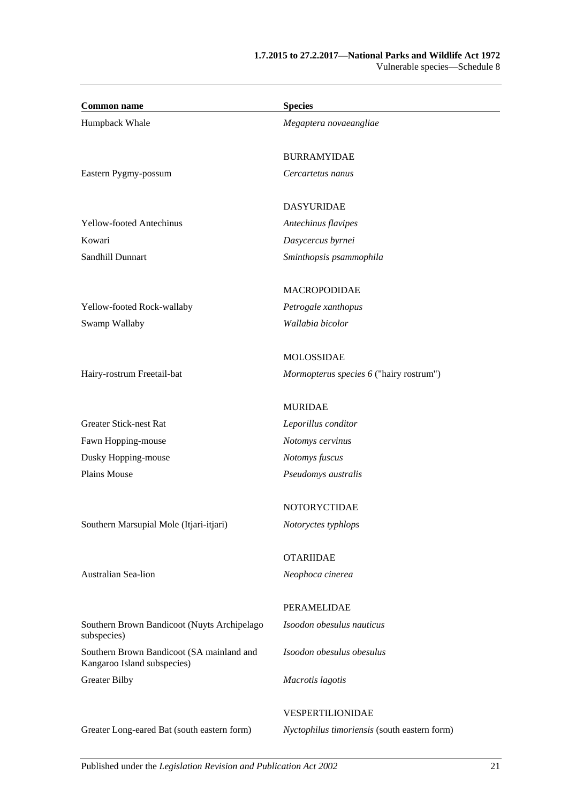| Humpback Whale<br>Megaptera novaeangliae<br><b>BURRAMYIDAE</b><br>Eastern Pygmy-possum<br>Cercartetus nanus<br><b>DASYURIDAE</b><br><b>Yellow-footed Antechinus</b><br>Antechinus flavipes<br>Kowari<br>Dasycercus byrnei<br>Sandhill Dunnart<br>Sminthopsis psammophila<br><b>MACROPODIDAE</b><br>Yellow-footed Rock-wallaby<br>Petrogale xanthopus<br>Swamp Wallaby<br>Wallabia bicolor<br><b>MOLOSSIDAE</b><br>Hairy-rostrum Freetail-bat<br>Mormopterus species 6 ("hairy rostrum")<br><b>MURIDAE</b><br><b>Greater Stick-nest Rat</b><br>Leporillus conditor<br>Fawn Hopping-mouse<br>Notomys cervinus<br>Dusky Hopping-mouse<br>Notomys fuscus<br>Plains Mouse<br>Pseudomys australis<br>NOTORYCTIDAE |
|-------------------------------------------------------------------------------------------------------------------------------------------------------------------------------------------------------------------------------------------------------------------------------------------------------------------------------------------------------------------------------------------------------------------------------------------------------------------------------------------------------------------------------------------------------------------------------------------------------------------------------------------------------------------------------------------------------------|
|                                                                                                                                                                                                                                                                                                                                                                                                                                                                                                                                                                                                                                                                                                             |
|                                                                                                                                                                                                                                                                                                                                                                                                                                                                                                                                                                                                                                                                                                             |
|                                                                                                                                                                                                                                                                                                                                                                                                                                                                                                                                                                                                                                                                                                             |
|                                                                                                                                                                                                                                                                                                                                                                                                                                                                                                                                                                                                                                                                                                             |
|                                                                                                                                                                                                                                                                                                                                                                                                                                                                                                                                                                                                                                                                                                             |
|                                                                                                                                                                                                                                                                                                                                                                                                                                                                                                                                                                                                                                                                                                             |
|                                                                                                                                                                                                                                                                                                                                                                                                                                                                                                                                                                                                                                                                                                             |
|                                                                                                                                                                                                                                                                                                                                                                                                                                                                                                                                                                                                                                                                                                             |
|                                                                                                                                                                                                                                                                                                                                                                                                                                                                                                                                                                                                                                                                                                             |
|                                                                                                                                                                                                                                                                                                                                                                                                                                                                                                                                                                                                                                                                                                             |
|                                                                                                                                                                                                                                                                                                                                                                                                                                                                                                                                                                                                                                                                                                             |
|                                                                                                                                                                                                                                                                                                                                                                                                                                                                                                                                                                                                                                                                                                             |
|                                                                                                                                                                                                                                                                                                                                                                                                                                                                                                                                                                                                                                                                                                             |
|                                                                                                                                                                                                                                                                                                                                                                                                                                                                                                                                                                                                                                                                                                             |
|                                                                                                                                                                                                                                                                                                                                                                                                                                                                                                                                                                                                                                                                                                             |
|                                                                                                                                                                                                                                                                                                                                                                                                                                                                                                                                                                                                                                                                                                             |
|                                                                                                                                                                                                                                                                                                                                                                                                                                                                                                                                                                                                                                                                                                             |
|                                                                                                                                                                                                                                                                                                                                                                                                                                                                                                                                                                                                                                                                                                             |
| Southern Marsupial Mole (Itjari-itjari)<br>Notoryctes typhlops                                                                                                                                                                                                                                                                                                                                                                                                                                                                                                                                                                                                                                              |
| <b>OTARIIDAE</b>                                                                                                                                                                                                                                                                                                                                                                                                                                                                                                                                                                                                                                                                                            |
| Australian Sea-lion<br>Neophoca cinerea                                                                                                                                                                                                                                                                                                                                                                                                                                                                                                                                                                                                                                                                     |
| PERAMELIDAE                                                                                                                                                                                                                                                                                                                                                                                                                                                                                                                                                                                                                                                                                                 |
| Southern Brown Bandicoot (Nuyts Archipelago<br>Isoodon obesulus nauticus<br>subspecies)                                                                                                                                                                                                                                                                                                                                                                                                                                                                                                                                                                                                                     |
| Southern Brown Bandicoot (SA mainland and<br>Isoodon obesulus obesulus<br>Kangaroo Island subspecies)                                                                                                                                                                                                                                                                                                                                                                                                                                                                                                                                                                                                       |
| <b>Greater Bilby</b><br>Macrotis lagotis                                                                                                                                                                                                                                                                                                                                                                                                                                                                                                                                                                                                                                                                    |
| VESPERTILIONIDAE                                                                                                                                                                                                                                                                                                                                                                                                                                                                                                                                                                                                                                                                                            |
| Greater Long-eared Bat (south eastern form)<br>Nyctophilus timoriensis (south eastern form)                                                                                                                                                                                                                                                                                                                                                                                                                                                                                                                                                                                                                 |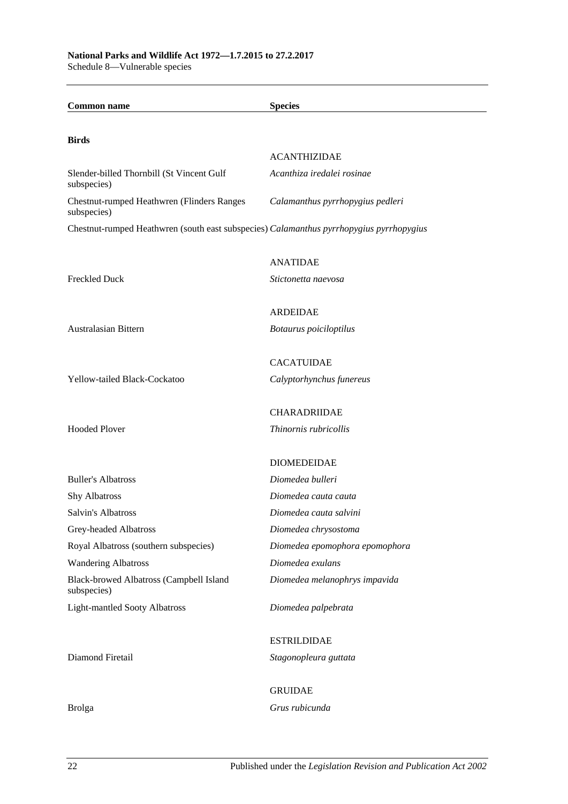| <b>Common name</b>                                                                      | <b>Species</b>                               |
|-----------------------------------------------------------------------------------------|----------------------------------------------|
|                                                                                         |                                              |
| <b>Birds</b>                                                                            | <b>ACANTHIZIDAE</b>                          |
| Slender-billed Thornbill (St Vincent Gulf                                               | Acanthiza iredalei rosinae                   |
| subspecies)                                                                             |                                              |
| Chestnut-rumped Heathwren (Flinders Ranges<br>subspecies)                               | Calamanthus pyrrhopygius pedleri             |
| Chestnut-rumped Heathwren (south east subspecies) Calamanthus pyrrhopygius pyrrhopygius |                                              |
|                                                                                         | <b>ANATIDAE</b>                              |
| <b>Freckled Duck</b>                                                                    | Stictonetta naevosa                          |
|                                                                                         | <b>ARDEIDAE</b>                              |
| Australasian Bittern                                                                    | Botaurus poiciloptilus                       |
|                                                                                         | <b>CACATUIDAE</b>                            |
| Yellow-tailed Black-Cockatoo                                                            | Calyptorhynchus funereus                     |
|                                                                                         |                                              |
| <b>Hooded Plover</b>                                                                    | <b>CHARADRIIDAE</b><br>Thinornis rubricollis |
|                                                                                         |                                              |
|                                                                                         | <b>DIOMEDEIDAE</b>                           |
| <b>Buller's Albatross</b>                                                               | Diomedea bulleri                             |
| <b>Shy Albatross</b>                                                                    | Diomedea cauta cauta                         |
| Salvin's Albatross                                                                      | Diomedea cauta salvini                       |
| Grey-headed Albatross                                                                   | Diomedea chrysostoma                         |
| Royal Albatross (southern subspecies)                                                   | Diomedea epomophora epomophora               |
| <b>Wandering Albatross</b>                                                              | Diomedea exulans                             |
| Black-browed Albatross (Campbell Island<br>subspecies)                                  | Diomedea melanophrys impavida                |
| <b>Light-mantled Sooty Albatross</b>                                                    | Diomedea palpebrata                          |
|                                                                                         | <b>ESTRILDIDAE</b>                           |
| Diamond Firetail                                                                        | Stagonopleura guttata                        |
|                                                                                         | <b>GRUIDAE</b>                               |
| <b>Brolga</b>                                                                           | Grus rubicunda                               |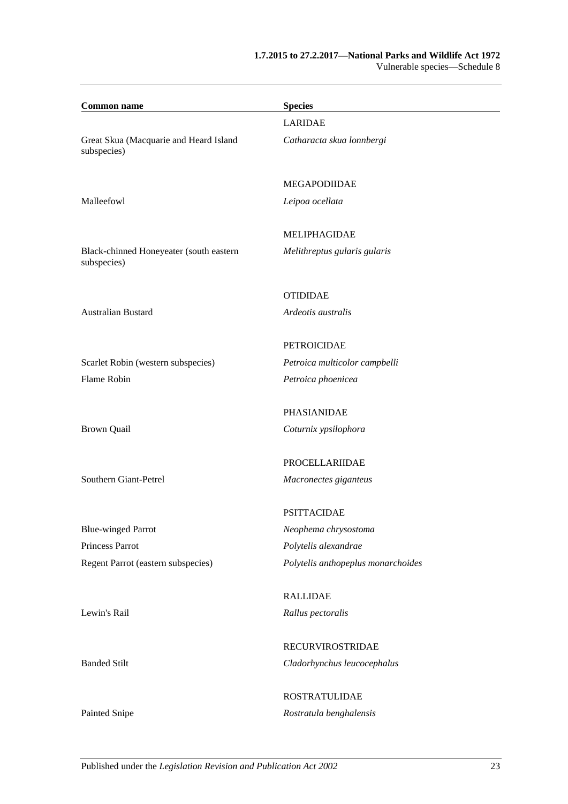#### **1.7.2015 to 27.2.2017—National Parks and Wildlife Act 1972** Vulnerable species—Schedule 8

| <b>Common name</b>                                     | <b>Species</b>                     |  |
|--------------------------------------------------------|------------------------------------|--|
|                                                        | <b>LARIDAE</b>                     |  |
| Great Skua (Macquarie and Heard Island<br>subspecies)  | Catharacta skua lonnbergi          |  |
|                                                        | <b>MEGAPODIIDAE</b>                |  |
| Malleefowl                                             | Leipoa ocellata                    |  |
|                                                        | <b>MELIPHAGIDAE</b>                |  |
| Black-chinned Honeyeater (south eastern<br>subspecies) | Melithreptus gularis gularis       |  |
|                                                        | <b>OTIDIDAE</b>                    |  |
| <b>Australian Bustard</b>                              | Ardeotis australis                 |  |
|                                                        | <b>PETROICIDAE</b>                 |  |
| Scarlet Robin (western subspecies)                     | Petroica multicolor campbelli      |  |
| Flame Robin                                            | Petroica phoenicea                 |  |
|                                                        | <b>PHASIANIDAE</b>                 |  |
| <b>Brown Quail</b>                                     | Coturnix ypsilophora               |  |
|                                                        | <b>PROCELLARIIDAE</b>              |  |
| Southern Giant-Petrel                                  | Macronectes giganteus              |  |
|                                                        | <b>PSITTACIDAE</b>                 |  |
| <b>Blue-winged Parrot</b>                              | Neophema chrysostoma               |  |
| <b>Princess Parrot</b>                                 | Polytelis alexandrae               |  |
| Regent Parrot (eastern subspecies)                     | Polytelis anthopeplus monarchoides |  |
|                                                        | <b>RALLIDAE</b>                    |  |
| Lewin's Rail                                           | Rallus pectoralis                  |  |
|                                                        | <b>RECURVIROSTRIDAE</b>            |  |
| <b>Banded Stilt</b>                                    | Cladorhynchus leucocephalus        |  |
|                                                        | <b>ROSTRATULIDAE</b>               |  |
| Painted Snipe                                          | Rostratula benghalensis            |  |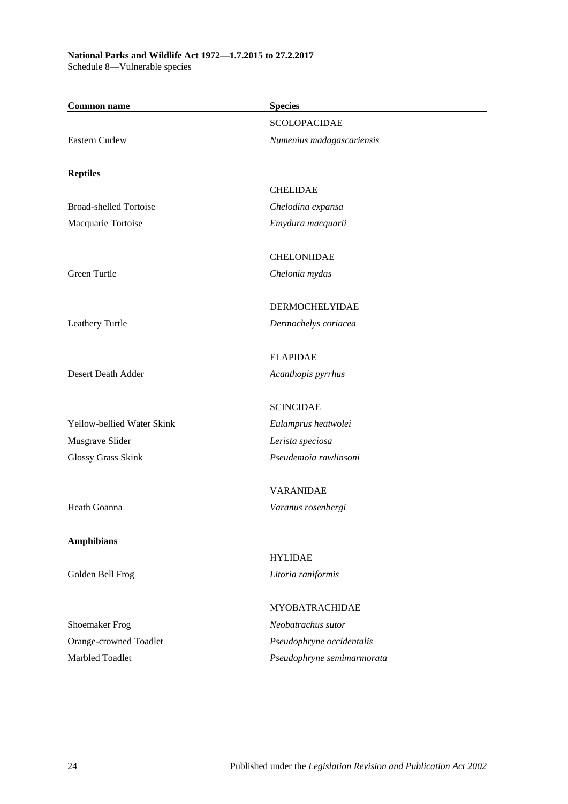#### **National Parks and Wildlife Act 1972—1.7.2015 to 27.2.2017** Schedule 8—Vulnerable species

**Common name Species** SCOLOPACIDAE Eastern Curlew *Numenius madagascariensis* **Reptiles** CHELIDAE Broad-shelled Tortoise *Chelodina expansa* Macquarie Tortoise *Emydura macquarii* **CHELONIIDAE** Green Turtle *Chelonia mydas* DERMOCHELYIDAE Leathery Turtle *Dermochelys coriacea* ELAPIDAE Desert Death Adder *Acanthopis pyrrhus* SCINCIDAE Yellow-bellied Water Skink *Eulamprus heatwolei* Musgrave Slider *Lerista speciosa* Glossy Grass Skink *Pseudemoia rawlinsoni* VARANIDAE Heath Goanna *Varanus rosenbergi* **Amphibians** HYLIDAE Golden Bell Frog *Litoria raniformis* MYOBATRACHIDAE Shoemaker Frog *Neobatrachus sutor* Orange-crowned Toadlet *Pseudophryne occidentalis* Marbled Toadlet *Pseudophryne semimarmorata*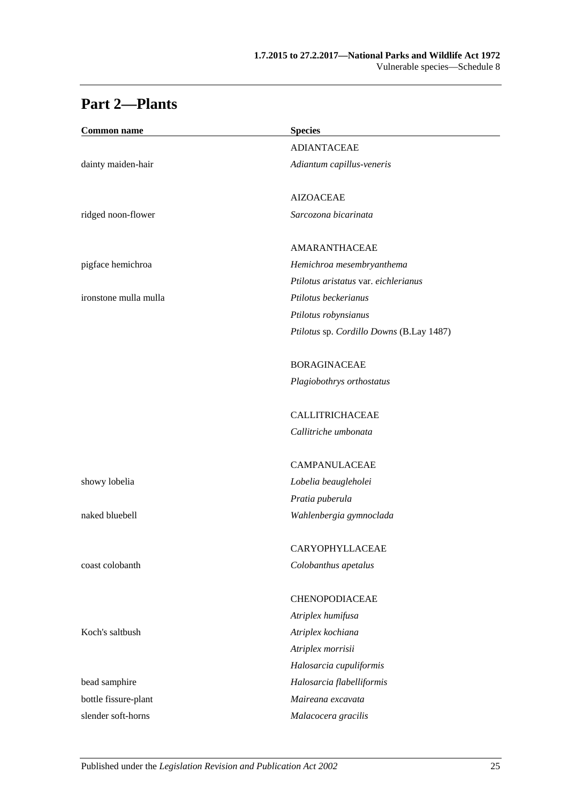# **Part 2—Plants**

| <b>Species</b>                           |
|------------------------------------------|
| <b>ADIANTACEAE</b>                       |
| Adiantum capillus-veneris                |
| <b>AIZOACEAE</b>                         |
| Sarcozona bicarinata                     |
| AMARANTHACEAE                            |
| Hemichroa mesembryanthema                |
| Ptilotus aristatus var. eichlerianus     |
| Ptilotus beckerianus                     |
| Ptilotus robynsianus                     |
| Ptilotus sp. Cordillo Downs (B.Lay 1487) |
| <b>BORAGINACEAE</b>                      |
| Plagiobothrys orthostatus                |
| <b>CALLITRICHACEAE</b>                   |
| Callitriche umbonata                     |
| <b>CAMPANULACEAE</b>                     |
| Lobelia beaugleholei                     |
| Pratia puberula                          |
| Wahlenbergia gymnoclada                  |
| CARYOPHYLLACEAE                          |
| Colobanthus apetalus                     |
| CHENOPODIACEAE                           |
| Atriplex humifusa                        |
| Atriplex kochiana                        |
| Atriplex morrisii                        |
| Halosarcia cupuliformis                  |
| Halosarcia flabelliformis                |
| Maireana excavata                        |
| Malacocera gracilis                      |
|                                          |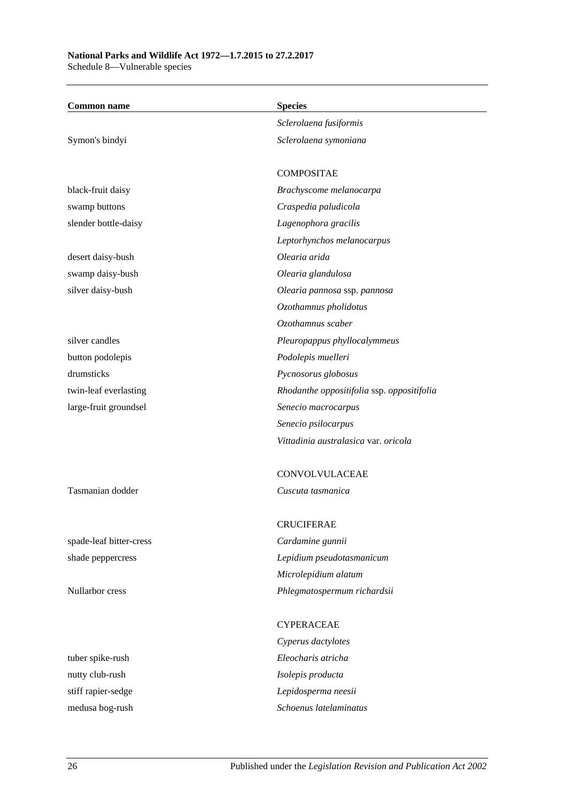#### **National Parks and Wildlife Act 1972—1.7.2015 to 27.2.2017** Schedule 8—Vulnerable species

**Common name Species** *Sclerolaena fusiformis* Symon's bindyi *Sclerolaena symoniana* COMPOSITAE black-fruit daisy *Brachyscome melanocarpa* swamp buttons *Craspedia paludicola* slender bottle-daisy *Lagenophora gracilis Leptorhynchos melanocarpus* desert daisy-bush *Olearia arida* swamp daisy-bush *Olearia glandulosa* silver daisy-bush *Olearia pannosa* ssp. *pannosa Ozothamnus pholidotus Ozothamnus scaber* silver candles *Pleuropappus phyllocalymmeus* button podolepis *Podolepis muelleri* drumsticks *Pycnosorus globosus* twin-leaf everlasting *Rhodanthe oppositifolia* ssp. *oppositifolia* large-fruit groundsel *Senecio macrocarpus Senecio psilocarpus Vittadinia australasica* var. *oricola* CONVOLVULACEAE Tasmanian dodder *Cuscuta tasmanica* **CRUCIFERAE** 

spade-leaf bitter-cress *Cardamine gunnii* shade peppercress *Lepidium pseudotasmanicum Microlepidium alatum* Nullarbor cress *Phlegmatospermum richardsii*

**CYPERACEAE** *Cyperus dactylotes* tuber spike-rush *Eleocharis atricha* stiff rapier-sedge *Lepidosperma neesii* medusa bog-rush *Schoenus latelaminatus*

nutty club-rush *Isolepis producta*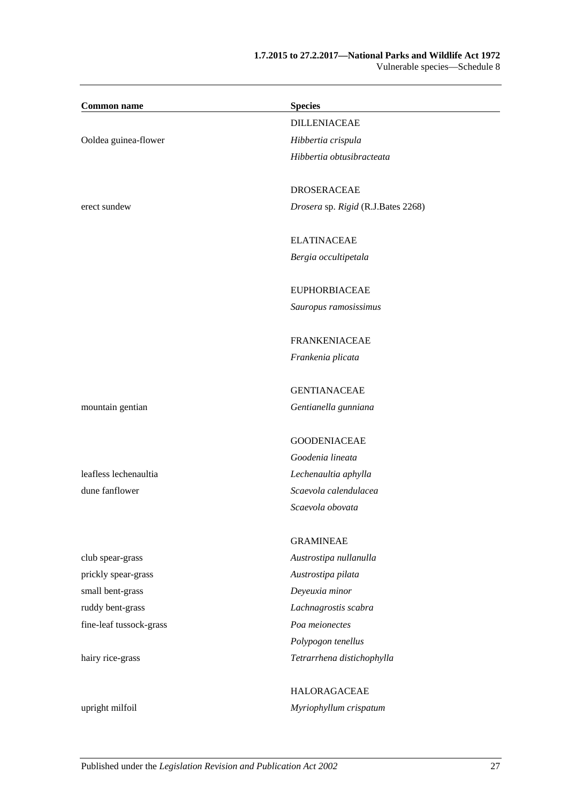### **1.7.2015 to 27.2.2017—National Parks and Wildlife Act 1972** Vulnerable species—Schedule 8

| <b>Common name</b>      | <b>Species</b>                     |
|-------------------------|------------------------------------|
|                         | <b>DILLENIACEAE</b>                |
| Ooldea guinea-flower    | Hibbertia crispula                 |
|                         | Hibbertia obtusibracteata          |
|                         |                                    |
|                         | <b>DROSERACEAE</b>                 |
| erect sundew            | Drosera sp. Rigid (R.J.Bates 2268) |
|                         | <b>ELATINACEAE</b>                 |
|                         | Bergia occultipetala               |
|                         |                                    |
|                         | <b>EUPHORBIACEAE</b>               |
|                         | Sauropus ramosissimus              |
|                         | <b>FRANKENIACEAE</b>               |
|                         | Frankenia plicata                  |
|                         | <b>GENTIANACEAE</b>                |
| mountain gentian        | Gentianella gunniana               |
|                         |                                    |
|                         | <b>GOODENIACEAE</b>                |
|                         | Goodenia lineata                   |
| leafless lechenaultia   | Lechenaultia aphylla               |
| dune fanflower          | Scaevola calendulacea              |
|                         | Scaevola obovata                   |
|                         | <b>GRAMINEAE</b>                   |
| club spear-grass        | Austrostipa nullanulla             |
| prickly spear-grass     | Austrostipa pilata                 |
| small bent-grass        | Deyeuxia minor                     |
| ruddy bent-grass        | Lachnagrostis scabra               |
| fine-leaf tussock-grass | Poa meionectes                     |
|                         | Polypogon tenellus                 |
| hairy rice-grass        | Tetrarrhena distichophylla         |
|                         | <b>HALORAGACEAE</b>                |
| upright milfoil         | Myriophyllum crispatum             |
|                         |                                    |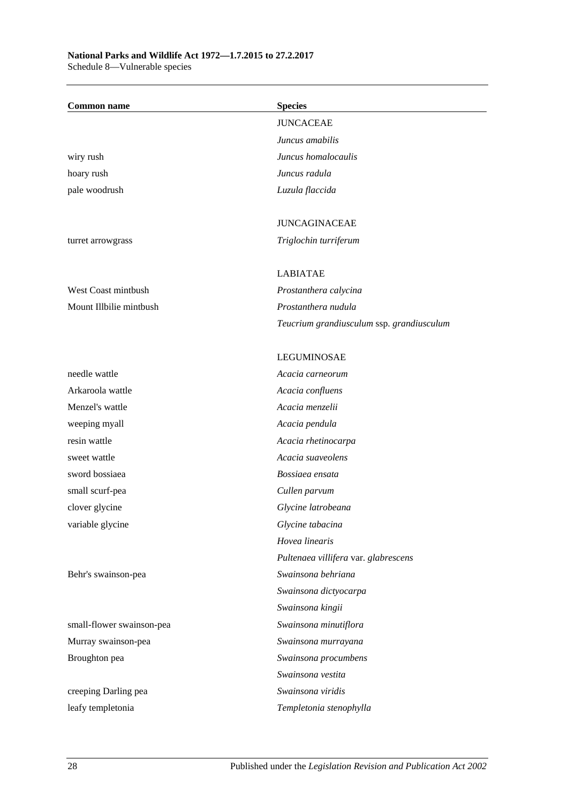# **National Parks and Wildlife Act 1972—1.7.2015 to 27.2.2017**

Schedule 8—Vulnerable species

| <b>Common name</b>        | <b>Species</b>                            |
|---------------------------|-------------------------------------------|
|                           | <b>JUNCACEAE</b>                          |
|                           | Juncus amabilis                           |
| wiry rush                 | Juncus homalocaulis                       |
| hoary rush                | Juncus radula                             |
| pale woodrush             | Luzula flaccida                           |
|                           | <b>JUNCAGINACEAE</b>                      |
|                           |                                           |
| turret arrowgrass         | Triglochin turriferum                     |
|                           | <b>LABIATAE</b>                           |
| West Coast mintbush       | Prostanthera calycina                     |
| Mount Illbilie mintbush   | Prostanthera nudula                       |
|                           | Teucrium grandiusculum ssp. grandiusculum |
|                           | <b>LEGUMINOSAE</b>                        |
| needle wattle             | Acacia carneorum                          |
| Arkaroola wattle          | Acacia confluens                          |
| Menzel's wattle           | Acacia menzelii                           |
| weeping myall             | Acacia pendula                            |
| resin wattle              | Acacia rhetinocarpa                       |
| sweet wattle              | Acacia suaveolens                         |
| sword bossiaea            | Bossiaea ensata                           |
| small scurf-pea           | Cullen parvum                             |
| clover glycine            | Glycine latrobeana                        |
| variable glycine          | Glycine tabacina                          |
|                           | Hovea linearis                            |
|                           | Pultenaea villifera var. glabrescens      |
| Behr's swainson-pea       | Swainsona behriana                        |
|                           | Swainsona dictyocarpa                     |
|                           | Swainsona kingii                          |
| small-flower swainson-pea | Swainsona minutiflora                     |
| Murray swainson-pea       | Swainsona murrayana                       |
| Broughton pea             | Swainsona procumbens                      |
|                           | Swainsona vestita                         |
| creeping Darling pea      | Swainsona viridis                         |
| leafy templetonia         | Templetonia stenophylla                   |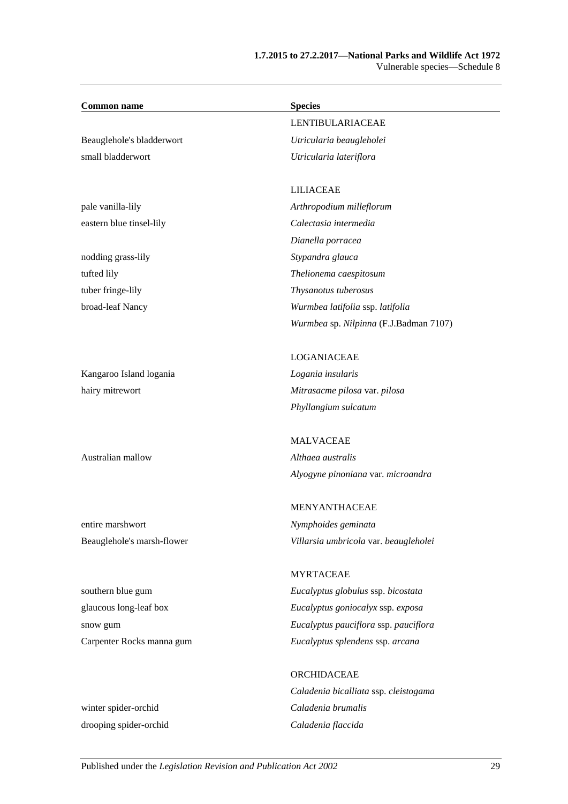#### **1.7.2015 to 27.2.2017—National Parks and Wildlife Act 1972** Vulnerable species—Schedule 8

| <b>Common name</b>         | <b>Species</b>                         |
|----------------------------|----------------------------------------|
|                            | <b>LENTIBULARIACEAE</b>                |
| Beauglehole's bladderwort  | Utricularia beaugleholei               |
| small bladderwort          | Utricularia lateriflora                |
|                            |                                        |
|                            | <b>LILIACEAE</b>                       |
| pale vanilla-lily          | Arthropodium milleflorum               |
| eastern blue tinsel-lily   | Calectasia intermedia                  |
|                            | Dianella porracea                      |
| nodding grass-lily         | Stypandra glauca                       |
| tufted lily                | Thelionema caespitosum                 |
| tuber fringe-lily          | Thysanotus tuberosus                   |
| broad-leaf Nancy           | Wurmbea latifolia ssp. latifolia       |
|                            | Wurmbea sp. Nilpinna (F.J.Badman 7107) |
|                            | LOGANIACEAE                            |
| Kangaroo Island logania    | Logania insularis                      |
| hairy mitrewort            | Mitrasacme pilosa var. pilosa          |
|                            | Phyllangium sulcatum                   |
|                            | <b>MALVACEAE</b>                       |
| Australian mallow          | Althaea australis                      |
|                            | Alyogyne pinoniana var. microandra     |
|                            | <b>MENYANTHACEAE</b>                   |
| entire marshwort           | Nymphoides geminata                    |
|                            |                                        |
| Beauglehole's marsh-flower | Villarsia umbricola var. beaugleholei  |
|                            | <b>MYRTACEAE</b>                       |
| southern blue gum          | Eucalyptus globulus ssp. bicostata     |
| glaucous long-leaf box     | Eucalyptus goniocalyx ssp. exposa      |
| snow gum                   | Eucalyptus pauciflora ssp. pauciflora  |
| Carpenter Rocks manna gum  | Eucalyptus splendens ssp. arcana       |
|                            | ORCHIDACEAE                            |
|                            | Caladenia bicalliata ssp. cleistogama  |
| winter spider-orchid       | Caladenia brumalis                     |

drooping spider-orchid *Caladenia flaccida*

Published under the *Legislation Revision and Publication Act 2002* 29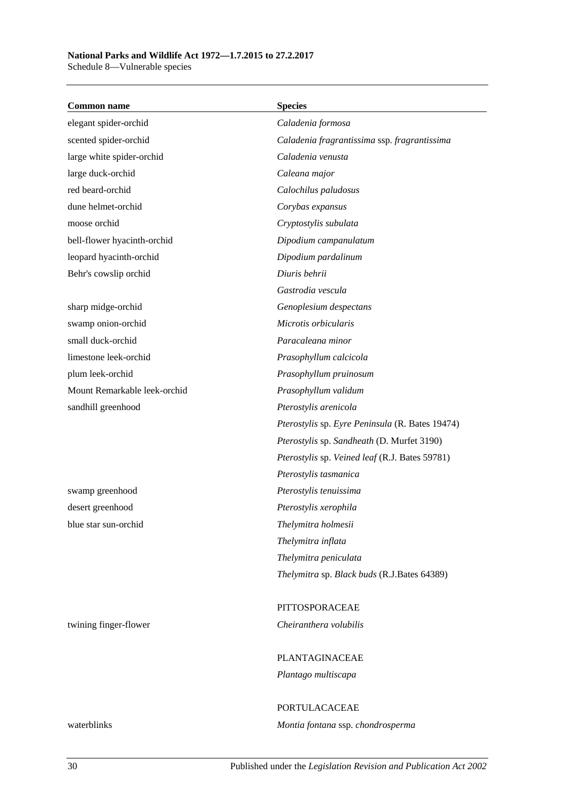Schedule 8—Vulnerable species

| <b>Common name</b>           | <b>Species</b>                                  |
|------------------------------|-------------------------------------------------|
| elegant spider-orchid        | Caladenia formosa                               |
| scented spider-orchid        | Caladenia fragrantissima ssp. fragrantissima    |
| large white spider-orchid    | Caladenia venusta                               |
| large duck-orchid            | Caleana major                                   |
| red beard-orchid             | Calochilus paludosus                            |
| dune helmet-orchid           | Corybas expansus                                |
| moose orchid                 | Cryptostylis subulata                           |
| bell-flower hyacinth-orchid  | Dipodium campanulatum                           |
| leopard hyacinth-orchid      | Dipodium pardalinum                             |
| Behr's cowslip orchid        | Diuris behrii                                   |
|                              | Gastrodia vescula                               |
| sharp midge-orchid           | Genoplesium despectans                          |
| swamp onion-orchid           | Microtis orbicularis                            |
| small duck-orchid            | Paracaleana minor                               |
| limestone leek-orchid        | Prasophyllum calcicola                          |
| plum leek-orchid             | Prasophyllum pruinosum                          |
| Mount Remarkable leek-orchid | Prasophyllum validum                            |
| sandhill greenhood           | Pterostylis arenicola                           |
|                              | Pterostylis sp. Eyre Peninsula (R. Bates 19474) |
|                              | Pterostylis sp. Sandheath (D. Murfet 3190)      |
|                              | Pterostylis sp. Veined leaf (R.J. Bates 59781)  |
|                              | Pterostylis tasmanica                           |
| swamp greenhood              | Pterostylis tenuissima                          |
| desert greenhood             | Pterostylis xerophila                           |
| blue star sun-orchid         | Thelymitra holmesii                             |
|                              | Thelymitra inflata                              |
|                              | Thelymitra peniculata                           |
|                              | Thelymitra sp. Black buds (R.J.Bates 64389)     |
|                              | PITTOSPORACEAE                                  |
| twining finger-flower        | Cheiranthera volubilis                          |
|                              | PLANTAGINACEAE                                  |
|                              | Plantago multiscapa                             |
|                              | PORTULACACEAE                                   |
| waterblinks                  | Montia fontana ssp. chondrosperma               |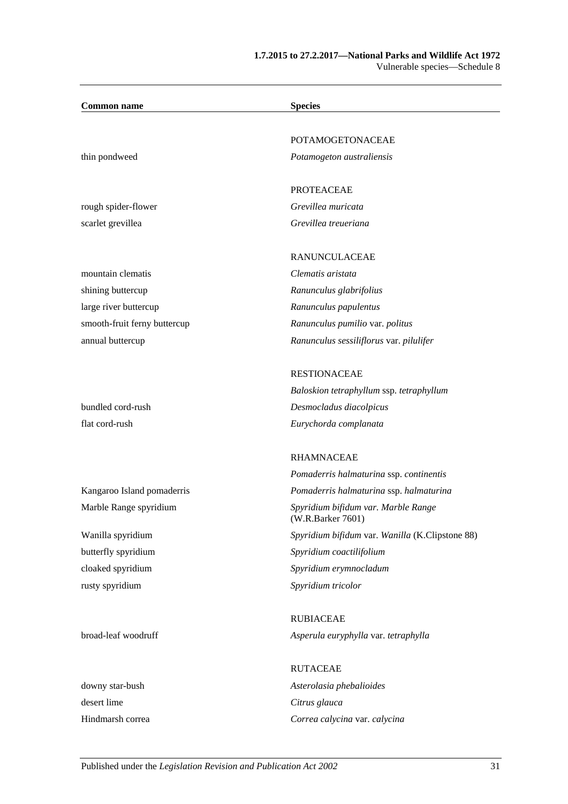| <b>Common name</b>           | <b>Species</b>                                           |
|------------------------------|----------------------------------------------------------|
|                              | <b>POTAMOGETONACEAE</b>                                  |
|                              |                                                          |
| thin pondweed                | Potamogeton australiensis                                |
|                              | <b>PROTEACEAE</b>                                        |
| rough spider-flower          | Grevillea muricata                                       |
| scarlet grevillea            | Grevillea treueriana                                     |
|                              | RANUNCULACEAE                                            |
| mountain clematis            | Clematis aristata                                        |
| shining buttercup            | Ranunculus glabrifolius                                  |
| large river buttercup        | Ranunculus papulentus                                    |
| smooth-fruit ferny buttercup | Ranunculus pumilio var. politus                          |
| annual buttercup             | Ranunculus sessiliflorus var. pilulifer                  |
|                              | <b>RESTIONACEAE</b>                                      |
|                              | Baloskion tetraphyllum ssp. tetraphyllum                 |
| bundled cord-rush            | Desmocladus diacolpicus                                  |
| flat cord-rush               | Eurychorda complanata                                    |
|                              | <b>RHAMNACEAE</b>                                        |
|                              | Pomaderris halmaturina ssp. continentis                  |
| Kangaroo Island pomaderris   | Pomaderris halmaturina ssp. halmaturina                  |
| Marble Range spyridium       | Spyridium bifidum var. Marble Range<br>(W.R.Barker 7601) |
| Wanilla spyridium            | Spyridium bifidum var. Wanilla (K.Clipstone 88)          |
| butterfly spyridium          | Spyridium coactilifolium                                 |
| cloaked spyridium            | Spyridium erymnocladum                                   |
| rusty spyridium              | Spyridium tricolor                                       |
|                              | <b>RUBIACEAE</b>                                         |
| broad-leaf woodruff          | Asperula euryphylla var. tetraphylla                     |
|                              | <b>RUTACEAE</b>                                          |
| downy star-bush              | Asterolasia phebalioides                                 |
| desert lime                  | Citrus glauca                                            |
| Hindmarsh correa             | Correa calycina var. calycina                            |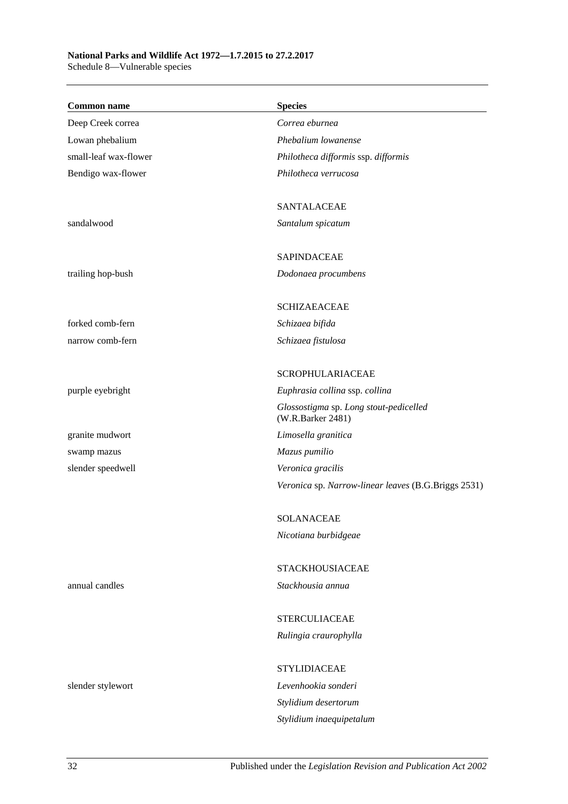### **National Parks and Wildlife Act 1972—1.7.2015 to 27.2.2017**

Schedule 8—Vulnerable species

| <b>Common name</b>    | <b>Species</b>                                              |
|-----------------------|-------------------------------------------------------------|
| Deep Creek correa     | Correa eburnea                                              |
| Lowan phebalium       | Phebalium lowanense                                         |
| small-leaf wax-flower | Philotheca difformis ssp. difformis                         |
| Bendigo wax-flower    | Philotheca verrucosa                                        |
|                       | <b>SANTALACEAE</b>                                          |
| sandalwood            | Santalum spicatum                                           |
|                       | <b>SAPINDACEAE</b>                                          |
| trailing hop-bush     | Dodonaea procumbens                                         |
|                       | <b>SCHIZAEACEAE</b>                                         |
| forked comb-fern      | Schizaea bifida                                             |
| narrow comb-fern      | Schizaea fistulosa                                          |
|                       | <b>SCROPHULARIACEAE</b>                                     |
| purple eyebright      | Euphrasia collina ssp. collina                              |
|                       | Glossostigma sp. Long stout-pedicelled<br>(W.R.Barker 2481) |
| granite mudwort       | Limosella granitica                                         |
| swamp mazus           | Mazus pumilio                                               |
| slender speedwell     | Veronica gracilis                                           |
|                       | Veronica sp. Narrow-linear leaves (B.G.Briggs 2531)         |
|                       | <b>SOLANACEAE</b>                                           |
|                       | Nicotiana burbidgeae                                        |
|                       | <b>STACKHOUSIACEAE</b>                                      |
| annual candles        | Stackhousia annua                                           |
|                       | <b>STERCULIACEAE</b>                                        |
|                       | Rulingia craurophylla                                       |
|                       | <b>STYLIDIACEAE</b>                                         |
| slender stylewort     | Levenhookia sonderi                                         |
|                       | Stylidium desertorum                                        |
|                       | Stylidium inaequipetalum                                    |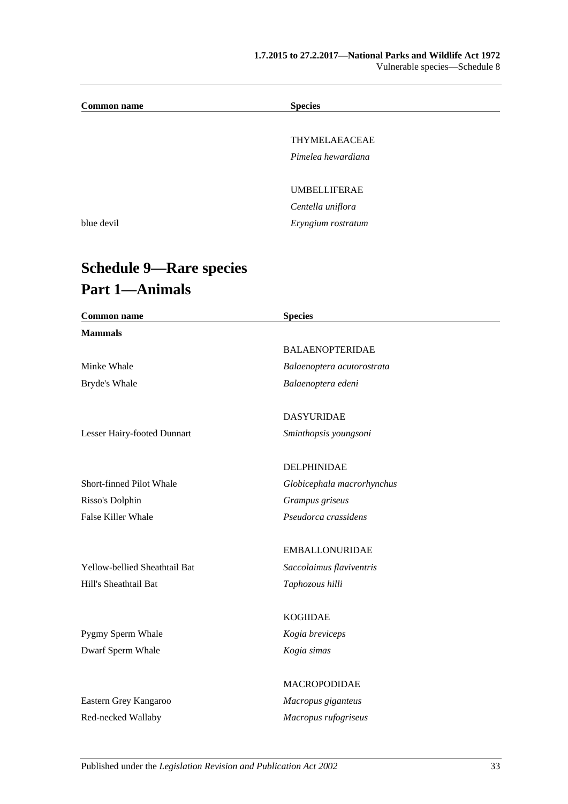| <b>Common name</b> | <b>Species</b>      |  |
|--------------------|---------------------|--|
|                    |                     |  |
|                    | THYMELAEACEAE       |  |
|                    | Pimelea hewardiana  |  |
|                    |                     |  |
|                    | <b>UMBELLIFERAE</b> |  |
|                    | Centella uniflora   |  |
| blue devil         | Eryngium rostratum  |  |
|                    |                     |  |

# **Schedule 9—Rare species Part 1—Animals**

| <b>Common name</b>            | <b>Species</b>             |  |
|-------------------------------|----------------------------|--|
| <b>Mammals</b>                |                            |  |
|                               | <b>BALAENOPTERIDAE</b>     |  |
| Minke Whale                   | Balaenoptera acutorostrata |  |
| Bryde's Whale                 | Balaenoptera edeni         |  |
|                               | <b>DASYURIDAE</b>          |  |
| Lesser Hairy-footed Dunnart   | Sminthopsis youngsoni      |  |
|                               | DELPHINIDAE                |  |
| Short-finned Pilot Whale      | Globicephala macrorhynchus |  |
| Risso's Dolphin               | Grampus griseus            |  |
| False Killer Whale            | Pseudorca crassidens       |  |
|                               | <b>EMBALLONURIDAE</b>      |  |
| Yellow-bellied Sheathtail Bat | Saccolaimus flaviventris   |  |
| Hill's Sheathtail Bat         | Taphozous hilli            |  |
|                               | <b>KOGIIDAE</b>            |  |
| Pygmy Sperm Whale             | Kogia breviceps            |  |
| Dwarf Sperm Whale             | Kogia simas                |  |
|                               | MACROPODIDAE               |  |
| Eastern Grey Kangaroo         | Macropus giganteus         |  |
| Red-necked Wallaby            | Macropus rufogriseus       |  |
|                               |                            |  |

Published under the *Legislation Revision and Publication Act 2002* 33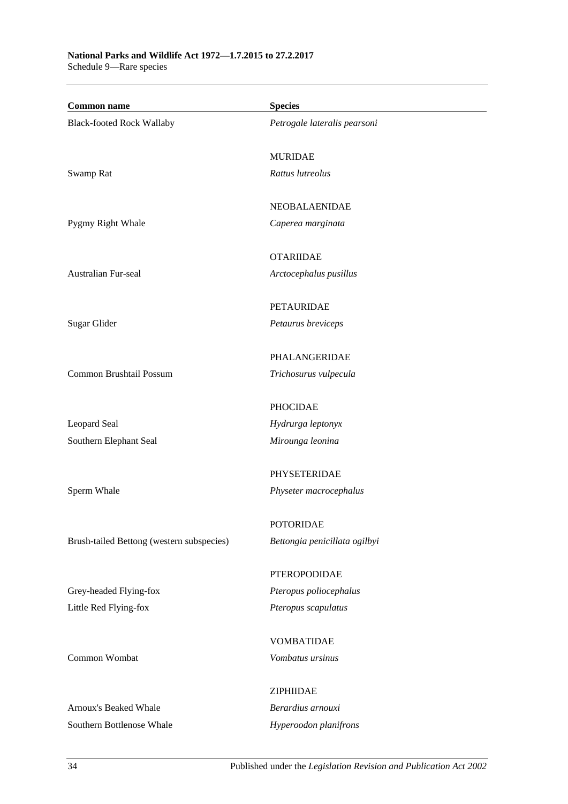**Common name Species** Black-footed Rock Wallaby *Petrogale lateralis pearsoni* MURIDAE Swamp Rat *Rattus lutreolus* NEOBALAENIDAE Pygmy Right Whale *Caperea marginata* OTARIIDAE Australian Fur-seal *Arctocephalus pusillus* PETAURIDAE Sugar Glider *Petaurus breviceps* PHALANGERIDAE Common Brushtail Possum *Trichosurus vulpecula* PHOCIDAE Leopard Seal *Hydrurga leptonyx* Southern Elephant Seal *Mirounga leonina* PHYSETERIDAE Sperm Whale *Physeter macrocephalus* POTORIDAE Brush-tailed Bettong (western subspecies) *Bettongia penicillata ogilbyi* PTEROPODIDAE Grey-headed Flying-fox *Pteropus poliocephalus* Little Red Flying-fox *Pteropus scapulatus* VOMBATIDAE Common Wombat *Vombatus ursinus* ZIPHIIDAE Arnoux's Beaked Whale *Berardius arnouxi* Southern Bottlenose Whale *Hyperoodon planifrons*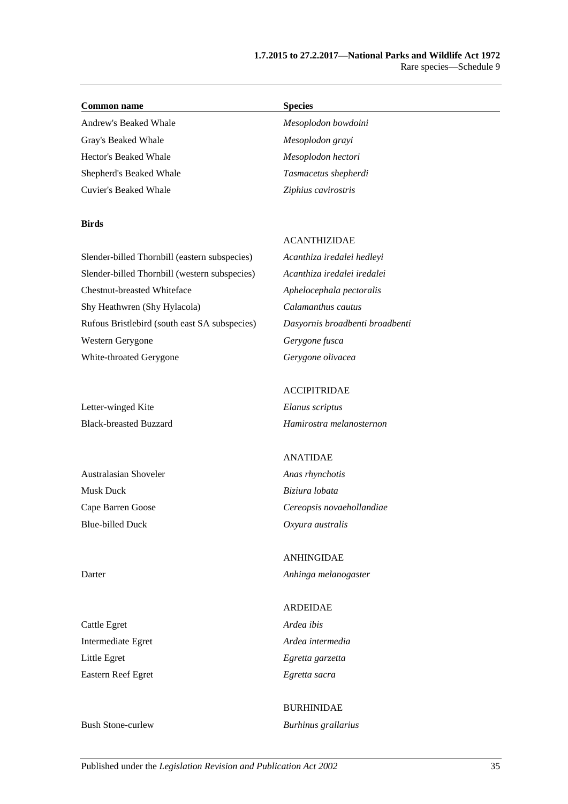#### **Common name Species**

Andrew's Beaked Whale *Mesoplodon bowdoini* Gray's Beaked Whale *Mesoplodon grayi* Hector's Beaked Whale *Mesoplodon hectori* Shepherd's Beaked Whale *Tasmacetus shepherdi*

#### **Birds**

Cuvier's Beaked Whale *Ziphius cavirostris* Slender-billed Thornbill (eastern subspecies) *Acanthiza iredalei hedleyi*

Chestnut-breasted Whiteface *Aphelocephala pectoralis* Shy Heathwren (Shy Hylacola) *Calamanthus cautus* Rufous Bristlebird (south east SA subspecies) *Dasyornis broadbenti broadbenti* Western Gerygone *Gerygone fusca* White-throated Gerygone *Gerygone olivacea*

Letter-winged Kite *Elanus scriptus*

Australasian Shoveler *Anas rhynchotis* Musk Duck *Biziura lobata* Blue-billed Duck *Oxyura australis*

Cattle Egret *Ardea ibis* Intermediate Egret *Ardea intermedia* Little Egret *Egretta garzetta* Eastern Reef Egret *Egretta sacra*

#### ACANTHIZIDAE

Slender-billed Thornbill (western subspecies) *Acanthiza iredalei iredalei*

#### ACCIPITRIDAE

Black-breasted Buzzard *Hamirostra melanosternon*

#### ANATIDAE

Cape Barren Goose *Cereopsis novaehollandiae*

ANHINGIDAE Darter *Anhinga melanogaster*

# ARDEIDAE

# BURHINIDAE Bush Stone-curlew *Burhinus grallarius*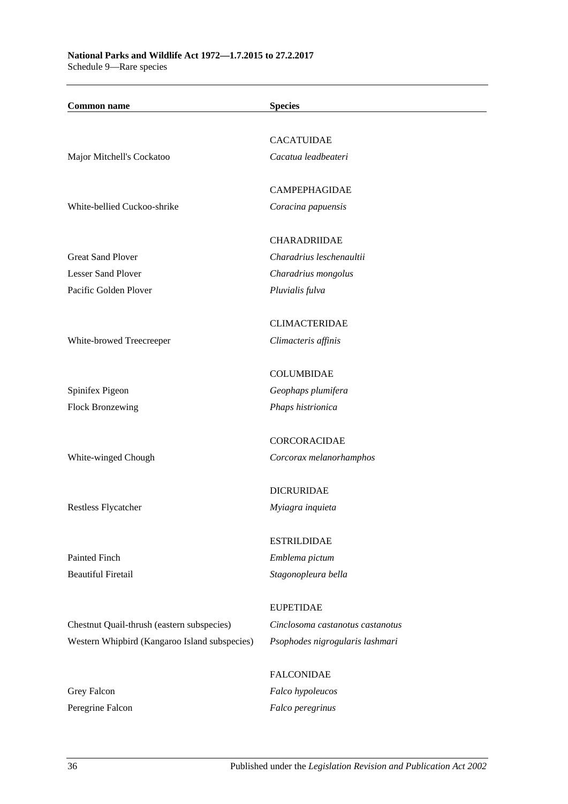| <b>Common name</b>                            | <b>Species</b>                   |
|-----------------------------------------------|----------------------------------|
|                                               |                                  |
|                                               | <b>CACATUIDAE</b>                |
| Major Mitchell's Cockatoo                     | Cacatua leadbeateri              |
|                                               | <b>CAMPEPHAGIDAE</b>             |
| White-bellied Cuckoo-shrike                   | Coracina papuensis               |
|                                               | <b>CHARADRIIDAE</b>              |
| <b>Great Sand Plover</b>                      | Charadrius leschenaultii         |
| <b>Lesser Sand Plover</b>                     | Charadrius mongolus              |
| Pacific Golden Plover                         | Pluvialis fulva                  |
|                                               | <b>CLIMACTERIDAE</b>             |
| White-browed Treecreeper                      | Climacteris affinis              |
|                                               |                                  |
|                                               | <b>COLUMBIDAE</b>                |
| Spinifex Pigeon                               | Geophaps plumifera               |
| <b>Flock Bronzewing</b>                       | Phaps histrionica                |
|                                               | <b>CORCORACIDAE</b>              |
| White-winged Chough                           | Corcorax melanorhamphos          |
|                                               |                                  |
|                                               | <b>DICRURIDAE</b>                |
| Restless Flycatcher                           | Myiagra inquieta                 |
|                                               | <b>ESTRILDIDAE</b>               |
| Painted Finch                                 | Emblema pictum                   |
| <b>Beautiful Firetail</b>                     | Stagonopleura bella              |
|                                               | <b>EUPETIDAE</b>                 |
|                                               | Cinclosoma castanotus castanotus |
| Chestnut Quail-thrush (eastern subspecies)    |                                  |
| Western Whipbird (Kangaroo Island subspecies) | Psophodes nigrogularis lashmari  |
|                                               | <b>FALCONIDAE</b>                |
| Grey Falcon                                   | Falco hypoleucos                 |
| Peregrine Falcon                              | Falco peregrinus                 |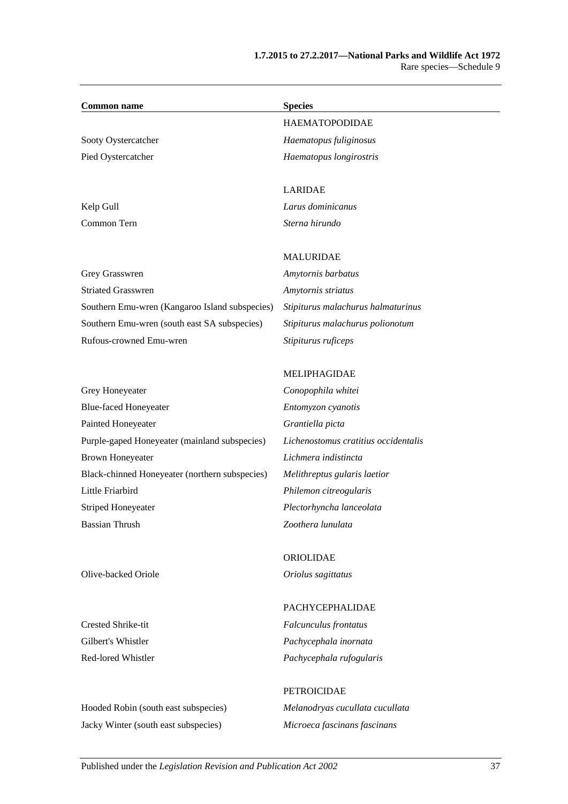| <b>Common name</b>             | <b>Species</b>                                                                                                  |
|--------------------------------|-----------------------------------------------------------------------------------------------------------------|
|                                | <b>HAEMATOPODIDAE</b>                                                                                           |
| Sooty Oystercatcher            | Haematopus fuliginosus                                                                                          |
| Pied Oystercatcher             | Haematopus longirostris                                                                                         |
|                                | <b>LARIDAE</b>                                                                                                  |
| Kelp Gull                      | Larus dominicanus                                                                                               |
| Common Tern                    | Sterna hirundo                                                                                                  |
|                                | <b>MALURIDAE</b>                                                                                                |
| Grey Grasswren                 | Amytornis barbatus                                                                                              |
| $\alpha$ , $\alpha$ , $\alpha$ | And the state of the state of the state of the state of the state of the state of the state of the state of the |

Striated Grasswren *Amytornis striatus* Southern Emu-wren (Kangaroo Island subspecies) *Stipiturus malachurus halmaturinus* Southern Emu-wren (south east SA subspecies) *Stipiturus malachurus polionotum* Rufous-crowned Emu-wren *Stipiturus ruficeps*

# Grey Honeyeater *Conopophila whitei* Blue-faced Honeyeater *Entomyzon cyanotis* Painted Honeyeater *Grantiella picta* Purple-gaped Honeyeater (mainland subspecies) *Lichenostomus cratitius occidentalis* Brown Honeyeater *Lichmera indistincta* Black-chinned Honeyeater (northern subspecies) *Melithreptus gularis laetior* Little Friarbird *Philemon citreogularis* Striped Honeyeater *Plectorhyncha lanceolata* Bassian Thrush *Zoothera lunulata*

ORIOLIDAE Olive-backed Oriole *Oriolus sagittatus*

MELIPHAGIDAE

Hooded Robin (south east subspecies) *Melanodryas cucullata cucullata* Jacky Winter (south east subspecies) *Microeca fascinans fascinans*

#### PACHYCEPHALIDAE

Crested Shrike-tit *Falcunculus frontatus* Gilbert's Whistler *Pachycephala inornata* Red-lored Whistler *Pachycephala rufogularis*

# PETROICIDAE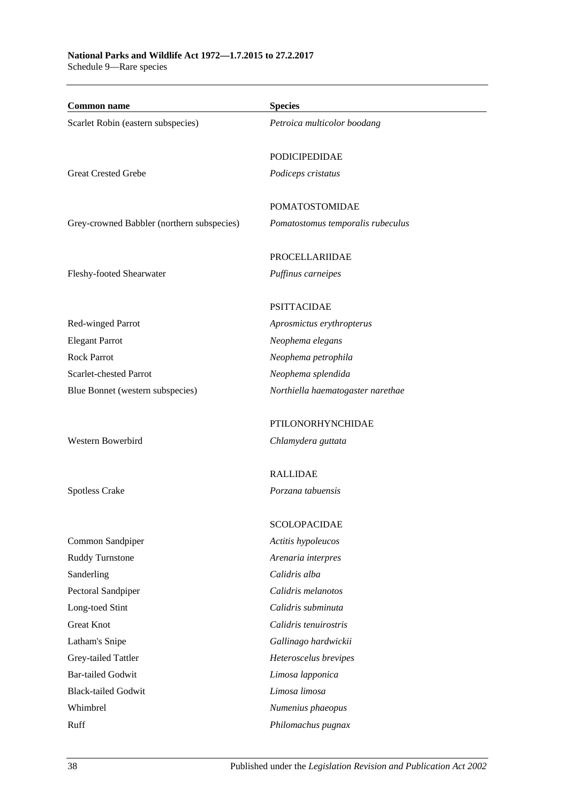# **National Parks and Wildlife Act 1972—1.7.2015 to 27.2.2017**

Schedule 9—Rare species

| <b>Common name</b>                         | <b>Species</b>                    |
|--------------------------------------------|-----------------------------------|
| Scarlet Robin (eastern subspecies)         | Petroica multicolor boodang       |
|                                            |                                   |
|                                            | PODICIPEDIDAE                     |
| <b>Great Crested Grebe</b>                 | Podiceps cristatus                |
|                                            | POMATOSTOMIDAE                    |
| Grey-crowned Babbler (northern subspecies) | Pomatostomus temporalis rubeculus |
|                                            |                                   |
|                                            | <b>PROCELLARIIDAE</b>             |
| Fleshy-footed Shearwater                   | Puffinus carneipes                |
|                                            | <b>PSITTACIDAE</b>                |
| Red-winged Parrot                          | Aprosmictus erythropterus         |
| <b>Elegant Parrot</b>                      | Neophema elegans                  |
| <b>Rock Parrot</b>                         | Neophema petrophila               |
| Scarlet-chested Parrot                     | Neophema splendida                |
| Blue Bonnet (western subspecies)           | Northiella haematogaster narethae |
|                                            | PTILONORHYNCHIDAE                 |
| Western Bowerbird                          | Chlamydera guttata                |
|                                            | <b>RALLIDAE</b>                   |
| <b>Spotless Crake</b>                      | Porzana tabuensis                 |
|                                            |                                   |
|                                            | <b>SCOLOPACIDAE</b>               |
| Common Sandpiper                           | Actitis hypoleucos                |
| Ruddy Turnstone                            | Arenaria interpres                |
| Sanderling                                 | Calidris alba                     |
| Pectoral Sandpiper                         | Calidris melanotos                |
| Long-toed Stint                            | Calidris subminuta                |
| <b>Great Knot</b>                          | Calidris tenuirostris             |
| Latham's Snipe                             | Gallinago hardwickii              |
| Grey-tailed Tattler                        | Heteroscelus brevipes             |
| <b>Bar-tailed Godwit</b>                   | Limosa lapponica                  |
| <b>Black-tailed Godwit</b>                 | Limosa limosa                     |
| Whimbrel                                   | Numenius phaeopus                 |
| Ruff                                       | Philomachus pugnax                |
|                                            |                                   |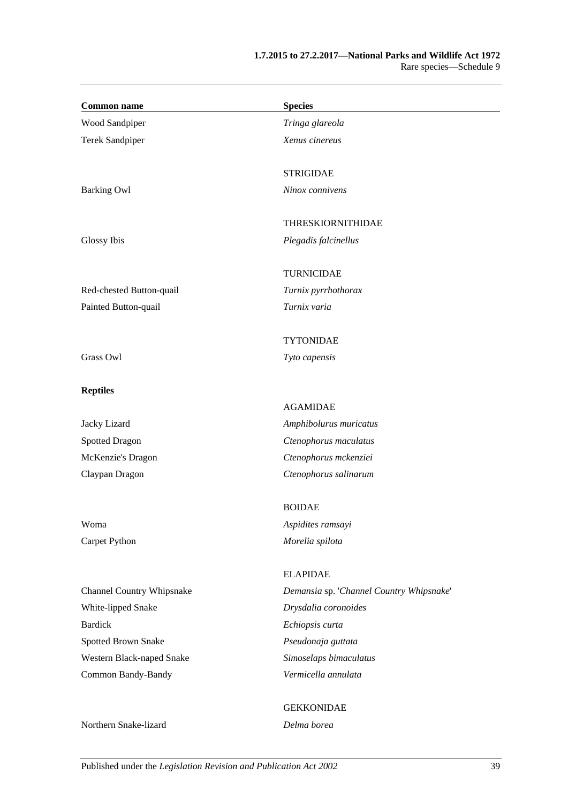| <b>Common name</b>               | <b>Species</b>                           |
|----------------------------------|------------------------------------------|
| Wood Sandpiper                   | Tringa glareola                          |
| <b>Terek Sandpiper</b>           | Xenus cinereus                           |
|                                  | <b>STRIGIDAE</b>                         |
| <b>Barking Owl</b>               | Ninox connivens                          |
|                                  | <b>THRESKIORNITHIDAE</b>                 |
| Glossy Ibis                      | Plegadis falcinellus                     |
|                                  | <b>TURNICIDAE</b>                        |
| Red-chested Button-quail         | Turnix pyrrhothorax                      |
| Painted Button-quail             | Turnix varia                             |
|                                  | <b>TYTONIDAE</b>                         |
| Grass Owl                        | Tyto capensis                            |
| <b>Reptiles</b>                  |                                          |
|                                  | <b>AGAMIDAE</b>                          |
| Jacky Lizard                     | Amphibolurus muricatus                   |
| <b>Spotted Dragon</b>            | Ctenophorus maculatus                    |
| McKenzie's Dragon                | Ctenophorus mckenziei                    |
| Claypan Dragon                   | Ctenophorus salinarum                    |
|                                  | <b>BOIDAE</b>                            |
| Woma                             | Aspidites ramsayi                        |
| Carpet Python                    | Morelia spilota                          |
|                                  | <b>ELAPIDAE</b>                          |
| <b>Channel Country Whipsnake</b> | Demansia sp. 'Channel Country Whipsnake' |
| White-lipped Snake               | Drysdalia coronoides                     |
| <b>Bardick</b>                   | Echiopsis curta                          |
| Spotted Brown Snake              | Pseudonaja guttata                       |
| Western Black-naped Snake        | Simoselaps bimaculatus                   |
| Common Bandy-Bandy               | Vermicella annulata                      |
|                                  | <b>GEKKONIDAE</b>                        |
| Northern Snake-lizard            | Delma borea                              |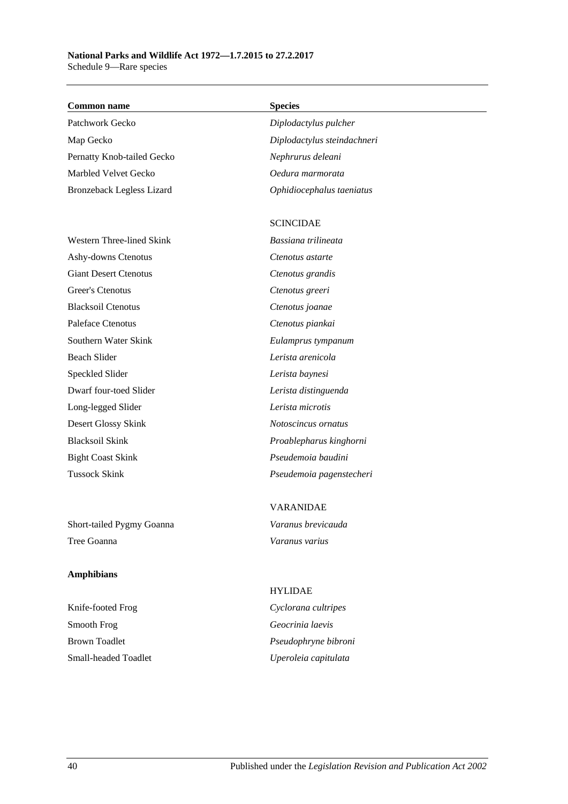#### **Common name Species**

Patchwork Gecko *Diplodactylus pulcher* Map Gecko *Diplodactylus steindachneri* Pernatty Knob-tailed Gecko *Nephrurus deleani* Marbled Velvet Gecko *Oedura marmorata* Bronzeback Legless Lizard *Ophidiocephalus taeniatus*

Western Three-lined Skink *Bassiana trilineata* Ashy-downs Ctenotus *Ctenotus astarte* Giant Desert Ctenotus *Ctenotus grandis* Greer's Ctenotus *Ctenotus greeri* Blacksoil Ctenotus *Ctenotus joanae* Paleface Ctenotus *Ctenotus piankai* Southern Water Skink *Eulamprus tympanum* Beach Slider *Lerista arenicola* Speckled Slider *Lerista baynesi* Dwarf four-toed Slider *Lerista distinguenda* Long-legged Slider *Lerista microtis* Desert Glossy Skink *Notoscincus ornatus* Blacksoil Skink *Proablepharus kinghorni* Bight Coast Skink *Pseudemoia baudini*

Short-tailed Pygmy Goanna *Varanus brevicauda* Tree Goanna *Varanus varius*

#### **Amphibians**

Knife-footed Frog *Cyclorana cultripes* Smooth Frog *Geocrinia laevis* Brown Toadlet *Pseudophryne bibroni* Small-headed Toadlet *Uperoleia capitulata*

#### SCINCIDAE

Tussock Skink *Pseudemoia pagenstecheri*

# VARANIDAE

# HYLIDAE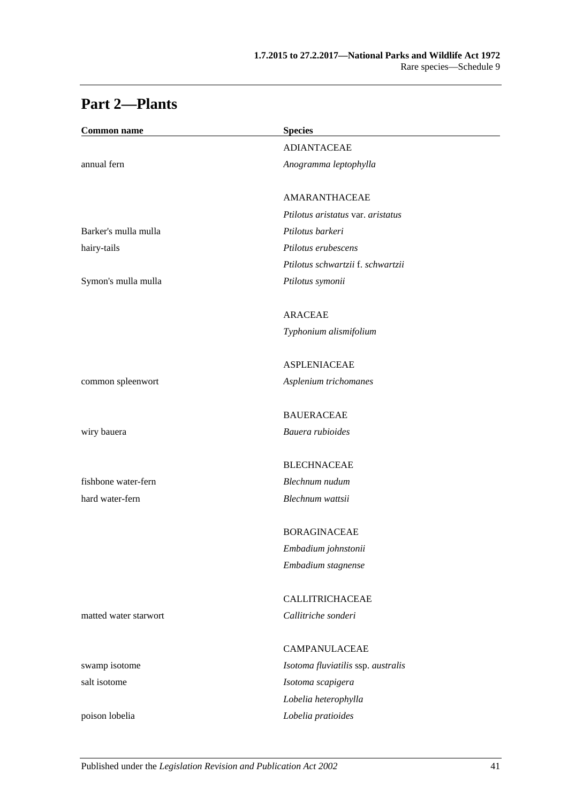| <b>Common name</b>    | <b>Species</b>                     |  |
|-----------------------|------------------------------------|--|
|                       | <b>ADIANTACEAE</b>                 |  |
| annual fern           | Anogramma leptophylla              |  |
|                       | AMARANTHACEAE                      |  |
|                       | Ptilotus aristatus var. aristatus  |  |
| Barker's mulla mulla  | Ptilotus barkeri                   |  |
| hairy-tails           | Ptilotus erubescens                |  |
|                       | Ptilotus schwartzii f. schwartzii  |  |
| Symon's mulla mulla   | Ptilotus symonii                   |  |
|                       | <b>ARACEAE</b>                     |  |
|                       | Typhonium alismifolium             |  |
|                       | <b>ASPLENIACEAE</b>                |  |
| common spleenwort     | Asplenium trichomanes              |  |
|                       | <b>BAUERACEAE</b>                  |  |
| wiry bauera           | Bauera rubioides                   |  |
|                       | <b>BLECHNACEAE</b>                 |  |
| fishbone water-fern   | Blechnum nudum                     |  |
| hard water-fern       | Blechnum wattsii                   |  |
|                       | <b>BORAGINACEAE</b>                |  |
|                       | Embadium johnstonii                |  |
|                       | Embadium stagnense                 |  |
|                       | CALLITRICHACEAE                    |  |
| matted water starwort | Callitriche sonderi                |  |
|                       | <b>CAMPANULACEAE</b>               |  |
| swamp isotome         | Isotoma fluviatilis ssp. australis |  |
| salt isotome          | Isotoma scapigera                  |  |
|                       | Lobelia heterophylla               |  |
| poison lobelia        | Lobelia pratioides                 |  |

# **Part 2—Plants**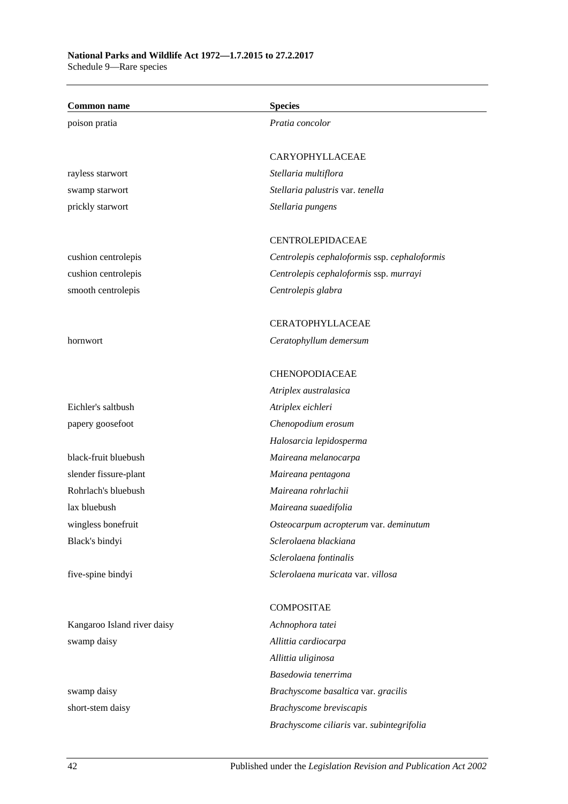| <b>Common name</b>          | <b>Species</b>                               |
|-----------------------------|----------------------------------------------|
| poison pratia               | Pratia concolor                              |
|                             | CARYOPHYLLACEAE                              |
| rayless starwort            | Stellaria multiflora                         |
| swamp starwort              | Stellaria palustris var. tenella             |
| prickly starwort            | Stellaria pungens                            |
|                             | CENTROLEPIDACEAE                             |
| cushion centrolepis         | Centrolepis cephaloformis ssp. cephaloformis |
| cushion centrolepis         | Centrolepis cephaloformis ssp. murrayi       |
| smooth centrolepis          | Centrolepis glabra                           |
|                             | <b>CERATOPHYLLACEAE</b>                      |
| hornwort                    | Ceratophyllum demersum                       |
|                             | <b>CHENOPODIACEAE</b>                        |
|                             | Atriplex australasica                        |
| Eichler's saltbush          | Atriplex eichleri                            |
| papery goosefoot            | Chenopodium erosum                           |
|                             | Halosarcia lepidosperma                      |
| black-fruit bluebush        | Maireana melanocarpa                         |
| slender fissure-plant       | Maireana pentagona                           |
| Rohrlach's bluebush         | Maireana rohrlachii                          |
| lax bluebush                | Maireana suaedifolia                         |
| wingless bonefruit          | Osteocarpum acropterum var. deminutum        |
| Black's bindyi              | Sclerolaena blackiana                        |
|                             | Sclerolaena fontinalis                       |
| five-spine bindyi           | Sclerolaena muricata var. villosa            |
|                             | <b>COMPOSITAE</b>                            |
| Kangaroo Island river daisy | Achnophora tatei                             |
| swamp daisy                 | Allittia cardiocarpa                         |
|                             | Allittia uliginosa                           |
|                             | Basedowia tenerrima                          |
| swamp daisy                 | Brachyscome basaltica var. gracilis          |
| short-stem daisy            | Brachyscome breviscapis                      |

*Brachyscome ciliaris* var. *subintegrifolia*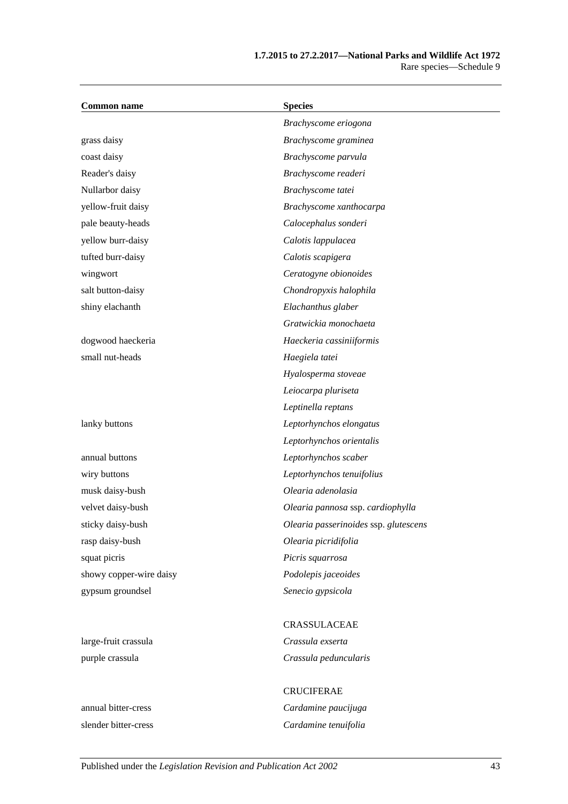| <b>Common name</b>      | <b>Species</b>                        |
|-------------------------|---------------------------------------|
|                         | Brachyscome eriogona                  |
| grass daisy             | Brachyscome graminea                  |
| coast daisy             | Brachyscome parvula                   |
| Reader's daisy          | Brachyscome readeri                   |
| Nullarbor daisy         | Brachyscome tatei                     |
| yellow-fruit daisy      | Brachyscome xanthocarpa               |
| pale beauty-heads       | Calocephalus sonderi                  |
| yellow burr-daisy       | Calotis lappulacea                    |
| tufted burr-daisy       | Calotis scapigera                     |
| wingwort                | Ceratogyne obionoides                 |
| salt button-daisy       | Chondropyxis halophila                |
| shiny elachanth         | Elachanthus glaber                    |
|                         | Gratwickia monochaeta                 |
| dogwood haeckeria       | Haeckeria cassiniiformis              |
| small nut-heads         | Haegiela tatei                        |
|                         | Hyalosperma stoveae                   |
|                         | Leiocarpa pluriseta                   |
|                         | Leptinella reptans                    |
| lanky buttons           | Leptorhynchos elongatus               |
|                         | Leptorhynchos orientalis              |
| annual buttons          | Leptorhynchos scaber                  |
| wiry buttons            | Leptorhynchos tenuifolius             |
| musk daisy-bush         | Olearia adenolasia                    |
| velvet daisy-bush       | Olearia pannosa ssp. cardiophylla     |
| sticky daisy-bush       | Olearia passerinoides ssp. glutescens |
| rasp daisy-bush         | Olearia picridifolia                  |
| squat picris            | Picris squarrosa                      |
| showy copper-wire daisy | Podolepis jaceoides                   |
| gypsum groundsel        | Senecio gypsicola                     |
|                         | CRASSULACEAE                          |
| large-fruit crassula    | Crassula exserta                      |
| purple crassula         | Crassula peduncularis                 |

CRUCIFERAE annual bitter-cress *Cardamine paucijuga* slender bitter-cress *Cardamine tenuifolia*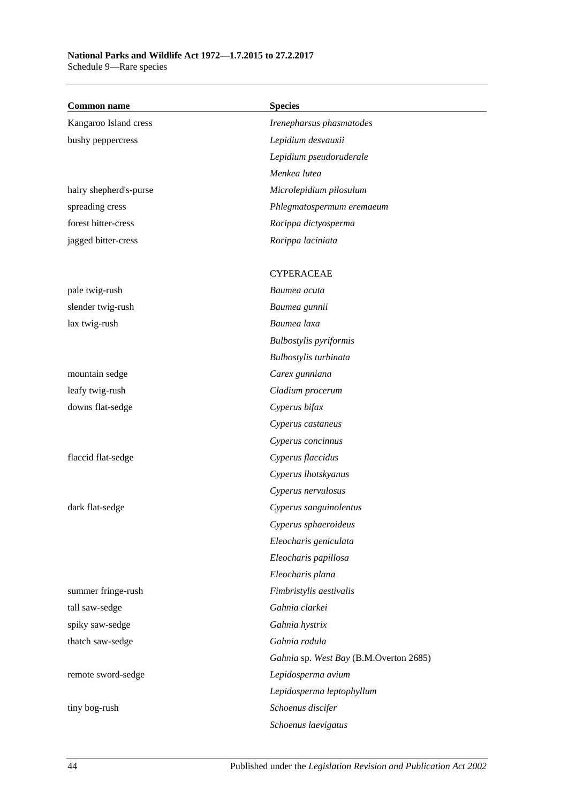### **National Parks and Wildlife Act 1972—1.7.2015 to 27.2.2017**

Schedule 9—Rare species

| <b>Common name</b>     | <b>Species</b>                         |
|------------------------|----------------------------------------|
| Kangaroo Island cress  | Irenepharsus phasmatodes               |
| bushy peppercress      | Lepidium desvauxii                     |
|                        | Lepidium pseudoruderale                |
|                        | Menkea lutea                           |
| hairy shepherd's-purse | Microlepidium pilosulum                |
| spreading cress        | Phlegmatospermum eremaeum              |
| forest bitter-cress    | Rorippa dictyosperma                   |
| jagged bitter-cress    | Rorippa laciniata                      |
|                        | <b>CYPERACEAE</b>                      |
| pale twig-rush         | Baumea acuta                           |
| slender twig-rush      | Baumea gunnii                          |
| lax twig-rush          | Baumea laxa                            |
|                        | <b>Bulbostylis</b> pyriformis          |
|                        | Bulbostylis turbinata                  |
| mountain sedge         | Carex gunniana                         |
| leafy twig-rush        | Cladium procerum                       |
| downs flat-sedge       | Cyperus bifax                          |
|                        | Cyperus castaneus                      |
|                        | Cyperus concinnus                      |
| flaccid flat-sedge     | Cyperus flaccidus                      |
|                        | Cyperus lhotskyanus                    |
|                        | Cyperus nervulosus                     |
| dark flat-sedge        | Cyperus sanguinolentus                 |
|                        | Cyperus sphaeroideus                   |
|                        | Eleocharis geniculata                  |
|                        | Eleocharis papillosa                   |
|                        | Eleocharis plana                       |
| summer fringe-rush     | Fimbristylis aestivalis                |
| tall saw-sedge         | Gahnia clarkei                         |
| spiky saw-sedge        | Gahnia hystrix                         |
| thatch saw-sedge       | Gahnia radula                          |
|                        | Gahnia sp. West Bay (B.M.Overton 2685) |
| remote sword-sedge     | Lepidosperma avium                     |
|                        | Lepidosperma leptophyllum              |
| tiny bog-rush          | Schoenus discifer                      |
|                        | Schoenus laevigatus                    |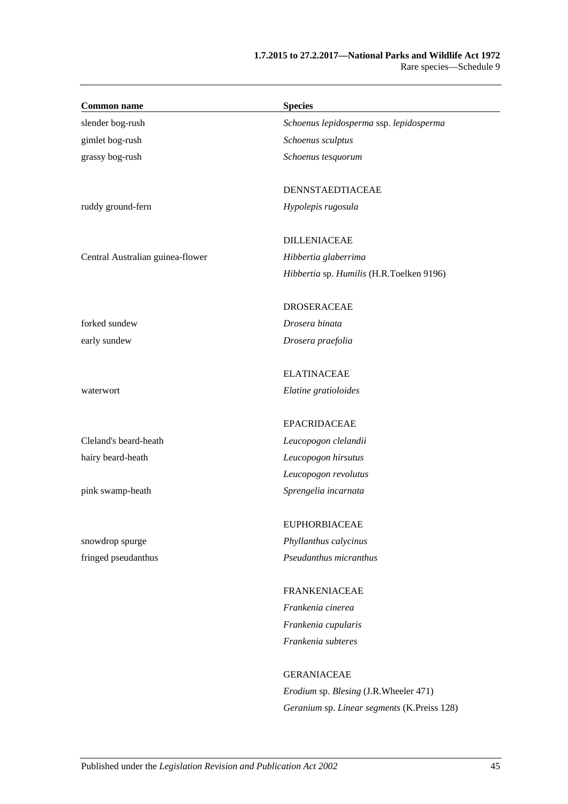| <b>Common name</b>               | <b>Species</b>                           |
|----------------------------------|------------------------------------------|
| slender bog-rush                 | Schoenus lepidosperma ssp. lepidosperma  |
| gimlet bog-rush                  | Schoenus sculptus                        |
| grassy bog-rush                  | Schoenus tesquorum                       |
|                                  | DENNSTAEDTIACEAE                         |
| ruddy ground-fern                | Hypolepis rugosula                       |
|                                  | <b>DILLENIACEAE</b>                      |
| Central Australian guinea-flower | Hibbertia glaberrima                     |
|                                  | Hibbertia sp. Humilis (H.R.Toelken 9196) |
|                                  | <b>DROSERACEAE</b>                       |
| forked sundew                    | Drosera binata                           |
| early sundew                     | Drosera praefolia                        |
|                                  | <b>ELATINACEAE</b>                       |
| waterwort                        | Elatine gratioloides                     |
|                                  | <b>EPACRIDACEAE</b>                      |
| Cleland's beard-heath            | Leucopogon clelandii                     |
| hairy beard-heath                | Leucopogon hirsutus                      |
|                                  | Leucopogon revolutus                     |
| pink swamp-heath                 | Sprengelia incarnata                     |
|                                  | <b>EUPHORBIACEAE</b>                     |
| snowdrop spurge                  | Phyllanthus calycinus                    |
| fringed pseudanthus              | Pseudanthus micranthus                   |
|                                  | <b>FRANKENIACEAE</b>                     |
|                                  | Frankenia cinerea                        |
|                                  | Frankenia cupularis                      |
|                                  | Frankenia subteres                       |
|                                  | <b>GERANIACEAE</b>                       |

*Erodium* sp. *Blesing* (J.R.Wheeler 471) *Geranium* sp. *Linear segments* (K.Preiss 128)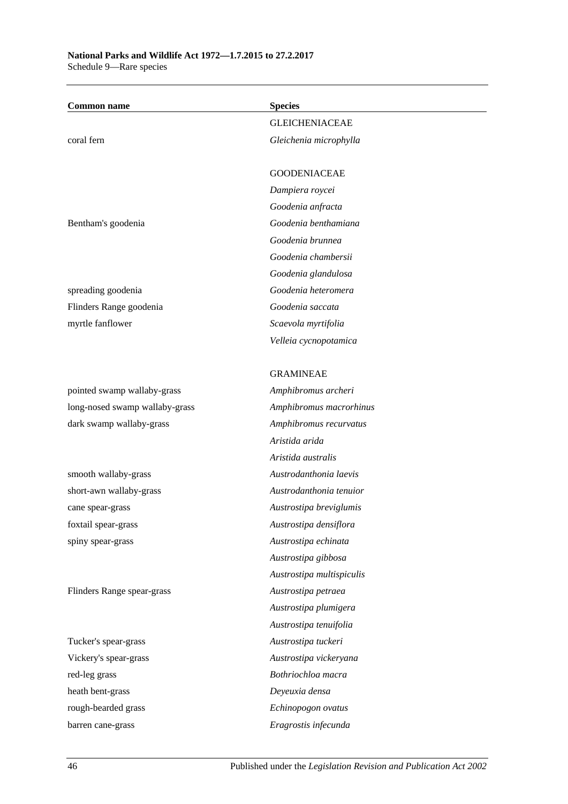| <b>Common name</b>             | <b>Species</b>            |
|--------------------------------|---------------------------|
|                                | <b>GLEICHENIACEAE</b>     |
| coral fern                     | Gleichenia microphylla    |
|                                |                           |
|                                | <b>GOODENIACEAE</b>       |
|                                | Dampiera roycei           |
|                                | Goodenia anfracta         |
| Bentham's goodenia             | Goodenia benthamiana      |
|                                | Goodenia brunnea          |
|                                | Goodenia chambersii       |
|                                | Goodenia glandulosa       |
| spreading goodenia             | Goodenia heteromera       |
| Flinders Range goodenia        | Goodenia saccata          |
| myrtle fanflower               | Scaevola myrtifolia       |
|                                | Velleia cycnopotamica     |
|                                |                           |
|                                | <b>GRAMINEAE</b>          |
| pointed swamp wallaby-grass    | Amphibromus archeri       |
| long-nosed swamp wallaby-grass | Amphibromus macrorhinus   |
| dark swamp wallaby-grass       | Amphibromus recurvatus    |
|                                | Aristida arida            |
|                                | Aristida australis        |
| smooth wallaby-grass           | Austrodanthonia laevis    |
| short-awn wallaby-grass        | Austrodanthonia tenuior   |
| cane spear-grass               | Austrostipa breviglumis   |
| foxtail spear-grass            | Austrostipa densiflora    |
| spiny spear-grass              | Austrostipa echinata      |
|                                | Austrostipa gibbosa       |
|                                | Austrostipa multispiculis |
| Flinders Range spear-grass     | Austrostipa petraea       |
|                                | Austrostipa plumigera     |
|                                | Austrostipa tenuifolia    |
| Tucker's spear-grass           | Austrostipa tuckeri       |
| Vickery's spear-grass          | Austrostipa vickeryana    |
| red-leg grass                  | Bothriochloa macra        |
| heath bent-grass               | Deyeuxia densa            |
| rough-bearded grass            | Echinopogon ovatus        |
| barren cane-grass              | Eragrostis infecunda      |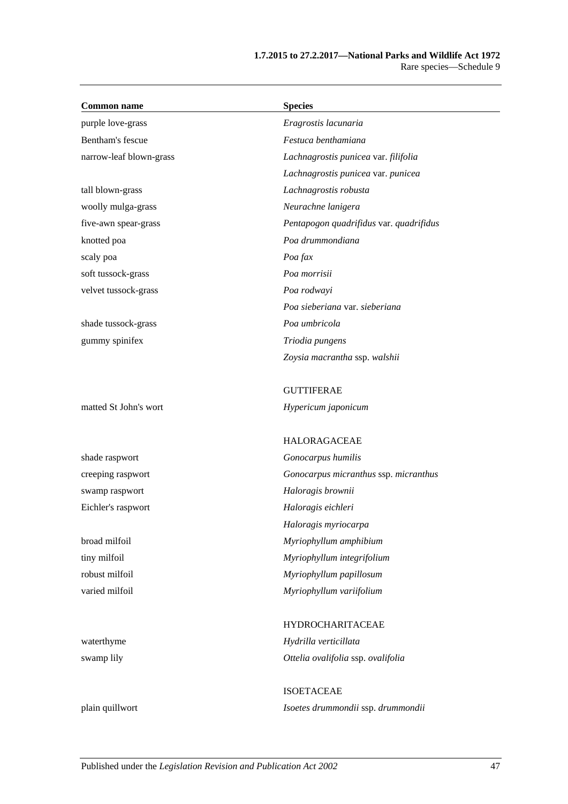| <b>Common name</b>      | <b>Species</b>                          |
|-------------------------|-----------------------------------------|
| purple love-grass       | Eragrostis lacunaria                    |
| Bentham's fescue        | Festuca benthamiana                     |
| narrow-leaf blown-grass | Lachnagrostis punicea var. filifolia    |
|                         | Lachnagrostis punicea var. punicea      |
| tall blown-grass        | Lachnagrostis robusta                   |
| woolly mulga-grass      | Neurachne lanigera                      |
| five-awn spear-grass    | Pentapogon quadrifidus var. quadrifidus |
| knotted poa             | Poa drummondiana                        |
| scaly poa               | Poa fax                                 |
| soft tussock-grass      | Poa morrisii                            |
| velvet tussock-grass    | Poa rodwayi                             |
|                         | Poa sieberiana var. sieberiana          |
| shade tussock-grass     | Poa umbricola                           |
| gummy spinifex          | Triodia pungens                         |
|                         | Zoysia macrantha ssp. walshii           |
|                         | <b>GUTTIFERAE</b>                       |
| matted St John's wort   | Hypericum japonicum                     |
|                         |                                         |
|                         | <b>HALORAGACEAE</b>                     |
| shade raspwort          | Gonocarpus humilis                      |
| creeping raspwort       | Gonocarpus micranthus ssp. micranthus   |
| swamp raspwort          | Haloragis brownii                       |
| Eichler's raspwort      | Haloragis eichleri                      |
|                         | Haloragis myriocarpa                    |
| broad milfoil           | Myriophyllum amphibium                  |
| tiny milfoil            | Myriophyllum integrifolium              |
| robust milfoil          | Myriophyllum papillosum                 |
| varied milfoil          | Myriophyllum variifolium                |
|                         | <b>HYDROCHARITACEAE</b>                 |
| waterthyme              | Hydrilla verticillata                   |
| swamp lily              | Ottelia ovalifolia ssp. ovalifolia      |
|                         | <b>ISOETACEAE</b>                       |
| plain quillwort         | Isoetes drummondii ssp. drummondii      |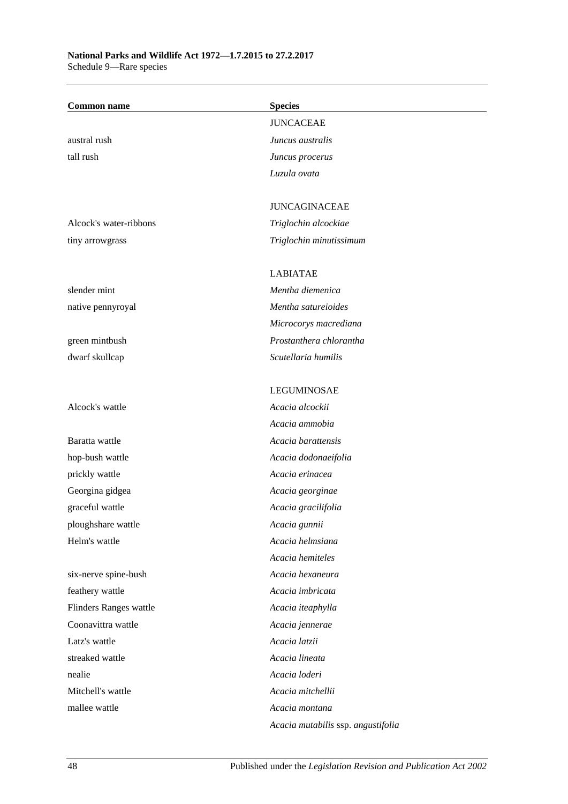| <b>Common name</b>     | <b>Species</b>                     |
|------------------------|------------------------------------|
|                        | <b>JUNCACEAE</b>                   |
| austral rush           | Juncus australis                   |
| tall rush              | Juncus procerus                    |
|                        | Luzula ovata                       |
|                        |                                    |
|                        | <b>JUNCAGINACEAE</b>               |
| Alcock's water-ribbons | Triglochin alcockiae               |
| tiny arrowgrass        | Triglochin minutissimum            |
|                        |                                    |
|                        | <b>LABIATAE</b>                    |
| slender mint           | Mentha diemenica                   |
| native pennyroyal      | Mentha satureioides                |
|                        | Microcorys macrediana              |
| green mintbush         | Prostanthera chlorantha            |
| dwarf skullcap         | Scutellaria humilis                |
|                        |                                    |
|                        | <b>LEGUMINOSAE</b>                 |
| Alcock's wattle        | Acacia alcockii                    |
|                        | Acacia ammobia                     |
| Baratta wattle         | Acacia barattensis                 |
| hop-bush wattle        | Acacia dodonaeifolia               |
| prickly wattle         | Acacia erinacea                    |
| Georgina gidgea        | Acacia georginae                   |
| graceful wattle        | Acacia gracilifolia                |
| ploughshare wattle     | Acacia gunnii                      |
| Helm's wattle          | Acacia helmsiana                   |
|                        | Acacia hemiteles                   |
| six-nerve spine-bush   | Acacia hexaneura                   |
| feathery wattle        | Acacia imbricata                   |
| Flinders Ranges wattle | Acacia iteaphylla                  |
| Coonavittra wattle     | Acacia jennerae                    |
| Latz's wattle          | Acacia latzii                      |
| streaked wattle        | Acacia lineata                     |
| nealie                 | Acacia loderi                      |
| Mitchell's wattle      | Acacia mitchellii                  |
| mallee wattle          | Acacia montana                     |
|                        | Acacia mutabilis ssp. angustifolia |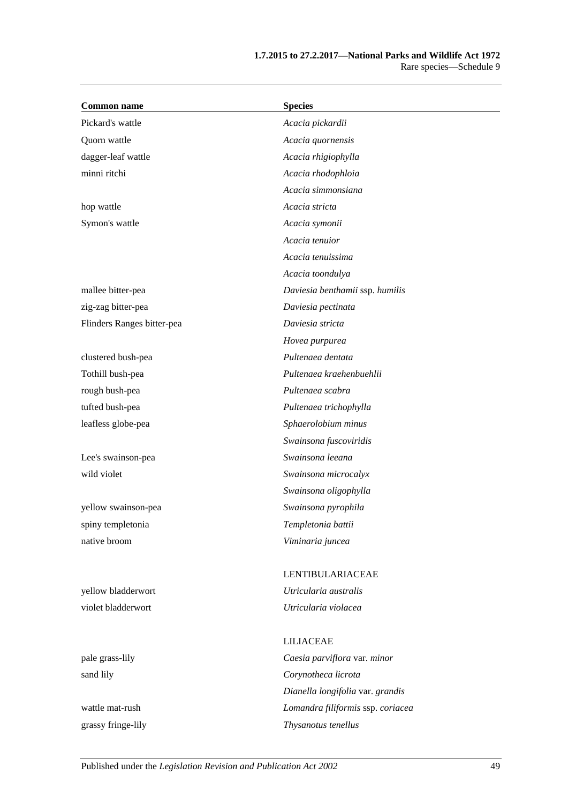| <b>Common name</b>         | <b>Species</b>                    |
|----------------------------|-----------------------------------|
| Pickard's wattle           | Acacia pickardii                  |
| Quorn wattle               | Acacia quornensis                 |
| dagger-leaf wattle         | Acacia rhigiophylla               |
| minni ritchi               | Acacia rhodophloia                |
|                            | Acacia simmonsiana                |
| hop wattle                 | Acacia stricta                    |
| Symon's wattle             | Acacia symonii                    |
|                            | Acacia tenuior                    |
|                            | Acacia tenuissima                 |
|                            | Acacia toondulya                  |
| mallee bitter-pea          | Daviesia benthamii ssp. humilis   |
| zig-zag bitter-pea         | Daviesia pectinata                |
| Flinders Ranges bitter-pea | Daviesia stricta                  |
|                            | Hovea purpurea                    |
| clustered bush-pea         | Pultenaea dentata                 |
| Tothill bush-pea           | Pultenaea kraehenbuehlii          |
| rough bush-pea             | Pultenaea scabra                  |
| tufted bush-pea            | Pultenaea trichophylla            |
| leafless globe-pea         | Sphaerolobium minus               |
|                            | Swainsona fuscoviridis            |
| Lee's swainson-pea         | Swainsona leeana                  |
| wild violet                | Swainsona microcalyx              |
|                            | Swainsona oligophylla             |
| yellow swainson-pea        | Swainsona pyrophila               |
| spiny templetonia          | Templetonia battii                |
| native broom               | Viminaria juncea                  |
|                            | LENTIBULARIACEAE                  |
| yellow bladderwort         | Utricularia australis             |
| violet bladderwort         | Utricularia violacea              |
|                            | <b>LILIACEAE</b>                  |
| pale grass-lily            | Caesia parviflora var. minor      |
| sand lily                  | Corynotheca licrota               |
|                            | Dianella longifolia var. grandis  |
| wattle mat-rush            | Lomandra filiformis ssp. coriacea |

grassy fringe-lily *Thysanotus tenellus*

Published under the *Legislation Revision and Publication Act 2002* 49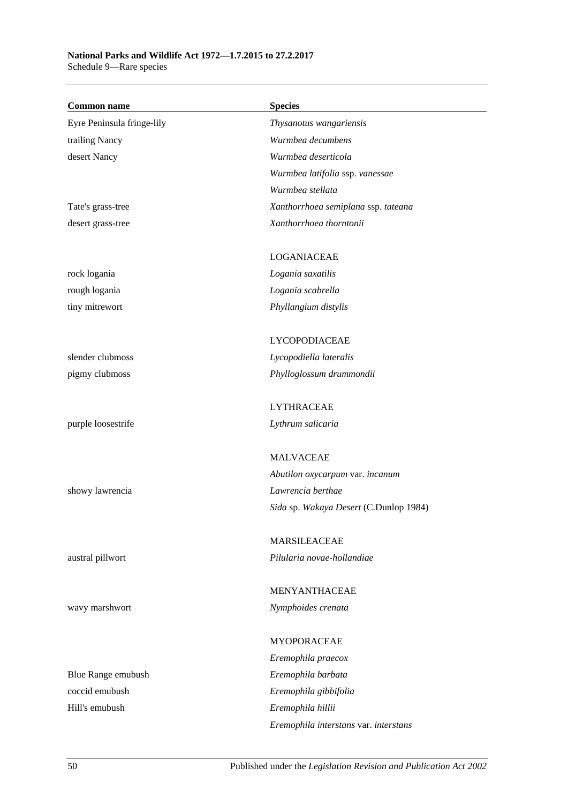# **National Parks and Wildlife Act 1972—1.7.2015 to 27.2.2017**

Schedule 9—Rare species

| <b>Common name</b>         | <b>Species</b>                         |
|----------------------------|----------------------------------------|
| Eyre Peninsula fringe-lily | Thysanotus wangariensis                |
| trailing Nancy             | Wurmbea decumbens                      |
| desert Nancy               | Wurmbea deserticola                    |
|                            | Wurmbea latifolia ssp. vanessae        |
|                            | Wurmbea stellata                       |
| Tate's grass-tree          | Xanthorrhoea semiplana ssp. tateana    |
| desert grass-tree          | Xanthorrhoea thorntonii                |
|                            |                                        |
|                            | <b>LOGANIACEAE</b>                     |
| rock logania               | Logania saxatilis                      |
| rough logania              | Logania scabrella                      |
| tiny mitrewort             | Phyllangium distylis                   |
|                            | LYCOPODIACEAE                          |
| slender clubmoss           | Lycopodiella lateralis                 |
| pigmy clubmoss             | Phylloglossum drummondii               |
|                            |                                        |
|                            | <b>LYTHRACEAE</b>                      |
| purple loosestrife         | Lythrum salicaria                      |
|                            | <b>MALVACEAE</b>                       |
|                            | Abutilon oxycarpum var. incanum        |
| showy lawrencia            | Lawrencia berthae                      |
|                            | Sida sp. Wakaya Desert (C.Dunlop 1984) |
|                            | <b>MARSILEACEAE</b>                    |
| austral pillwort           | Pilularia novae-hollandiae             |
|                            |                                        |
|                            | MENYANTHACEAE                          |
| wavy marshwort             | Nymphoides crenata                     |
|                            |                                        |
|                            | MYOPORACEAE                            |
|                            | Eremophila praecox                     |
| Blue Range emubush         | Eremophila barbata                     |
| coccid emubush             | Eremophila gibbifolia                  |
| Hill's emubush             | Eremophila hillii                      |
|                            | Eremophila interstans var. interstans  |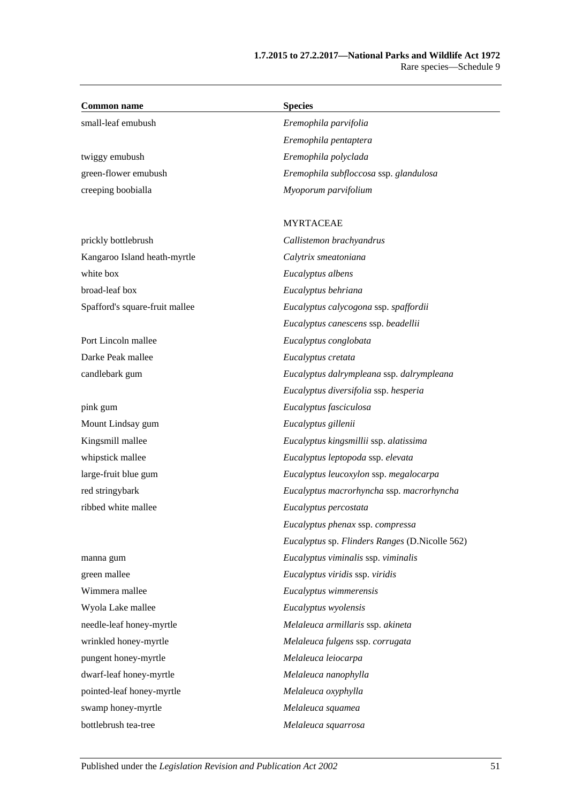| <b>Common name</b>             | <b>Species</b>                                 |
|--------------------------------|------------------------------------------------|
| small-leaf emubush             | Eremophila parvifolia                          |
|                                | Eremophila pentaptera                          |
| twiggy emubush                 | Eremophila polyclada                           |
| green-flower emubush           | Eremophila subfloccosa ssp. glandulosa         |
| creeping boobialla             | Myoporum parvifolium                           |
|                                | <b>MYRTACEAE</b>                               |
| prickly bottlebrush            | Callistemon brachyandrus                       |
| Kangaroo Island heath-myrtle   | Calytrix smeatoniana                           |
| white box                      | Eucalyptus albens                              |
| broad-leaf box                 | Eucalyptus behriana                            |
| Spafford's square-fruit mallee | Eucalyptus calycogona ssp. spaffordii          |
|                                | Eucalyptus canescens ssp. beadellii            |
| Port Lincoln mallee            | Eucalyptus conglobata                          |
| Darke Peak mallee              | Eucalyptus cretata                             |
| candlebark gum                 | Eucalyptus dalrympleana ssp. dalrympleana      |
|                                | Eucalyptus diversifolia ssp. hesperia          |
| pink gum                       | Eucalyptus fasciculosa                         |
| Mount Lindsay gum              | Eucalyptus gillenii                            |
| Kingsmill mallee               | Eucalyptus kingsmillii ssp. alatissima         |
| whipstick mallee               | Eucalyptus leptopoda ssp. elevata              |
| large-fruit blue gum           | Eucalyptus leucoxylon ssp. megalocarpa         |
| red stringybark                | Eucalyptus macrorhyncha ssp. macrorhyncha      |
| ribbed white mallee            | Eucalyptus percostata                          |
|                                | Eucalyptus phenax ssp. compressa               |
|                                | Eucalyptus sp. Flinders Ranges (D.Nicolle 562) |
| manna gum                      | Eucalyptus viminalis ssp. viminalis            |
| green mallee                   | Eucalyptus viridis ssp. viridis                |
| Wimmera mallee                 | Eucalyptus wimmerensis                         |
| Wyola Lake mallee              | Eucalyptus wyolensis                           |
| needle-leaf honey-myrtle       | Melaleuca armillaris ssp. akineta              |
| wrinkled honey-myrtle          | Melaleuca fulgens ssp. corrugata               |
| pungent honey-myrtle           | Melaleuca leiocarpa                            |
| dwarf-leaf honey-myrtle        | Melaleuca nanophylla                           |
| pointed-leaf honey-myrtle      | Melaleuca oxyphylla                            |
| swamp honey-myrtle             | Melaleuca squamea                              |
| bottlebrush tea-tree           | Melaleuca squarrosa                            |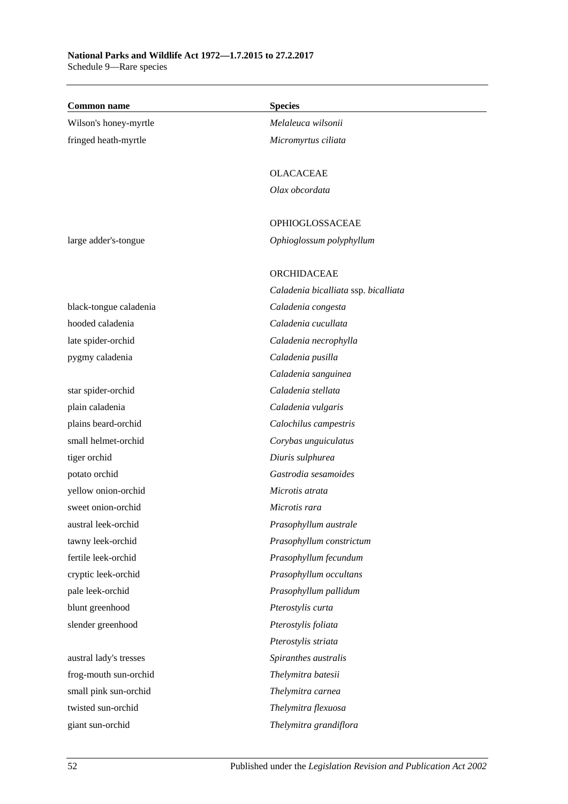| <b>Common name</b>     | <b>Species</b>                       |
|------------------------|--------------------------------------|
| Wilson's honey-myrtle  | Melaleuca wilsonii                   |
| fringed heath-myrtle   | Micromyrtus ciliata                  |
|                        |                                      |
|                        | <b>OLACACEAE</b>                     |
|                        | Olax obcordata                       |
|                        | OPHIOGLOSSACEAE                      |
| large adder's-tongue   | Ophioglossum polyphyllum             |
|                        |                                      |
|                        | ORCHIDACEAE                          |
|                        | Caladenia bicalliata ssp. bicalliata |
| black-tongue caladenia | Caladenia congesta                   |
| hooded caladenia       | Caladenia cucullata                  |
| late spider-orchid     | Caladenia necrophylla                |
| pygmy caladenia        | Caladenia pusilla                    |
|                        | Caladenia sanguinea                  |
| star spider-orchid     | Caladenia stellata                   |
| plain caladenia        | Caladenia vulgaris                   |
| plains beard-orchid    | Calochilus campestris                |
| small helmet-orchid    | Corybas unguiculatus                 |
| tiger orchid           | Diuris sulphurea                     |
| potato orchid          | Gastrodia sesamoides                 |
| yellow onion-orchid    | Microtis atrata                      |
| sweet onion-orchid     | Microtis rara                        |
| austral leek-orchid    | Prasophyllum australe                |
| tawny leek-orchid      | Prasophyllum constrictum             |
| fertile leek-orchid    | Prasophyllum fecundum                |
| cryptic leek-orchid    | Prasophyllum occultans               |
| pale leek-orchid       | Prasophyllum pallidum                |
| blunt greenhood        | Pterostylis curta                    |
| slender greenhood      | Pterostylis foliata                  |
|                        | Pterostylis striata                  |
| austral lady's tresses | Spiranthes australis                 |
| frog-mouth sun-orchid  | Thelymitra batesii                   |
| small pink sun-orchid  | Thelymitra carnea                    |
| twisted sun-orchid     | Thelymitra flexuosa                  |
| giant sun-orchid       | Thelymitra grandiflora               |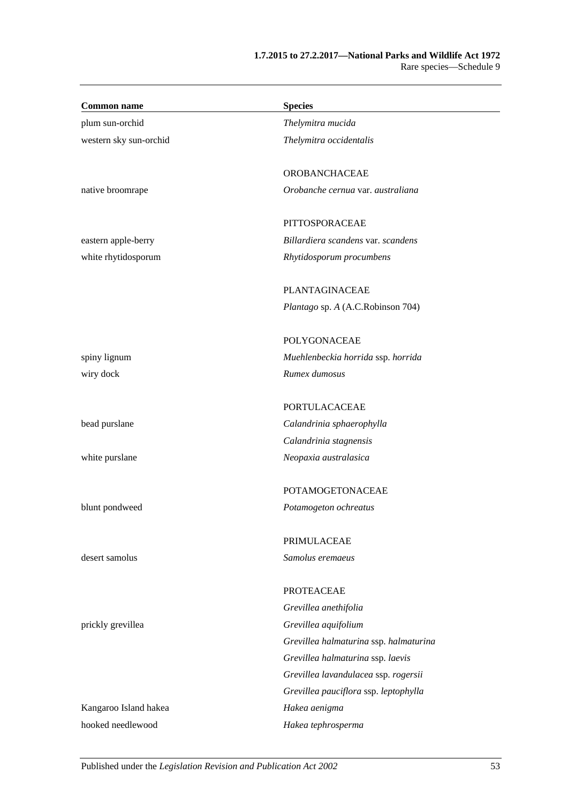| <b>Common name</b>     | <b>Species</b>                         |
|------------------------|----------------------------------------|
| plum sun-orchid        | Thelymitra mucida                      |
| western sky sun-orchid | Thelymitra occidentalis                |
|                        | OROBANCHACEAE                          |
| native broomrape       | Orobanche cernua var. australiana      |
|                        | PITTOSPORACEAE                         |
| eastern apple-berry    | Billardiera scandens var. scandens     |
| white rhytidosporum    | Rhytidosporum procumbens               |
|                        | PLANTAGINACEAE                         |
|                        | Plantago sp. A (A.C.Robinson 704)      |
|                        | <b>POLYGONACEAE</b>                    |
| spiny lignum           | Muehlenbeckia horrida ssp. horrida     |
| wiry dock              | Rumex dumosus                          |
|                        | PORTULACACEAE                          |
| bead purslane          | Calandrinia sphaerophylla              |
|                        | Calandrinia stagnensis                 |
| white purslane         | Neopaxia australasica                  |
|                        | POTAMOGETONACEAE                       |
| blunt pondweed         | Potamogeton ochreatus                  |
|                        | PRIMULACEAE                            |
| desert samolus         | Samolus eremaeus                       |
|                        | <b>PROTEACEAE</b>                      |
|                        | Grevillea anethifolia                  |
| prickly grevillea      | Grevillea aquifolium                   |
|                        | Grevillea halmaturina ssp. halmaturina |
|                        | Grevillea halmaturina ssp. laevis      |
|                        | Grevillea lavandulacea ssp. rogersii   |
|                        | Grevillea pauciflora ssp. leptophylla  |
| Kangaroo Island hakea  | Hakea aenigma                          |
| hooked needlewood      | Hakea tephrosperma                     |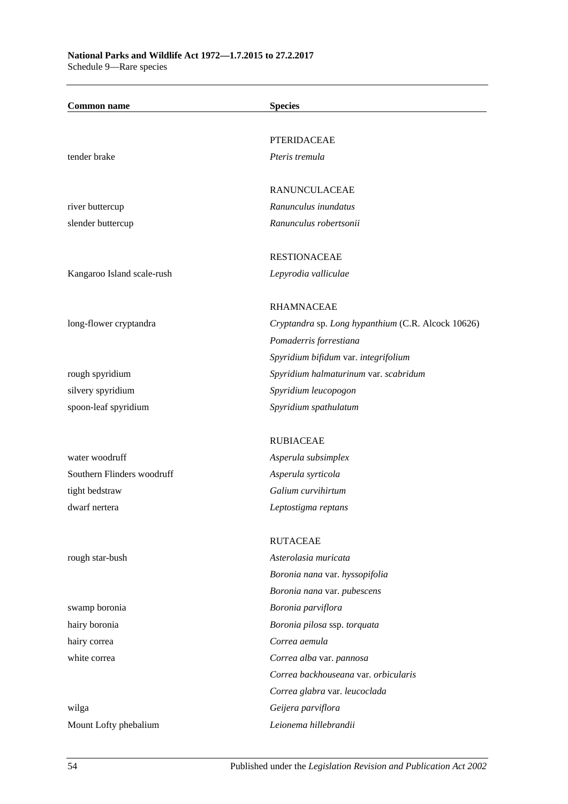| <b>Common name</b>         | <b>Species</b>                                     |
|----------------------------|----------------------------------------------------|
|                            |                                                    |
|                            | <b>PTERIDACEAE</b>                                 |
| tender brake               | Pteris tremula                                     |
|                            | <b>RANUNCULACEAE</b>                               |
| river buttercup            | Ranunculus inundatus                               |
| slender buttercup          | Ranunculus robertsonii                             |
|                            | <b>RESTIONACEAE</b>                                |
| Kangaroo Island scale-rush | Lepyrodia valliculae                               |
|                            | <b>RHAMNACEAE</b>                                  |
| long-flower cryptandra     | Cryptandra sp. Long hypanthium (C.R. Alcock 10626) |
|                            | Pomaderris forrestiana                             |
|                            | Spyridium bifidum var. integrifolium               |
| rough spyridium            | Spyridium halmaturinum var. scabridum              |
| silvery spyridium          | Spyridium leucopogon                               |
| spoon-leaf spyridium       | Spyridium spathulatum                              |
|                            | <b>RUBIACEAE</b>                                   |
| water woodruff             | Asperula subsimplex                                |
| Southern Flinders woodruff | Asperula syrticola                                 |
| tight bedstraw             | Galium curvihirtum                                 |
| dwarf nertera              | Leptostigma reptans                                |
|                            | <b>RUTACEAE</b>                                    |
| rough star-bush            | Asterolasia muricata                               |
|                            | Boronia nana var. hyssopifolia                     |
|                            | Boronia nana var. pubescens                        |
| swamp boronia              | Boronia parviflora                                 |
| hairy boronia              | Boronia pilosa ssp. torquata                       |
| hairy correa               | Correa aemula                                      |
| white correa               | Correa alba var. pannosa                           |
|                            | Correa backhouseana var. orbicularis               |
|                            | Correa glabra var. leucoclada                      |
| wilga                      | Geijera parviflora                                 |
| Mount Lofty phebalium      | Leionema hillebrandii                              |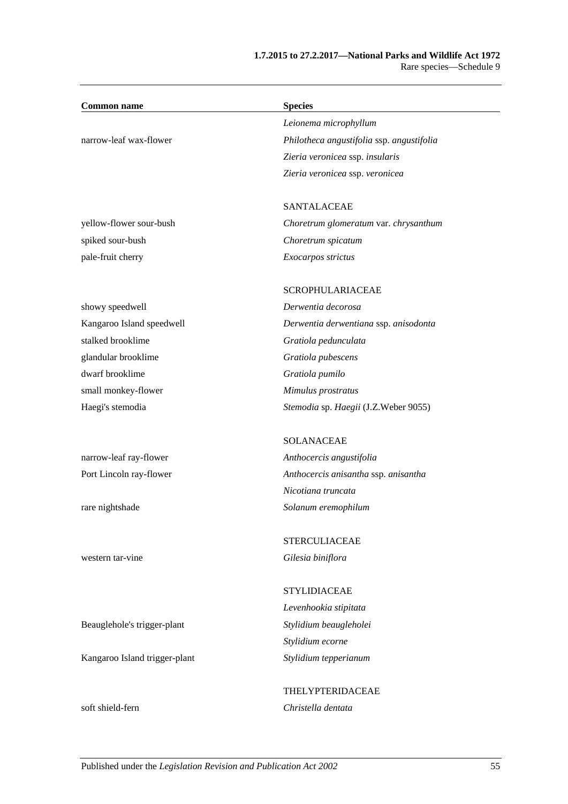| <b>Common name</b>            | <b>Species</b>                            |
|-------------------------------|-------------------------------------------|
|                               | Leionema microphyllum                     |
| narrow-leaf wax-flower        | Philotheca angustifolia ssp. angustifolia |
|                               | Zieria veronicea ssp. insularis           |
|                               | Zieria veronicea ssp. veronicea           |
|                               |                                           |
|                               | <b>SANTALACEAE</b>                        |
| yellow-flower sour-bush       | Choretrum glomeratum var. chrysanthum     |
| spiked sour-bush              | Choretrum spicatum                        |
| pale-fruit cherry             | Exocarpos strictus                        |
|                               | SCROPHULARIACEAE                          |
| showy speedwell               | Derwentia decorosa                        |
| Kangaroo Island speedwell     | Derwentia derwentiana ssp. anisodonta     |
| stalked brooklime             | Gratiola pedunculata                      |
| glandular brooklime           | Gratiola pubescens                        |
| dwarf brooklime               | Gratiola pumilo                           |
| small monkey-flower           | Mimulus prostratus                        |
| Haegi's stemodia              | Stemodia sp. Haegii (J.Z.Weber 9055)      |
|                               | <b>SOLANACEAE</b>                         |
| narrow-leaf ray-flower        | Anthocercis angustifolia                  |
| Port Lincoln ray-flower       | Anthocercis anisantha ssp. anisantha      |
|                               | Nicotiana truncata                        |
| rare nightshade               | Solanum eremophilum                       |
|                               | <b>STERCULIACEAE</b>                      |
| western tar-vine              | Gilesia biniflora                         |
|                               | <b>STYLIDIACEAE</b>                       |
|                               | Levenhookia stipitata                     |
| Beauglehole's trigger-plant   | Stylidium beaugleholei                    |
|                               | Stylidium ecorne                          |
| Kangaroo Island trigger-plant | Stylidium tepperianum                     |
|                               | <b>THELYPTERIDACEAE</b>                   |
| soft shield-fern              | Christella dentata                        |
|                               |                                           |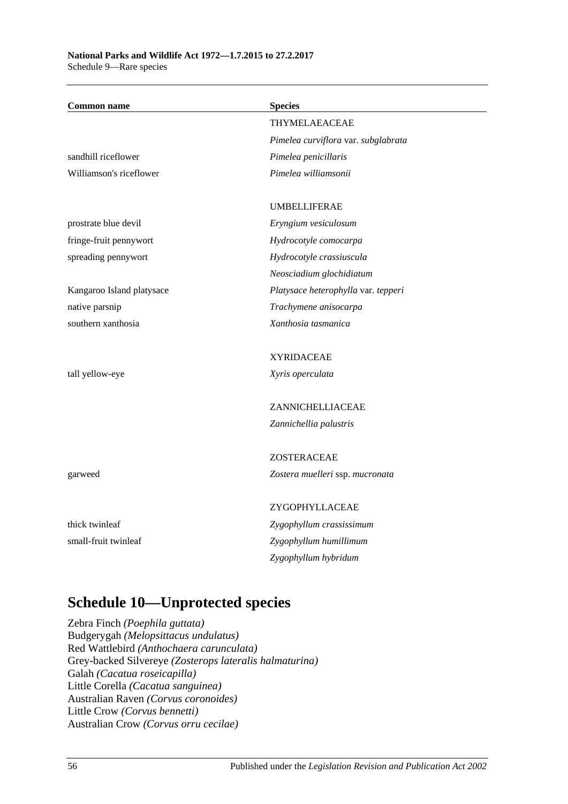| <b>Common name</b>        | <b>Species</b>                      |
|---------------------------|-------------------------------------|
|                           | THYMELAEACEAE                       |
|                           | Pimelea curviflora var. subglabrata |
| sandhill riceflower       | Pimelea penicillaris                |
| Williamson's riceflower   | Pimelea williamsonii                |
|                           | <b>UMBELLIFERAE</b>                 |
| prostrate blue devil      | Eryngium vesiculosum                |
| fringe-fruit pennywort    | Hydrocotyle comocarpa               |
| spreading pennywort       | Hydrocotyle crassiuscula            |
|                           | Neosciadium glochidiatum            |
| Kangaroo Island platysace | Platysace heterophylla var. tepperi |
| native parsnip            | Trachymene anisocarpa               |
| southern xanthosia        | Xanthosia tasmanica                 |
|                           | <b>XYRIDACEAE</b>                   |
| tall yellow-eye           | Xyris operculata                    |
|                           | ZANNICHELLIACEAE                    |
|                           | Zannichellia palustris              |
|                           | ZOSTERACEAE                         |
| garweed                   | Zostera muelleri ssp. mucronata     |
|                           | ZYGOPHYLLACEAE                      |
| thick twinleaf            | Zygophyllum crassissimum            |
| small-fruit twinleaf      | Zygophyllum humillimum              |
|                           | Zygophyllum hybridum                |
|                           |                                     |

# **Schedule 10—Unprotected species**

Zebra Finch *(Poephila guttata)* Budgerygah *(Melopsittacus undulatus)* Red Wattlebird *(Anthochaera carunculata)* Grey-backed Silvereye *(Zosterops lateralis halmaturina)* Galah *(Cacatua roseicapilla)* Little Corella *(Cacatua sanguinea)* Australian Raven *(Corvus coronoides)* Little Crow *(Corvus bennetti)* Australian Crow *(Corvus orru cecilae)*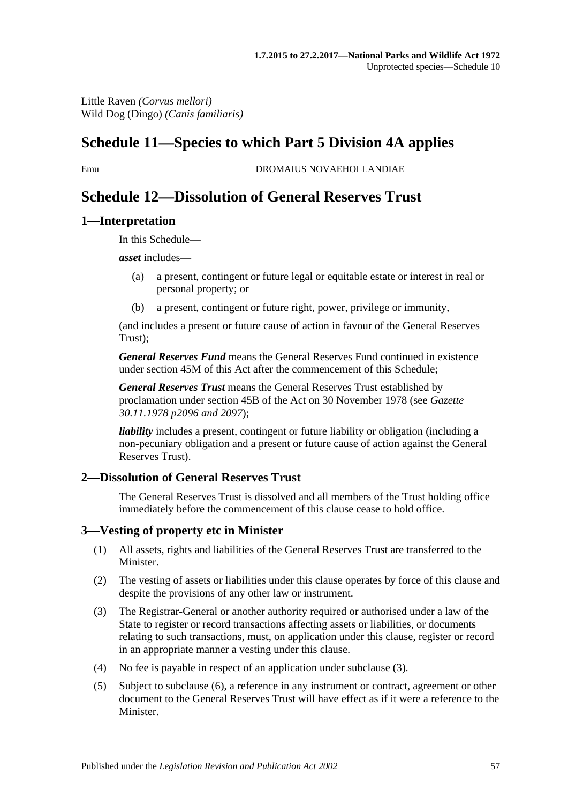Little Raven *(Corvus mellori)* Wild Dog (Dingo) *(Canis familiaris)*

# **Schedule 11—Species to which [Part 5 Division 4A](#page-55-0) applies**

Emu DROMAIUS NOVAEHOLLANDIAE

# **Schedule 12—Dissolution of General Reserves Trust**

#### **1—Interpretation**

In this Schedule—

*asset* includes—

- (a) a present, contingent or future legal or equitable estate or interest in real or personal property; or
- (b) a present, contingent or future right, power, privilege or immunity,

(and includes a present or future cause of action in favour of the General Reserves Trust);

*General Reserves Fund* means the General Reserves Fund continued in existence under [section](#page-43-0) 45M of this Act after the commencement of this Schedule;

*General Reserves Trust* means the General Reserves Trust established by proclamation under [section](#page-40-0) 45B of the Act on 30 November 1978 (see *Gazette 30.11.1978 p2096 and 2097*);

*liability* includes a present, contingent or future liability or obligation (including a non-pecuniary obligation and a present or future cause of action against the General Reserves Trust).

#### **2—Dissolution of General Reserves Trust**

The General Reserves Trust is dissolved and all members of the Trust holding office immediately before the commencement of this clause cease to hold office.

#### **3—Vesting of property etc in Minister**

- (1) All assets, rights and liabilities of the General Reserves Trust are transferred to the Minister.
- (2) The vesting of assets or liabilities under this clause operates by force of this clause and despite the provisions of any other law or instrument.
- <span id="page-136-0"></span>(3) The Registrar-General or another authority required or authorised under a law of the State to register or record transactions affecting assets or liabilities, or documents relating to such transactions, must, on application under this clause, register or record in an appropriate manner a vesting under this clause.
- (4) No fee is payable in respect of an application under [subclause](#page-136-0) (3).
- <span id="page-136-1"></span>(5) Subject to [subclause](#page-137-0) (6), a reference in any instrument or contract, agreement or other document to the General Reserves Trust will have effect as if it were a reference to the Minister.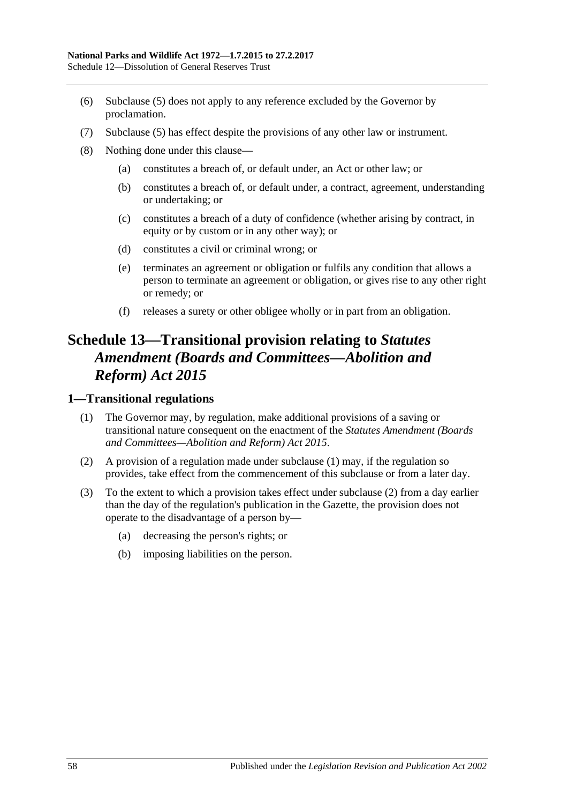- <span id="page-137-0"></span>(6) [Subclause \(5\)](#page-136-1) does not apply to any reference excluded by the Governor by proclamation.
- (7) [Subclause \(5\)](#page-136-1) has effect despite the provisions of any other law or instrument.
- (8) Nothing done under this clause—
	- (a) constitutes a breach of, or default under, an Act or other law; or
	- (b) constitutes a breach of, or default under, a contract, agreement, understanding or undertaking; or
	- (c) constitutes a breach of a duty of confidence (whether arising by contract, in equity or by custom or in any other way); or
	- (d) constitutes a civil or criminal wrong; or
	- (e) terminates an agreement or obligation or fulfils any condition that allows a person to terminate an agreement or obligation, or gives rise to any other right or remedy; or
	- (f) releases a surety or other obligee wholly or in part from an obligation.

# **Schedule 13—Transitional provision relating to** *Statutes Amendment (Boards and Committees—Abolition and Reform) Act 2015*

#### <span id="page-137-1"></span>**1—Transitional regulations**

- (1) The Governor may, by regulation, make additional provisions of a saving or transitional nature consequent on the enactment of the *[Statutes Amendment \(Boards](http://www.legislation.sa.gov.au/index.aspx?action=legref&type=act&legtitle=Statutes%20Amendment%20(Boards%20and%20Committees%E2%80%94Abolition%20and%20Reform)%20Act%202015)  [and Committees—Abolition and Reform\) Act](http://www.legislation.sa.gov.au/index.aspx?action=legref&type=act&legtitle=Statutes%20Amendment%20(Boards%20and%20Committees%E2%80%94Abolition%20and%20Reform)%20Act%202015) 2015*.
- <span id="page-137-2"></span>(2) A provision of a regulation made under [subclause](#page-137-1) (1) may, if the regulation so provides, take effect from the commencement of this subclause or from a later day.
- (3) To the extent to which a provision takes effect under [subclause](#page-137-2) (2) from a day earlier than the day of the regulation's publication in the Gazette, the provision does not operate to the disadvantage of a person by—
	- (a) decreasing the person's rights; or
	- (b) imposing liabilities on the person.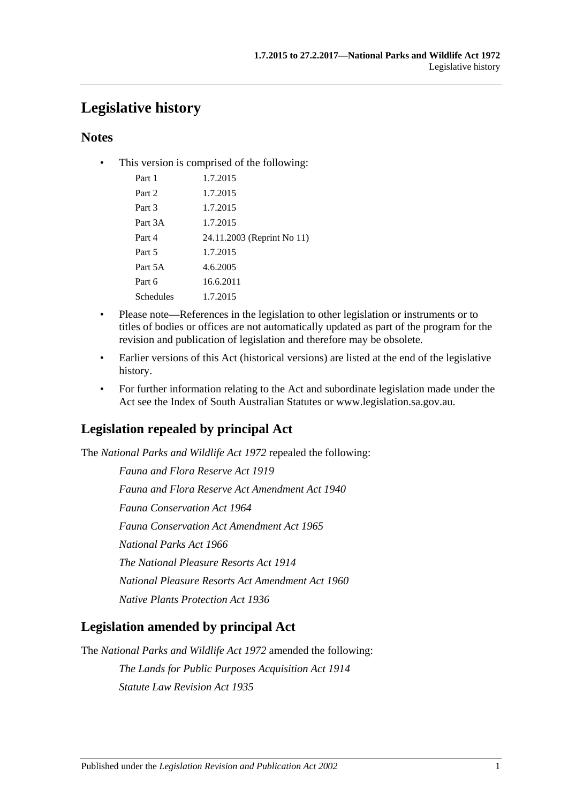# **Legislative history**

# **Notes**

• This version is comprised of the following:

| Part 1    | 1.7.2015                   |
|-----------|----------------------------|
| Part 2    | 1.7.2015                   |
| Part 3    | 1.7.2015                   |
| Part 3A   | 1.7.2015                   |
| Part 4    | 24.11.2003 (Reprint No 11) |
| Part 5    | 1.7.2015                   |
| Part 5A   | 4.6.2005                   |
| Part 6    | 16.6.2011                  |
| Schedules | 1.7.2015                   |
|           |                            |

- Please note—References in the legislation to other legislation or instruments or to titles of bodies or offices are not automatically updated as part of the program for the revision and publication of legislation and therefore may be obsolete.
- Earlier versions of this Act (historical versions) are listed at the end of the legislative history.
- For further information relating to the Act and subordinate legislation made under the Act see the Index of South Australian Statutes or www.legislation.sa.gov.au.

# **Legislation repealed by principal Act**

The *National Parks and Wildlife Act 1972* repealed the following:

*Fauna and Flora Reserve Act 1919 Fauna and Flora Reserve Act Amendment Act 1940 Fauna Conservation Act 1964 Fauna Conservation Act Amendment Act 1965 National Parks Act 1966 The National Pleasure Resorts Act 1914 National Pleasure Resorts Act Amendment Act 1960 Native Plants Protection Act 1936*

# **Legislation amended by principal Act**

The *National Parks and Wildlife Act 1972* amended the following: *The Lands for Public Purposes Acquisition Act 1914 Statute Law Revision Act 1935*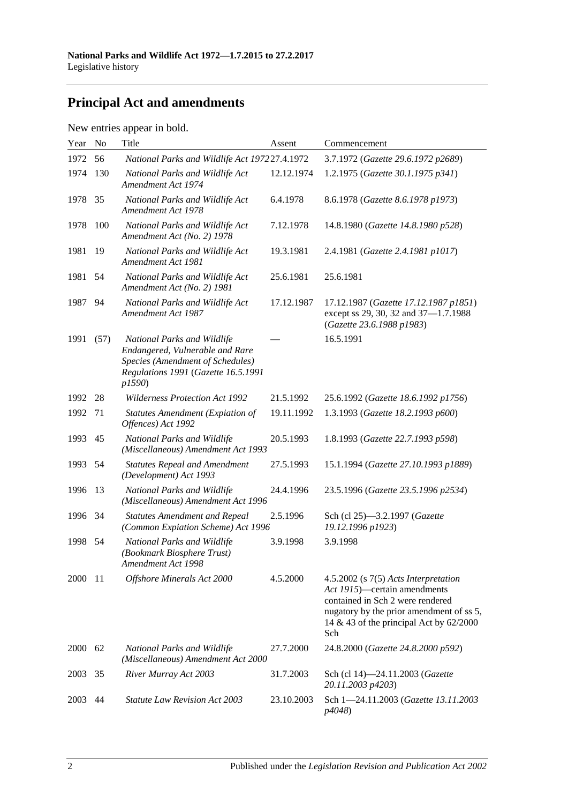# **Principal Act and amendments**

| New entries appear in bold. |  |  |
|-----------------------------|--|--|
|                             |  |  |

| Year | N <sub>o</sub> | Title                                                                                                                                               | Assent     | Commencement                                                                                                                                                                                             |
|------|----------------|-----------------------------------------------------------------------------------------------------------------------------------------------------|------------|----------------------------------------------------------------------------------------------------------------------------------------------------------------------------------------------------------|
| 1972 | 56             | National Parks and Wildlife Act 197227.4.1972                                                                                                       |            | 3.7.1972 (Gazette 29.6.1972 p2689)                                                                                                                                                                       |
| 1974 | 130            | National Parks and Wildlife Act<br>Amendment Act 1974                                                                                               | 12.12.1974 | 1.2.1975 (Gazette 30.1.1975 p341)                                                                                                                                                                        |
| 1978 | 35             | National Parks and Wildlife Act<br>Amendment Act 1978                                                                                               | 6.4.1978   | 8.6.1978 (Gazette 8.6.1978 p1973)                                                                                                                                                                        |
| 1978 | 100            | National Parks and Wildlife Act<br>Amendment Act (No. 2) 1978                                                                                       | 7.12.1978  | 14.8.1980 (Gazette 14.8.1980 p528)                                                                                                                                                                       |
| 1981 | 19             | National Parks and Wildlife Act<br>Amendment Act 1981                                                                                               | 19.3.1981  | 2.4.1981 (Gazette 2.4.1981 p1017)                                                                                                                                                                        |
| 1981 | 54             | National Parks and Wildlife Act<br>Amendment Act (No. 2) 1981                                                                                       | 25.6.1981  | 25.6.1981                                                                                                                                                                                                |
| 1987 | 94             | National Parks and Wildlife Act<br>Amendment Act 1987                                                                                               | 17.12.1987 | 17.12.1987 (Gazette 17.12.1987 p1851)<br>except ss 29, 30, 32 and 37-1.7.1988<br>(Gazette 23.6.1988 p1983)                                                                                               |
| 1991 | (57)           | National Parks and Wildlife<br>Endangered, Vulnerable and Rare<br>Species (Amendment of Schedules)<br>Regulations 1991 (Gazette 16.5.1991<br>p1590) |            | 16.5.1991                                                                                                                                                                                                |
| 1992 | 28             | <b>Wilderness Protection Act 1992</b>                                                                                                               | 21.5.1992  | 25.6.1992 (Gazette 18.6.1992 p1756)                                                                                                                                                                      |
| 1992 | 71             | <b>Statutes Amendment (Expiation of</b><br>Offences) Act 1992                                                                                       | 19.11.1992 | 1.3.1993 (Gazette 18.2.1993 p600)                                                                                                                                                                        |
| 1993 | 45             | National Parks and Wildlife<br>(Miscellaneous) Amendment Act 1993                                                                                   | 20.5.1993  | 1.8.1993 (Gazette 22.7.1993 p598)                                                                                                                                                                        |
| 1993 | 54             | <b>Statutes Repeal and Amendment</b><br>(Development) Act 1993                                                                                      | 27.5.1993  | 15.1.1994 (Gazette 27.10.1993 p1889)                                                                                                                                                                     |
| 1996 | 13             | National Parks and Wildlife<br>(Miscellaneous) Amendment Act 1996                                                                                   | 24.4.1996  | 23.5.1996 (Gazette 23.5.1996 p2534)                                                                                                                                                                      |
| 1996 | 34             | <b>Statutes Amendment and Repeal</b><br>(Common Expiation Scheme) Act 1996                                                                          | 2.5.1996   | Sch (cl 25)-3.2.1997 (Gazette<br>19.12.1996 p1923)                                                                                                                                                       |
| 1998 | 54             | National Parks and Wildlife<br>(Bookmark Biosphere Trust)<br>Amendment Act 1998                                                                     | 3.9.1998   | 3.9.1998                                                                                                                                                                                                 |
| 2000 | -11            | Offshore Minerals Act 2000                                                                                                                          | 4.5.2000   | 4.5.2002 (s 7(5) Acts Interpretation<br>Act 1915)—certain amendments<br>contained in Sch 2 were rendered<br>nugatory by the prior amendment of ss 5,<br>14 & 43 of the principal Act by $62/2000$<br>Sch |
| 2000 | 62             | National Parks and Wildlife<br>(Miscellaneous) Amendment Act 2000                                                                                   | 27.7.2000  | 24.8.2000 (Gazette 24.8.2000 p592)                                                                                                                                                                       |
| 2003 | 35             | River Murray Act 2003                                                                                                                               | 31.7.2003  | Sch (cl 14)-24.11.2003 (Gazette<br>20.11.2003 p4203)                                                                                                                                                     |
| 2003 | 44             | <b>Statute Law Revision Act 2003</b>                                                                                                                | 23.10.2003 | Sch 1-24.11.2003 (Gazette 13.11.2003<br><i>p4048</i> )                                                                                                                                                   |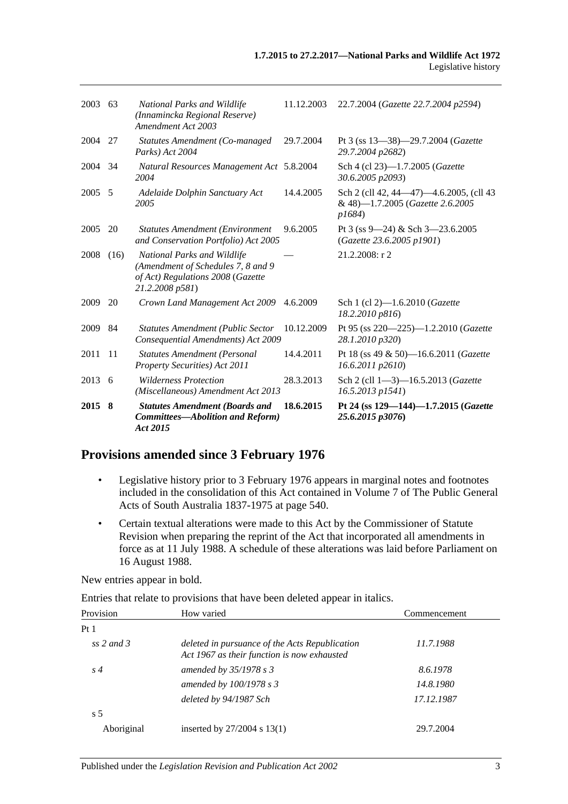| 2003 63 |      | National Parks and Wildlife<br>(Innamincka Regional Reserve)<br>Amendment Act 2003                                         | 11.12.2003 | 22.7.2004 (Gazette 22.7.2004 p2594)                                                   |
|---------|------|----------------------------------------------------------------------------------------------------------------------------|------------|---------------------------------------------------------------------------------------|
| 2004 27 |      | Statutes Amendment (Co-managed<br>Parks) Act 2004                                                                          | 29.7.2004  | Pt 3 (ss $13-38$ )-29.7.2004 (Gazette<br>29.7.2004 p2682)                             |
| 2004 34 |      | Natural Resources Management Act 5.8.2004<br>2004                                                                          |            | Sch 4 (cl 23)-1.7.2005 (Gazette<br>30.6.2005 p2093)                                   |
| 2005 5  |      | Adelaide Dolphin Sanctuary Act<br>2005                                                                                     | 14.4.2005  | Sch 2 (cll 42, 44–47)–4.6.2005, (cll 43<br>& 48)-1.7.2005 (Gazette 2.6.2005<br>p1684) |
| 2005    | 20   | <b>Statutes Amendment (Environment</b><br>and Conservation Portfolio) Act 2005                                             | 9.6.2005   | Pt 3 (ss $9 - 24$ ) & Sch 3 $-23.6.2005$<br>(Gazette 23.6.2005 p1901)                 |
| 2008    | (16) | National Parks and Wildlife<br>(Amendment of Schedules 7, 8 and 9)<br>of Act) Regulations 2008 (Gazette<br>21.2.2008 p581) |            | 21.2.2008: r 2                                                                        |
| 2009    | 20   | Crown Land Management Act 2009                                                                                             | 4.6.2009   | Sch 1 (cl 2)-1.6.2010 (Gazette<br>18.2.2010 p816)                                     |
| 2009    | 84   | <b>Statutes Amendment (Public Sector</b><br>Consequential Amendments) Act 2009                                             | 10.12.2009 | Pt 95 (ss 220-225)-1.2.2010 (Gazette<br>28.1.2010 p320)                               |
| 2011    | -11  | <b>Statutes Amendment (Personal</b><br>Property Securities) Act 2011                                                       | 14.4.2011  | Pt 18 (ss 49 & 50)-16.6.2011 (Gazette<br>16.6.2011 p2610)                             |
| 2013 6  |      | <b>Wilderness Protection</b><br>(Miscellaneous) Amendment Act 2013                                                         | 28.3.2013  | Sch 2 (cll 1-3)-16.5.2013 (Gazette<br>16.5.2013 p1541)                                |
| 2015 8  |      | <b>Statutes Amendment (Boards and</b><br><b>Committees-Abolition and Reform)</b><br>Act 2015                               | 18.6.2015  | Pt 24 (ss $129 - 144$ ) $-1.7.2015$ (Gazette<br>25.6.2015 p3076)                      |

### **Provisions amended since 3 February 1976**

- Legislative history prior to 3 February 1976 appears in marginal notes and footnotes included in the consolidation of this Act contained in Volume 7 of The Public General Acts of South Australia 1837-1975 at page 540.
- Certain textual alterations were made to this Act by the Commissioner of Statute Revision when preparing the reprint of the Act that incorporated all amendments in force as at 11 July 1988. A schedule of these alterations was laid before Parliament on 16 August 1988.

New entries appear in bold.

Entries that relate to provisions that have been deleted appear in italics.

| Provision      | How varied                                                                                    | Commencement |
|----------------|-----------------------------------------------------------------------------------------------|--------------|
| Pt1            |                                                                                               |              |
| ss 2 and 3     | deleted in pursuance of the Acts Republication<br>Act 1967 as their function is now exhausted | 11.7.1988    |
| $s\,4$         | amended by $35/1978$ s 3                                                                      | 8.6.1978     |
|                | amended by $100/1978 s3$                                                                      | 14.8.1980    |
|                | deleted by 94/1987 Sch                                                                        | 17.12.1987   |
| s <sub>5</sub> |                                                                                               |              |
| Aboriginal     | inserted by $27/2004$ s $13(1)$                                                               | 29.7.2004    |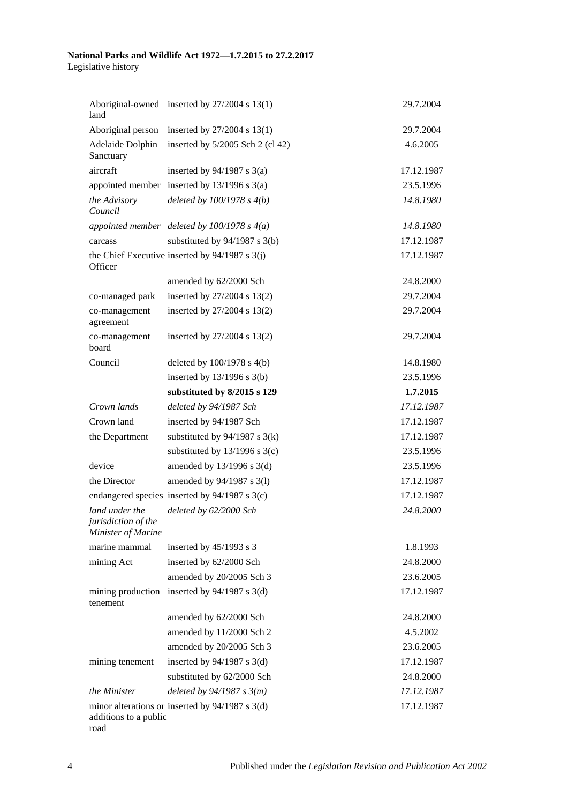#### **National Parks and Wildlife Act 1972—1.7.2015 to 27.2.2017** Legislative history

| land                                                        | Aboriginal-owned inserted by 27/2004 s 13(1)      | 29.7.2004  |
|-------------------------------------------------------------|---------------------------------------------------|------------|
| Aboriginal person                                           | inserted by $27/2004$ s $13(1)$                   | 29.7.2004  |
| Adelaide Dolphin<br>Sanctuary                               | inserted by $5/2005$ Sch 2 (cl 42)                | 4.6.2005   |
| aircraft                                                    | inserted by $94/1987$ s 3(a)                      | 17.12.1987 |
|                                                             | appointed member inserted by $13/1996$ s $3(a)$   | 23.5.1996  |
| the Advisory<br>Council                                     | deleted by $100/1978 s 4(b)$                      | 14.8.1980  |
|                                                             | appointed member deleted by $100/1978$ s $4(a)$   | 14.8.1980  |
| carcass                                                     | substituted by $94/1987$ s 3(b)                   | 17.12.1987 |
| Officer                                                     | the Chief Executive inserted by $94/1987$ s 3(j)  | 17.12.1987 |
|                                                             | amended by 62/2000 Sch                            | 24.8.2000  |
| co-managed park                                             | inserted by 27/2004 s 13(2)                       | 29.7.2004  |
| co-management<br>agreement                                  | inserted by 27/2004 s 13(2)                       | 29.7.2004  |
| co-management<br>board                                      | inserted by 27/2004 s 13(2)                       | 29.7.2004  |
| Council                                                     | deleted by $100/1978$ s $4(b)$                    | 14.8.1980  |
|                                                             | inserted by $13/1996$ s $3(b)$                    | 23.5.1996  |
|                                                             | substituted by 8/2015 s 129                       | 1.7.2015   |
| Crown lands                                                 | deleted by 94/1987 Sch                            | 17.12.1987 |
| Crown land                                                  | inserted by 94/1987 Sch                           | 17.12.1987 |
| the Department                                              | substituted by $94/1987$ s 3(k)                   | 17.12.1987 |
|                                                             | substituted by $13/1996$ s $3(c)$                 | 23.5.1996  |
| device                                                      | amended by 13/1996 s 3(d)                         | 23.5.1996  |
| the Director                                                | amended by 94/1987 s 3(1)                         | 17.12.1987 |
|                                                             | endangered species inserted by 94/1987 s 3(c)     | 17.12.1987 |
| land under the<br>jurisdiction of the<br>Minister of Marine | deleted by 62/2000 Sch                            | 24.8.2000  |
| marine mammal                                               | inserted by 45/1993 s 3                           | 1.8.1993   |
| mining Act                                                  | inserted by 62/2000 Sch                           | 24.8.2000  |
|                                                             | amended by 20/2005 Sch 3                          | 23.6.2005  |
| tenement                                                    | mining production inserted by $94/1987$ s 3(d)    | 17.12.1987 |
|                                                             | amended by 62/2000 Sch                            | 24.8.2000  |
|                                                             | amended by 11/2000 Sch 2                          | 4.5.2002   |
|                                                             | amended by 20/2005 Sch 3                          | 23.6.2005  |
| mining tenement                                             | inserted by $94/1987$ s 3(d)                      | 17.12.1987 |
|                                                             | substituted by 62/2000 Sch                        | 24.8.2000  |
| the Minister                                                | deleted by $94/1987 s 3(m)$                       | 17.12.1987 |
| additions to a public<br>road                               | minor alterations or inserted by $94/1987$ s 3(d) | 17.12.1987 |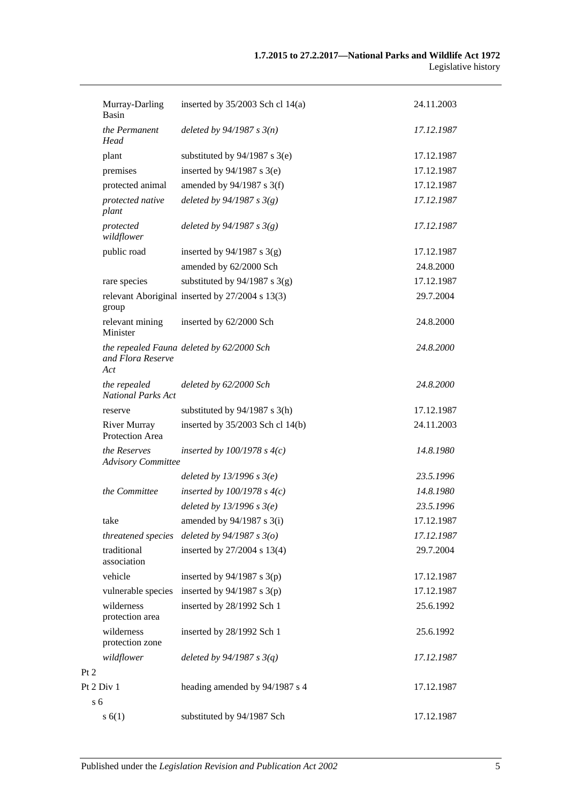|                | Murray-Darling<br>Basin                   | inserted by $35/2003$ Sch cl 14(a)              | 24.11.2003 |
|----------------|-------------------------------------------|-------------------------------------------------|------------|
|                | the Permanent<br>Head                     | deleted by $94/1987 s 3(n)$                     | 17.12.1987 |
|                | plant                                     | substituted by $94/1987$ s 3(e)                 | 17.12.1987 |
|                | premises                                  | inserted by $94/1987$ s 3(e)                    | 17.12.1987 |
|                | protected animal                          | amended by 94/1987 s 3(f)                       | 17.12.1987 |
|                | protected native<br>plant                 | deleted by $94/1987 s 3(g)$                     | 17.12.1987 |
|                | protected<br>wildflower                   | deleted by $94/1987 s 3(g)$                     | 17.12.1987 |
|                | public road                               | inserted by $94/1987$ s 3(g)                    | 17.12.1987 |
|                |                                           | amended by 62/2000 Sch                          | 24.8.2000  |
|                | rare species                              | substituted by $94/1987$ s 3(g)                 | 17.12.1987 |
|                | group                                     | relevant Aboriginal inserted by 27/2004 s 13(3) | 29.7.2004  |
|                | relevant mining<br>Minister               | inserted by 62/2000 Sch                         | 24.8.2000  |
|                | and Flora Reserve<br>Act                  | the repealed Fauna deleted by 62/2000 Sch       | 24.8.2000  |
|                | the repealed<br><b>National Parks Act</b> | deleted by 62/2000 Sch                          | 24.8.2000  |
|                | reserve                                   | substituted by $94/1987$ s 3(h)                 | 17.12.1987 |
|                | <b>River Murray</b><br>Protection Area    | inserted by 35/2003 Sch cl 14(b)                | 24.11.2003 |
|                | the Reserves<br><b>Advisory Committee</b> | inserted by $100/1978$ s $4(c)$                 | 14.8.1980  |
|                |                                           | deleted by $13/1996 s 3(e)$                     | 23.5.1996  |
|                | the Committee                             | inserted by $100/1978$ s $4(c)$                 | 14.8.1980  |
|                |                                           | deleted by $13/1996$ s $3(e)$                   | 23.5.1996  |
|                | take                                      | amended by 94/1987 s 3(i)                       | 17.12.1987 |
|                | threatened species                        | deleted by $94/1987 s 3(o)$                     | 17.12.1987 |
|                | traditional<br>association                | inserted by 27/2004 s 13(4)                     | 29.7.2004  |
|                | vehicle                                   | inserted by $94/1987$ s $3(p)$                  | 17.12.1987 |
|                | vulnerable species                        | inserted by $94/1987$ s 3(p)                    | 17.12.1987 |
|                | wilderness<br>protection area             | inserted by 28/1992 Sch 1                       | 25.6.1992  |
|                | wilderness<br>protection zone             | inserted by 28/1992 Sch 1                       | 25.6.1992  |
|                | wildflower                                | deleted by $94/1987 s 3(q)$                     | 17.12.1987 |
| Pt 2           |                                           |                                                 |            |
|                | Pt 2 Div 1                                | heading amended by 94/1987 s 4                  | 17.12.1987 |
| s <sub>6</sub> |                                           |                                                 |            |
|                | s(6(1))                                   | substituted by 94/1987 Sch                      | 17.12.1987 |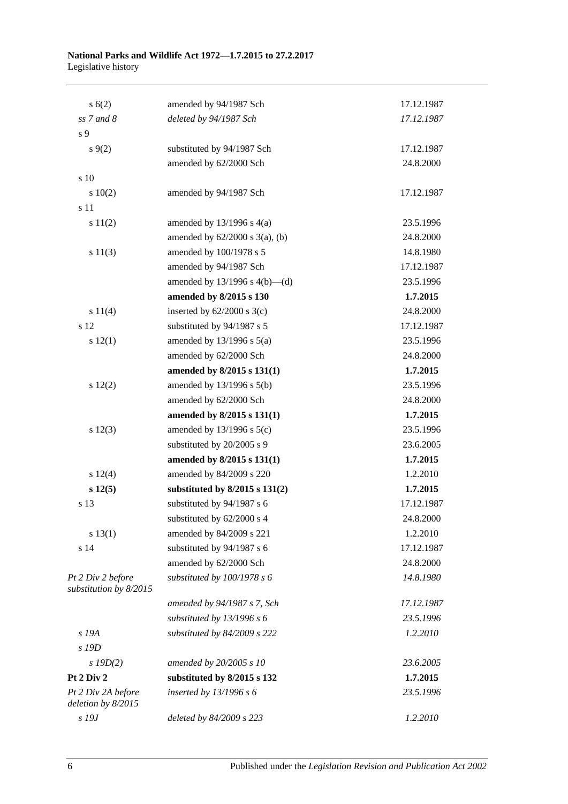#### **National Parks and Wildlife Act 1972—1.7.2015 to 27.2.2017** Legislative history

| s(6(2))                                     | amended by 94/1987 Sch              | 17.12.1987 |
|---------------------------------------------|-------------------------------------|------------|
| $ss$ 7 and 8                                | deleted by 94/1987 Sch              | 17.12.1987 |
| s 9                                         |                                     |            |
| $s \, 9(2)$                                 | substituted by 94/1987 Sch          | 17.12.1987 |
|                                             | amended by 62/2000 Sch              | 24.8.2000  |
| s 10                                        |                                     |            |
| 10(2)                                       | amended by 94/1987 Sch              | 17.12.1987 |
| s 11                                        |                                     |            |
| s 11(2)                                     | amended by $13/1996$ s $4(a)$       | 23.5.1996  |
|                                             | amended by $62/2000$ s $3(a)$ , (b) | 24.8.2000  |
| s 11(3)                                     | amended by 100/1978 s 5             | 14.8.1980  |
|                                             | amended by 94/1987 Sch              | 17.12.1987 |
|                                             | amended by $13/1996$ s $4(b)$ —(d)  | 23.5.1996  |
|                                             | amended by 8/2015 s 130             | 1.7.2015   |
| s 11(4)                                     | inserted by $62/2000$ s 3(c)        | 24.8.2000  |
| s 12                                        | substituted by 94/1987 s 5          | 17.12.1987 |
| s 12(1)                                     | amended by $13/1996$ s $5(a)$       | 23.5.1996  |
|                                             | amended by 62/2000 Sch              | 24.8.2000  |
|                                             | amended by 8/2015 s 131(1)          | 1.7.2015   |
| 12(2)                                       | amended by 13/1996 s 5(b)           | 23.5.1996  |
|                                             | amended by 62/2000 Sch              | 24.8.2000  |
|                                             | amended by 8/2015 s 131(1)          | 1.7.2015   |
| s 12(3)                                     | amended by $13/1996$ s $5(c)$       | 23.5.1996  |
|                                             | substituted by 20/2005 s 9          | 23.6.2005  |
|                                             | amended by 8/2015 s 131(1)          | 1.7.2015   |
| s 12(4)                                     | amended by 84/2009 s 220            | 1.2.2010   |
| s 12(5)                                     | substituted by $8/2015$ s $131(2)$  | 1.7.2015   |
| s 13                                        | substituted by 94/1987 s 6          | 17.12.1987 |
|                                             | substituted by 62/2000 s 4          | 24.8.2000  |
| s 13(1)                                     | amended by 84/2009 s 221            | 1.2.2010   |
| s 14                                        | substituted by 94/1987 s 6          | 17.12.1987 |
|                                             | amended by 62/2000 Sch              | 24.8.2000  |
| Pt 2 Div 2 before<br>substitution by 8/2015 | substituted by 100/1978 s 6         | 14.8.1980  |
|                                             | amended by 94/1987 s 7, Sch         | 17.12.1987 |
|                                             | substituted by $13/1996 s 6$        | 23.5.1996  |
| s 19A                                       | substituted by 84/2009 s 222        | 1.2.2010   |
| s 19D                                       |                                     |            |
| $s$ 19D(2)                                  | amended by 20/2005 s 10             | 23.6.2005  |
| Pt 2 Div 2                                  | substituted by 8/2015 s 132         | 1.7.2015   |
| Pt 2 Div 2A before<br>deletion by 8/2015    | inserted by $13/1996 s 6$           | 23.5.1996  |
| s 19J                                       | deleted by 84/2009 s 223            | 1.2.2010   |
|                                             |                                     |            |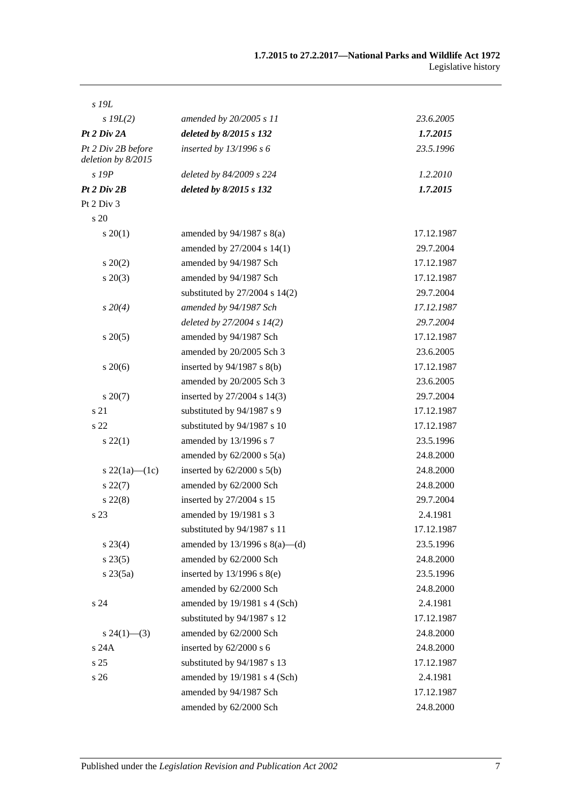| s 19L                                    |                                    |            |
|------------------------------------------|------------------------------------|------------|
| $s$ 19 $L(2)$                            | amended by 20/2005 s 11            | 23.6.2005  |
| Pt 2 Div 2A                              | deleted by 8/2015 s 132            | 1.7.2015   |
| Pt 2 Div 2B before<br>deletion by 8/2015 | inserted by $13/1996 s 6$          | 23.5.1996  |
| $s$ 19 $P$                               | deleted by 84/2009 s 224           | 1.2.2010   |
| Pt 2 Div 2B                              | deleted by 8/2015 s 132            | 1.7.2015   |
| Pt 2 Div 3                               |                                    |            |
| s 20                                     |                                    |            |
| $s \, 20(1)$                             | amended by $94/1987$ s $8(a)$      | 17.12.1987 |
|                                          | amended by 27/2004 s 14(1)         | 29.7.2004  |
| $s\,20(2)$                               | amended by 94/1987 Sch             | 17.12.1987 |
| $s\,20(3)$                               | amended by 94/1987 Sch             | 17.12.1987 |
|                                          | substituted by 27/2004 s 14(2)     | 29.7.2004  |
| $s\,20(4)$                               | amended by 94/1987 Sch             | 17.12.1987 |
|                                          | deleted by $27/2004 s 14(2)$       | 29.7.2004  |
| $s\,20(5)$                               | amended by 94/1987 Sch             | 17.12.1987 |
|                                          | amended by 20/2005 Sch 3           | 23.6.2005  |
| $s\,20(6)$                               | inserted by $94/1987$ s $8(b)$     | 17.12.1987 |
|                                          | amended by 20/2005 Sch 3           | 23.6.2005  |
| $s\,20(7)$                               | inserted by 27/2004 s 14(3)        | 29.7.2004  |
| s 21                                     | substituted by 94/1987 s 9         | 17.12.1987 |
| s 22                                     | substituted by 94/1987 s 10        | 17.12.1987 |
| $s\,22(1)$                               | amended by 13/1996 s 7             | 23.5.1996  |
|                                          | amended by $62/2000$ s $5(a)$      | 24.8.2000  |
| s 22(1a)—(1c)                            | inserted by $62/2000$ s $5(b)$     | 24.8.2000  |
| $s\,22(7)$                               | amended by 62/2000 Sch             | 24.8.2000  |
| $s\,22(8)$                               | inserted by 27/2004 s 15           | 29.7.2004  |
| s 23                                     | amended by 19/1981 s 3             | 2.4.1981   |
|                                          | substituted by 94/1987 s 11        | 17.12.1987 |
| $s\,23(4)$                               | amended by $13/1996$ s $8(a)$ —(d) | 23.5.1996  |
| $s\,23(5)$                               | amended by 62/2000 Sch             | 24.8.2000  |
| $s\,23(5a)$                              | inserted by $13/1996$ s $8(e)$     | 23.5.1996  |
|                                          | amended by 62/2000 Sch             | 24.8.2000  |
| s 24                                     | amended by 19/1981 s 4 (Sch)       | 2.4.1981   |
|                                          | substituted by 94/1987 s 12        | 17.12.1987 |
| $s\,24(1)$ —(3)                          | amended by 62/2000 Sch             | 24.8.2000  |
| s 24A                                    | inserted by 62/2000 s 6            | 24.8.2000  |
| s 25                                     | substituted by 94/1987 s 13        | 17.12.1987 |
| s 26                                     | amended by 19/1981 s 4 (Sch)       | 2.4.1981   |
|                                          | amended by 94/1987 Sch             | 17.12.1987 |
|                                          | amended by 62/2000 Sch             | 24.8.2000  |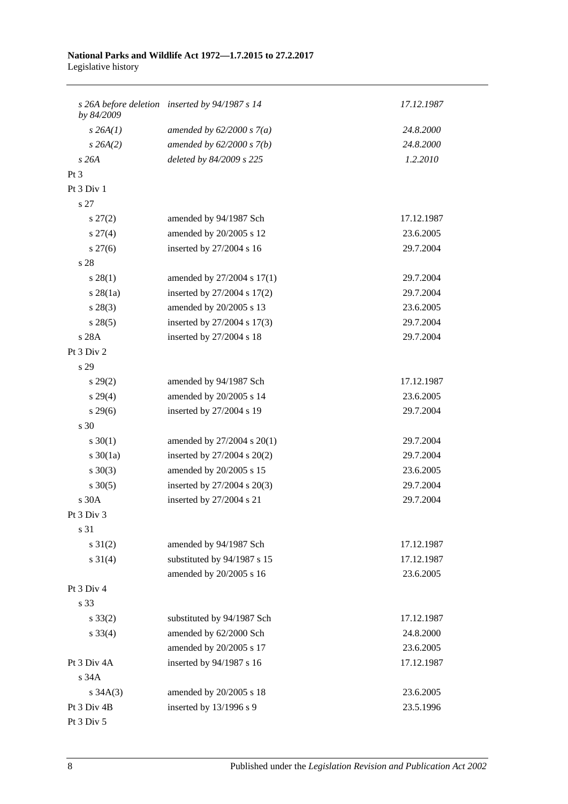#### **National Parks and Wildlife Act 1972—1.7.2015 to 27.2.2017** Legislative history

| by 84/2009      | s 26A before deletion inserted by 94/1987 s 14 | 17.12.1987 |
|-----------------|------------------------------------------------|------------|
| $s$ 26A $(1)$   | amended by $62/2000 s 7(a)$                    | 24.8.2000  |
| $s \, 26A(2)$   | amended by $62/2000 s 7(b)$                    | 24.8.2000  |
| s26A            | deleted by 84/2009 s 225                       | 1.2.2010   |
| Pt <sub>3</sub> |                                                |            |
| Pt 3 Div 1      |                                                |            |
| s 27            |                                                |            |
| $s\,27(2)$      | amended by 94/1987 Sch                         | 17.12.1987 |
| $s \, 27(4)$    | amended by 20/2005 s 12                        | 23.6.2005  |
| $s \, 27(6)$    | inserted by 27/2004 s 16                       | 29.7.2004  |
| s 28            |                                                |            |
| $s\,28(1)$      | amended by 27/2004 s 17(1)                     | 29.7.2004  |
| $s$ 28(1a)      | inserted by 27/2004 s 17(2)                    | 29.7.2004  |
| $s\,28(3)$      | amended by 20/2005 s 13                        | 23.6.2005  |
| s 28(5)         | inserted by 27/2004 s 17(3)                    | 29.7.2004  |
| s 28A           | inserted by 27/2004 s 18                       | 29.7.2004  |
| Pt 3 Div 2      |                                                |            |
| s 29            |                                                |            |
| $s\,29(2)$      | amended by 94/1987 Sch                         | 17.12.1987 |
| $s\,29(4)$      | amended by 20/2005 s 14                        | 23.6.2005  |
| $s\,29(6)$      | inserted by 27/2004 s 19                       | 29.7.2004  |
| s 30            |                                                |            |
| $s \ 30(1)$     | amended by 27/2004 s 20(1)                     | 29.7.2004  |
| $s \ 30(1a)$    | inserted by $27/2004$ s $20(2)$                | 29.7.2004  |
| $s \ 30(3)$     | amended by 20/2005 s 15                        | 23.6.2005  |
| $s \ 30(5)$     | inserted by 27/2004 s 20(3)                    | 29.7.2004  |
| s 30A           | inserted by 27/2004 s 21                       | 29.7.2004  |
| Pt 3 Div 3      |                                                |            |
| s 31            |                                                |            |
| $s \ 31(2)$     | amended by 94/1987 Sch                         | 17.12.1987 |
| $s \ 31(4)$     | substituted by 94/1987 s 15                    | 17.12.1987 |
|                 | amended by 20/2005 s 16                        | 23.6.2005  |
| Pt 3 Div 4      |                                                |            |
| s 33            |                                                |            |
| $s \, 33(2)$    | substituted by 94/1987 Sch                     | 17.12.1987 |
| $s \, 33(4)$    | amended by 62/2000 Sch                         | 24.8.2000  |
|                 | amended by 20/2005 s 17                        | 23.6.2005  |
| Pt 3 Div 4A     | inserted by 94/1987 s 16                       | 17.12.1987 |
| s 34A           |                                                |            |
| $s \, 34A(3)$   | amended by 20/2005 s 18                        | 23.6.2005  |
| Pt 3 Div 4B     | inserted by 13/1996 s 9                        | 23.5.1996  |
| Pt 3 Div 5      |                                                |            |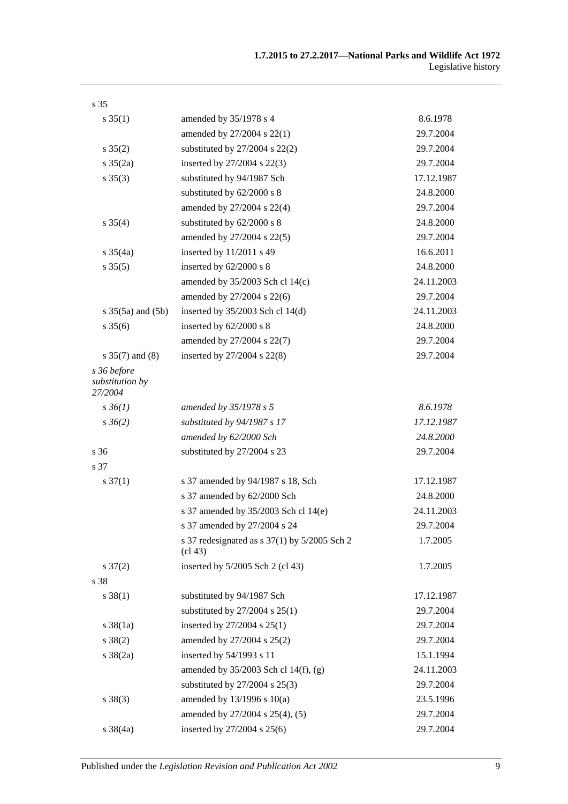| s <sub>35</sub>                           |                                                                                  |            |
|-------------------------------------------|----------------------------------------------------------------------------------|------------|
| $s \, 35(1)$                              | amended by 35/1978 s 4                                                           | 8.6.1978   |
|                                           | amended by 27/2004 s 22(1)                                                       | 29.7.2004  |
| $s \, 35(2)$                              | substituted by $27/2004$ s $22(2)$                                               | 29.7.2004  |
| $s \frac{35(2a)}{2}$                      | inserted by 27/2004 s 22(3)                                                      | 29.7.2004  |
| $s \, 35(3)$                              | substituted by 94/1987 Sch                                                       | 17.12.1987 |
|                                           | substituted by 62/2000 s 8                                                       | 24.8.2000  |
|                                           | amended by 27/2004 s 22(4)                                                       | 29.7.2004  |
| $s \, 35(4)$                              | substituted by 62/2000 s 8                                                       | 24.8.2000  |
|                                           | amended by 27/2004 s 22(5)                                                       | 29.7.2004  |
| $s \frac{35}{4a}$                         | inserted by 11/2011 s 49                                                         | 16.6.2011  |
| $s \, 35(5)$                              | inserted by 62/2000 s 8                                                          | 24.8.2000  |
|                                           | amended by $35/2003$ Sch cl 14(c)                                                | 24.11.2003 |
|                                           | amended by 27/2004 s 22(6)                                                       | 29.7.2004  |
| s $35(5a)$ and $(5b)$                     | inserted by 35/2003 Sch cl 14(d)                                                 | 24.11.2003 |
| $s \, 35(6)$                              | inserted by 62/2000 s 8                                                          | 24.8.2000  |
|                                           | amended by 27/2004 s 22(7)                                                       | 29.7.2004  |
| s $35(7)$ and $(8)$                       | inserted by 27/2004 s 22(8)                                                      | 29.7.2004  |
| s 36 before<br>substitution by<br>27/2004 |                                                                                  |            |
| $s \, 36(1)$                              | amended by $35/1978$ s 5                                                         | 8.6.1978   |
| $s \, 36(2)$                              | substituted by 94/1987 s 17                                                      | 17.12.1987 |
|                                           | amended by 62/2000 Sch                                                           | 24.8.2000  |
| s 36                                      | substituted by 27/2004 s 23                                                      | 29.7.2004  |
| s 37                                      |                                                                                  |            |
| $s \frac{37(1)}{2}$                       | s 37 amended by 94/1987 s 18, Sch                                                | 17.12.1987 |
|                                           | s 37 amended by 62/2000 Sch                                                      | 24.8.2000  |
|                                           | s 37 amended by 35/2003 Sch cl 14(e)                                             | 24.11.2003 |
|                                           | s 37 amended by 27/2004 s 24                                                     | 29.7.2004  |
|                                           | s 37 redesignated as s $37(1)$ by $5/2005$ Sch 2<br>$\left(\text{cl } 43\right)$ | 1.7.2005   |
| $s \frac{37(2)}{2}$                       | inserted by 5/2005 Sch 2 (cl 43)                                                 | 1.7.2005   |
| s 38                                      |                                                                                  |            |
| $s \, 38(1)$                              | substituted by 94/1987 Sch                                                       | 17.12.1987 |
|                                           | substituted by $27/2004$ s $25(1)$                                               | 29.7.2004  |
| $s \frac{38}{1a}$                         | inserted by 27/2004 s 25(1)                                                      | 29.7.2004  |
| $s \ 38(2)$                               | amended by 27/2004 s 25(2)                                                       | 29.7.2004  |
| $s \, 38(2a)$                             | inserted by 54/1993 s 11                                                         | 15.1.1994  |
|                                           | amended by 35/2003 Sch cl 14(f), (g)                                             | 24.11.2003 |
|                                           | substituted by $27/2004$ s $25(3)$                                               | 29.7.2004  |
| $s \ 38(3)$                               | amended by 13/1996 s 10(a)                                                       | 23.5.1996  |
|                                           | amended by 27/2004 s 25(4), (5)                                                  | 29.7.2004  |
| $s \, 38(4a)$                             | inserted by 27/2004 s 25(6)                                                      | 29.7.2004  |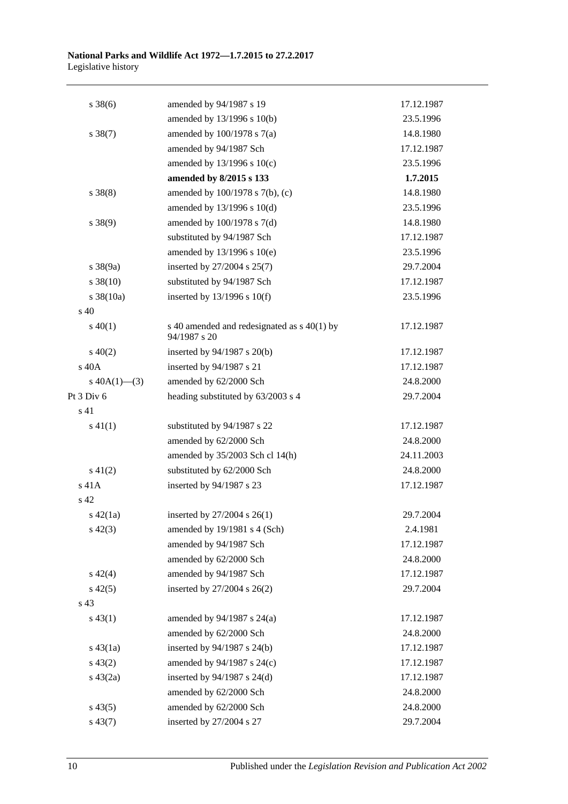| $s \, 38(6)$          | amended by 94/1987 s 19                                     | 17.12.1987 |
|-----------------------|-------------------------------------------------------------|------------|
|                       | amended by 13/1996 s 10(b)                                  | 23.5.1996  |
| $s \ 38(7)$           | amended by $100/1978$ s $7(a)$                              | 14.8.1980  |
|                       | amended by 94/1987 Sch                                      | 17.12.1987 |
|                       | amended by 13/1996 s 10(c)                                  | 23.5.1996  |
|                       | amended by 8/2015 s 133                                     | 1.7.2015   |
| $s \ 38(8)$           | amended by 100/1978 s 7(b), (c)                             | 14.8.1980  |
|                       | amended by 13/1996 s 10(d)                                  | 23.5.1996  |
| $s \ 38(9)$           | amended by 100/1978 s 7(d)                                  | 14.8.1980  |
|                       | substituted by 94/1987 Sch                                  | 17.12.1987 |
|                       | amended by 13/1996 s 10(e)                                  | 23.5.1996  |
| $s \frac{38(9a)}{2}$  | inserted by 27/2004 s 25(7)                                 | 29.7.2004  |
| $s \ 38(10)$          | substituted by 94/1987 Sch                                  | 17.12.1987 |
| $s \frac{38(10a)}{2}$ | inserted by $13/1996$ s $10(f)$                             | 23.5.1996  |
| s <sub>40</sub>       |                                                             |            |
| $s\ 40(1)$            | s 40 amended and redesignated as s 40(1) by<br>94/1987 s 20 | 17.12.1987 |
| $s\ 40(2)$            | inserted by 94/1987 s 20(b)                                 | 17.12.1987 |
| s 40A                 | inserted by 94/1987 s 21                                    | 17.12.1987 |
| s $40A(1)$ —(3)       | amended by 62/2000 Sch                                      | 24.8.2000  |
| Pt 3 Div 6            | heading substituted by 63/2003 s 4                          | 29.7.2004  |
| s 41                  |                                                             |            |
| $s\ 41(1)$            | substituted by 94/1987 s 22                                 | 17.12.1987 |
|                       | amended by 62/2000 Sch                                      | 24.8.2000  |
|                       | amended by 35/2003 Sch cl 14(h)                             | 24.11.2003 |
| $s\ 41(2)$            | substituted by 62/2000 Sch                                  | 24.8.2000  |
| s 41A                 | inserted by 94/1987 s 23                                    | 17.12.1987 |
| s <sub>42</sub>       |                                                             |            |
| $s\ 42(1a)$           | inserted by 27/2004 s 26(1)                                 | 29.7.2004  |
| $s\ 42(3)$            | amended by 19/1981 s 4 (Sch)                                | 2.4.1981   |
|                       | amended by 94/1987 Sch                                      | 17.12.1987 |
|                       | amended by 62/2000 Sch                                      | 24.8.2000  |
| $s\ 42(4)$            | amended by 94/1987 Sch                                      | 17.12.1987 |
| $s\ 42(5)$            | inserted by 27/2004 s 26(2)                                 | 29.7.2004  |
| s 43                  |                                                             |            |
| $s\,43(1)$            | amended by $94/1987$ s $24(a)$                              | 17.12.1987 |
|                       | amended by 62/2000 Sch                                      | 24.8.2000  |
| $s\,43(1a)$           | inserted by 94/1987 s 24(b)                                 | 17.12.1987 |
| $s\,43(2)$            | amended by 94/1987 s 24(c)                                  | 17.12.1987 |
| $s\ 43(2a)$           | inserted by $94/1987$ s $24(d)$                             | 17.12.1987 |
|                       | amended by 62/2000 Sch                                      | 24.8.2000  |
| $s\,43(5)$            | amended by 62/2000 Sch                                      | 24.8.2000  |
| $s\,43(7)$            | inserted by 27/2004 s 27                                    | 29.7.2004  |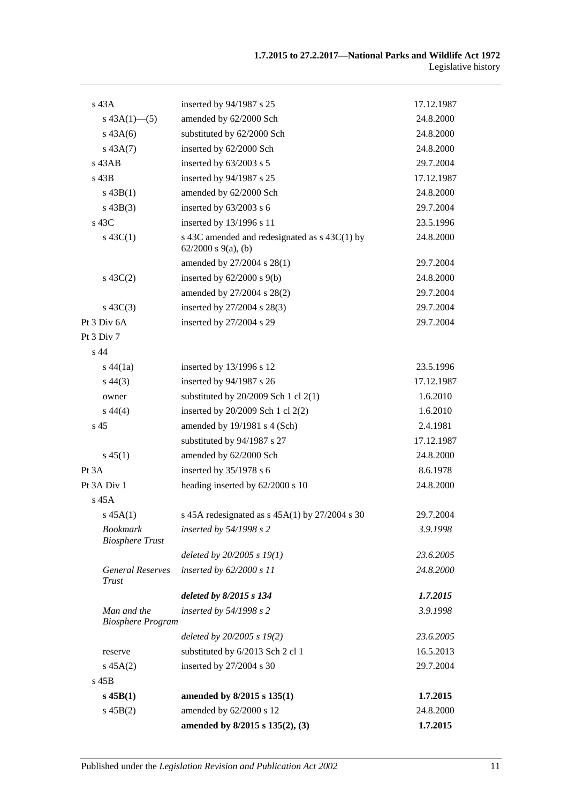| $s$ 43 $A$                                | inserted by 94/1987 s 25                                                  | 17.12.1987 |
|-------------------------------------------|---------------------------------------------------------------------------|------------|
| $s\,43A(1)$ - (5)                         | amended by 62/2000 Sch                                                    | 24.8.2000  |
| $s\,43A(6)$                               | substituted by 62/2000 Sch                                                | 24.8.2000  |
| $s\,43A(7)$                               | inserted by 62/2000 Sch                                                   | 24.8.2000  |
| $s$ 43AB                                  | inserted by 63/2003 s 5                                                   | 29.7.2004  |
| $s$ 43B                                   | inserted by 94/1987 s 25                                                  | 17.12.1987 |
| $s\,43B(1)$                               | amended by 62/2000 Sch                                                    | 24.8.2000  |
| $s\,43B(3)$                               | inserted by $63/2003$ s 6                                                 | 29.7.2004  |
| $s\,43C$                                  | inserted by 13/1996 s 11                                                  | 23.5.1996  |
| s $43C(1)$                                | s 43C amended and redesignated as s 43C(1) by<br>$62/2000$ s $9(a)$ , (b) | 24.8.2000  |
|                                           | amended by 27/2004 s 28(1)                                                | 29.7.2004  |
| $s\ 43C(2)$                               | inserted by $62/2000$ s $9(b)$                                            | 24.8.2000  |
|                                           | amended by 27/2004 s 28(2)                                                | 29.7.2004  |
| $s\ 43C(3)$                               | inserted by 27/2004 s 28(3)                                               | 29.7.2004  |
| Pt 3 Div 6A                               | inserted by 27/2004 s 29                                                  | 29.7.2004  |
| Pt 3 Div 7                                |                                                                           |            |
| $s$ 44                                    |                                                                           |            |
| $s\,44(1a)$                               | inserted by 13/1996 s 12                                                  | 23.5.1996  |
| $s\,44(3)$                                | inserted by 94/1987 s 26                                                  | 17.12.1987 |
| owner                                     | substituted by $20/2009$ Sch 1 cl $2(1)$                                  | 1.6.2010   |
| $s\,44(4)$                                | inserted by 20/2009 Sch 1 cl 2(2)                                         | 1.6.2010   |
| s <sub>45</sub>                           | amended by 19/1981 s 4 (Sch)                                              | 2.4.1981   |
|                                           | substituted by 94/1987 s 27                                               | 17.12.1987 |
| $s\,45(1)$                                | amended by 62/2000 Sch                                                    | 24.8.2000  |
| Pt 3A                                     | inserted by 35/1978 s 6                                                   | 8.6.1978   |
| Pt 3A Div 1                               | heading inserted by 62/2000 s 10                                          | 24.8.2000  |
| $s$ 45A                                   |                                                                           |            |
| s 45A(1)                                  | s 45A redesignated as $s$ 45A(1) by 27/2004 s 30                          | 29.7.2004  |
| <b>Bookmark</b><br><b>Biosphere Trust</b> | inserted by 54/1998 s 2                                                   | 3.9.1998   |
|                                           | deleted by 20/2005 s 19(1)                                                | 23.6.2005  |
| <b>General Reserves</b><br>Trust          | inserted by 62/2000 s 11                                                  | 24.8.2000  |
|                                           | deleted by 8/2015 s 134                                                   | 1.7.2015   |
| Man and the<br><b>Biosphere Program</b>   | inserted by 54/1998 s 2                                                   | 3.9.1998   |
|                                           | deleted by $20/2005 s 19(2)$                                              | 23.6.2005  |
| reserve                                   | substituted by 6/2013 Sch 2 cl 1                                          | 16.5.2013  |
| $s\,45A(2)$                               | inserted by 27/2004 s 30                                                  | 29.7.2004  |
| $s$ 45 $B$                                |                                                                           |            |
| $s$ 45B(1)                                | amended by 8/2015 s 135(1)                                                | 1.7.2015   |
| $s\,45B(2)$                               | amended by 62/2000 s 12                                                   | 24.8.2000  |
|                                           | amended by 8/2015 s 135(2), (3)                                           | 1.7.2015   |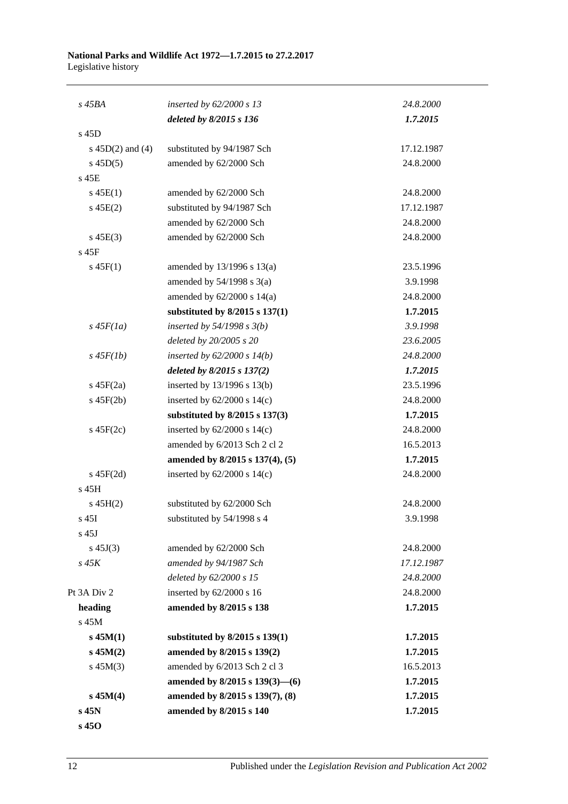#### **National Parks and Wildlife Act 1972—1.7.2015 to 27.2.2017** Legislative history

| s 45BA               | inserted by $62/2000 s 13$         | 24.8.2000  |
|----------------------|------------------------------------|------------|
|                      | deleted by 8/2015 s 136            | 1.7.2015   |
| s 45D                |                                    |            |
| s $45D(2)$ and $(4)$ | substituted by 94/1987 Sch         | 17.12.1987 |
| $s\,45D(5)$          | amended by 62/2000 Sch             | 24.8.2000  |
| s 45E                |                                    |            |
| $s\,45E(1)$          |                                    | 24.8.2000  |
|                      | amended by 62/2000 Sch             |            |
| $s\,45E(2)$          | substituted by 94/1987 Sch         | 17.12.1987 |
|                      | amended by 62/2000 Sch             | 24.8.2000  |
| $s\,45E(3)$          | amended by 62/2000 Sch             | 24.8.2000  |
| s 45F                |                                    |            |
| $s\,45F(1)$          | amended by $13/1996$ s $13(a)$     | 23.5.1996  |
|                      | amended by $54/1998$ s $3(a)$      | 3.9.1998   |
|                      | amended by $62/2000$ s $14(a)$     | 24.8.2000  |
|                      | substituted by $8/2015$ s $137(1)$ | 1.7.2015   |
| $s\,45F(1a)$         | inserted by $54/1998 s 3(b)$       | 3.9.1998   |
|                      | deleted by 20/2005 s 20            | 23.6.2005  |
| $s$ 45 $F(1b)$       | inserted by $62/2000 s 14(b)$      | 24.8.2000  |
|                      | deleted by 8/2015 s 137(2)         | 1.7.2015   |
| $s\ 45F(2a)$         | inserted by 13/1996 s 13(b)        | 23.5.1996  |
| $s\ 45F(2b)$         | inserted by $62/2000$ s $14(c)$    | 24.8.2000  |
|                      | substituted by 8/2015 s 137(3)     | 1.7.2015   |
| $s\ 45F(2c)$         | inserted by $62/2000$ s $14(c)$    | 24.8.2000  |
|                      | amended by 6/2013 Sch 2 cl 2       | 16.5.2013  |
|                      | amended by 8/2015 s 137(4), (5)    | 1.7.2015   |
| $s\ 45F(2d)$         | inserted by $62/2000$ s $14(c)$    | 24.8.2000  |
| $s$ 45H              |                                    |            |
| $s\,45H(2)$          | substituted by 62/2000 Sch         | 24.8.2000  |
| s 45I                | substituted by $54/1998$ s 4       | 3.9.1998   |
| $s$ 45J              |                                    |            |
| $s\,45J(3)$          | amended by 62/2000 Sch             | 24.8.2000  |
| $s\,45K$             | amended by 94/1987 Sch             | 17.12.1987 |
|                      | deleted by 62/2000 s 15            | 24.8.2000  |
| Pt 3A Div 2          | inserted by 62/2000 s 16           | 24.8.2000  |
| heading              | amended by 8/2015 s 138            | 1.7.2015   |
| s 45M                |                                    |            |
| $s$ 45 $M(1)$        | substituted by 8/2015 s 139(1)     | 1.7.2015   |
| $s\,45M(2)$          | amended by 8/2015 s 139(2)         | 1.7.2015   |
| $s\,45M(3)$          | amended by 6/2013 Sch 2 cl 3       | 16.5.2013  |
|                      | amended by 8/2015 s 139(3)-(6)     | 1.7.2015   |
| $s\,45M(4)$          | amended by 8/2015 s 139(7), (8)    | 1.7.2015   |
| s 45N                | amended by 8/2015 s 140            | 1.7.2015   |
| s 450                |                                    |            |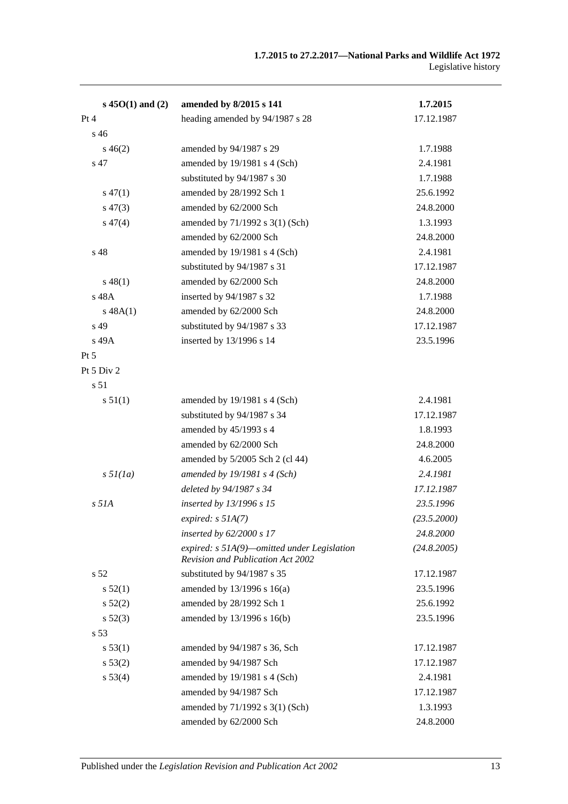| $s\,45O(1)$ and (2) | amended by 8/2015 s 141                                                                   | 1.7.2015    |
|---------------------|-------------------------------------------------------------------------------------------|-------------|
| Pt 4                | heading amended by 94/1987 s 28                                                           | 17.12.1987  |
| s <sub>46</sub>     |                                                                                           |             |
| $s\,46(2)$          | amended by 94/1987 s 29                                                                   | 1.7.1988    |
| s 47                | amended by 19/1981 s 4 (Sch)                                                              | 2.4.1981    |
|                     | substituted by 94/1987 s 30                                                               | 1.7.1988    |
| $s\,47(1)$          | amended by 28/1992 Sch 1                                                                  | 25.6.1992   |
| $s\,47(3)$          | amended by 62/2000 Sch                                                                    | 24.8.2000   |
| $s\,47(4)$          | amended by 71/1992 s 3(1) (Sch)                                                           | 1.3.1993    |
|                     | amended by 62/2000 Sch                                                                    | 24.8.2000   |
| s 48                | amended by 19/1981 s 4 (Sch)                                                              | 2.4.1981    |
|                     | substituted by 94/1987 s 31                                                               | 17.12.1987  |
| $s\,48(1)$          | amended by 62/2000 Sch                                                                    | 24.8.2000   |
| s 48A               | inserted by 94/1987 s 32                                                                  | 1.7.1988    |
| s 48A(1)            | amended by 62/2000 Sch                                                                    | 24.8.2000   |
| s 49                | substituted by 94/1987 s 33                                                               | 17.12.1987  |
| s 49A               | inserted by 13/1996 s 14                                                                  | 23.5.1996   |
| $Pt\,5$             |                                                                                           |             |
| Pt 5 Div 2          |                                                                                           |             |
| s 51                |                                                                                           |             |
| s 51(1)             | amended by 19/1981 s 4 (Sch)                                                              | 2.4.1981    |
|                     | substituted by 94/1987 s 34                                                               | 17.12.1987  |
|                     | amended by 45/1993 s 4                                                                    | 1.8.1993    |
|                     | amended by 62/2000 Sch                                                                    | 24.8.2000   |
|                     | amended by 5/2005 Sch 2 (cl 44)                                                           | 4.6.2005    |
| $s \frac{5l}{la}$   | amended by $19/1981$ s 4 (Sch)                                                            | 2.4.1981    |
|                     | deleted by 94/1987 s 34                                                                   | 17.12.1987  |
| $s$ 51 $A$          | inserted by 13/1996 s 15                                                                  | 23.5.1996   |
|                     | expired: $s$ 51A(7)                                                                       | (23.5.2000) |
|                     | inserted by $62/2000 s$ 17                                                                | 24.8.2000   |
|                     | expired: $s$ 51A(9)—omitted under Legislation<br><b>Revision and Publication Act 2002</b> | (24.8.2005) |
| s <sub>52</sub>     | substituted by 94/1987 s 35                                                               | 17.12.1987  |
| s 52(1)             | amended by 13/1996 s 16(a)                                                                | 23.5.1996   |
| $s\,52(2)$          | amended by 28/1992 Sch 1                                                                  | 25.6.1992   |
| $s\,52(3)$          | amended by 13/1996 s 16(b)                                                                | 23.5.1996   |
| s <sub>53</sub>     |                                                                                           |             |
| s 53(1)             | amended by 94/1987 s 36, Sch                                                              | 17.12.1987  |
| s 53(2)             | amended by 94/1987 Sch                                                                    | 17.12.1987  |
| s 53(4)             | amended by 19/1981 s 4 (Sch)                                                              | 2.4.1981    |
|                     | amended by 94/1987 Sch                                                                    | 17.12.1987  |
|                     | amended by 71/1992 s 3(1) (Sch)                                                           | 1.3.1993    |
|                     | amended by 62/2000 Sch                                                                    | 24.8.2000   |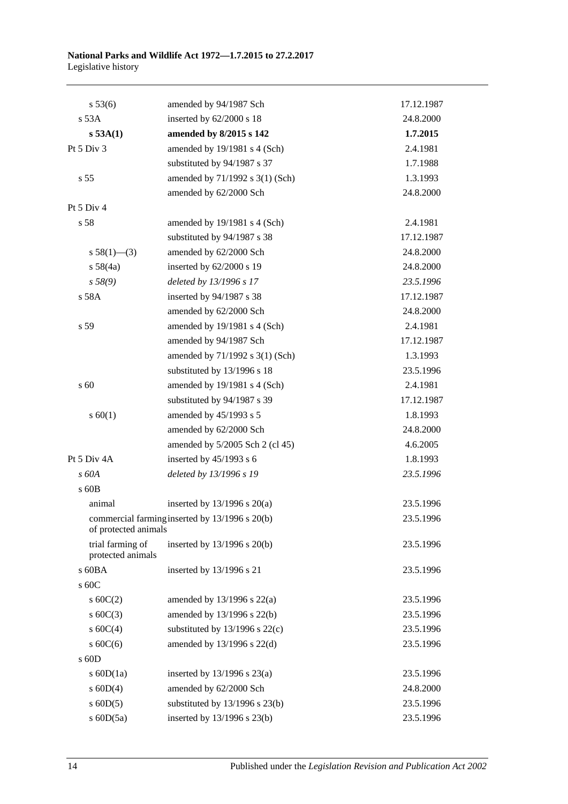| s 53(6)                               | amended by 94/1987 Sch                         | 17.12.1987 |
|---------------------------------------|------------------------------------------------|------------|
| s 53A                                 | inserted by 62/2000 s 18                       | 24.8.2000  |
| $s$ 53A(1)                            | amended by 8/2015 s 142                        | 1.7.2015   |
| Pt 5 Div 3                            | amended by 19/1981 s 4 (Sch)                   | 2.4.1981   |
|                                       | substituted by 94/1987 s 37                    | 1.7.1988   |
| s <sub>55</sub>                       | amended by 71/1992 s 3(1) (Sch)                | 1.3.1993   |
|                                       | amended by 62/2000 Sch                         | 24.8.2000  |
| Pt 5 Div 4                            |                                                |            |
| s 58                                  | amended by 19/1981 s 4 (Sch)                   | 2.4.1981   |
|                                       | substituted by 94/1987 s 38                    | 17.12.1987 |
| $s 58(1)$ (3)                         | amended by 62/2000 Sch                         | 24.8.2000  |
| s 58(4a)                              | inserted by 62/2000 s 19                       | 24.8.2000  |
| s 58(9)                               | deleted by 13/1996 s 17                        | 23.5.1996  |
| s 58A                                 | inserted by 94/1987 s 38                       | 17.12.1987 |
|                                       | amended by 62/2000 Sch                         | 24.8.2000  |
| s 59                                  | amended by 19/1981 s 4 (Sch)                   | 2.4.1981   |
|                                       | amended by 94/1987 Sch                         | 17.12.1987 |
|                                       | amended by 71/1992 s 3(1) (Sch)                | 1.3.1993   |
|                                       | substituted by 13/1996 s 18                    | 23.5.1996  |
| s 60                                  | amended by 19/1981 s 4 (Sch)                   | 2.4.1981   |
|                                       | substituted by 94/1987 s 39                    | 17.12.1987 |
| s 60(1)                               | amended by 45/1993 s 5                         | 1.8.1993   |
|                                       | amended by 62/2000 Sch                         | 24.8.2000  |
|                                       | amended by 5/2005 Sch 2 (cl 45)                | 4.6.2005   |
| Pt 5 Div 4A                           | inserted by $45/1993$ s 6                      | 1.8.1993   |
| s 60A                                 | deleted by 13/1996 s 19                        | 23.5.1996  |
| s 60B                                 |                                                |            |
| animal                                | inserted by $13/1996$ s $20(a)$                | 23.5.1996  |
| of protected animals                  | commercial farming inserted by 13/1996 s 20(b) | 23.5.1996  |
| trial farming of<br>protected animals | inserted by $13/1996$ s $20(b)$                | 23.5.1996  |
| s 60BA                                | inserted by 13/1996 s 21                       | 23.5.1996  |
| s 60C                                 |                                                |            |
| s $60C(2)$                            | amended by $13/1996$ s $22(a)$                 | 23.5.1996  |
| s $60C(3)$                            | amended by 13/1996 s 22(b)                     | 23.5.1996  |
| s $60C(4)$                            | substituted by $13/1996$ s $22(c)$             | 23.5.1996  |
| s $60C(6)$                            | amended by 13/1996 s 22(d)                     | 23.5.1996  |
| s 60D                                 |                                                |            |
| s $60D(1a)$                           | inserted by $13/1996$ s $23(a)$                | 23.5.1996  |
| $s$ 60D(4)                            | amended by 62/2000 Sch                         | 24.8.2000  |
| $s$ 60D(5)                            | substituted by $13/1996$ s $23(b)$             | 23.5.1996  |
| s 60D(5a)                             | inserted by 13/1996 s 23(b)                    | 23.5.1996  |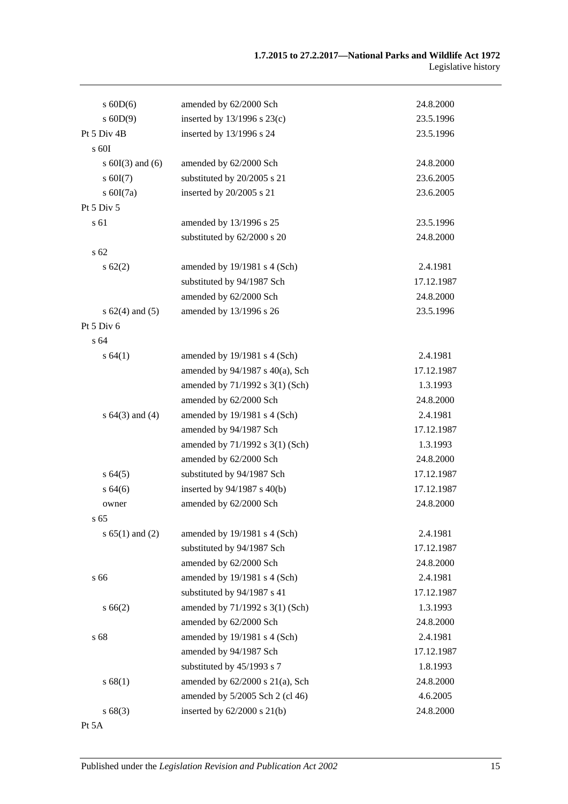| $s$ 60D(6)           | amended by 62/2000 Sch               | 24.8.2000  |
|----------------------|--------------------------------------|------------|
| $s$ 60D(9)           | inserted by $13/1996$ s $23(c)$      | 23.5.1996  |
| Pt 5 Div 4B          | inserted by 13/1996 s 24             | 23.5.1996  |
| $\rm s$ 60I          |                                      |            |
| s $60I(3)$ and $(6)$ | amended by 62/2000 Sch               | 24.8.2000  |
| $s$ 60I(7)           | substituted by 20/2005 s 21          | 23.6.2005  |
| s $60I(7a)$          | inserted by 20/2005 s 21             | 23.6.2005  |
| Pt $5$ Div $5$       |                                      |            |
| s 61                 | amended by 13/1996 s 25              | 23.5.1996  |
|                      | substituted by 62/2000 s 20          | 24.8.2000  |
| s <sub>62</sub>      |                                      |            |
| $s \, 62(2)$         | amended by 19/1981 s 4 (Sch)         | 2.4.1981   |
|                      | substituted by 94/1987 Sch           | 17.12.1987 |
|                      | amended by 62/2000 Sch               | 24.8.2000  |
| s $62(4)$ and $(5)$  | amended by 13/1996 s 26              | 23.5.1996  |
| Pt $5$ Div $6$       |                                      |            |
| s 64                 |                                      |            |
| s 64(1)              | amended by 19/1981 s 4 (Sch)         | 2.4.1981   |
|                      | amended by $94/1987$ s $40(a)$ , Sch | 17.12.1987 |
|                      | amended by 71/1992 s 3(1) (Sch)      | 1.3.1993   |
|                      | amended by 62/2000 Sch               | 24.8.2000  |
| s $64(3)$ and $(4)$  | amended by 19/1981 s 4 (Sch)         | 2.4.1981   |
|                      | amended by 94/1987 Sch               | 17.12.1987 |
|                      | amended by 71/1992 s 3(1) (Sch)      | 1.3.1993   |
|                      | amended by 62/2000 Sch               | 24.8.2000  |
| s 64(5)              | substituted by 94/1987 Sch           | 17.12.1987 |
| s64(6)               | inserted by 94/1987 s 40(b)          | 17.12.1987 |
| owner                | amended by 62/2000 Sch               | 24.8.2000  |
| $s\,65$              |                                      |            |
| s $65(1)$ and $(2)$  | amended by 19/1981 s 4 (Sch)         | 2.4.1981   |
|                      | substituted by 94/1987 Sch           | 17.12.1987 |
|                      | amended by 62/2000 Sch               | 24.8.2000  |
| s 66                 | amended by 19/1981 s 4 (Sch)         | 2.4.1981   |
|                      | substituted by 94/1987 s 41          | 17.12.1987 |
| s 66(2)              | amended by 71/1992 s 3(1) (Sch)      | 1.3.1993   |
|                      | amended by 62/2000 Sch               | 24.8.2000  |
| s 68                 | amended by 19/1981 s 4 (Sch)         | 2.4.1981   |
|                      | amended by 94/1987 Sch               | 17.12.1987 |
|                      | substituted by 45/1993 s 7           | 1.8.1993   |
| s 68(1)              | amended by 62/2000 s 21(a), Sch      | 24.8.2000  |
|                      | amended by 5/2005 Sch 2 (cl 46)      | 4.6.2005   |
| s68(3)               | inserted by $62/2000$ s $21(b)$      | 24.8.2000  |
| Pt 5A                |                                      |            |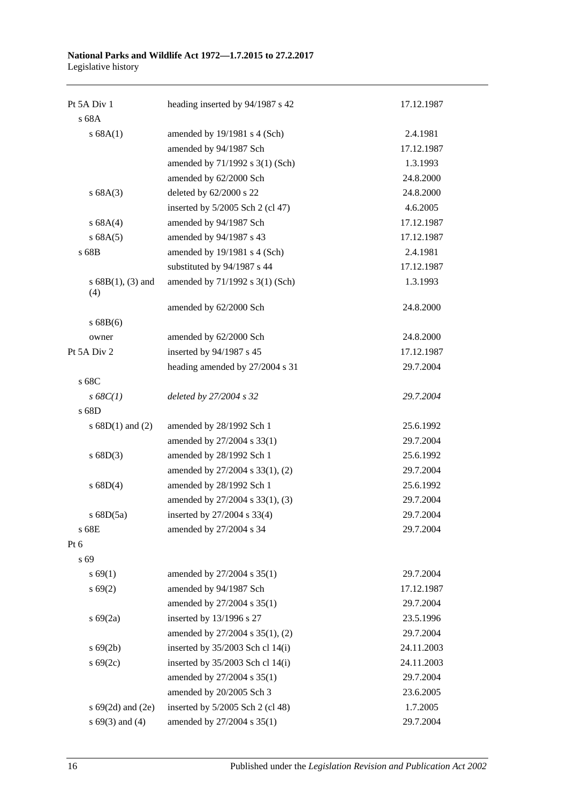#### **National Parks and Wildlife Act 1972—1.7.2015 to 27.2.2017** Legislative history

| Pt 5A Div 1                | heading inserted by 94/1987 s 42   | 17.12.1987 |
|----------------------------|------------------------------------|------------|
| s 68A                      |                                    |            |
| s 68A(1)                   | amended by 19/1981 s 4 (Sch)       | 2.4.1981   |
|                            | amended by 94/1987 Sch             | 17.12.1987 |
|                            | amended by 71/1992 s 3(1) (Sch)    | 1.3.1993   |
|                            | amended by 62/2000 Sch             | 24.8.2000  |
| s 68A(3)                   | deleted by 62/2000 s 22            | 24.8.2000  |
|                            | inserted by 5/2005 Sch 2 (cl 47)   | 4.6.2005   |
| s 68A(4)                   | amended by 94/1987 Sch             | 17.12.1987 |
| s 68A(5)                   | amended by 94/1987 s 43            | 17.12.1987 |
| s 68B                      | amended by 19/1981 s 4 (Sch)       | 2.4.1981   |
|                            | substituted by 94/1987 s 44        | 17.12.1987 |
| $s 68B(1), (3)$ and<br>(4) | amended by 71/1992 s 3(1) (Sch)    | 1.3.1993   |
|                            | amended by 62/2000 Sch             | 24.8.2000  |
| s 68B(6)                   |                                    |            |
| owner                      | amended by 62/2000 Sch             | 24.8.2000  |
| Pt 5A Div 2                | inserted by 94/1987 s 45           | 17.12.1987 |
|                            | heading amended by 27/2004 s 31    | 29.7.2004  |
| s 68C                      |                                    |            |
| $s\,68C(1)$                | deleted by 27/2004 s 32            | 29.7.2004  |
| s 68D                      |                                    |            |
| s $68D(1)$ and $(2)$       | amended by 28/1992 Sch 1           | 25.6.1992  |
|                            | amended by 27/2004 s 33(1)         | 29.7.2004  |
| s 68D(3)                   | amended by 28/1992 Sch 1           | 25.6.1992  |
|                            | amended by 27/2004 s 33(1), (2)    | 29.7.2004  |
| s 68D(4)                   | amended by 28/1992 Sch 1           | 25.6.1992  |
|                            | amended by 27/2004 s 33(1), (3)    | 29.7.2004  |
| s $68D(5a)$                | inserted by 27/2004 s 33(4)        | 29.7.2004  |
| s 68E                      | amended by 27/2004 s 34            | 29.7.2004  |
| Pt 6                       |                                    |            |
| s 69                       |                                    |            |
| s 69(1)                    | amended by 27/2004 s 35(1)         | 29.7.2004  |
| s 69(2)                    | amended by 94/1987 Sch             | 17.12.1987 |
|                            | amended by 27/2004 s 35(1)         | 29.7.2004  |
| $s\ 69(2a)$                | inserted by 13/1996 s 27           | 23.5.1996  |
|                            | amended by 27/2004 s 35(1), (2)    | 29.7.2004  |
| $s\ 69(2b)$                | inserted by $35/2003$ Sch cl 14(i) | 24.11.2003 |
| $s\ 69(2c)$                | inserted by $35/2003$ Sch cl 14(i) | 24.11.2003 |
|                            | amended by 27/2004 s 35(1)         | 29.7.2004  |
|                            | amended by 20/2005 Sch 3           | 23.6.2005  |
| s $69(2d)$ and $(2e)$      | inserted by 5/2005 Sch 2 (cl 48)   | 1.7.2005   |
| s $69(3)$ and $(4)$        | amended by 27/2004 s 35(1)         | 29.7.2004  |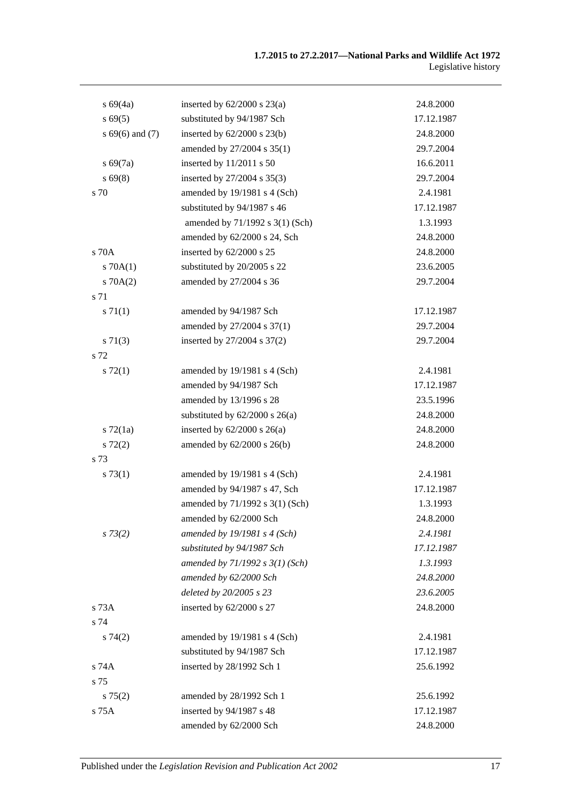| $s\,69(4a)$        | inserted by $62/2000$ s $23(a)$    | 24.8.2000  |
|--------------------|------------------------------------|------------|
| s 69(5)            | substituted by 94/1987 Sch         | 17.12.1987 |
| $s\,69(6)$ and (7) | inserted by $62/2000$ s $23(b)$    | 24.8.2000  |
|                    | amended by 27/2004 s 35(1)         | 29.7.2004  |
| $s\,69(7a)$        | inserted by 11/2011 s 50           | 16.6.2011  |
| $s\,69(8)$         | inserted by 27/2004 s 35(3)        | 29.7.2004  |
| s 70               | amended by 19/1981 s 4 (Sch)       | 2.4.1981   |
|                    | substituted by 94/1987 s 46        | 17.12.1987 |
|                    | amended by 71/1992 s 3(1) (Sch)    | 1.3.1993   |
|                    | amended by 62/2000 s 24, Sch       | 24.8.2000  |
| s 70A              | inserted by 62/2000 s 25           | 24.8.2000  |
| 570A(1)            | substituted by 20/2005 s 22        | 23.6.2005  |
| $s \, 70A(2)$      | amended by 27/2004 s 36            | 29.7.2004  |
| s 71               |                                    |            |
| s 71(1)            | amended by 94/1987 Sch             | 17.12.1987 |
|                    | amended by 27/2004 s 37(1)         | 29.7.2004  |
| $s \, 71(3)$       | inserted by 27/2004 s 37(2)        | 29.7.2004  |
| s 72               |                                    |            |
| $s \, 72(1)$       | amended by 19/1981 s 4 (Sch)       | 2.4.1981   |
|                    | amended by 94/1987 Sch             | 17.12.1987 |
|                    | amended by 13/1996 s 28            | 23.5.1996  |
|                    | substituted by $62/2000$ s $26(a)$ | 24.8.2000  |
| $s \, 72(1a)$      | inserted by $62/2000$ s $26(a)$    | 24.8.2000  |
| $s\ 72(2)$         | amended by 62/2000 s 26(b)         | 24.8.2000  |
| s 73               |                                    |            |
| s 73(1)            | amended by 19/1981 s 4 (Sch)       | 2.4.1981   |
|                    | amended by 94/1987 s 47, Sch       | 17.12.1987 |
|                    | amended by 71/1992 s 3(1) (Sch)    | 1.3.1993   |
|                    | amended by 62/2000 Sch             | 24.8.2000  |
| $s \, 73(2)$       | amended by $19/1981$ s 4 (Sch)     | 2.4.1981   |
|                    | substituted by 94/1987 Sch         | 17.12.1987 |
|                    | amended by $71/1992 s 3(1)$ (Sch)  | 1.3.1993   |
|                    | amended by 62/2000 Sch             | 24.8.2000  |
|                    | deleted by 20/2005 s 23            | 23.6.2005  |
| s 73A              | inserted by 62/2000 s 27           | 24.8.2000  |
| s 74               |                                    |            |
| s74(2)             | amended by 19/1981 s 4 (Sch)       | 2.4.1981   |
|                    | substituted by 94/1987 Sch         | 17.12.1987 |
| s 74A              | inserted by 28/1992 Sch 1          | 25.6.1992  |
| s 75               |                                    |            |
| $s \, 75(2)$       | amended by 28/1992 Sch 1           | 25.6.1992  |
| s 75A              | inserted by 94/1987 s 48           | 17.12.1987 |
|                    | amended by 62/2000 Sch             | 24.8.2000  |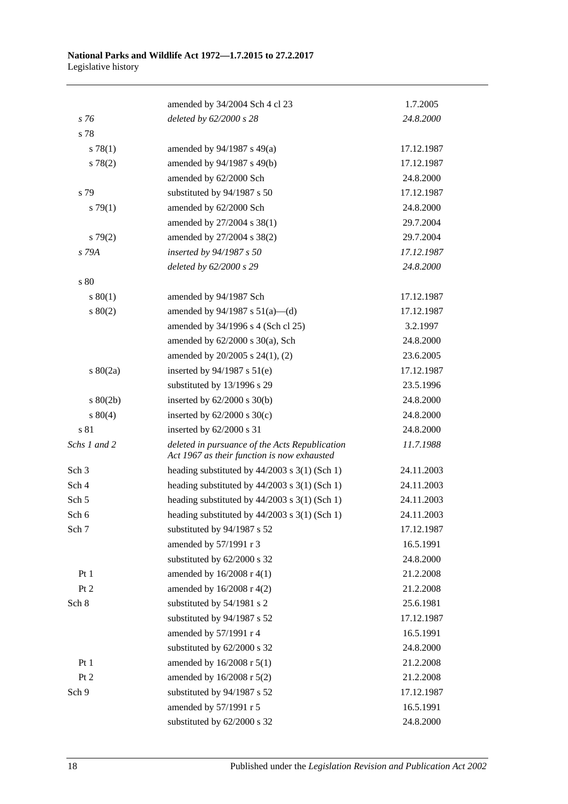|                  | amended by 34/2004 Sch 4 cl 23                                                                | 1.7.2005   |
|------------------|-----------------------------------------------------------------------------------------------|------------|
| s 76             | deleted by 62/2000 s 28                                                                       | 24.8.2000  |
| s 78             |                                                                                               |            |
| s 78(1)          | amended by $94/1987$ s $49(a)$                                                                | 17.12.1987 |
| s 78(2)          | amended by 94/1987 s 49(b)                                                                    | 17.12.1987 |
|                  | amended by 62/2000 Sch                                                                        | 24.8.2000  |
| s 79             | substituted by 94/1987 s 50                                                                   | 17.12.1987 |
| s79(1)           | amended by 62/2000 Sch                                                                        | 24.8.2000  |
|                  | amended by 27/2004 s 38(1)                                                                    | 29.7.2004  |
| s79(2)           | amended by 27/2004 s 38(2)                                                                    | 29.7.2004  |
| s 79A            | inserted by 94/1987 s 50                                                                      | 17.12.1987 |
|                  | deleted by 62/2000 s 29                                                                       | 24.8.2000  |
| s 80             |                                                                                               |            |
| s 80(1)          | amended by 94/1987 Sch                                                                        | 17.12.1987 |
| 80(2)            | amended by $94/1987$ s $51(a)$ —(d)                                                           | 17.12.1987 |
|                  | amended by 34/1996 s 4 (Sch cl 25)                                                            | 3.2.1997   |
|                  | amended by $62/2000$ s $30(a)$ , Sch                                                          | 24.8.2000  |
|                  | amended by 20/2005 s 24(1), (2)                                                               | 23.6.2005  |
| $s\ 80(2a)$      | inserted by $94/1987$ s $51(e)$                                                               | 17.12.1987 |
|                  | substituted by 13/1996 s 29                                                                   | 23.5.1996  |
| $s\ 80(2b)$      | inserted by $62/2000$ s $30(b)$                                                               | 24.8.2000  |
| 80(4)            | inserted by $62/2000$ s $30(c)$                                                               | 24.8.2000  |
| s 81             | inserted by 62/2000 s 31                                                                      | 24.8.2000  |
| Schs 1 and 2     | deleted in pursuance of the Acts Republication<br>Act 1967 as their function is now exhausted | 11.7.1988  |
| Sch <sub>3</sub> | heading substituted by $44/2003$ s 3(1) (Sch 1)                                               | 24.11.2003 |
| Sch 4            | heading substituted by $44/2003$ s $3(1)$ (Sch 1)                                             | 24.11.2003 |
| Sch 5            | heading substituted by $44/2003$ s $3(1)$ (Sch 1)                                             | 24.11.2003 |
| Sch 6            | heading substituted by $44/2003$ s 3(1) (Sch 1)                                               | 24.11.2003 |
| Sch 7            | substituted by 94/1987 s 52                                                                   | 17.12.1987 |
|                  | amended by 57/1991 r 3                                                                        | 16.5.1991  |
|                  | substituted by 62/2000 s 32                                                                   | 24.8.2000  |
| Pt1              | amended by 16/2008 r 4(1)                                                                     | 21.2.2008  |
| Pt 2             | amended by 16/2008 r 4(2)                                                                     | 21.2.2008  |
| Sch 8            | substituted by 54/1981 s 2                                                                    | 25.6.1981  |
|                  | substituted by 94/1987 s 52                                                                   | 17.12.1987 |
|                  | amended by 57/1991 r 4                                                                        | 16.5.1991  |
|                  | substituted by 62/2000 s 32                                                                   | 24.8.2000  |
| Pt1              | amended by 16/2008 r 5(1)                                                                     | 21.2.2008  |
| Pt 2             | amended by 16/2008 r 5(2)                                                                     | 21.2.2008  |
| Sch 9            | substituted by 94/1987 s 52                                                                   | 17.12.1987 |
|                  | amended by 57/1991 r 5                                                                        | 16.5.1991  |
|                  | substituted by 62/2000 s 32                                                                   | 24.8.2000  |